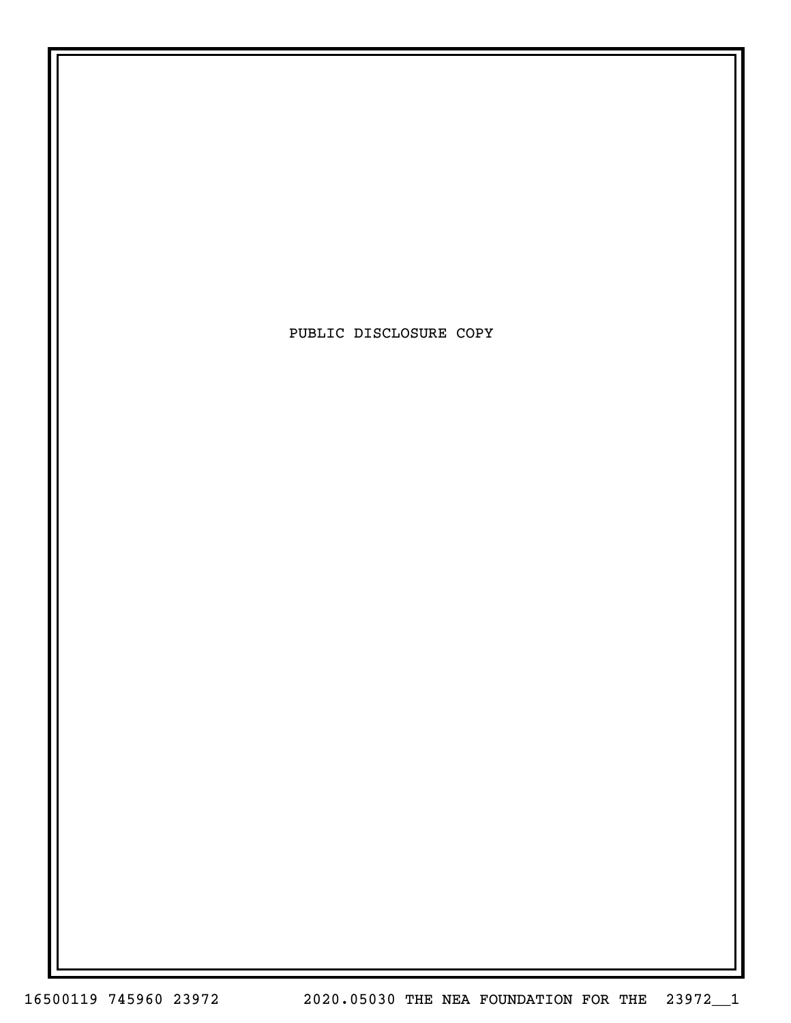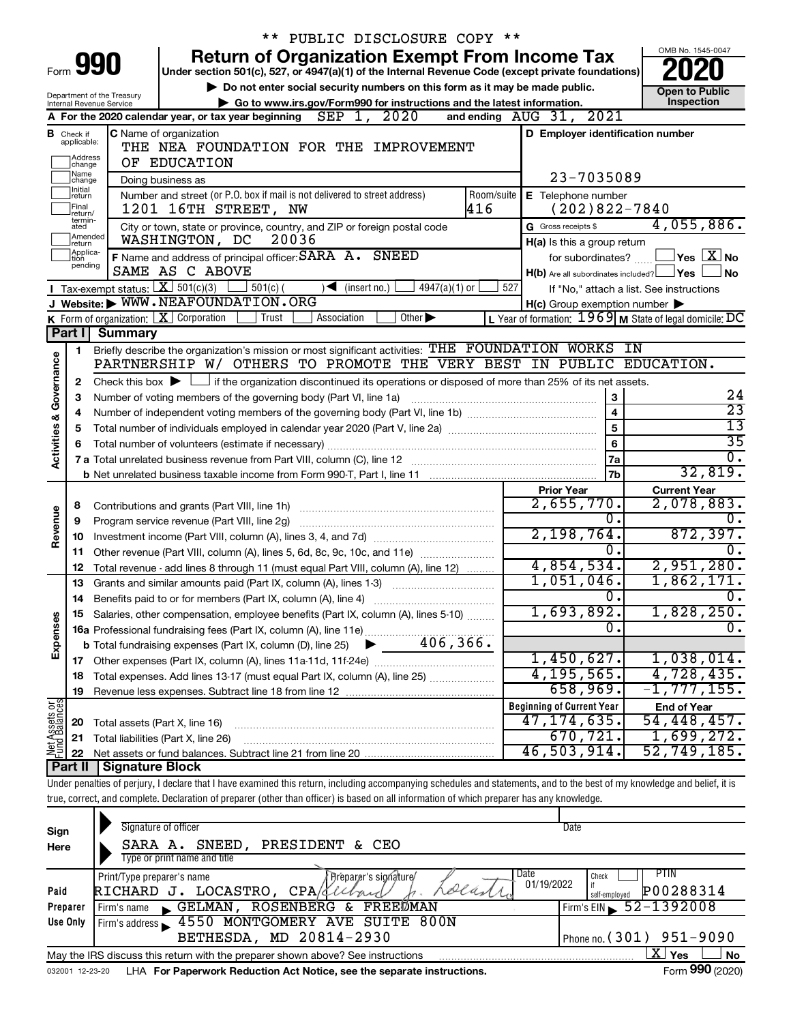|                                |                               |                                                                   | ** PUBLIC DISCLOSURE COPY **                                                                                                                                               |                                                           |                                          |
|--------------------------------|-------------------------------|-------------------------------------------------------------------|----------------------------------------------------------------------------------------------------------------------------------------------------------------------------|-----------------------------------------------------------|------------------------------------------|
|                                |                               |                                                                   | <b>Return of Organization Exempt From Income Tax</b>                                                                                                                       |                                                           | OMB No. 1545-0047                        |
|                                |                               | Form 990                                                          | Under section 501(c), 527, or 4947(a)(1) of the Internal Revenue Code (except private foundations)                                                                         |                                                           |                                          |
|                                |                               | Department of the Treasury                                        | Do not enter social security numbers on this form as it may be made public.                                                                                                |                                                           | <b>Open to Public</b>                    |
|                                |                               | Internal Revenue Service                                          | Go to www.irs.gov/Form990 for instructions and the latest information.                                                                                                     |                                                           | Inspection                               |
|                                |                               |                                                                   | SEP 1, 2020<br>A For the 2020 calendar year, or tax year beginning                                                                                                         | and ending AUG 31, 2021                                   |                                          |
|                                | <b>B</b> Check if applicable: |                                                                   | <b>C</b> Name of organization                                                                                                                                              | D Employer identification number                          |                                          |
|                                | Address                       |                                                                   | THE NEA FOUNDATION FOR THE IMPROVEMENT                                                                                                                                     |                                                           |                                          |
|                                | change<br>Name                |                                                                   | OF EDUCATION                                                                                                                                                               |                                                           |                                          |
|                                | change<br>Ilnitial            |                                                                   | Doing business as                                                                                                                                                          | 23-7035089                                                |                                          |
|                                | return<br> Final              |                                                                   | Number and street (or P.O. box if mail is not delivered to street address)<br>Room/suite<br>416<br>1201 16TH STREET, NW                                                    | E Telephone number<br>$(202)822 - 7840$                   |                                          |
|                                | return/<br>termin-            |                                                                   |                                                                                                                                                                            | G Gross receipts \$                                       | 4,055,886.                               |
|                                | ated<br>Amended               |                                                                   | City or town, state or province, country, and ZIP or foreign postal code<br>WASHINGTON, DC<br>20036                                                                        | H(a) Is this a group return                               |                                          |
|                                | Ireturn<br>Applica-<br>Ition  |                                                                   | F Name and address of principal officer: SARA A. SNEED                                                                                                                     | for subordinates?                                         | $\Box$ Yes $\Box X$ No                   |
|                                | pending                       |                                                                   | SAME AS C ABOVE                                                                                                                                                            | $H(b)$ Are all subordinates included? $\Box$ Yes          | ⊥No                                      |
|                                |                               |                                                                   | Tax-exempt status: $X \over 301(c)(3)$<br>∫ 501(c) (<br>$\sqrt{\bullet}$ (insert no.)<br>$4947(a)(1)$ or                                                                   | 527                                                       | If "No," attach a list. See instructions |
|                                |                               |                                                                   | J Website: WWW.NEAFOUNDATION.ORG                                                                                                                                           | $H(c)$ Group exemption number $\blacktriangleright$       |                                          |
|                                |                               |                                                                   | <b>K</b> Form of organization: $\boxed{\mathbf{X}}$ Corporation<br>Association<br>Other $\blacktriangleright$<br>Trust                                                     | L Year of formation: $1969$ M State of legal domicile: DC |                                          |
|                                | Part I                        | <b>Summary</b>                                                    |                                                                                                                                                                            |                                                           |                                          |
|                                | 1.                            |                                                                   | Briefly describe the organization's mission or most significant activities: THE FOUNDATION WORKS IN                                                                        |                                                           |                                          |
|                                |                               |                                                                   | PARTNERSHIP W/ OTHERS TO PROMOTE THE VERY BEST IN PUBLIC EDUCATION.                                                                                                        |                                                           |                                          |
| Governance                     | 2                             |                                                                   | Check this box $\blacktriangleright$ $\Box$ if the organization discontinued its operations or disposed of more than 25% of its net assets.                                |                                                           |                                          |
|                                | з                             | Number of voting members of the governing body (Part VI, line 1a) | 24                                                                                                                                                                         |                                                           |                                          |
|                                | 4                             |                                                                   | $\overline{23}$                                                                                                                                                            |                                                           |                                          |
|                                | 5                             |                                                                   | 5                                                                                                                                                                          | $\overline{13}$                                           |                                          |
| <b>Activities &amp;</b>        | 6                             |                                                                   | Total number of volunteers (estimate if necessary)                                                                                                                         | 6                                                         | $\overline{35}$<br>$\overline{0}$ .      |
|                                |                               |                                                                   |                                                                                                                                                                            | 7a                                                        | 32,819.                                  |
|                                |                               |                                                                   |                                                                                                                                                                            | 7b                                                        |                                          |
|                                |                               |                                                                   |                                                                                                                                                                            | <b>Prior Year</b><br>2,655,770.                           | <b>Current Year</b><br>2,078,883.        |
|                                | 8<br>9                        |                                                                   | Program service revenue (Part VIII, line 2g)                                                                                                                               | 0.                                                        |                                          |
| Revenue                        | 10                            |                                                                   |                                                                                                                                                                            | 2,198,764.                                                | 872, 397.                                |
|                                |                               |                                                                   | 11 Other revenue (Part VIII, column (A), lines 5, 6d, 8c, 9c, 10c, and 11e)                                                                                                | 0.                                                        |                                          |
|                                | 12                            |                                                                   | Total revenue - add lines 8 through 11 (must equal Part VIII, column (A), line 12)                                                                                         | 4,854,534.                                                | 2,951,280.                               |
|                                | 13                            |                                                                   | Grants and similar amounts paid (Part IX, column (A), lines 1-3)                                                                                                           | 1,051,046.                                                | 1,862,171.                               |
|                                |                               |                                                                   |                                                                                                                                                                            | $\overline{0}$ .                                          | 0.                                       |
|                                |                               |                                                                   | Salaries, other compensation, employee benefits (Part IX, column (A), lines 5-10)                                                                                          | 1,693,892.                                                | 1,828,250.                               |
| Expenses                       |                               |                                                                   |                                                                                                                                                                            | σ.                                                        | $\overline{0}$ .                         |
|                                |                               |                                                                   |                                                                                                                                                                            |                                                           |                                          |
|                                |                               |                                                                   |                                                                                                                                                                            | 1,450,627.                                                | 1,038,014.                               |
|                                | 18                            |                                                                   | Total expenses. Add lines 13-17 (must equal Part IX, column (A), line 25)                                                                                                  | 4, 195, 565.                                              | 4,728,435.                               |
|                                | 19                            |                                                                   |                                                                                                                                                                            | 658,969.                                                  | $-1, 777, 155.$                          |
| Net Assets or<br>Fund Balances |                               |                                                                   |                                                                                                                                                                            | <b>Beginning of Current Year</b>                          | <b>End of Year</b>                       |
|                                | 20                            | Total assets (Part X, line 16)                                    |                                                                                                                                                                            | 47, 174, 635.<br>670, 721.                                | 54,448,457.                              |
|                                | 21                            |                                                                   | Total liabilities (Part X, line 26)                                                                                                                                        | 46,503,914.                                               | 1,699,272.<br>52,749,185.                |
|                                | 22<br>Part II                 | <b>Signature Block</b>                                            |                                                                                                                                                                            |                                                           |                                          |
|                                |                               |                                                                   | Under penalties of perjury, I declare that I have examined this return, including accompanying schedules and statements, and to the best of my knowledge and belief, it is |                                                           |                                          |
|                                |                               |                                                                   | true, correct, and complete. Declaration of preparer (other than officer) is based on all information of which preparer has any knowledge.                                 |                                                           |                                          |
|                                |                               |                                                                   |                                                                                                                                                                            |                                                           |                                          |

| Sign<br>Here     | Signature of officer<br>SNEED,<br>PRESIDENT & CEO<br>SARA A.<br>Type or print name and title                                                                                                                                                                                                                     | Date                                                                               |
|------------------|------------------------------------------------------------------------------------------------------------------------------------------------------------------------------------------------------------------------------------------------------------------------------------------------------------------|------------------------------------------------------------------------------------|
| Paid<br>Preparer | Date<br>Print/Type preparer's name<br>'Preparer's sicviature/<br>01/19/2022<br>olast<br>RICHARD J. LOCASTRO<br>CPA/d<br>ROSENBERG & FREEDMAN<br>GELMAN,<br>Firm's name $\blacksquare$                                                                                                                            | PIIN<br>Check<br>P00288314<br>self-emploved<br>Firm's EIN $\frac{52 - 1392008}{ }$ |
| Use Only         | 4550 MONTGOMERY AVE SUITE 800N<br>Firm's address<br>BETHESDA, MD 20814-2930                                                                                                                                                                                                                                      | Phone no. $(301)$ 951-9090                                                         |
|                  | May the IRS discuss this return with the preparer shown above? See instructions<br>the company of the company of the company of the company of the company of the company of the company of the company of the company of the company of the company of the company of the company of the company of the company | ΧI<br><b>No</b><br>Yes<br>$F = 000 (000)$                                          |

032001 12-23-20 LHA **For Paperwork Reduction Act Notice, see the separate instructions.** Form 990 (2020)

Form **990** (2020)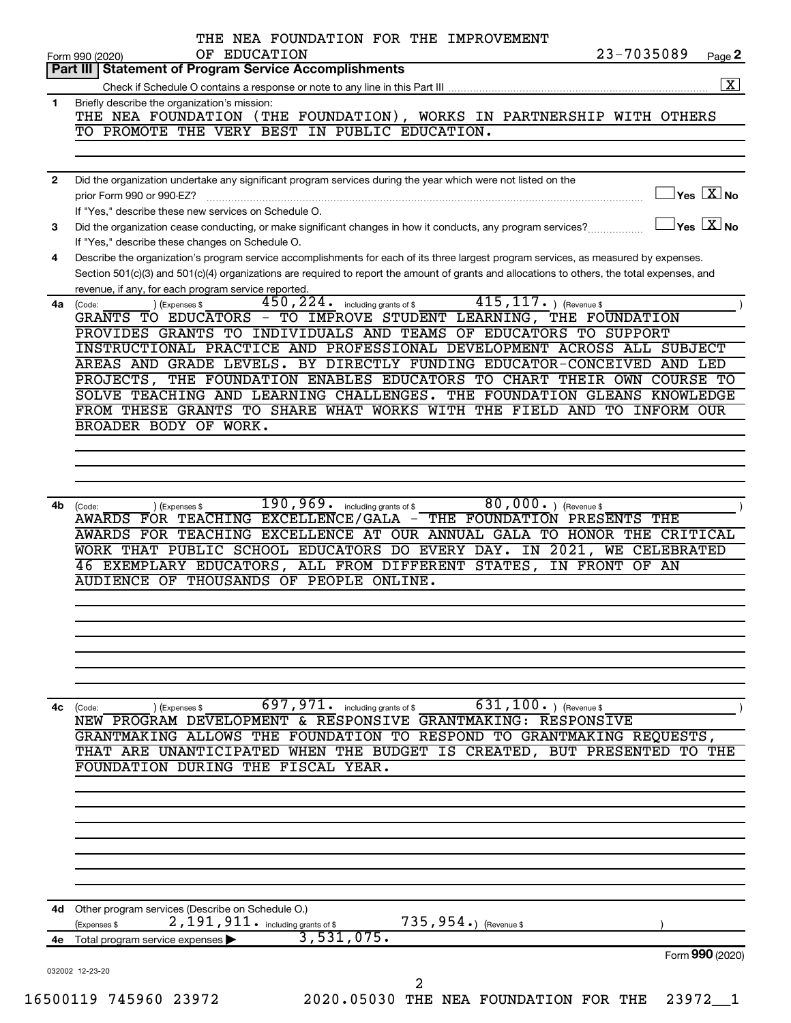|              | Part III   Statement of Program Service Accomplishments                                                                                                                             |
|--------------|-------------------------------------------------------------------------------------------------------------------------------------------------------------------------------------|
|              | $\boxed{\textbf{X}}$                                                                                                                                                                |
| $\mathbf{1}$ | Briefly describe the organization's mission:                                                                                                                                        |
|              | THE NEA FOUNDATION (THE FOUNDATION), WORKS IN PARTNERSHIP WITH OTHERS                                                                                                               |
|              | TO PROMOTE THE VERY BEST IN PUBLIC EDUCATION.                                                                                                                                       |
|              |                                                                                                                                                                                     |
|              |                                                                                                                                                                                     |
| 2            | Did the organization undertake any significant program services during the year which were not listed on the<br>$\gamma$ es $\boxed{\text{X}}$ No<br>prior Form 990 or 990-EZ?      |
|              | If "Yes," describe these new services on Schedule O.                                                                                                                                |
| З            | $ {\mathsf Y}{\mathsf e}{\mathsf s}^\top\overline{{\mathsf X}} $ No<br>Did the organization cease conducting, or make significant changes in how it conducts, any program services? |
|              | If "Yes," describe these changes on Schedule O.                                                                                                                                     |
| 4            | Describe the organization's program service accomplishments for each of its three largest program services, as measured by expenses.                                                |
|              | Section 501(c)(3) and 501(c)(4) organizations are required to report the amount of grants and allocations to others, the total expenses, and                                        |
|              | revenue, if any, for each program service reported                                                                                                                                  |
| 4a           | $415, 117.$ (Revenue \$<br>$\overline{450}$ , $224$ . including grants of \$<br>(Expenses \$<br>(Code:                                                                              |
|              | GRANTS TO EDUCATORS - TO IMPROVE STUDENT LEARNING, THE FOUNDATION                                                                                                                   |
|              | PROVIDES GRANTS TO INDIVIDUALS AND TEAMS OF EDUCATORS TO SUPPORT<br>INSTRUCTIONAL PRACTICE AND PROFESSIONAL DEVELOPMENT ACROSS ALL SUBJECT                                          |
|              | AREAS AND GRADE LEVELS. BY DIRECTLY FUNDING EDUCATOR-CONCEIVED AND LED                                                                                                              |
|              | PROJECTS, THE FOUNDATION ENABLES EDUCATORS TO CHART THEIR OWN COURSE TO                                                                                                             |
|              | SOLVE TEACHING AND LEARNING CHALLENGES. THE FOUNDATION GLEANS KNOWLEDGE                                                                                                             |
|              | FROM THESE GRANTS TO SHARE WHAT WORKS WITH THE FIELD AND TO INFORM OUR                                                                                                              |
|              | BROADER BODY OF WORK.                                                                                                                                                               |
|              |                                                                                                                                                                                     |
|              |                                                                                                                                                                                     |
|              |                                                                                                                                                                                     |
|              | 80,000. Revenue \$<br>190,969. including grants of \$                                                                                                                               |
| 4b.          | (Code:<br>) (Expenses \$<br>AWARDS FOR TEACHING EXCELLENCE/GALA - THE FOUNDATION PRESENTS THE                                                                                       |
|              | AWARDS FOR TEACHING EXCELLENCE AT OUR ANNUAL GALA TO HONOR THE CRITICAL                                                                                                             |
|              | WORK THAT PUBLIC SCHOOL EDUCATORS DO EVERY DAY. IN 2021, WE CELEBRATED                                                                                                              |
|              | 46 EXEMPLARY EDUCATORS, ALL FROM DIFFERENT STATES,<br>IN FRONT OF AN                                                                                                                |
|              | AUDIENCE OF THOUSANDS OF PEOPLE ONLINE.                                                                                                                                             |
|              |                                                                                                                                                                                     |
|              |                                                                                                                                                                                     |
|              |                                                                                                                                                                                     |
|              |                                                                                                                                                                                     |
|              |                                                                                                                                                                                     |
|              |                                                                                                                                                                                     |
|              |                                                                                                                                                                                     |
| 4с           | $631, 100.$ (Revenue \$<br>(Expenses \$<br>(Code:                                                                                                                                   |
|              | $\overline{697}$ , $971$ . including grants of \$<br>NEW PROGRAM DEVELOPMENT & RESPONSIVE GRANTMAKING: RESPONSIVE                                                                   |
|              | GRANTMAKING ALLOWS THE FOUNDATION TO RESPOND TO GRANTMAKING REQUESTS,                                                                                                               |
|              |                                                                                                                                                                                     |
|              | FOUNDATION DURING THE FISCAL YEAR.                                                                                                                                                  |
|              |                                                                                                                                                                                     |
|              |                                                                                                                                                                                     |
|              |                                                                                                                                                                                     |
|              |                                                                                                                                                                                     |
|              |                                                                                                                                                                                     |
|              |                                                                                                                                                                                     |
|              |                                                                                                                                                                                     |
|              | THAT ARE UNANTICIPATED WHEN THE BUDGET IS CREATED, BUT PRESENTED TO THE<br>4d Other program services (Describe on Schedule O.)                                                      |
|              | 2, 191, 911. including grants of \$<br>735,954.) (Revenue \$<br>(Expenses \$                                                                                                        |
| 4е           | 3,531,075.<br>Total program service expenses                                                                                                                                        |
|              | Form 990 (2020)<br>032002 12-23-20                                                                                                                                                  |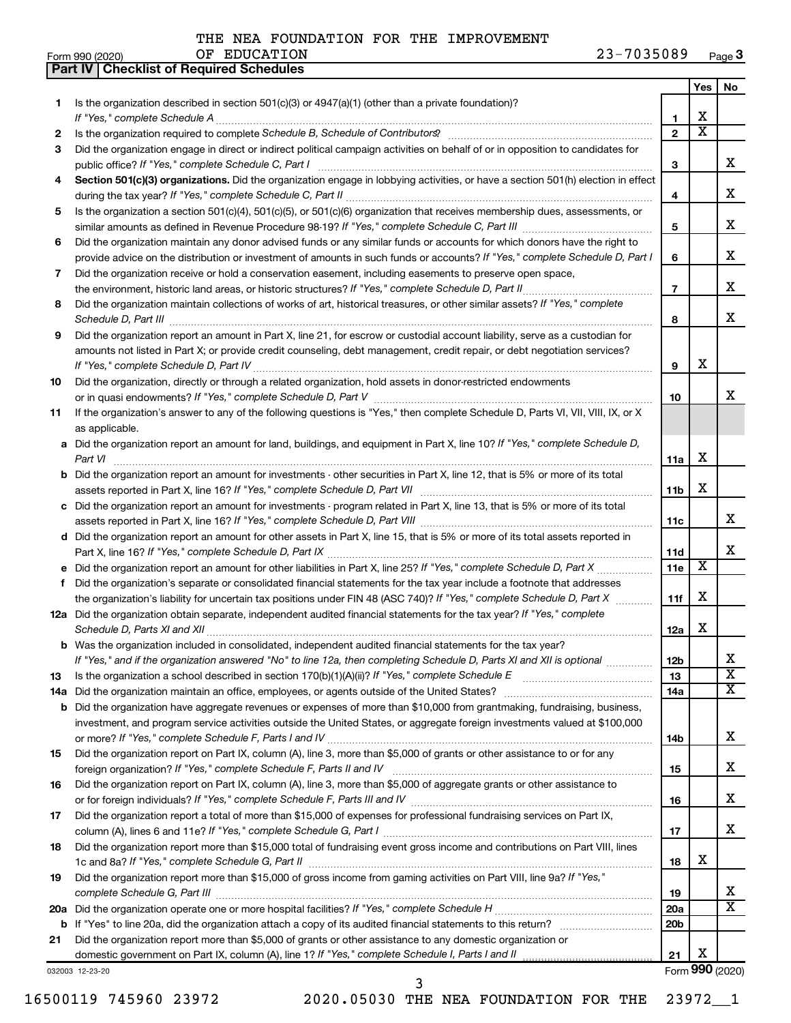**Part IV Checklist of Required Schedules**

OF EDUCATION

|          |                                                                                                                                                                                          |                 | Yes | No                         |
|----------|------------------------------------------------------------------------------------------------------------------------------------------------------------------------------------------|-----------------|-----|----------------------------|
| 1        | Is the organization described in section $501(c)(3)$ or $4947(a)(1)$ (other than a private foundation)?                                                                                  |                 |     |                            |
|          |                                                                                                                                                                                          | 1               | х   |                            |
| 2        |                                                                                                                                                                                          | $\mathbf{2}$    | х   |                            |
| 3        | Did the organization engage in direct or indirect political campaign activities on behalf of or in opposition to candidates for                                                          |                 |     | x                          |
|          | public office? If "Yes," complete Schedule C, Part I<br>Section 501(c)(3) organizations. Did the organization engage in lobbying activities, or have a section 501(h) election in effect | 3               |     |                            |
| 4        |                                                                                                                                                                                          | 4               |     | х                          |
| 5        | Is the organization a section 501(c)(4), 501(c)(5), or 501(c)(6) organization that receives membership dues, assessments, or                                                             |                 |     |                            |
|          |                                                                                                                                                                                          | 5               |     | х                          |
| 6        | Did the organization maintain any donor advised funds or any similar funds or accounts for which donors have the right to                                                                |                 |     |                            |
|          | provide advice on the distribution or investment of amounts in such funds or accounts? If "Yes," complete Schedule D, Part I                                                             | 6               |     | х                          |
| 7        | Did the organization receive or hold a conservation easement, including easements to preserve open space,                                                                                |                 |     |                            |
|          |                                                                                                                                                                                          | $\overline{7}$  |     | x                          |
| 8        | Did the organization maintain collections of works of art, historical treasures, or other similar assets? If "Yes," complete                                                             |                 |     |                            |
|          |                                                                                                                                                                                          | 8               |     | х                          |
| 9        | Did the organization report an amount in Part X, line 21, for escrow or custodial account liability, serve as a custodian for                                                            |                 |     |                            |
|          | amounts not listed in Part X; or provide credit counseling, debt management, credit repair, or debt negotiation services?                                                                | 9               | x   |                            |
| 10       | Did the organization, directly or through a related organization, hold assets in donor-restricted endowments                                                                             |                 |     |                            |
|          |                                                                                                                                                                                          | 10              |     | x                          |
| 11       | If the organization's answer to any of the following questions is "Yes," then complete Schedule D, Parts VI, VII, VIII, IX, or X                                                         |                 |     |                            |
|          | as applicable.                                                                                                                                                                           |                 |     |                            |
| а        | Did the organization report an amount for land, buildings, and equipment in Part X, line 10? If "Yes," complete Schedule D,                                                              |                 |     |                            |
|          | Part VI                                                                                                                                                                                  | 11a             | х   |                            |
| b        | Did the organization report an amount for investments - other securities in Part X, line 12, that is 5% or more of its total                                                             |                 |     |                            |
|          | assets reported in Part X, line 16? If "Yes," complete Schedule D, Part VII [11] [11] [12] [12] [12] [12] [12] [                                                                         | 11 <sub>b</sub> | х   |                            |
|          | c Did the organization report an amount for investments - program related in Part X, line 13, that is 5% or more of its total                                                            |                 |     | х                          |
|          | d Did the organization report an amount for other assets in Part X, line 15, that is 5% or more of its total assets reported in                                                          | 11c             |     |                            |
|          |                                                                                                                                                                                          | 11d             |     | х                          |
| е        |                                                                                                                                                                                          | 11e             | X   |                            |
| f        | Did the organization's separate or consolidated financial statements for the tax year include a footnote that addresses                                                                  |                 |     |                            |
|          | the organization's liability for uncertain tax positions under FIN 48 (ASC 740)? If "Yes," complete Schedule D, Part X                                                                   | 11f             | х   |                            |
|          | 12a Did the organization obtain separate, independent audited financial statements for the tax year? If "Yes," complete                                                                  |                 |     |                            |
|          |                                                                                                                                                                                          | 12a             | х   |                            |
| b        | Was the organization included in consolidated, independent audited financial statements for the tax year?                                                                                |                 |     |                            |
|          | If "Yes," and if the organization answered "No" to line 12a, then completing Schedule D, Parts XI and XII is optional                                                                    | 12 <sub>b</sub> |     | х<br>$\overline{\text{x}}$ |
| 13       |                                                                                                                                                                                          | 13<br>14a       |     | х                          |
| 14a<br>b | Did the organization have aggregate revenues or expenses of more than \$10,000 from grantmaking, fundraising, business,                                                                  |                 |     |                            |
|          | investment, and program service activities outside the United States, or aggregate foreign investments valued at \$100,000                                                               |                 |     |                            |
|          |                                                                                                                                                                                          | 14b             |     | х                          |
| 15       | Did the organization report on Part IX, column (A), line 3, more than \$5,000 of grants or other assistance to or for any                                                                |                 |     |                            |
|          |                                                                                                                                                                                          | 15              |     | х                          |
| 16       | Did the organization report on Part IX, column (A), line 3, more than \$5,000 of aggregate grants or other assistance to                                                                 |                 |     |                            |
|          |                                                                                                                                                                                          | 16              |     | х                          |
| 17       | Did the organization report a total of more than \$15,000 of expenses for professional fundraising services on Part IX,                                                                  |                 |     | х                          |
| 18       | Did the organization report more than \$15,000 total of fundraising event gross income and contributions on Part VIII, lines                                                             | 17              |     |                            |
|          |                                                                                                                                                                                          | 18              | х   |                            |
| 19       | Did the organization report more than \$15,000 of gross income from gaming activities on Part VIII, line 9a? If "Yes,"                                                                   |                 |     |                            |
|          |                                                                                                                                                                                          | 19              |     | х                          |
| 20a      |                                                                                                                                                                                          | 20a             |     | X                          |
| b        |                                                                                                                                                                                          | 20 <sub>b</sub> |     |                            |
| 21       | Did the organization report more than \$5,000 of grants or other assistance to any domestic organization or                                                                              |                 |     |                            |
|          |                                                                                                                                                                                          | 21              | х   |                            |
|          | 032003 12-23-20<br>3                                                                                                                                                                     |                 |     | Form 990 (2020)            |
|          |                                                                                                                                                                                          |                 |     |                            |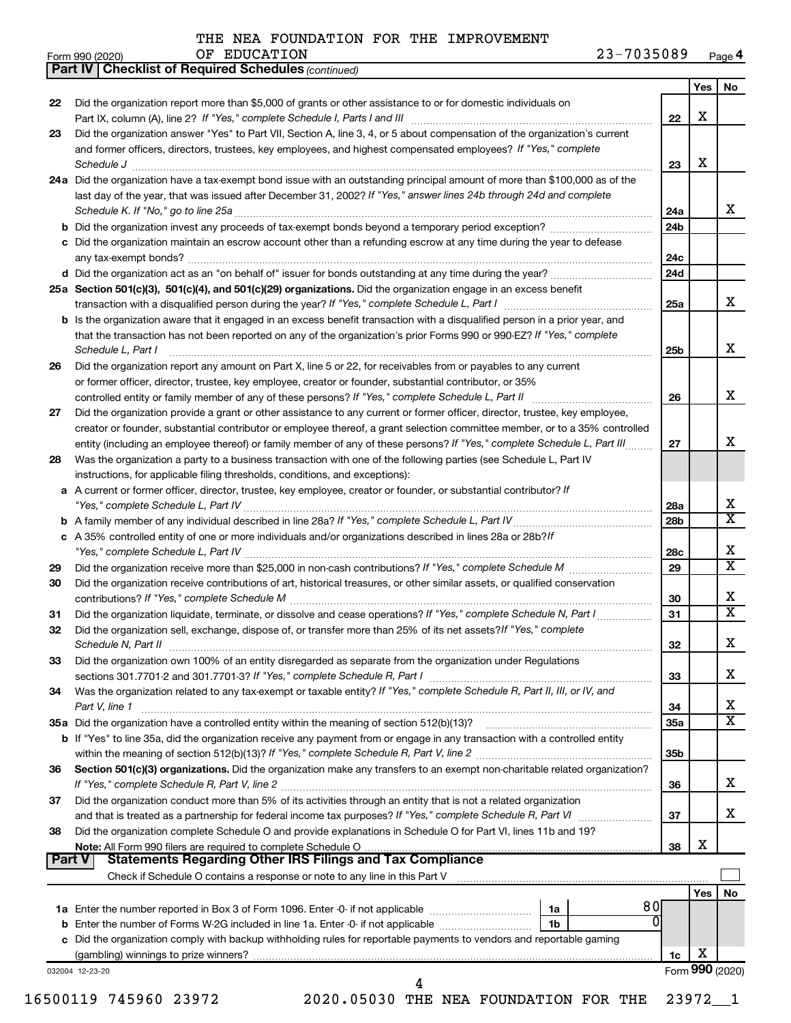*(continued)*

**Part IV Checklist of Required Schedules**

| Form 990 (2020) | ΟF | <b>EDUCATION</b> | 7035089<br>າ ຊ _ | Page 4 |
|-----------------|----|------------------|------------------|--------|
|-----------------|----|------------------|------------------|--------|

| 22     | Did the organization report more than \$5,000 of grants or other assistance to or for domestic individuals on                                                                                                                                                                      |                 | Yes     | No                      |
|--------|------------------------------------------------------------------------------------------------------------------------------------------------------------------------------------------------------------------------------------------------------------------------------------|-----------------|---------|-------------------------|
|        |                                                                                                                                                                                                                                                                                    | 22              | x       |                         |
| 23     | Did the organization answer "Yes" to Part VII, Section A, line 3, 4, or 5 about compensation of the organization's current                                                                                                                                                         |                 |         |                         |
|        | and former officers, directors, trustees, key employees, and highest compensated employees? If "Yes," complete<br>Schedule J <b>Martin Communication Communication</b> Contract of Technical Communication Communication Communication                                             | 23              | х       |                         |
|        | 24a Did the organization have a tax-exempt bond issue with an outstanding principal amount of more than \$100,000 as of the                                                                                                                                                        |                 |         |                         |
|        | last day of the year, that was issued after December 31, 2002? If "Yes," answer lines 24b through 24d and complete                                                                                                                                                                 |                 |         |                         |
|        |                                                                                                                                                                                                                                                                                    | 24a             |         | x                       |
|        |                                                                                                                                                                                                                                                                                    | 24b             |         |                         |
|        | c Did the organization maintain an escrow account other than a refunding escrow at any time during the year to defease                                                                                                                                                             |                 |         |                         |
|        |                                                                                                                                                                                                                                                                                    | 24c             |         |                         |
|        |                                                                                                                                                                                                                                                                                    | 24d             |         |                         |
|        | 25a Section 501(c)(3), 501(c)(4), and 501(c)(29) organizations. Did the organization engage in an excess benefit                                                                                                                                                                   |                 |         |                         |
|        |                                                                                                                                                                                                                                                                                    | 25a             |         | x                       |
|        | <b>b</b> Is the organization aware that it engaged in an excess benefit transaction with a disqualified person in a prior year, and<br>that the transaction has not been reported on any of the organization's prior Forms 990 or 990-EZ? If "Yes," complete<br>Schedule L, Part I | 25b             |         | x                       |
| 26     | Did the organization report any amount on Part X, line 5 or 22, for receivables from or payables to any current                                                                                                                                                                    |                 |         |                         |
|        | or former officer, director, trustee, key employee, creator or founder, substantial contributor, or 35%                                                                                                                                                                            |                 |         |                         |
|        | controlled entity or family member of any of these persons? If "Yes," complete Schedule L, Part II [11] [11] [11] [12] [12] [12] [12] [13] [13] controlled entity or family member of any of these persons? If "Yes," complete                                                     | 26              |         | x                       |
| 27     | Did the organization provide a grant or other assistance to any current or former officer, director, trustee, key employee,                                                                                                                                                        |                 |         |                         |
|        | creator or founder, substantial contributor or employee thereof, a grant selection committee member, or to a 35% controlled                                                                                                                                                        |                 |         |                         |
|        | entity (including an employee thereof) or family member of any of these persons? If "Yes," complete Schedule L, Part III                                                                                                                                                           | 27              |         | x                       |
| 28     | Was the organization a party to a business transaction with one of the following parties (see Schedule L, Part IV                                                                                                                                                                  |                 |         |                         |
|        | instructions, for applicable filing thresholds, conditions, and exceptions):                                                                                                                                                                                                       |                 |         |                         |
|        | a A current or former officer, director, trustee, key employee, creator or founder, or substantial contributor? If                                                                                                                                                                 | 28a             |         | х                       |
|        |                                                                                                                                                                                                                                                                                    | 28b             |         | $\overline{\texttt{x}}$ |
|        | c A 35% controlled entity of one or more individuals and/or organizations described in lines 28a or 28b?/f                                                                                                                                                                         |                 |         |                         |
|        |                                                                                                                                                                                                                                                                                    | 28c             |         | х                       |
| 29     |                                                                                                                                                                                                                                                                                    | 29              |         | $\overline{\texttt{x}}$ |
| 30     | Did the organization receive contributions of art, historical treasures, or other similar assets, or qualified conservation                                                                                                                                                        | 30              |         | х                       |
| 31     | Did the organization liquidate, terminate, or dissolve and cease operations? If "Yes," complete Schedule N, Part I                                                                                                                                                                 | 31              |         | $\overline{\mathbf{x}}$ |
| 32     | Did the organization sell, exchange, dispose of, or transfer more than 25% of its net assets? If "Yes," complete                                                                                                                                                                   | 32              |         | x                       |
| 33     | Did the organization own 100% of an entity disregarded as separate from the organization under Regulations                                                                                                                                                                         |                 |         |                         |
|        |                                                                                                                                                                                                                                                                                    | 33              |         | x                       |
| 34     | Was the organization related to any tax-exempt or taxable entity? If "Yes," complete Schedule R, Part II, III, or IV, and                                                                                                                                                          |                 |         |                         |
|        | Part V, line 1                                                                                                                                                                                                                                                                     | 34              |         | x                       |
|        | 35a Did the organization have a controlled entity within the meaning of section 512(b)(13)?                                                                                                                                                                                        | 35a             |         | $\overline{\texttt{x}}$ |
|        | b If "Yes" to line 35a, did the organization receive any payment from or engage in any transaction with a controlled entity                                                                                                                                                        |                 |         |                         |
|        |                                                                                                                                                                                                                                                                                    | 35 <sub>b</sub> |         |                         |
| 36     | Section 501(c)(3) organizations. Did the organization make any transfers to an exempt non-charitable related organization?                                                                                                                                                         |                 |         |                         |
|        |                                                                                                                                                                                                                                                                                    | 36              |         | x                       |
|        | Did the organization conduct more than 5% of its activities through an entity that is not a related organization                                                                                                                                                                   |                 |         |                         |
| 37     |                                                                                                                                                                                                                                                                                    | 37              |         | x                       |
|        |                                                                                                                                                                                                                                                                                    |                 |         |                         |
| 38     | Did the organization complete Schedule O and provide explanations in Schedule O for Part VI, lines 11b and 19?                                                                                                                                                                     |                 |         |                         |
|        |                                                                                                                                                                                                                                                                                    | 38              | X       |                         |
| Part V | <b>Statements Regarding Other IRS Filings and Tax Compliance</b>                                                                                                                                                                                                                   |                 |         |                         |
|        |                                                                                                                                                                                                                                                                                    |                 |         |                         |
|        | 80                                                                                                                                                                                                                                                                                 |                 | Yes $ $ |                         |
|        | Ō<br>1 <sub>b</sub>                                                                                                                                                                                                                                                                |                 |         |                         |
|        | c Did the organization comply with backup withholding rules for reportable payments to vendors and reportable gaming                                                                                                                                                               |                 |         | No                      |
|        |                                                                                                                                                                                                                                                                                    | 1c              | х       |                         |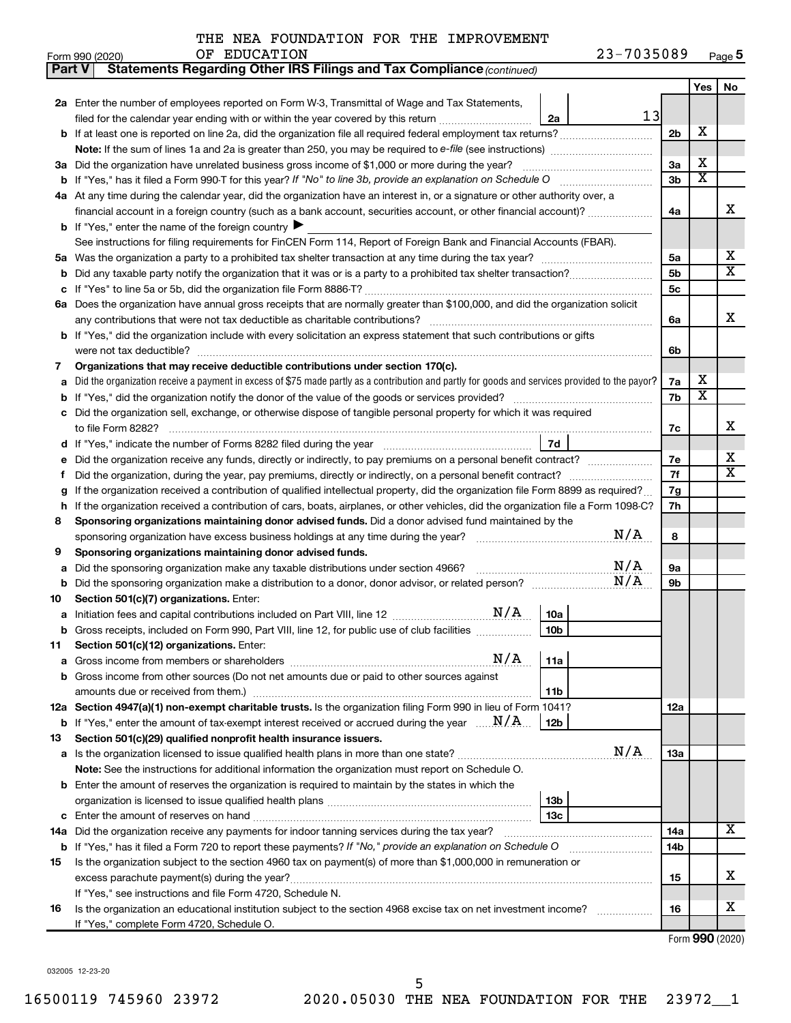| Form 990 (2020) | <b>EDUCATION</b><br>ΟF | 7035089<br>$23 -$<br>Page 5 |  |
|-----------------|------------------------|-----------------------------|--|
|-----------------|------------------------|-----------------------------|--|

| <b>Part V</b> | Statements Regarding Other IRS Filings and Tax Compliance (continued)                                                                           |                |                         |                              |  |  |  |  |
|---------------|-------------------------------------------------------------------------------------------------------------------------------------------------|----------------|-------------------------|------------------------------|--|--|--|--|
|               |                                                                                                                                                 |                | Yes                     | No                           |  |  |  |  |
|               | 2a Enter the number of employees reported on Form W-3, Transmittal of Wage and Tax Statements,                                                  |                |                         |                              |  |  |  |  |
|               | 13<br>filed for the calendar year ending with or within the year covered by this return<br>2a                                                   |                |                         |                              |  |  |  |  |
| b             | If at least one is reported on line 2a, did the organization file all required federal employment tax returns?                                  | 2 <sub>b</sub> | X                       |                              |  |  |  |  |
|               |                                                                                                                                                 |                |                         |                              |  |  |  |  |
| За            | Did the organization have unrelated business gross income of \$1,000 or more during the year?                                                   | 3a             | х                       |                              |  |  |  |  |
|               |                                                                                                                                                 | 3b             | $\overline{\textbf{x}}$ |                              |  |  |  |  |
| 4а            | At any time during the calendar year, did the organization have an interest in, or a signature or other authority over, a                       |                |                         |                              |  |  |  |  |
|               | financial account in a foreign country (such as a bank account, securities account, or other financial account)?                                |                |                         |                              |  |  |  |  |
|               | <b>b</b> If "Yes," enter the name of the foreign country                                                                                        |                |                         |                              |  |  |  |  |
|               | See instructions for filing requirements for FinCEN Form 114, Report of Foreign Bank and Financial Accounts (FBAR).                             |                |                         |                              |  |  |  |  |
| 5а            |                                                                                                                                                 | 5a             |                         | х                            |  |  |  |  |
| b             |                                                                                                                                                 | 5 <sub>b</sub> |                         | $\overline{\mathbf{X}}$      |  |  |  |  |
| c             |                                                                                                                                                 | 5c             |                         |                              |  |  |  |  |
| 6а            | Does the organization have annual gross receipts that are normally greater than \$100,000, and did the organization solicit                     |                |                         |                              |  |  |  |  |
|               |                                                                                                                                                 | 6a             |                         | х                            |  |  |  |  |
| b             | If "Yes," did the organization include with every solicitation an express statement that such contributions or gifts                            |                |                         |                              |  |  |  |  |
|               |                                                                                                                                                 | 6b             |                         |                              |  |  |  |  |
| 7             | Organizations that may receive deductible contributions under section 170(c).                                                                   |                |                         |                              |  |  |  |  |
| a             | Did the organization receive a payment in excess of \$75 made partly as a contribution and partly for goods and services provided to the payor? | 7a             | х                       |                              |  |  |  |  |
| b             |                                                                                                                                                 | 7b             | х                       |                              |  |  |  |  |
|               | Did the organization sell, exchange, or otherwise dispose of tangible personal property for which it was required                               |                |                         |                              |  |  |  |  |
|               |                                                                                                                                                 | 7c             |                         | х                            |  |  |  |  |
| d             | 7d                                                                                                                                              |                |                         |                              |  |  |  |  |
| е             | Did the organization receive any funds, directly or indirectly, to pay premiums on a personal benefit contract?                                 | 7е             |                         | х<br>$\overline{\mathbf{X}}$ |  |  |  |  |
| f             |                                                                                                                                                 |                |                         |                              |  |  |  |  |
|               | If the organization received a contribution of qualified intellectual property, did the organization file Form 8899 as required?                |                |                         |                              |  |  |  |  |
| h             | If the organization received a contribution of cars, boats, airplanes, or other vehicles, did the organization file a Form 1098-C?              |                |                         |                              |  |  |  |  |
| 8             | Sponsoring organizations maintaining donor advised funds. Did a donor advised fund maintained by the                                            |                |                         |                              |  |  |  |  |
|               | N/A                                                                                                                                             | 8              |                         |                              |  |  |  |  |
| 9             | Sponsoring organizations maintaining donor advised funds.                                                                                       |                |                         |                              |  |  |  |  |
| а             | N/A<br>Did the sponsoring organization make any taxable distributions under section 4966?                                                       | <b>9a</b>      |                         |                              |  |  |  |  |
| b             | N/A                                                                                                                                             | 9b             |                         |                              |  |  |  |  |
| 10            | Section 501(c)(7) organizations. Enter:                                                                                                         |                |                         |                              |  |  |  |  |
|               | 10a                                                                                                                                             |                |                         |                              |  |  |  |  |
|               | 10 <sub>b</sub><br>Gross receipts, included on Form 990, Part VIII, line 12, for public use of club facilities                                  |                |                         |                              |  |  |  |  |
| 11            | Section 501(c)(12) organizations. Enter:<br>N/A<br>11a                                                                                          |                |                         |                              |  |  |  |  |
|               | Gross income from other sources (Do not net amounts due or paid to other sources against                                                        |                |                         |                              |  |  |  |  |
|               | 11b                                                                                                                                             |                |                         |                              |  |  |  |  |
|               | 12a Section 4947(a)(1) non-exempt charitable trusts. Is the organization filing Form 990 in lieu of Form 1041?                                  | 12a            |                         |                              |  |  |  |  |
| b             | If "Yes," enter the amount of tax-exempt interest received or accrued during the year $\ldots$ $N/A$<br>  12b                                   |                |                         |                              |  |  |  |  |
| 13            | Section 501(c)(29) qualified nonprofit health insurance issuers.                                                                                |                |                         |                              |  |  |  |  |
| а             | N/A<br>Is the organization licensed to issue qualified health plans in more than one state?                                                     | 1За            |                         |                              |  |  |  |  |
|               | <b>Note:</b> See the instructions for additional information the organization must report on Schedule O.                                        |                |                         |                              |  |  |  |  |
| b             | Enter the amount of reserves the organization is required to maintain by the states in which the                                                |                |                         |                              |  |  |  |  |
|               | 13b                                                                                                                                             |                |                         |                              |  |  |  |  |
| с             | 13с                                                                                                                                             |                |                         |                              |  |  |  |  |
| 14a           | Did the organization receive any payments for indoor tanning services during the tax year?                                                      | 14a            |                         | Х                            |  |  |  |  |
|               | <b>b</b> If "Yes," has it filed a Form 720 to report these payments? If "No," provide an explanation on Schedule O                              | 14b            |                         |                              |  |  |  |  |
| 15            | Is the organization subject to the section 4960 tax on payment(s) of more than \$1,000,000 in remuneration or                                   |                |                         |                              |  |  |  |  |
|               | excess parachute payment(s) during the year?                                                                                                    | 15             |                         | х                            |  |  |  |  |
|               | If "Yes," see instructions and file Form 4720, Schedule N.                                                                                      |                |                         |                              |  |  |  |  |
| 16            | Is the organization an educational institution subject to the section 4968 excise tax on net investment income?                                 | 16             |                         | x                            |  |  |  |  |
|               | If "Yes," complete Form 4720, Schedule O.                                                                                                       |                |                         |                              |  |  |  |  |

Form (2020) **990**

032005 12-23-20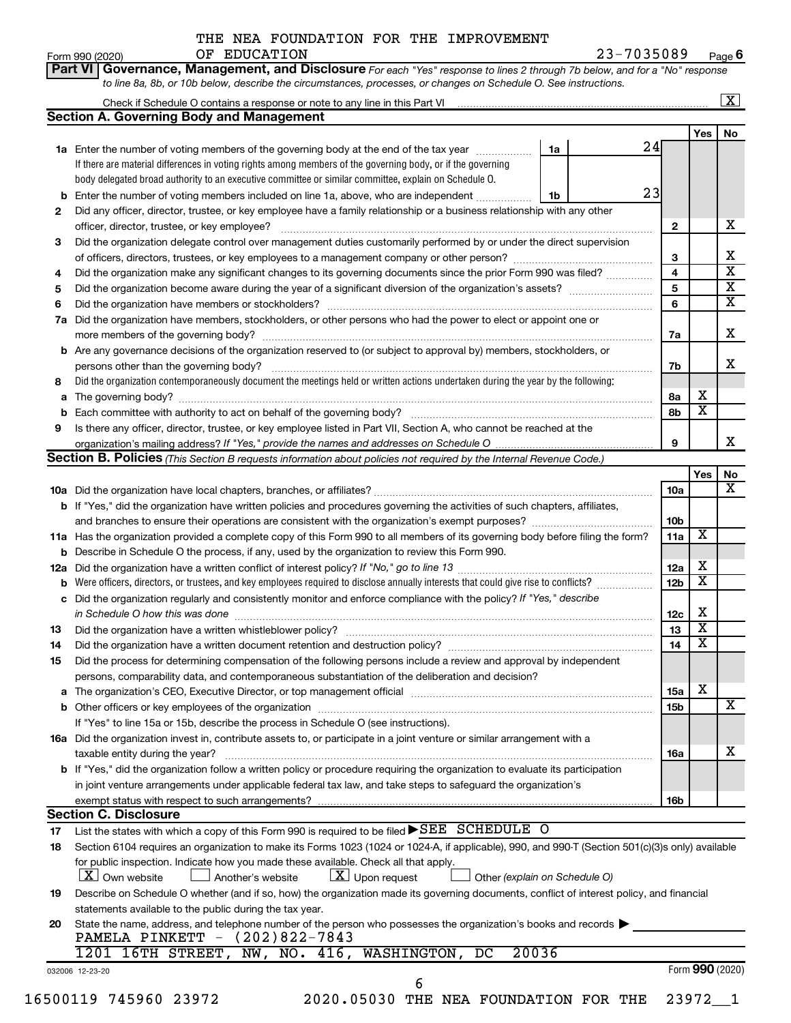# THE NEA FOUNDATION FOR THE IMPROVEMENT OF EDUCATION

Form 990 (2020) Page **6**

| <b>Section A. Governing Body and Management</b><br>Yes<br>24<br>1a Enter the number of voting members of the governing body at the end of the tax year <i>manumum</i><br>1a<br>If there are material differences in voting rights among members of the governing body, or if the governing<br>body delegated broad authority to an executive committee or similar committee, explain on Schedule O.<br>23<br>Enter the number of voting members included on line 1a, above, who are independent<br>1b<br>Did any officer, director, trustee, or key employee have a family relationship or a business relationship with any other<br>2<br>$\mathbf{2}$<br>Did the organization delegate control over management duties customarily performed by or under the direct supervision<br>3<br>3<br>4<br>Did the organization make any significant changes to its governing documents since the prior Form 990 was filed?<br>4<br>5<br>5<br>6<br>6<br>Did the organization have members, stockholders, or other persons who had the power to elect or appoint one or<br>7a<br>7a<br><b>b</b> Are any governance decisions of the organization reserved to (or subject to approval by) members, stockholders, or<br>persons other than the governing body?<br>7b<br>Did the organization contemporaneously document the meetings held or written actions undertaken during the year by the following:<br>8<br>х<br>8а<br>a<br>$\overline{\mathbf{x}}$<br>8b<br>Is there any officer, director, trustee, or key employee listed in Part VII, Section A, who cannot be reached at the<br>9<br>9<br>Section B. Policies (This Section B requests information about policies not required by the Internal Revenue Code.)<br>Yes<br>10a<br>b If "Yes," did the organization have written policies and procedures governing the activities of such chapters, affiliates,<br>10b<br>X<br>11a<br>11a Has the organization provided a complete copy of this Form 990 to all members of its governing body before filing the form?<br><b>b</b> Describe in Schedule O the process, if any, used by the organization to review this Form 990.<br>х<br>12a<br>$\overline{\textbf{x}}$<br><b>b</b> Were officers, directors, or trustees, and key employees required to disclose annually interests that could give rise to conflicts?<br>12 <sub>b</sub><br>c Did the organization regularly and consistently monitor and enforce compliance with the policy? If "Yes," describe<br>х<br>in Schedule O how this was done manufactured and continuum and contact the state of the state of the state of<br>12c<br>$\overline{\mathbf{X}}$<br>13<br>13<br>$\overline{\text{x}}$<br>Did the organization have a written document retention and destruction policy? [111] [12] manument contains an<br>14<br>14<br>Did the process for determining compensation of the following persons include a review and approval by independent<br>15<br>persons, comparability data, and contemporaneous substantiation of the deliberation and decision?<br>X<br>15a<br>a<br>15b<br>If "Yes" to line 15a or 15b, describe the process in Schedule O (see instructions).<br>16a Did the organization invest in, contribute assets to, or participate in a joint venture or similar arrangement with a<br>taxable entity during the year?<br>16a<br><b>b</b> If "Yes," did the organization follow a written policy or procedure requiring the organization to evaluate its participation<br>in joint venture arrangements under applicable federal tax law, and take steps to safeguard the organization's<br>16b<br>exempt status with respect to such arrangements?<br><b>Section C. Disclosure</b><br>List the states with which a copy of this Form 990 is required to be filed SEE SCHEDULE O<br>17<br>Section 6104 requires an organization to make its Forms 1023 (1024 or 1024-A, if applicable), 990, and 990-T (Section 501(c)(3)s only) available<br>18<br>for public inspection. Indicate how you made these available. Check all that apply.<br>$\lfloor x \rfloor$ Upon request<br><b>X</b> Own website<br>」 Another's website<br>Other (explain on Schedule O)<br>Describe on Schedule O whether (and if so, how) the organization made its governing documents, conflict of interest policy, and financial<br>19<br>statements available to the public during the tax year.<br>State the name, address, and telephone number of the person who possesses the organization's books and records $\blacktriangleright$<br>20<br>PAMELA PINKETT - (202)822-7843<br>20036<br>1201 16TH STREET,<br>NW, NO. 416, WASHINGTON,<br>DC<br>Form 990 (2020)<br>032006 12-23-20 |  |  |  | $\overline{\mathbf{x}}$ |
|--------------------------------------------------------------------------------------------------------------------------------------------------------------------------------------------------------------------------------------------------------------------------------------------------------------------------------------------------------------------------------------------------------------------------------------------------------------------------------------------------------------------------------------------------------------------------------------------------------------------------------------------------------------------------------------------------------------------------------------------------------------------------------------------------------------------------------------------------------------------------------------------------------------------------------------------------------------------------------------------------------------------------------------------------------------------------------------------------------------------------------------------------------------------------------------------------------------------------------------------------------------------------------------------------------------------------------------------------------------------------------------------------------------------------------------------------------------------------------------------------------------------------------------------------------------------------------------------------------------------------------------------------------------------------------------------------------------------------------------------------------------------------------------------------------------------------------------------------------------------------------------------------------------------------------------------------------------------------------------------------------------------------------------------------------------------------------------------------------------------------------------------------------------------------------------------------------------------------------------------------------------------------------------------------------------------------------------------------------------------------------------------------------------------------------------------------------------------------------------------------------------------------------------------------------------------------------------------------------------------------------------------------------------------------------------------------------------------------------------------------------------------------------------------------------------------------------------------------------------------------------------------------------------------------------------------------------------------------------------------------------------------------------------------------------------------------------------------------------------------------------------------------------------------------------------------------------------------------------------------------------------------------------------------------------------------------------------------------------------------------------------------------------------------------------------------------------------------------------------------------------------------------------------------------------------------------------------------------------------------------------------------------------------------------------------------------------------------------------------------------------------------------------------------------------------------------------------------------------------------------------------------------------------------------------------------------------------------------------------------------------------------------------------------------------------------------------------------------------------------------------------------------------------------------------------------------------------------------------------------------------------------------------------------------------------------------------------------------------------------------------------------------------------------------------------------------------------------------------------------------------------------------------------------------------------------------------------------------------------------------------------------------|--|--|--|-------------------------|
|                                                                                                                                                                                                                                                                                                                                                                                                                                                                                                                                                                                                                                                                                                                                                                                                                                                                                                                                                                                                                                                                                                                                                                                                                                                                                                                                                                                                                                                                                                                                                                                                                                                                                                                                                                                                                                                                                                                                                                                                                                                                                                                                                                                                                                                                                                                                                                                                                                                                                                                                                                                                                                                                                                                                                                                                                                                                                                                                                                                                                                                                                                                                                                                                                                                                                                                                                                                                                                                                                                                                                                                                                                                                                                                                                                                                                                                                                                                                                                                                                                                                                                                                                                                                                                                                                                                                                                                                                                                                                                                                                                                                                                                  |  |  |  |                         |
|                                                                                                                                                                                                                                                                                                                                                                                                                                                                                                                                                                                                                                                                                                                                                                                                                                                                                                                                                                                                                                                                                                                                                                                                                                                                                                                                                                                                                                                                                                                                                                                                                                                                                                                                                                                                                                                                                                                                                                                                                                                                                                                                                                                                                                                                                                                                                                                                                                                                                                                                                                                                                                                                                                                                                                                                                                                                                                                                                                                                                                                                                                                                                                                                                                                                                                                                                                                                                                                                                                                                                                                                                                                                                                                                                                                                                                                                                                                                                                                                                                                                                                                                                                                                                                                                                                                                                                                                                                                                                                                                                                                                                                                  |  |  |  | No                      |
|                                                                                                                                                                                                                                                                                                                                                                                                                                                                                                                                                                                                                                                                                                                                                                                                                                                                                                                                                                                                                                                                                                                                                                                                                                                                                                                                                                                                                                                                                                                                                                                                                                                                                                                                                                                                                                                                                                                                                                                                                                                                                                                                                                                                                                                                                                                                                                                                                                                                                                                                                                                                                                                                                                                                                                                                                                                                                                                                                                                                                                                                                                                                                                                                                                                                                                                                                                                                                                                                                                                                                                                                                                                                                                                                                                                                                                                                                                                                                                                                                                                                                                                                                                                                                                                                                                                                                                                                                                                                                                                                                                                                                                                  |  |  |  |                         |
|                                                                                                                                                                                                                                                                                                                                                                                                                                                                                                                                                                                                                                                                                                                                                                                                                                                                                                                                                                                                                                                                                                                                                                                                                                                                                                                                                                                                                                                                                                                                                                                                                                                                                                                                                                                                                                                                                                                                                                                                                                                                                                                                                                                                                                                                                                                                                                                                                                                                                                                                                                                                                                                                                                                                                                                                                                                                                                                                                                                                                                                                                                                                                                                                                                                                                                                                                                                                                                                                                                                                                                                                                                                                                                                                                                                                                                                                                                                                                                                                                                                                                                                                                                                                                                                                                                                                                                                                                                                                                                                                                                                                                                                  |  |  |  |                         |
|                                                                                                                                                                                                                                                                                                                                                                                                                                                                                                                                                                                                                                                                                                                                                                                                                                                                                                                                                                                                                                                                                                                                                                                                                                                                                                                                                                                                                                                                                                                                                                                                                                                                                                                                                                                                                                                                                                                                                                                                                                                                                                                                                                                                                                                                                                                                                                                                                                                                                                                                                                                                                                                                                                                                                                                                                                                                                                                                                                                                                                                                                                                                                                                                                                                                                                                                                                                                                                                                                                                                                                                                                                                                                                                                                                                                                                                                                                                                                                                                                                                                                                                                                                                                                                                                                                                                                                                                                                                                                                                                                                                                                                                  |  |  |  |                         |
|                                                                                                                                                                                                                                                                                                                                                                                                                                                                                                                                                                                                                                                                                                                                                                                                                                                                                                                                                                                                                                                                                                                                                                                                                                                                                                                                                                                                                                                                                                                                                                                                                                                                                                                                                                                                                                                                                                                                                                                                                                                                                                                                                                                                                                                                                                                                                                                                                                                                                                                                                                                                                                                                                                                                                                                                                                                                                                                                                                                                                                                                                                                                                                                                                                                                                                                                                                                                                                                                                                                                                                                                                                                                                                                                                                                                                                                                                                                                                                                                                                                                                                                                                                                                                                                                                                                                                                                                                                                                                                                                                                                                                                                  |  |  |  |                         |
|                                                                                                                                                                                                                                                                                                                                                                                                                                                                                                                                                                                                                                                                                                                                                                                                                                                                                                                                                                                                                                                                                                                                                                                                                                                                                                                                                                                                                                                                                                                                                                                                                                                                                                                                                                                                                                                                                                                                                                                                                                                                                                                                                                                                                                                                                                                                                                                                                                                                                                                                                                                                                                                                                                                                                                                                                                                                                                                                                                                                                                                                                                                                                                                                                                                                                                                                                                                                                                                                                                                                                                                                                                                                                                                                                                                                                                                                                                                                                                                                                                                                                                                                                                                                                                                                                                                                                                                                                                                                                                                                                                                                                                                  |  |  |  |                         |
|                                                                                                                                                                                                                                                                                                                                                                                                                                                                                                                                                                                                                                                                                                                                                                                                                                                                                                                                                                                                                                                                                                                                                                                                                                                                                                                                                                                                                                                                                                                                                                                                                                                                                                                                                                                                                                                                                                                                                                                                                                                                                                                                                                                                                                                                                                                                                                                                                                                                                                                                                                                                                                                                                                                                                                                                                                                                                                                                                                                                                                                                                                                                                                                                                                                                                                                                                                                                                                                                                                                                                                                                                                                                                                                                                                                                                                                                                                                                                                                                                                                                                                                                                                                                                                                                                                                                                                                                                                                                                                                                                                                                                                                  |  |  |  |                         |
|                                                                                                                                                                                                                                                                                                                                                                                                                                                                                                                                                                                                                                                                                                                                                                                                                                                                                                                                                                                                                                                                                                                                                                                                                                                                                                                                                                                                                                                                                                                                                                                                                                                                                                                                                                                                                                                                                                                                                                                                                                                                                                                                                                                                                                                                                                                                                                                                                                                                                                                                                                                                                                                                                                                                                                                                                                                                                                                                                                                                                                                                                                                                                                                                                                                                                                                                                                                                                                                                                                                                                                                                                                                                                                                                                                                                                                                                                                                                                                                                                                                                                                                                                                                                                                                                                                                                                                                                                                                                                                                                                                                                                                                  |  |  |  |                         |
|                                                                                                                                                                                                                                                                                                                                                                                                                                                                                                                                                                                                                                                                                                                                                                                                                                                                                                                                                                                                                                                                                                                                                                                                                                                                                                                                                                                                                                                                                                                                                                                                                                                                                                                                                                                                                                                                                                                                                                                                                                                                                                                                                                                                                                                                                                                                                                                                                                                                                                                                                                                                                                                                                                                                                                                                                                                                                                                                                                                                                                                                                                                                                                                                                                                                                                                                                                                                                                                                                                                                                                                                                                                                                                                                                                                                                                                                                                                                                                                                                                                                                                                                                                                                                                                                                                                                                                                                                                                                                                                                                                                                                                                  |  |  |  |                         |
|                                                                                                                                                                                                                                                                                                                                                                                                                                                                                                                                                                                                                                                                                                                                                                                                                                                                                                                                                                                                                                                                                                                                                                                                                                                                                                                                                                                                                                                                                                                                                                                                                                                                                                                                                                                                                                                                                                                                                                                                                                                                                                                                                                                                                                                                                                                                                                                                                                                                                                                                                                                                                                                                                                                                                                                                                                                                                                                                                                                                                                                                                                                                                                                                                                                                                                                                                                                                                                                                                                                                                                                                                                                                                                                                                                                                                                                                                                                                                                                                                                                                                                                                                                                                                                                                                                                                                                                                                                                                                                                                                                                                                                                  |  |  |  |                         |
|                                                                                                                                                                                                                                                                                                                                                                                                                                                                                                                                                                                                                                                                                                                                                                                                                                                                                                                                                                                                                                                                                                                                                                                                                                                                                                                                                                                                                                                                                                                                                                                                                                                                                                                                                                                                                                                                                                                                                                                                                                                                                                                                                                                                                                                                                                                                                                                                                                                                                                                                                                                                                                                                                                                                                                                                                                                                                                                                                                                                                                                                                                                                                                                                                                                                                                                                                                                                                                                                                                                                                                                                                                                                                                                                                                                                                                                                                                                                                                                                                                                                                                                                                                                                                                                                                                                                                                                                                                                                                                                                                                                                                                                  |  |  |  |                         |
|                                                                                                                                                                                                                                                                                                                                                                                                                                                                                                                                                                                                                                                                                                                                                                                                                                                                                                                                                                                                                                                                                                                                                                                                                                                                                                                                                                                                                                                                                                                                                                                                                                                                                                                                                                                                                                                                                                                                                                                                                                                                                                                                                                                                                                                                                                                                                                                                                                                                                                                                                                                                                                                                                                                                                                                                                                                                                                                                                                                                                                                                                                                                                                                                                                                                                                                                                                                                                                                                                                                                                                                                                                                                                                                                                                                                                                                                                                                                                                                                                                                                                                                                                                                                                                                                                                                                                                                                                                                                                                                                                                                                                                                  |  |  |  |                         |
|                                                                                                                                                                                                                                                                                                                                                                                                                                                                                                                                                                                                                                                                                                                                                                                                                                                                                                                                                                                                                                                                                                                                                                                                                                                                                                                                                                                                                                                                                                                                                                                                                                                                                                                                                                                                                                                                                                                                                                                                                                                                                                                                                                                                                                                                                                                                                                                                                                                                                                                                                                                                                                                                                                                                                                                                                                                                                                                                                                                                                                                                                                                                                                                                                                                                                                                                                                                                                                                                                                                                                                                                                                                                                                                                                                                                                                                                                                                                                                                                                                                                                                                                                                                                                                                                                                                                                                                                                                                                                                                                                                                                                                                  |  |  |  |                         |
|                                                                                                                                                                                                                                                                                                                                                                                                                                                                                                                                                                                                                                                                                                                                                                                                                                                                                                                                                                                                                                                                                                                                                                                                                                                                                                                                                                                                                                                                                                                                                                                                                                                                                                                                                                                                                                                                                                                                                                                                                                                                                                                                                                                                                                                                                                                                                                                                                                                                                                                                                                                                                                                                                                                                                                                                                                                                                                                                                                                                                                                                                                                                                                                                                                                                                                                                                                                                                                                                                                                                                                                                                                                                                                                                                                                                                                                                                                                                                                                                                                                                                                                                                                                                                                                                                                                                                                                                                                                                                                                                                                                                                                                  |  |  |  |                         |
|                                                                                                                                                                                                                                                                                                                                                                                                                                                                                                                                                                                                                                                                                                                                                                                                                                                                                                                                                                                                                                                                                                                                                                                                                                                                                                                                                                                                                                                                                                                                                                                                                                                                                                                                                                                                                                                                                                                                                                                                                                                                                                                                                                                                                                                                                                                                                                                                                                                                                                                                                                                                                                                                                                                                                                                                                                                                                                                                                                                                                                                                                                                                                                                                                                                                                                                                                                                                                                                                                                                                                                                                                                                                                                                                                                                                                                                                                                                                                                                                                                                                                                                                                                                                                                                                                                                                                                                                                                                                                                                                                                                                                                                  |  |  |  |                         |
|                                                                                                                                                                                                                                                                                                                                                                                                                                                                                                                                                                                                                                                                                                                                                                                                                                                                                                                                                                                                                                                                                                                                                                                                                                                                                                                                                                                                                                                                                                                                                                                                                                                                                                                                                                                                                                                                                                                                                                                                                                                                                                                                                                                                                                                                                                                                                                                                                                                                                                                                                                                                                                                                                                                                                                                                                                                                                                                                                                                                                                                                                                                                                                                                                                                                                                                                                                                                                                                                                                                                                                                                                                                                                                                                                                                                                                                                                                                                                                                                                                                                                                                                                                                                                                                                                                                                                                                                                                                                                                                                                                                                                                                  |  |  |  |                         |
|                                                                                                                                                                                                                                                                                                                                                                                                                                                                                                                                                                                                                                                                                                                                                                                                                                                                                                                                                                                                                                                                                                                                                                                                                                                                                                                                                                                                                                                                                                                                                                                                                                                                                                                                                                                                                                                                                                                                                                                                                                                                                                                                                                                                                                                                                                                                                                                                                                                                                                                                                                                                                                                                                                                                                                                                                                                                                                                                                                                                                                                                                                                                                                                                                                                                                                                                                                                                                                                                                                                                                                                                                                                                                                                                                                                                                                                                                                                                                                                                                                                                                                                                                                                                                                                                                                                                                                                                                                                                                                                                                                                                                                                  |  |  |  |                         |
|                                                                                                                                                                                                                                                                                                                                                                                                                                                                                                                                                                                                                                                                                                                                                                                                                                                                                                                                                                                                                                                                                                                                                                                                                                                                                                                                                                                                                                                                                                                                                                                                                                                                                                                                                                                                                                                                                                                                                                                                                                                                                                                                                                                                                                                                                                                                                                                                                                                                                                                                                                                                                                                                                                                                                                                                                                                                                                                                                                                                                                                                                                                                                                                                                                                                                                                                                                                                                                                                                                                                                                                                                                                                                                                                                                                                                                                                                                                                                                                                                                                                                                                                                                                                                                                                                                                                                                                                                                                                                                                                                                                                                                                  |  |  |  |                         |
|                                                                                                                                                                                                                                                                                                                                                                                                                                                                                                                                                                                                                                                                                                                                                                                                                                                                                                                                                                                                                                                                                                                                                                                                                                                                                                                                                                                                                                                                                                                                                                                                                                                                                                                                                                                                                                                                                                                                                                                                                                                                                                                                                                                                                                                                                                                                                                                                                                                                                                                                                                                                                                                                                                                                                                                                                                                                                                                                                                                                                                                                                                                                                                                                                                                                                                                                                                                                                                                                                                                                                                                                                                                                                                                                                                                                                                                                                                                                                                                                                                                                                                                                                                                                                                                                                                                                                                                                                                                                                                                                                                                                                                                  |  |  |  |                         |
|                                                                                                                                                                                                                                                                                                                                                                                                                                                                                                                                                                                                                                                                                                                                                                                                                                                                                                                                                                                                                                                                                                                                                                                                                                                                                                                                                                                                                                                                                                                                                                                                                                                                                                                                                                                                                                                                                                                                                                                                                                                                                                                                                                                                                                                                                                                                                                                                                                                                                                                                                                                                                                                                                                                                                                                                                                                                                                                                                                                                                                                                                                                                                                                                                                                                                                                                                                                                                                                                                                                                                                                                                                                                                                                                                                                                                                                                                                                                                                                                                                                                                                                                                                                                                                                                                                                                                                                                                                                                                                                                                                                                                                                  |  |  |  |                         |
|                                                                                                                                                                                                                                                                                                                                                                                                                                                                                                                                                                                                                                                                                                                                                                                                                                                                                                                                                                                                                                                                                                                                                                                                                                                                                                                                                                                                                                                                                                                                                                                                                                                                                                                                                                                                                                                                                                                                                                                                                                                                                                                                                                                                                                                                                                                                                                                                                                                                                                                                                                                                                                                                                                                                                                                                                                                                                                                                                                                                                                                                                                                                                                                                                                                                                                                                                                                                                                                                                                                                                                                                                                                                                                                                                                                                                                                                                                                                                                                                                                                                                                                                                                                                                                                                                                                                                                                                                                                                                                                                                                                                                                                  |  |  |  |                         |
|                                                                                                                                                                                                                                                                                                                                                                                                                                                                                                                                                                                                                                                                                                                                                                                                                                                                                                                                                                                                                                                                                                                                                                                                                                                                                                                                                                                                                                                                                                                                                                                                                                                                                                                                                                                                                                                                                                                                                                                                                                                                                                                                                                                                                                                                                                                                                                                                                                                                                                                                                                                                                                                                                                                                                                                                                                                                                                                                                                                                                                                                                                                                                                                                                                                                                                                                                                                                                                                                                                                                                                                                                                                                                                                                                                                                                                                                                                                                                                                                                                                                                                                                                                                                                                                                                                                                                                                                                                                                                                                                                                                                                                                  |  |  |  |                         |
|                                                                                                                                                                                                                                                                                                                                                                                                                                                                                                                                                                                                                                                                                                                                                                                                                                                                                                                                                                                                                                                                                                                                                                                                                                                                                                                                                                                                                                                                                                                                                                                                                                                                                                                                                                                                                                                                                                                                                                                                                                                                                                                                                                                                                                                                                                                                                                                                                                                                                                                                                                                                                                                                                                                                                                                                                                                                                                                                                                                                                                                                                                                                                                                                                                                                                                                                                                                                                                                                                                                                                                                                                                                                                                                                                                                                                                                                                                                                                                                                                                                                                                                                                                                                                                                                                                                                                                                                                                                                                                                                                                                                                                                  |  |  |  |                         |
|                                                                                                                                                                                                                                                                                                                                                                                                                                                                                                                                                                                                                                                                                                                                                                                                                                                                                                                                                                                                                                                                                                                                                                                                                                                                                                                                                                                                                                                                                                                                                                                                                                                                                                                                                                                                                                                                                                                                                                                                                                                                                                                                                                                                                                                                                                                                                                                                                                                                                                                                                                                                                                                                                                                                                                                                                                                                                                                                                                                                                                                                                                                                                                                                                                                                                                                                                                                                                                                                                                                                                                                                                                                                                                                                                                                                                                                                                                                                                                                                                                                                                                                                                                                                                                                                                                                                                                                                                                                                                                                                                                                                                                                  |  |  |  |                         |
|                                                                                                                                                                                                                                                                                                                                                                                                                                                                                                                                                                                                                                                                                                                                                                                                                                                                                                                                                                                                                                                                                                                                                                                                                                                                                                                                                                                                                                                                                                                                                                                                                                                                                                                                                                                                                                                                                                                                                                                                                                                                                                                                                                                                                                                                                                                                                                                                                                                                                                                                                                                                                                                                                                                                                                                                                                                                                                                                                                                                                                                                                                                                                                                                                                                                                                                                                                                                                                                                                                                                                                                                                                                                                                                                                                                                                                                                                                                                                                                                                                                                                                                                                                                                                                                                                                                                                                                                                                                                                                                                                                                                                                                  |  |  |  |                         |
|                                                                                                                                                                                                                                                                                                                                                                                                                                                                                                                                                                                                                                                                                                                                                                                                                                                                                                                                                                                                                                                                                                                                                                                                                                                                                                                                                                                                                                                                                                                                                                                                                                                                                                                                                                                                                                                                                                                                                                                                                                                                                                                                                                                                                                                                                                                                                                                                                                                                                                                                                                                                                                                                                                                                                                                                                                                                                                                                                                                                                                                                                                                                                                                                                                                                                                                                                                                                                                                                                                                                                                                                                                                                                                                                                                                                                                                                                                                                                                                                                                                                                                                                                                                                                                                                                                                                                                                                                                                                                                                                                                                                                                                  |  |  |  |                         |
|                                                                                                                                                                                                                                                                                                                                                                                                                                                                                                                                                                                                                                                                                                                                                                                                                                                                                                                                                                                                                                                                                                                                                                                                                                                                                                                                                                                                                                                                                                                                                                                                                                                                                                                                                                                                                                                                                                                                                                                                                                                                                                                                                                                                                                                                                                                                                                                                                                                                                                                                                                                                                                                                                                                                                                                                                                                                                                                                                                                                                                                                                                                                                                                                                                                                                                                                                                                                                                                                                                                                                                                                                                                                                                                                                                                                                                                                                                                                                                                                                                                                                                                                                                                                                                                                                                                                                                                                                                                                                                                                                                                                                                                  |  |  |  |                         |
|                                                                                                                                                                                                                                                                                                                                                                                                                                                                                                                                                                                                                                                                                                                                                                                                                                                                                                                                                                                                                                                                                                                                                                                                                                                                                                                                                                                                                                                                                                                                                                                                                                                                                                                                                                                                                                                                                                                                                                                                                                                                                                                                                                                                                                                                                                                                                                                                                                                                                                                                                                                                                                                                                                                                                                                                                                                                                                                                                                                                                                                                                                                                                                                                                                                                                                                                                                                                                                                                                                                                                                                                                                                                                                                                                                                                                                                                                                                                                                                                                                                                                                                                                                                                                                                                                                                                                                                                                                                                                                                                                                                                                                                  |  |  |  |                         |
|                                                                                                                                                                                                                                                                                                                                                                                                                                                                                                                                                                                                                                                                                                                                                                                                                                                                                                                                                                                                                                                                                                                                                                                                                                                                                                                                                                                                                                                                                                                                                                                                                                                                                                                                                                                                                                                                                                                                                                                                                                                                                                                                                                                                                                                                                                                                                                                                                                                                                                                                                                                                                                                                                                                                                                                                                                                                                                                                                                                                                                                                                                                                                                                                                                                                                                                                                                                                                                                                                                                                                                                                                                                                                                                                                                                                                                                                                                                                                                                                                                                                                                                                                                                                                                                                                                                                                                                                                                                                                                                                                                                                                                                  |  |  |  |                         |
|                                                                                                                                                                                                                                                                                                                                                                                                                                                                                                                                                                                                                                                                                                                                                                                                                                                                                                                                                                                                                                                                                                                                                                                                                                                                                                                                                                                                                                                                                                                                                                                                                                                                                                                                                                                                                                                                                                                                                                                                                                                                                                                                                                                                                                                                                                                                                                                                                                                                                                                                                                                                                                                                                                                                                                                                                                                                                                                                                                                                                                                                                                                                                                                                                                                                                                                                                                                                                                                                                                                                                                                                                                                                                                                                                                                                                                                                                                                                                                                                                                                                                                                                                                                                                                                                                                                                                                                                                                                                                                                                                                                                                                                  |  |  |  |                         |
|                                                                                                                                                                                                                                                                                                                                                                                                                                                                                                                                                                                                                                                                                                                                                                                                                                                                                                                                                                                                                                                                                                                                                                                                                                                                                                                                                                                                                                                                                                                                                                                                                                                                                                                                                                                                                                                                                                                                                                                                                                                                                                                                                                                                                                                                                                                                                                                                                                                                                                                                                                                                                                                                                                                                                                                                                                                                                                                                                                                                                                                                                                                                                                                                                                                                                                                                                                                                                                                                                                                                                                                                                                                                                                                                                                                                                                                                                                                                                                                                                                                                                                                                                                                                                                                                                                                                                                                                                                                                                                                                                                                                                                                  |  |  |  |                         |
|                                                                                                                                                                                                                                                                                                                                                                                                                                                                                                                                                                                                                                                                                                                                                                                                                                                                                                                                                                                                                                                                                                                                                                                                                                                                                                                                                                                                                                                                                                                                                                                                                                                                                                                                                                                                                                                                                                                                                                                                                                                                                                                                                                                                                                                                                                                                                                                                                                                                                                                                                                                                                                                                                                                                                                                                                                                                                                                                                                                                                                                                                                                                                                                                                                                                                                                                                                                                                                                                                                                                                                                                                                                                                                                                                                                                                                                                                                                                                                                                                                                                                                                                                                                                                                                                                                                                                                                                                                                                                                                                                                                                                                                  |  |  |  |                         |
|                                                                                                                                                                                                                                                                                                                                                                                                                                                                                                                                                                                                                                                                                                                                                                                                                                                                                                                                                                                                                                                                                                                                                                                                                                                                                                                                                                                                                                                                                                                                                                                                                                                                                                                                                                                                                                                                                                                                                                                                                                                                                                                                                                                                                                                                                                                                                                                                                                                                                                                                                                                                                                                                                                                                                                                                                                                                                                                                                                                                                                                                                                                                                                                                                                                                                                                                                                                                                                                                                                                                                                                                                                                                                                                                                                                                                                                                                                                                                                                                                                                                                                                                                                                                                                                                                                                                                                                                                                                                                                                                                                                                                                                  |  |  |  |                         |
|                                                                                                                                                                                                                                                                                                                                                                                                                                                                                                                                                                                                                                                                                                                                                                                                                                                                                                                                                                                                                                                                                                                                                                                                                                                                                                                                                                                                                                                                                                                                                                                                                                                                                                                                                                                                                                                                                                                                                                                                                                                                                                                                                                                                                                                                                                                                                                                                                                                                                                                                                                                                                                                                                                                                                                                                                                                                                                                                                                                                                                                                                                                                                                                                                                                                                                                                                                                                                                                                                                                                                                                                                                                                                                                                                                                                                                                                                                                                                                                                                                                                                                                                                                                                                                                                                                                                                                                                                                                                                                                                                                                                                                                  |  |  |  |                         |
|                                                                                                                                                                                                                                                                                                                                                                                                                                                                                                                                                                                                                                                                                                                                                                                                                                                                                                                                                                                                                                                                                                                                                                                                                                                                                                                                                                                                                                                                                                                                                                                                                                                                                                                                                                                                                                                                                                                                                                                                                                                                                                                                                                                                                                                                                                                                                                                                                                                                                                                                                                                                                                                                                                                                                                                                                                                                                                                                                                                                                                                                                                                                                                                                                                                                                                                                                                                                                                                                                                                                                                                                                                                                                                                                                                                                                                                                                                                                                                                                                                                                                                                                                                                                                                                                                                                                                                                                                                                                                                                                                                                                                                                  |  |  |  |                         |
|                                                                                                                                                                                                                                                                                                                                                                                                                                                                                                                                                                                                                                                                                                                                                                                                                                                                                                                                                                                                                                                                                                                                                                                                                                                                                                                                                                                                                                                                                                                                                                                                                                                                                                                                                                                                                                                                                                                                                                                                                                                                                                                                                                                                                                                                                                                                                                                                                                                                                                                                                                                                                                                                                                                                                                                                                                                                                                                                                                                                                                                                                                                                                                                                                                                                                                                                                                                                                                                                                                                                                                                                                                                                                                                                                                                                                                                                                                                                                                                                                                                                                                                                                                                                                                                                                                                                                                                                                                                                                                                                                                                                                                                  |  |  |  |                         |
|                                                                                                                                                                                                                                                                                                                                                                                                                                                                                                                                                                                                                                                                                                                                                                                                                                                                                                                                                                                                                                                                                                                                                                                                                                                                                                                                                                                                                                                                                                                                                                                                                                                                                                                                                                                                                                                                                                                                                                                                                                                                                                                                                                                                                                                                                                                                                                                                                                                                                                                                                                                                                                                                                                                                                                                                                                                                                                                                                                                                                                                                                                                                                                                                                                                                                                                                                                                                                                                                                                                                                                                                                                                                                                                                                                                                                                                                                                                                                                                                                                                                                                                                                                                                                                                                                                                                                                                                                                                                                                                                                                                                                                                  |  |  |  |                         |
|                                                                                                                                                                                                                                                                                                                                                                                                                                                                                                                                                                                                                                                                                                                                                                                                                                                                                                                                                                                                                                                                                                                                                                                                                                                                                                                                                                                                                                                                                                                                                                                                                                                                                                                                                                                                                                                                                                                                                                                                                                                                                                                                                                                                                                                                                                                                                                                                                                                                                                                                                                                                                                                                                                                                                                                                                                                                                                                                                                                                                                                                                                                                                                                                                                                                                                                                                                                                                                                                                                                                                                                                                                                                                                                                                                                                                                                                                                                                                                                                                                                                                                                                                                                                                                                                                                                                                                                                                                                                                                                                                                                                                                                  |  |  |  |                         |
|                                                                                                                                                                                                                                                                                                                                                                                                                                                                                                                                                                                                                                                                                                                                                                                                                                                                                                                                                                                                                                                                                                                                                                                                                                                                                                                                                                                                                                                                                                                                                                                                                                                                                                                                                                                                                                                                                                                                                                                                                                                                                                                                                                                                                                                                                                                                                                                                                                                                                                                                                                                                                                                                                                                                                                                                                                                                                                                                                                                                                                                                                                                                                                                                                                                                                                                                                                                                                                                                                                                                                                                                                                                                                                                                                                                                                                                                                                                                                                                                                                                                                                                                                                                                                                                                                                                                                                                                                                                                                                                                                                                                                                                  |  |  |  |                         |
|                                                                                                                                                                                                                                                                                                                                                                                                                                                                                                                                                                                                                                                                                                                                                                                                                                                                                                                                                                                                                                                                                                                                                                                                                                                                                                                                                                                                                                                                                                                                                                                                                                                                                                                                                                                                                                                                                                                                                                                                                                                                                                                                                                                                                                                                                                                                                                                                                                                                                                                                                                                                                                                                                                                                                                                                                                                                                                                                                                                                                                                                                                                                                                                                                                                                                                                                                                                                                                                                                                                                                                                                                                                                                                                                                                                                                                                                                                                                                                                                                                                                                                                                                                                                                                                                                                                                                                                                                                                                                                                                                                                                                                                  |  |  |  |                         |
|                                                                                                                                                                                                                                                                                                                                                                                                                                                                                                                                                                                                                                                                                                                                                                                                                                                                                                                                                                                                                                                                                                                                                                                                                                                                                                                                                                                                                                                                                                                                                                                                                                                                                                                                                                                                                                                                                                                                                                                                                                                                                                                                                                                                                                                                                                                                                                                                                                                                                                                                                                                                                                                                                                                                                                                                                                                                                                                                                                                                                                                                                                                                                                                                                                                                                                                                                                                                                                                                                                                                                                                                                                                                                                                                                                                                                                                                                                                                                                                                                                                                                                                                                                                                                                                                                                                                                                                                                                                                                                                                                                                                                                                  |  |  |  |                         |
|                                                                                                                                                                                                                                                                                                                                                                                                                                                                                                                                                                                                                                                                                                                                                                                                                                                                                                                                                                                                                                                                                                                                                                                                                                                                                                                                                                                                                                                                                                                                                                                                                                                                                                                                                                                                                                                                                                                                                                                                                                                                                                                                                                                                                                                                                                                                                                                                                                                                                                                                                                                                                                                                                                                                                                                                                                                                                                                                                                                                                                                                                                                                                                                                                                                                                                                                                                                                                                                                                                                                                                                                                                                                                                                                                                                                                                                                                                                                                                                                                                                                                                                                                                                                                                                                                                                                                                                                                                                                                                                                                                                                                                                  |  |  |  |                         |
|                                                                                                                                                                                                                                                                                                                                                                                                                                                                                                                                                                                                                                                                                                                                                                                                                                                                                                                                                                                                                                                                                                                                                                                                                                                                                                                                                                                                                                                                                                                                                                                                                                                                                                                                                                                                                                                                                                                                                                                                                                                                                                                                                                                                                                                                                                                                                                                                                                                                                                                                                                                                                                                                                                                                                                                                                                                                                                                                                                                                                                                                                                                                                                                                                                                                                                                                                                                                                                                                                                                                                                                                                                                                                                                                                                                                                                                                                                                                                                                                                                                                                                                                                                                                                                                                                                                                                                                                                                                                                                                                                                                                                                                  |  |  |  |                         |
|                                                                                                                                                                                                                                                                                                                                                                                                                                                                                                                                                                                                                                                                                                                                                                                                                                                                                                                                                                                                                                                                                                                                                                                                                                                                                                                                                                                                                                                                                                                                                                                                                                                                                                                                                                                                                                                                                                                                                                                                                                                                                                                                                                                                                                                                                                                                                                                                                                                                                                                                                                                                                                                                                                                                                                                                                                                                                                                                                                                                                                                                                                                                                                                                                                                                                                                                                                                                                                                                                                                                                                                                                                                                                                                                                                                                                                                                                                                                                                                                                                                                                                                                                                                                                                                                                                                                                                                                                                                                                                                                                                                                                                                  |  |  |  |                         |
|                                                                                                                                                                                                                                                                                                                                                                                                                                                                                                                                                                                                                                                                                                                                                                                                                                                                                                                                                                                                                                                                                                                                                                                                                                                                                                                                                                                                                                                                                                                                                                                                                                                                                                                                                                                                                                                                                                                                                                                                                                                                                                                                                                                                                                                                                                                                                                                                                                                                                                                                                                                                                                                                                                                                                                                                                                                                                                                                                                                                                                                                                                                                                                                                                                                                                                                                                                                                                                                                                                                                                                                                                                                                                                                                                                                                                                                                                                                                                                                                                                                                                                                                                                                                                                                                                                                                                                                                                                                                                                                                                                                                                                                  |  |  |  |                         |
|                                                                                                                                                                                                                                                                                                                                                                                                                                                                                                                                                                                                                                                                                                                                                                                                                                                                                                                                                                                                                                                                                                                                                                                                                                                                                                                                                                                                                                                                                                                                                                                                                                                                                                                                                                                                                                                                                                                                                                                                                                                                                                                                                                                                                                                                                                                                                                                                                                                                                                                                                                                                                                                                                                                                                                                                                                                                                                                                                                                                                                                                                                                                                                                                                                                                                                                                                                                                                                                                                                                                                                                                                                                                                                                                                                                                                                                                                                                                                                                                                                                                                                                                                                                                                                                                                                                                                                                                                                                                                                                                                                                                                                                  |  |  |  |                         |
|                                                                                                                                                                                                                                                                                                                                                                                                                                                                                                                                                                                                                                                                                                                                                                                                                                                                                                                                                                                                                                                                                                                                                                                                                                                                                                                                                                                                                                                                                                                                                                                                                                                                                                                                                                                                                                                                                                                                                                                                                                                                                                                                                                                                                                                                                                                                                                                                                                                                                                                                                                                                                                                                                                                                                                                                                                                                                                                                                                                                                                                                                                                                                                                                                                                                                                                                                                                                                                                                                                                                                                                                                                                                                                                                                                                                                                                                                                                                                                                                                                                                                                                                                                                                                                                                                                                                                                                                                                                                                                                                                                                                                                                  |  |  |  |                         |
|                                                                                                                                                                                                                                                                                                                                                                                                                                                                                                                                                                                                                                                                                                                                                                                                                                                                                                                                                                                                                                                                                                                                                                                                                                                                                                                                                                                                                                                                                                                                                                                                                                                                                                                                                                                                                                                                                                                                                                                                                                                                                                                                                                                                                                                                                                                                                                                                                                                                                                                                                                                                                                                                                                                                                                                                                                                                                                                                                                                                                                                                                                                                                                                                                                                                                                                                                                                                                                                                                                                                                                                                                                                                                                                                                                                                                                                                                                                                                                                                                                                                                                                                                                                                                                                                                                                                                                                                                                                                                                                                                                                                                                                  |  |  |  |                         |
|                                                                                                                                                                                                                                                                                                                                                                                                                                                                                                                                                                                                                                                                                                                                                                                                                                                                                                                                                                                                                                                                                                                                                                                                                                                                                                                                                                                                                                                                                                                                                                                                                                                                                                                                                                                                                                                                                                                                                                                                                                                                                                                                                                                                                                                                                                                                                                                                                                                                                                                                                                                                                                                                                                                                                                                                                                                                                                                                                                                                                                                                                                                                                                                                                                                                                                                                                                                                                                                                                                                                                                                                                                                                                                                                                                                                                                                                                                                                                                                                                                                                                                                                                                                                                                                                                                                                                                                                                                                                                                                                                                                                                                                  |  |  |  |                         |
|                                                                                                                                                                                                                                                                                                                                                                                                                                                                                                                                                                                                                                                                                                                                                                                                                                                                                                                                                                                                                                                                                                                                                                                                                                                                                                                                                                                                                                                                                                                                                                                                                                                                                                                                                                                                                                                                                                                                                                                                                                                                                                                                                                                                                                                                                                                                                                                                                                                                                                                                                                                                                                                                                                                                                                                                                                                                                                                                                                                                                                                                                                                                                                                                                                                                                                                                                                                                                                                                                                                                                                                                                                                                                                                                                                                                                                                                                                                                                                                                                                                                                                                                                                                                                                                                                                                                                                                                                                                                                                                                                                                                                                                  |  |  |  |                         |
|                                                                                                                                                                                                                                                                                                                                                                                                                                                                                                                                                                                                                                                                                                                                                                                                                                                                                                                                                                                                                                                                                                                                                                                                                                                                                                                                                                                                                                                                                                                                                                                                                                                                                                                                                                                                                                                                                                                                                                                                                                                                                                                                                                                                                                                                                                                                                                                                                                                                                                                                                                                                                                                                                                                                                                                                                                                                                                                                                                                                                                                                                                                                                                                                                                                                                                                                                                                                                                                                                                                                                                                                                                                                                                                                                                                                                                                                                                                                                                                                                                                                                                                                                                                                                                                                                                                                                                                                                                                                                                                                                                                                                                                  |  |  |  |                         |
|                                                                                                                                                                                                                                                                                                                                                                                                                                                                                                                                                                                                                                                                                                                                                                                                                                                                                                                                                                                                                                                                                                                                                                                                                                                                                                                                                                                                                                                                                                                                                                                                                                                                                                                                                                                                                                                                                                                                                                                                                                                                                                                                                                                                                                                                                                                                                                                                                                                                                                                                                                                                                                                                                                                                                                                                                                                                                                                                                                                                                                                                                                                                                                                                                                                                                                                                                                                                                                                                                                                                                                                                                                                                                                                                                                                                                                                                                                                                                                                                                                                                                                                                                                                                                                                                                                                                                                                                                                                                                                                                                                                                                                                  |  |  |  |                         |
|                                                                                                                                                                                                                                                                                                                                                                                                                                                                                                                                                                                                                                                                                                                                                                                                                                                                                                                                                                                                                                                                                                                                                                                                                                                                                                                                                                                                                                                                                                                                                                                                                                                                                                                                                                                                                                                                                                                                                                                                                                                                                                                                                                                                                                                                                                                                                                                                                                                                                                                                                                                                                                                                                                                                                                                                                                                                                                                                                                                                                                                                                                                                                                                                                                                                                                                                                                                                                                                                                                                                                                                                                                                                                                                                                                                                                                                                                                                                                                                                                                                                                                                                                                                                                                                                                                                                                                                                                                                                                                                                                                                                                                                  |  |  |  |                         |
|                                                                                                                                                                                                                                                                                                                                                                                                                                                                                                                                                                                                                                                                                                                                                                                                                                                                                                                                                                                                                                                                                                                                                                                                                                                                                                                                                                                                                                                                                                                                                                                                                                                                                                                                                                                                                                                                                                                                                                                                                                                                                                                                                                                                                                                                                                                                                                                                                                                                                                                                                                                                                                                                                                                                                                                                                                                                                                                                                                                                                                                                                                                                                                                                                                                                                                                                                                                                                                                                                                                                                                                                                                                                                                                                                                                                                                                                                                                                                                                                                                                                                                                                                                                                                                                                                                                                                                                                                                                                                                                                                                                                                                                  |  |  |  |                         |
|                                                                                                                                                                                                                                                                                                                                                                                                                                                                                                                                                                                                                                                                                                                                                                                                                                                                                                                                                                                                                                                                                                                                                                                                                                                                                                                                                                                                                                                                                                                                                                                                                                                                                                                                                                                                                                                                                                                                                                                                                                                                                                                                                                                                                                                                                                                                                                                                                                                                                                                                                                                                                                                                                                                                                                                                                                                                                                                                                                                                                                                                                                                                                                                                                                                                                                                                                                                                                                                                                                                                                                                                                                                                                                                                                                                                                                                                                                                                                                                                                                                                                                                                                                                                                                                                                                                                                                                                                                                                                                                                                                                                                                                  |  |  |  |                         |
|                                                                                                                                                                                                                                                                                                                                                                                                                                                                                                                                                                                                                                                                                                                                                                                                                                                                                                                                                                                                                                                                                                                                                                                                                                                                                                                                                                                                                                                                                                                                                                                                                                                                                                                                                                                                                                                                                                                                                                                                                                                                                                                                                                                                                                                                                                                                                                                                                                                                                                                                                                                                                                                                                                                                                                                                                                                                                                                                                                                                                                                                                                                                                                                                                                                                                                                                                                                                                                                                                                                                                                                                                                                                                                                                                                                                                                                                                                                                                                                                                                                                                                                                                                                                                                                                                                                                                                                                                                                                                                                                                                                                                                                  |  |  |  |                         |
|                                                                                                                                                                                                                                                                                                                                                                                                                                                                                                                                                                                                                                                                                                                                                                                                                                                                                                                                                                                                                                                                                                                                                                                                                                                                                                                                                                                                                                                                                                                                                                                                                                                                                                                                                                                                                                                                                                                                                                                                                                                                                                                                                                                                                                                                                                                                                                                                                                                                                                                                                                                                                                                                                                                                                                                                                                                                                                                                                                                                                                                                                                                                                                                                                                                                                                                                                                                                                                                                                                                                                                                                                                                                                                                                                                                                                                                                                                                                                                                                                                                                                                                                                                                                                                                                                                                                                                                                                                                                                                                                                                                                                                                  |  |  |  |                         |
|                                                                                                                                                                                                                                                                                                                                                                                                                                                                                                                                                                                                                                                                                                                                                                                                                                                                                                                                                                                                                                                                                                                                                                                                                                                                                                                                                                                                                                                                                                                                                                                                                                                                                                                                                                                                                                                                                                                                                                                                                                                                                                                                                                                                                                                                                                                                                                                                                                                                                                                                                                                                                                                                                                                                                                                                                                                                                                                                                                                                                                                                                                                                                                                                                                                                                                                                                                                                                                                                                                                                                                                                                                                                                                                                                                                                                                                                                                                                                                                                                                                                                                                                                                                                                                                                                                                                                                                                                                                                                                                                                                                                                                                  |  |  |  |                         |
|                                                                                                                                                                                                                                                                                                                                                                                                                                                                                                                                                                                                                                                                                                                                                                                                                                                                                                                                                                                                                                                                                                                                                                                                                                                                                                                                                                                                                                                                                                                                                                                                                                                                                                                                                                                                                                                                                                                                                                                                                                                                                                                                                                                                                                                                                                                                                                                                                                                                                                                                                                                                                                                                                                                                                                                                                                                                                                                                                                                                                                                                                                                                                                                                                                                                                                                                                                                                                                                                                                                                                                                                                                                                                                                                                                                                                                                                                                                                                                                                                                                                                                                                                                                                                                                                                                                                                                                                                                                                                                                                                                                                                                                  |  |  |  |                         |
|                                                                                                                                                                                                                                                                                                                                                                                                                                                                                                                                                                                                                                                                                                                                                                                                                                                                                                                                                                                                                                                                                                                                                                                                                                                                                                                                                                                                                                                                                                                                                                                                                                                                                                                                                                                                                                                                                                                                                                                                                                                                                                                                                                                                                                                                                                                                                                                                                                                                                                                                                                                                                                                                                                                                                                                                                                                                                                                                                                                                                                                                                                                                                                                                                                                                                                                                                                                                                                                                                                                                                                                                                                                                                                                                                                                                                                                                                                                                                                                                                                                                                                                                                                                                                                                                                                                                                                                                                                                                                                                                                                                                                                                  |  |  |  |                         |
|                                                                                                                                                                                                                                                                                                                                                                                                                                                                                                                                                                                                                                                                                                                                                                                                                                                                                                                                                                                                                                                                                                                                                                                                                                                                                                                                                                                                                                                                                                                                                                                                                                                                                                                                                                                                                                                                                                                                                                                                                                                                                                                                                                                                                                                                                                                                                                                                                                                                                                                                                                                                                                                                                                                                                                                                                                                                                                                                                                                                                                                                                                                                                                                                                                                                                                                                                                                                                                                                                                                                                                                                                                                                                                                                                                                                                                                                                                                                                                                                                                                                                                                                                                                                                                                                                                                                                                                                                                                                                                                                                                                                                                                  |  |  |  |                         |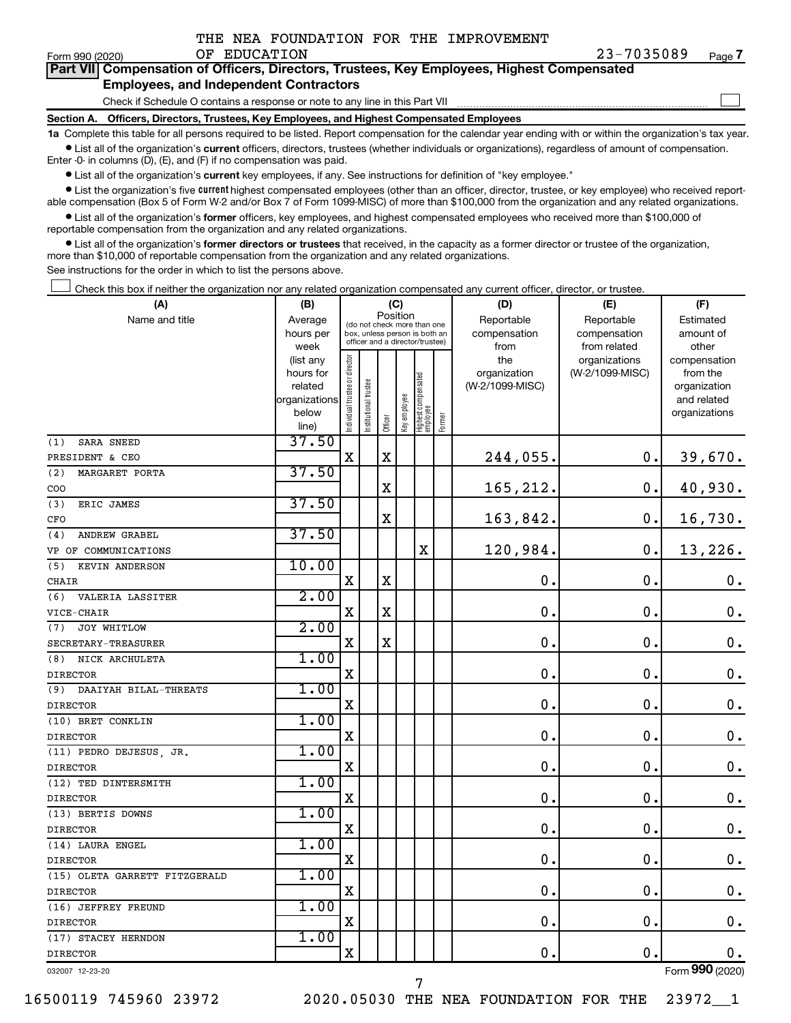| THE NEA FOUNDATION FOR THE IMPROVEMENT |  |  |  |  |  |  |
|----------------------------------------|--|--|--|--|--|--|
|----------------------------------------|--|--|--|--|--|--|

 $\Box$ 

| Part VII Compensation of Officers, Directors, Trustees, Key Employees, Highest Compensated |
|--------------------------------------------------------------------------------------------|
| <b>Employees, and Independent Contractors</b>                                              |

Check if Schedule O contains a response or note to any line in this Part VII

**Section A. Officers, Directors, Trustees, Key Employees, and Highest Compensated Employees**

**1a**  Complete this table for all persons required to be listed. Report compensation for the calendar year ending with or within the organization's tax year.  $\bullet$  List all of the organization's current officers, directors, trustees (whether individuals or organizations), regardless of amount of compensation.

Enter -0- in columns (D), (E), and (F) if no compensation was paid.

**•** List all of the organization's current key employees, if any. See instructions for definition of "key employee."

• List the organization's five *current* highest compensated employees (other than an officer, director, trustee, or key employee) who received reportable compensation (Box 5 of Form W-2 and/or Box 7 of Form 1099-MISC) of more than \$100,000 from the organization and any related organizations.

 $\bullet$  List all of the organization's former officers, key employees, and highest compensated employees who received more than \$100,000 of reportable compensation from the organization and any related organizations.

**•** List all of the organization's former directors or trustees that received, in the capacity as a former director or trustee of the organization, more than \$10,000 of reportable compensation from the organization and any related organizations.

See instructions for the order in which to list the persons above.

Check this box if neither the organization nor any related organization compensated any current officer, director, or trustee.  $\Box$ 

| (A)                           | (B)                      |                                |                                 | (C)         |              |                                   |        | (D)             | (E)             | (F)                         |
|-------------------------------|--------------------------|--------------------------------|---------------------------------|-------------|--------------|-----------------------------------|--------|-----------------|-----------------|-----------------------------|
| Name and title                | Average                  |                                | (do not check more than one     | Position    |              |                                   |        | Reportable      | Reportable      | Estimated                   |
|                               | hours per                |                                | box, unless person is both an   |             |              |                                   |        | compensation    | compensation    | amount of                   |
|                               | week                     |                                | officer and a director/trustee) |             |              |                                   |        | from            | from related    | other                       |
|                               | (list any                |                                |                                 |             |              |                                   |        | the             | organizations   | compensation                |
|                               | hours for                |                                |                                 |             |              |                                   |        | organization    | (W-2/1099-MISC) | from the                    |
|                               | related<br>organizations |                                |                                 |             |              |                                   |        | (W-2/1099-MISC) |                 | organization<br>and related |
|                               | below                    |                                |                                 |             |              |                                   |        |                 |                 | organizations               |
|                               | line)                    | Individual trustee or director | Institutional trustee           | Officer     | Key employee | Highest compensated<br>  employee | Former |                 |                 |                             |
| SARA SNEED<br>(1)             | 37.50                    |                                |                                 |             |              |                                   |        |                 |                 |                             |
| PRESIDENT & CEO               |                          | $\mathbf X$                    |                                 | $\mathbf X$ |              |                                   |        | 244,055.        | 0.              | 39,670.                     |
| MARGARET PORTA<br>(2)         | 37.50                    |                                |                                 |             |              |                                   |        |                 |                 |                             |
| COO                           |                          |                                |                                 | $\mathbf X$ |              |                                   |        | 165,212.        | $\mathbf 0$ .   | 40,930.                     |
| ERIC JAMES<br>(3)             | 37.50                    |                                |                                 |             |              |                                   |        |                 |                 |                             |
| CFO                           |                          |                                |                                 | X           |              |                                   |        | 163,842.        | $\mathbf 0$ .   | 16,730.                     |
| <b>ANDREW GRABEL</b><br>(4)   | 37.50                    |                                |                                 |             |              |                                   |        |                 |                 |                             |
| VP OF COMMUNICATIONS          |                          |                                |                                 |             |              | $\mathbf X$                       |        | 120,984.        | $\mathbf 0$ .   | 13,226.                     |
| KEVIN ANDERSON<br>(5)         | 10.00                    |                                |                                 |             |              |                                   |        |                 |                 |                             |
| CHAIR                         |                          | $\mathbf X$                    |                                 | $\mathbf X$ |              |                                   |        | $\mathbf 0$ .   | $\mathbf 0$ .   | $\mathbf 0$ .               |
| VALERIA LASSITER<br>(6)       | 2.00                     |                                |                                 |             |              |                                   |        |                 |                 |                             |
| VICE-CHAIR                    |                          | $\mathbf X$                    |                                 | $\mathbf X$ |              |                                   |        | $\mathbf 0$ .   | $\mathbf 0$ .   | $\mathbf 0$ .               |
| JOY WHITLOW<br>(7)            | 2.00                     |                                |                                 |             |              |                                   |        |                 |                 |                             |
| SECRETARY-TREASURER           |                          | $\mathbf X$                    |                                 | $\mathbf X$ |              |                                   |        | $\mathbf 0$ .   | $\mathbf 0$ .   | 0.                          |
| (8)<br>NICK ARCHULETA         | 1.00                     |                                |                                 |             |              |                                   |        |                 |                 |                             |
| <b>DIRECTOR</b>               |                          | $\mathbf X$                    |                                 |             |              |                                   |        | $\mathbf 0$ .   | $\mathbf 0$ .   | $\mathbf 0$ .               |
| (9)<br>DAAIYAH BILAL-THREATS  | 1.00                     |                                |                                 |             |              |                                   |        |                 |                 |                             |
| <b>DIRECTOR</b>               |                          | $\mathbf X$                    |                                 |             |              |                                   |        | 0.              | $\mathbf 0$ .   | $\mathbf 0$ .               |
| (10) BRET CONKLIN             | 1.00                     |                                |                                 |             |              |                                   |        |                 |                 |                             |
| <b>DIRECTOR</b>               |                          | X                              |                                 |             |              |                                   |        | 0.              | $\mathbf 0$ .   | $\mathbf 0$ .               |
| (11) PEDRO DEJESUS, JR.       | 1.00                     |                                |                                 |             |              |                                   |        |                 |                 |                             |
| <b>DIRECTOR</b>               |                          | $\mathbf X$                    |                                 |             |              |                                   |        | 0.              | $\mathbf 0$     | $\boldsymbol{0}$ .          |
| (12) TED DINTERSMITH          | 1.00                     |                                |                                 |             |              |                                   |        |                 |                 |                             |
| <b>DIRECTOR</b>               |                          | $\mathbf X$                    |                                 |             |              |                                   |        | $\mathbf 0$ .   | $\mathbf 0$ .   | $\mathbf 0$ .               |
| (13) BERTIS DOWNS             | 1.00                     |                                |                                 |             |              |                                   |        |                 |                 |                             |
| <b>DIRECTOR</b>               |                          | $\mathbf X$                    |                                 |             |              |                                   |        | 0.              | $\mathbf 0$ .   | $\mathbf 0$ .               |
| (14) LAURA ENGEL              | 1.00                     |                                |                                 |             |              |                                   |        |                 |                 |                             |
| <b>DIRECTOR</b>               |                          | $\mathbf X$                    |                                 |             |              |                                   |        | $\mathbf 0$ .   | $\mathbf 0$ .   | $\mathbf 0$ .               |
| (15) OLETA GARRETT FITZGERALD | 1.00                     |                                |                                 |             |              |                                   |        |                 |                 |                             |
| <b>DIRECTOR</b>               |                          | $\mathbf X$                    |                                 |             |              |                                   |        | $\mathbf 0$ .   | $\mathbf 0$ .   | 0.                          |
| (16) JEFFREY FREUND           | 1.00                     |                                |                                 |             |              |                                   |        |                 |                 |                             |
| <b>DIRECTOR</b>               |                          | $\mathbf X$                    |                                 |             |              |                                   |        | 0.              | $\mathbf 0$ .   | $\mathbf 0$ .               |
| (17) STACEY HERNDON           | 1.00                     |                                |                                 |             |              |                                   |        |                 |                 |                             |
| <b>DIRECTOR</b>               |                          | $\mathbf X$                    |                                 |             |              |                                   |        | 0.              | $\mathbf 0$ .   | $0$ .                       |
| 032007 12-23-20               |                          |                                |                                 |             |              |                                   |        |                 |                 | Form 990 (2020)             |

7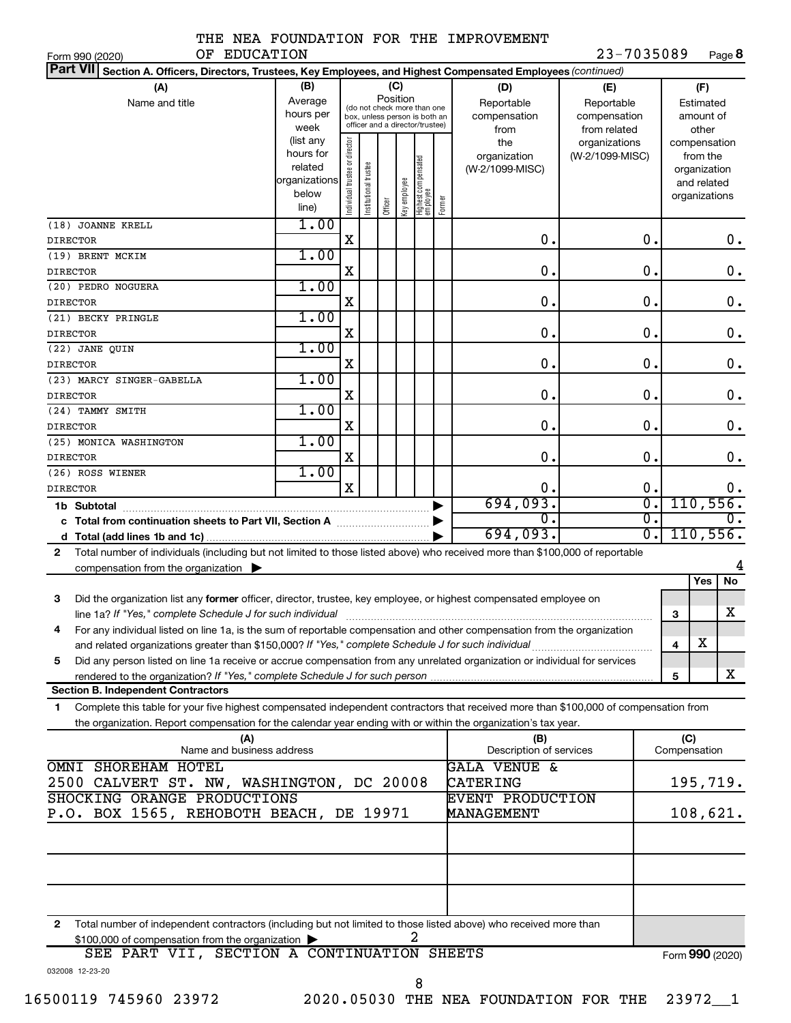|  |  | THE NEA FOUNDATION FOR THE IMPROVEMENT |
|--|--|----------------------------------------|
|  |  |                                        |

23-7035089 Page 8

| OF EDUCATION<br>Form 990 (2020)                                                                                                                                                                                                        |                                                                      |                               |                                                                                                 |          |              |                                   |        |                                                    | 23-7035089                                        |   | Page 8                                                                   |
|----------------------------------------------------------------------------------------------------------------------------------------------------------------------------------------------------------------------------------------|----------------------------------------------------------------------|-------------------------------|-------------------------------------------------------------------------------------------------|----------|--------------|-----------------------------------|--------|----------------------------------------------------|---------------------------------------------------|---|--------------------------------------------------------------------------|
| <b>Part VII</b><br>Section A. Officers, Directors, Trustees, Key Employees, and Highest Compensated Employees (continued)                                                                                                              |                                                                      |                               |                                                                                                 |          |              |                                   |        |                                                    |                                                   |   |                                                                          |
| (A)<br>Name and title                                                                                                                                                                                                                  | (B)<br>Average<br>hours per<br>week                                  |                               | (do not check more than one<br>box, unless person is both an<br>officer and a director/trustee) | Position | (C)          |                                   |        | (D)<br>Reportable<br>compensation<br>from          | (E)<br>Reportable<br>compensation<br>from related |   | (F)<br>Estimated<br>amount of<br>other                                   |
|                                                                                                                                                                                                                                        | (list any<br>hours for<br>related<br>organizations<br>below<br>line) | ndividual trustee or director | Institutional trustee                                                                           | Officer  | Key employee | Highest compensated<br>  employee | Former | the<br>organization<br>(W-2/1099-MISC)             | organizations<br>(W-2/1099-MISC)                  |   | compensation<br>from the<br>organization<br>and related<br>organizations |
| (18) JOANNE KRELL<br><b>DIRECTOR</b>                                                                                                                                                                                                   | 1.00                                                                 | X                             |                                                                                                 |          |              |                                   |        | 0.                                                 | 0.                                                |   | 0.                                                                       |
| (19) BRENT MCKIM<br><b>DIRECTOR</b>                                                                                                                                                                                                    | 1.00                                                                 | X                             |                                                                                                 |          |              |                                   |        | 0.                                                 | $\mathbf 0$ .                                     |   | $\mathbf 0$ .                                                            |
| (20) PEDRO NOGUERA                                                                                                                                                                                                                     | 1.00                                                                 |                               |                                                                                                 |          |              |                                   |        |                                                    |                                                   |   |                                                                          |
| <b>DIRECTOR</b><br>(21) BECKY PRINGLE                                                                                                                                                                                                  | 1.00                                                                 | X                             |                                                                                                 |          |              |                                   |        | 0.                                                 | $\mathbf 0$ .                                     |   | $\mathbf 0$ .                                                            |
| <b>DIRECTOR</b><br>(22) JANE QUIN                                                                                                                                                                                                      | 1.00                                                                 | X                             |                                                                                                 |          |              |                                   |        | 0.                                                 | $\mathbf 0$ .                                     |   | $\mathbf 0$ .                                                            |
| <b>DIRECTOR</b>                                                                                                                                                                                                                        | 1.00                                                                 | X                             |                                                                                                 |          |              |                                   |        | 0.                                                 | $\mathbf 0$ .                                     |   | $\mathbf 0$ .                                                            |
| (23) MARCY SINGER-GABELLA<br><b>DIRECTOR</b>                                                                                                                                                                                           |                                                                      | X                             |                                                                                                 |          |              |                                   |        | 0.                                                 | $\mathbf 0$ .                                     |   | $\mathbf 0$ .                                                            |
| (24) TAMMY SMITH<br><b>DIRECTOR</b>                                                                                                                                                                                                    | 1.00                                                                 | X                             |                                                                                                 |          |              |                                   |        | 0.                                                 | $\mathbf 0$ .                                     |   | $\mathbf 0$ .                                                            |
| (25) MONICA WASHINGTON<br><b>DIRECTOR</b>                                                                                                                                                                                              | 1.00                                                                 | X                             |                                                                                                 |          |              |                                   |        | 0.                                                 | $\mathbf 0$ .                                     |   | $\mathbf 0$ .                                                            |
| (26) ROSS WIENER                                                                                                                                                                                                                       | 1.00                                                                 |                               |                                                                                                 |          |              |                                   |        |                                                    |                                                   |   |                                                                          |
| <b>DIRECTOR</b><br>1b Subtotal                                                                                                                                                                                                         |                                                                      | X                             |                                                                                                 |          |              |                                   |        | 0.<br>694,093.                                     | 0.<br>σ.                                          |   | $\mathbf 0$ .<br>110, 556.                                               |
| c Total from continuation sheets to Part VII, Section A manuscription of                                                                                                                                                               |                                                                      |                               |                                                                                                 |          |              |                                   |        | О.<br>694,093.                                     | σ.<br>σ.                                          |   | 110, 556.                                                                |
| Total number of individuals (including but not limited to those listed above) who received more than \$100,000 of reportable<br>$\mathbf{2}$                                                                                           |                                                                      |                               |                                                                                                 |          |              |                                   |        |                                                    |                                                   |   |                                                                          |
| compensation from the organization $\blacktriangleright$                                                                                                                                                                               |                                                                      |                               |                                                                                                 |          |              |                                   |        |                                                    |                                                   |   | No<br>Yes                                                                |
| 3<br>Did the organization list any former officer, director, trustee, key employee, or highest compensated employee on                                                                                                                 |                                                                      |                               |                                                                                                 |          |              |                                   |        |                                                    |                                                   | 3 | X                                                                        |
| For any individual listed on line 1a, is the sum of reportable compensation and other compensation from the organization                                                                                                               |                                                                      |                               |                                                                                                 |          |              |                                   |        |                                                    |                                                   |   | х                                                                        |
| and related organizations greater than \$150,000? If "Yes," complete Schedule J for such individual<br>Did any person listed on line 1a receive or accrue compensation from any unrelated organization or individual for services<br>5 |                                                                      |                               |                                                                                                 |          |              |                                   |        |                                                    |                                                   | 4 |                                                                          |
| <b>Section B. Independent Contractors</b>                                                                                                                                                                                              |                                                                      |                               |                                                                                                 |          |              |                                   |        |                                                    |                                                   | 5 | X                                                                        |
| Complete this table for your five highest compensated independent contractors that received more than \$100,000 of compensation from<br>1.                                                                                             |                                                                      |                               |                                                                                                 |          |              |                                   |        |                                                    |                                                   |   |                                                                          |
| the organization. Report compensation for the calendar year ending with or within the organization's tax year.<br>(A)                                                                                                                  |                                                                      |                               |                                                                                                 |          |              |                                   |        | (B)                                                |                                                   |   | (C)                                                                      |
| Name and business address<br>SHOREHAM HOTEL<br><b>OMNI</b>                                                                                                                                                                             |                                                                      |                               |                                                                                                 |          |              |                                   |        | Description of services<br><b>GALA VENUE &amp;</b> |                                                   |   | Compensation                                                             |
| 2500 CALVERT ST. NW, WASHINGTON, DC 20008<br>SHOCKING ORANGE PRODUCTIONS                                                                                                                                                               |                                                                      |                               |                                                                                                 |          |              |                                   |        | CATERING<br>EVENT PRODUCTION                       |                                                   |   | 195,719.                                                                 |
| P.O. BOX 1565, REHOBOTH BEACH, DE 19971                                                                                                                                                                                                |                                                                      |                               |                                                                                                 |          |              |                                   |        | MANAGEMENT                                         |                                                   |   | 108,621.                                                                 |
|                                                                                                                                                                                                                                        |                                                                      |                               |                                                                                                 |          |              |                                   |        |                                                    |                                                   |   |                                                                          |
|                                                                                                                                                                                                                                        |                                                                      |                               |                                                                                                 |          |              |                                   |        |                                                    |                                                   |   |                                                                          |
| Total number of independent contractors (including but not limited to those listed above) who received more than<br>$\mathbf{2}$<br>\$100,000 of compensation from the organization                                                    |                                                                      |                               |                                                                                                 |          |              | 2                                 |        |                                                    |                                                   |   |                                                                          |
| SEE PART VII, SECTION A CONTINUATION SHEETS<br>032008 12-23-20                                                                                                                                                                         |                                                                      |                               |                                                                                                 |          |              |                                   |        |                                                    |                                                   |   | Form 990 (2020)                                                          |

8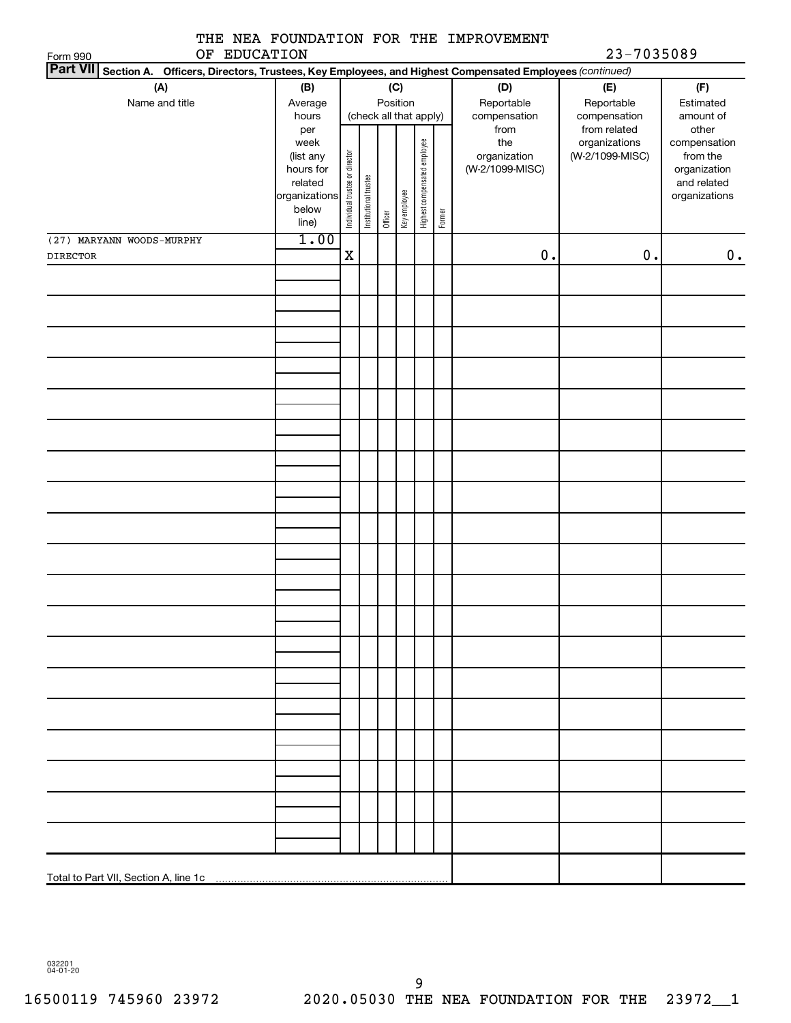|                                                 |                                                                                                                                       |                                |                                    |         |              |                              |           | THE NEA FOUNDATION FOR THE IMPROVEMENT |                 |                             |  |
|-------------------------------------------------|---------------------------------------------------------------------------------------------------------------------------------------|--------------------------------|------------------------------------|---------|--------------|------------------------------|-----------|----------------------------------------|-----------------|-----------------------------|--|
| OF EDUCATION<br>Form 990<br>Part VII Section A. |                                                                                                                                       |                                |                                    |         |              |                              |           |                                        | 23-7035089      |                             |  |
|                                                 | Officers, Directors, Trustees, Key Employees, and Highest Compensated Employees (continued)<br>(A)<br>(B)<br>(C)<br>(D)<br>(F)<br>(E) |                                |                                    |         |              |                              |           |                                        |                 |                             |  |
| Name and title                                  | Average                                                                                                                               |                                |                                    |         |              |                              |           | Reportable                             | Reportable      | Estimated                   |  |
|                                                 | hours                                                                                                                                 |                                | Position<br>(check all that apply) |         | compensation | compensation                 | amount of |                                        |                 |                             |  |
|                                                 | per                                                                                                                                   |                                |                                    |         |              |                              |           | from                                   | from related    | other                       |  |
|                                                 | week                                                                                                                                  |                                |                                    |         |              |                              |           | the                                    | organizations   | compensation                |  |
|                                                 | (list any                                                                                                                             |                                |                                    |         |              |                              |           | organization<br>(W-2/1099-MISC)        | (W-2/1099-MISC) | from the                    |  |
|                                                 | hours for<br>related                                                                                                                  |                                |                                    |         |              |                              |           |                                        |                 | organization<br>and related |  |
|                                                 | organizations                                                                                                                         |                                |                                    |         |              |                              |           |                                        |                 | organizations               |  |
|                                                 | below                                                                                                                                 | Individual trustee or director | Institutional trustee              |         | Key employee | Highest compensated employee | Former    |                                        |                 |                             |  |
|                                                 | line)                                                                                                                                 |                                |                                    | Officer |              |                              |           |                                        |                 |                             |  |
| (27) MARYANN WOODS-MURPHY                       | 1.00                                                                                                                                  |                                |                                    |         |              |                              |           |                                        |                 |                             |  |
| <b>DIRECTOR</b>                                 |                                                                                                                                       | $\mathbf X$                    |                                    |         |              |                              |           | 0.                                     | $0$ .           | 0.                          |  |
|                                                 |                                                                                                                                       |                                |                                    |         |              |                              |           |                                        |                 |                             |  |
|                                                 |                                                                                                                                       |                                |                                    |         |              |                              |           |                                        |                 |                             |  |
|                                                 |                                                                                                                                       |                                |                                    |         |              |                              |           |                                        |                 |                             |  |
|                                                 |                                                                                                                                       |                                |                                    |         |              |                              |           |                                        |                 |                             |  |
|                                                 |                                                                                                                                       |                                |                                    |         |              |                              |           |                                        |                 |                             |  |
|                                                 |                                                                                                                                       |                                |                                    |         |              |                              |           |                                        |                 |                             |  |
|                                                 |                                                                                                                                       |                                |                                    |         |              |                              |           |                                        |                 |                             |  |
|                                                 |                                                                                                                                       |                                |                                    |         |              |                              |           |                                        |                 |                             |  |
|                                                 |                                                                                                                                       |                                |                                    |         |              |                              |           |                                        |                 |                             |  |
|                                                 |                                                                                                                                       |                                |                                    |         |              |                              |           |                                        |                 |                             |  |
|                                                 |                                                                                                                                       |                                |                                    |         |              |                              |           |                                        |                 |                             |  |
|                                                 |                                                                                                                                       |                                |                                    |         |              |                              |           |                                        |                 |                             |  |
|                                                 |                                                                                                                                       |                                |                                    |         |              |                              |           |                                        |                 |                             |  |
|                                                 |                                                                                                                                       |                                |                                    |         |              |                              |           |                                        |                 |                             |  |
|                                                 |                                                                                                                                       |                                |                                    |         |              |                              |           |                                        |                 |                             |  |
|                                                 |                                                                                                                                       |                                |                                    |         |              |                              |           |                                        |                 |                             |  |
|                                                 |                                                                                                                                       |                                |                                    |         |              |                              |           |                                        |                 |                             |  |
|                                                 |                                                                                                                                       |                                |                                    |         |              |                              |           |                                        |                 |                             |  |
|                                                 |                                                                                                                                       |                                |                                    |         |              |                              |           |                                        |                 |                             |  |
|                                                 |                                                                                                                                       |                                |                                    |         |              |                              |           |                                        |                 |                             |  |
|                                                 |                                                                                                                                       |                                |                                    |         |              |                              |           |                                        |                 |                             |  |
|                                                 |                                                                                                                                       |                                |                                    |         |              |                              |           |                                        |                 |                             |  |
|                                                 |                                                                                                                                       |                                |                                    |         |              |                              |           |                                        |                 |                             |  |
|                                                 |                                                                                                                                       |                                |                                    |         |              |                              |           |                                        |                 |                             |  |
|                                                 |                                                                                                                                       |                                |                                    |         |              |                              |           |                                        |                 |                             |  |
|                                                 |                                                                                                                                       |                                |                                    |         |              |                              |           |                                        |                 |                             |  |

032201 04-01-20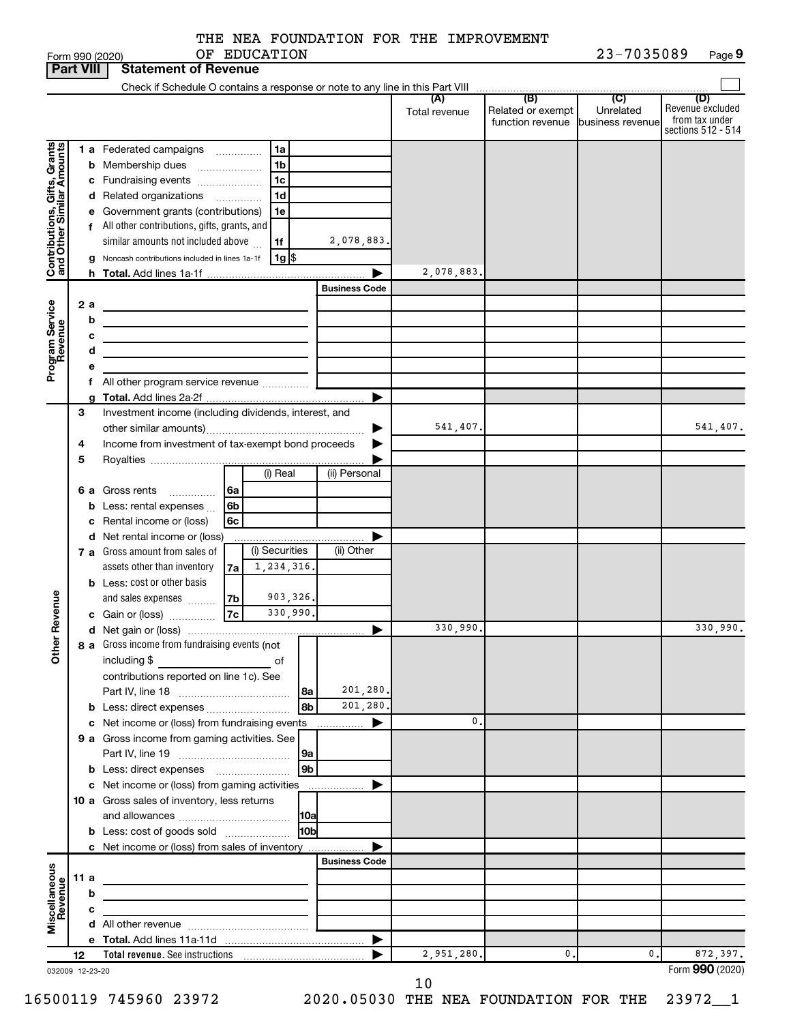| <b>Part VIII</b><br><b>Statement of Revenue</b><br>(B)<br>(C)<br>(D)<br>(A)<br>Revenue excluded<br>Related or exempt<br>Unrelated<br>Total revenue<br>from tax under<br>function revenue business revenue<br>sections 512 - 514<br>Contributions, Gifts, Grants<br>and Other Similar Amounts<br><b>1 a</b> Federated campaigns<br>1a<br>1 <sub>b</sub><br><b>b</b> Membership dues<br>1 <sub>c</sub><br>c Fundraising events<br>1d<br>d Related organizations<br>e Government grants (contributions)<br>1e<br>f All other contributions, gifts, grants, and<br>similar amounts not included above<br>2,078,883.<br>1f<br> 1g <br>g Noncash contributions included in lines 1a-1f<br>2,078,883.<br><b>Business Code</b><br>Program Service<br>Revenue<br>2a<br><u> 1989 - Johann Stein, mars et al. (b. 1989)</u><br>b<br>с<br>the control of the control of the control of the control of the control of<br>d<br>the control of the control of the control of the control of the control of<br>е<br>All other program service revenue<br>f<br>Investment income (including dividends, interest, and<br>3<br>541,407.<br>Income from investment of tax-exempt bond proceeds<br>4<br>5<br>(i) Real<br>(ii) Personal<br>6 a Gross rents<br>6a<br><b>b</b> Less: rental expenses $\ldots$<br>6b<br>c Rental income or (loss)<br>6с<br>d Net rental income or (loss)<br>(i) Securities<br>(ii) Other<br>7 a Gross amount from sales of<br>1,234,316.<br>assets other than inventory<br>7a<br><b>b</b> Less: cost or other basis<br>evenue<br>903,326.<br>and sales expenses<br>7b<br>7c<br>330,990.<br>c Gain or (loss)<br>330,990.<br>330,990.<br>Other R<br>8 a Gross income from fundraising events (not<br>including \$<br>contributions reported on line 1c). See<br>201,280.<br> 8a<br>201,280.<br>l 8b<br><b>b</b> Less: direct expenses <b>constants</b> b<br>c Net income or (loss) from fundraising events<br>0.<br>9 a Gross income from gaming activities. See<br> 9a<br>l 9b<br>c Net income or (loss) from gaming activities<br>10 a Gross sales of inventory, less returns<br><b>10a</b><br><b>b</b> Less: cost of goods sold<br>l10bl<br>c Net income or (loss) from sales of inventory<br><b>Business Code</b><br>Miscellaneous<br>Revenue<br>11 a<br>b<br><u> 1989 - Johann Stein, marwolaethau a bhann an t-Amhain an t-Amhain an t-Amhain an t-Amhain an t-Amhain an t-A</u><br>c<br>0.<br>872,397.<br>2,951,280.<br>0.<br>12<br>Form 990 (2020)<br>032009 12-23-20 |  |  |  | Form 990 (2020) |  | OF EDUCATION |  |  | 23-7035089 | Page 9   |
|------------------------------------------------------------------------------------------------------------------------------------------------------------------------------------------------------------------------------------------------------------------------------------------------------------------------------------------------------------------------------------------------------------------------------------------------------------------------------------------------------------------------------------------------------------------------------------------------------------------------------------------------------------------------------------------------------------------------------------------------------------------------------------------------------------------------------------------------------------------------------------------------------------------------------------------------------------------------------------------------------------------------------------------------------------------------------------------------------------------------------------------------------------------------------------------------------------------------------------------------------------------------------------------------------------------------------------------------------------------------------------------------------------------------------------------------------------------------------------------------------------------------------------------------------------------------------------------------------------------------------------------------------------------------------------------------------------------------------------------------------------------------------------------------------------------------------------------------------------------------------------------------------------------------------------------------------------------------------------------------------------------------------------------------------------------------------------------------------------------------------------------------------------------------------------------------------------------------------------------------------------------------------------------------------------------------------------------------------------------------------------------------------------------------------------------------------------------------------------|--|--|--|-----------------|--|--------------|--|--|------------|----------|
|                                                                                                                                                                                                                                                                                                                                                                                                                                                                                                                                                                                                                                                                                                                                                                                                                                                                                                                                                                                                                                                                                                                                                                                                                                                                                                                                                                                                                                                                                                                                                                                                                                                                                                                                                                                                                                                                                                                                                                                                                                                                                                                                                                                                                                                                                                                                                                                                                                                                                    |  |  |  |                 |  |              |  |  |            |          |
|                                                                                                                                                                                                                                                                                                                                                                                                                                                                                                                                                                                                                                                                                                                                                                                                                                                                                                                                                                                                                                                                                                                                                                                                                                                                                                                                                                                                                                                                                                                                                                                                                                                                                                                                                                                                                                                                                                                                                                                                                                                                                                                                                                                                                                                                                                                                                                                                                                                                                    |  |  |  |                 |  |              |  |  |            |          |
|                                                                                                                                                                                                                                                                                                                                                                                                                                                                                                                                                                                                                                                                                                                                                                                                                                                                                                                                                                                                                                                                                                                                                                                                                                                                                                                                                                                                                                                                                                                                                                                                                                                                                                                                                                                                                                                                                                                                                                                                                                                                                                                                                                                                                                                                                                                                                                                                                                                                                    |  |  |  |                 |  |              |  |  |            |          |
|                                                                                                                                                                                                                                                                                                                                                                                                                                                                                                                                                                                                                                                                                                                                                                                                                                                                                                                                                                                                                                                                                                                                                                                                                                                                                                                                                                                                                                                                                                                                                                                                                                                                                                                                                                                                                                                                                                                                                                                                                                                                                                                                                                                                                                                                                                                                                                                                                                                                                    |  |  |  |                 |  |              |  |  |            |          |
|                                                                                                                                                                                                                                                                                                                                                                                                                                                                                                                                                                                                                                                                                                                                                                                                                                                                                                                                                                                                                                                                                                                                                                                                                                                                                                                                                                                                                                                                                                                                                                                                                                                                                                                                                                                                                                                                                                                                                                                                                                                                                                                                                                                                                                                                                                                                                                                                                                                                                    |  |  |  |                 |  |              |  |  |            |          |
|                                                                                                                                                                                                                                                                                                                                                                                                                                                                                                                                                                                                                                                                                                                                                                                                                                                                                                                                                                                                                                                                                                                                                                                                                                                                                                                                                                                                                                                                                                                                                                                                                                                                                                                                                                                                                                                                                                                                                                                                                                                                                                                                                                                                                                                                                                                                                                                                                                                                                    |  |  |  |                 |  |              |  |  |            |          |
|                                                                                                                                                                                                                                                                                                                                                                                                                                                                                                                                                                                                                                                                                                                                                                                                                                                                                                                                                                                                                                                                                                                                                                                                                                                                                                                                                                                                                                                                                                                                                                                                                                                                                                                                                                                                                                                                                                                                                                                                                                                                                                                                                                                                                                                                                                                                                                                                                                                                                    |  |  |  |                 |  |              |  |  |            |          |
|                                                                                                                                                                                                                                                                                                                                                                                                                                                                                                                                                                                                                                                                                                                                                                                                                                                                                                                                                                                                                                                                                                                                                                                                                                                                                                                                                                                                                                                                                                                                                                                                                                                                                                                                                                                                                                                                                                                                                                                                                                                                                                                                                                                                                                                                                                                                                                                                                                                                                    |  |  |  |                 |  |              |  |  |            |          |
|                                                                                                                                                                                                                                                                                                                                                                                                                                                                                                                                                                                                                                                                                                                                                                                                                                                                                                                                                                                                                                                                                                                                                                                                                                                                                                                                                                                                                                                                                                                                                                                                                                                                                                                                                                                                                                                                                                                                                                                                                                                                                                                                                                                                                                                                                                                                                                                                                                                                                    |  |  |  |                 |  |              |  |  |            |          |
|                                                                                                                                                                                                                                                                                                                                                                                                                                                                                                                                                                                                                                                                                                                                                                                                                                                                                                                                                                                                                                                                                                                                                                                                                                                                                                                                                                                                                                                                                                                                                                                                                                                                                                                                                                                                                                                                                                                                                                                                                                                                                                                                                                                                                                                                                                                                                                                                                                                                                    |  |  |  |                 |  |              |  |  |            |          |
|                                                                                                                                                                                                                                                                                                                                                                                                                                                                                                                                                                                                                                                                                                                                                                                                                                                                                                                                                                                                                                                                                                                                                                                                                                                                                                                                                                                                                                                                                                                                                                                                                                                                                                                                                                                                                                                                                                                                                                                                                                                                                                                                                                                                                                                                                                                                                                                                                                                                                    |  |  |  |                 |  |              |  |  |            |          |
|                                                                                                                                                                                                                                                                                                                                                                                                                                                                                                                                                                                                                                                                                                                                                                                                                                                                                                                                                                                                                                                                                                                                                                                                                                                                                                                                                                                                                                                                                                                                                                                                                                                                                                                                                                                                                                                                                                                                                                                                                                                                                                                                                                                                                                                                                                                                                                                                                                                                                    |  |  |  |                 |  |              |  |  |            |          |
|                                                                                                                                                                                                                                                                                                                                                                                                                                                                                                                                                                                                                                                                                                                                                                                                                                                                                                                                                                                                                                                                                                                                                                                                                                                                                                                                                                                                                                                                                                                                                                                                                                                                                                                                                                                                                                                                                                                                                                                                                                                                                                                                                                                                                                                                                                                                                                                                                                                                                    |  |  |  |                 |  |              |  |  |            |          |
|                                                                                                                                                                                                                                                                                                                                                                                                                                                                                                                                                                                                                                                                                                                                                                                                                                                                                                                                                                                                                                                                                                                                                                                                                                                                                                                                                                                                                                                                                                                                                                                                                                                                                                                                                                                                                                                                                                                                                                                                                                                                                                                                                                                                                                                                                                                                                                                                                                                                                    |  |  |  |                 |  |              |  |  |            |          |
|                                                                                                                                                                                                                                                                                                                                                                                                                                                                                                                                                                                                                                                                                                                                                                                                                                                                                                                                                                                                                                                                                                                                                                                                                                                                                                                                                                                                                                                                                                                                                                                                                                                                                                                                                                                                                                                                                                                                                                                                                                                                                                                                                                                                                                                                                                                                                                                                                                                                                    |  |  |  |                 |  |              |  |  |            |          |
|                                                                                                                                                                                                                                                                                                                                                                                                                                                                                                                                                                                                                                                                                                                                                                                                                                                                                                                                                                                                                                                                                                                                                                                                                                                                                                                                                                                                                                                                                                                                                                                                                                                                                                                                                                                                                                                                                                                                                                                                                                                                                                                                                                                                                                                                                                                                                                                                                                                                                    |  |  |  |                 |  |              |  |  |            |          |
|                                                                                                                                                                                                                                                                                                                                                                                                                                                                                                                                                                                                                                                                                                                                                                                                                                                                                                                                                                                                                                                                                                                                                                                                                                                                                                                                                                                                                                                                                                                                                                                                                                                                                                                                                                                                                                                                                                                                                                                                                                                                                                                                                                                                                                                                                                                                                                                                                                                                                    |  |  |  |                 |  |              |  |  |            |          |
|                                                                                                                                                                                                                                                                                                                                                                                                                                                                                                                                                                                                                                                                                                                                                                                                                                                                                                                                                                                                                                                                                                                                                                                                                                                                                                                                                                                                                                                                                                                                                                                                                                                                                                                                                                                                                                                                                                                                                                                                                                                                                                                                                                                                                                                                                                                                                                                                                                                                                    |  |  |  |                 |  |              |  |  |            |          |
|                                                                                                                                                                                                                                                                                                                                                                                                                                                                                                                                                                                                                                                                                                                                                                                                                                                                                                                                                                                                                                                                                                                                                                                                                                                                                                                                                                                                                                                                                                                                                                                                                                                                                                                                                                                                                                                                                                                                                                                                                                                                                                                                                                                                                                                                                                                                                                                                                                                                                    |  |  |  |                 |  |              |  |  |            |          |
|                                                                                                                                                                                                                                                                                                                                                                                                                                                                                                                                                                                                                                                                                                                                                                                                                                                                                                                                                                                                                                                                                                                                                                                                                                                                                                                                                                                                                                                                                                                                                                                                                                                                                                                                                                                                                                                                                                                                                                                                                                                                                                                                                                                                                                                                                                                                                                                                                                                                                    |  |  |  |                 |  |              |  |  |            |          |
|                                                                                                                                                                                                                                                                                                                                                                                                                                                                                                                                                                                                                                                                                                                                                                                                                                                                                                                                                                                                                                                                                                                                                                                                                                                                                                                                                                                                                                                                                                                                                                                                                                                                                                                                                                                                                                                                                                                                                                                                                                                                                                                                                                                                                                                                                                                                                                                                                                                                                    |  |  |  |                 |  |              |  |  |            |          |
|                                                                                                                                                                                                                                                                                                                                                                                                                                                                                                                                                                                                                                                                                                                                                                                                                                                                                                                                                                                                                                                                                                                                                                                                                                                                                                                                                                                                                                                                                                                                                                                                                                                                                                                                                                                                                                                                                                                                                                                                                                                                                                                                                                                                                                                                                                                                                                                                                                                                                    |  |  |  |                 |  |              |  |  |            | 541,407. |
|                                                                                                                                                                                                                                                                                                                                                                                                                                                                                                                                                                                                                                                                                                                                                                                                                                                                                                                                                                                                                                                                                                                                                                                                                                                                                                                                                                                                                                                                                                                                                                                                                                                                                                                                                                                                                                                                                                                                                                                                                                                                                                                                                                                                                                                                                                                                                                                                                                                                                    |  |  |  |                 |  |              |  |  |            |          |
|                                                                                                                                                                                                                                                                                                                                                                                                                                                                                                                                                                                                                                                                                                                                                                                                                                                                                                                                                                                                                                                                                                                                                                                                                                                                                                                                                                                                                                                                                                                                                                                                                                                                                                                                                                                                                                                                                                                                                                                                                                                                                                                                                                                                                                                                                                                                                                                                                                                                                    |  |  |  |                 |  |              |  |  |            |          |
|                                                                                                                                                                                                                                                                                                                                                                                                                                                                                                                                                                                                                                                                                                                                                                                                                                                                                                                                                                                                                                                                                                                                                                                                                                                                                                                                                                                                                                                                                                                                                                                                                                                                                                                                                                                                                                                                                                                                                                                                                                                                                                                                                                                                                                                                                                                                                                                                                                                                                    |  |  |  |                 |  |              |  |  |            |          |
|                                                                                                                                                                                                                                                                                                                                                                                                                                                                                                                                                                                                                                                                                                                                                                                                                                                                                                                                                                                                                                                                                                                                                                                                                                                                                                                                                                                                                                                                                                                                                                                                                                                                                                                                                                                                                                                                                                                                                                                                                                                                                                                                                                                                                                                                                                                                                                                                                                                                                    |  |  |  |                 |  |              |  |  |            |          |
|                                                                                                                                                                                                                                                                                                                                                                                                                                                                                                                                                                                                                                                                                                                                                                                                                                                                                                                                                                                                                                                                                                                                                                                                                                                                                                                                                                                                                                                                                                                                                                                                                                                                                                                                                                                                                                                                                                                                                                                                                                                                                                                                                                                                                                                                                                                                                                                                                                                                                    |  |  |  |                 |  |              |  |  |            |          |
|                                                                                                                                                                                                                                                                                                                                                                                                                                                                                                                                                                                                                                                                                                                                                                                                                                                                                                                                                                                                                                                                                                                                                                                                                                                                                                                                                                                                                                                                                                                                                                                                                                                                                                                                                                                                                                                                                                                                                                                                                                                                                                                                                                                                                                                                                                                                                                                                                                                                                    |  |  |  |                 |  |              |  |  |            |          |
|                                                                                                                                                                                                                                                                                                                                                                                                                                                                                                                                                                                                                                                                                                                                                                                                                                                                                                                                                                                                                                                                                                                                                                                                                                                                                                                                                                                                                                                                                                                                                                                                                                                                                                                                                                                                                                                                                                                                                                                                                                                                                                                                                                                                                                                                                                                                                                                                                                                                                    |  |  |  |                 |  |              |  |  |            |          |
|                                                                                                                                                                                                                                                                                                                                                                                                                                                                                                                                                                                                                                                                                                                                                                                                                                                                                                                                                                                                                                                                                                                                                                                                                                                                                                                                                                                                                                                                                                                                                                                                                                                                                                                                                                                                                                                                                                                                                                                                                                                                                                                                                                                                                                                                                                                                                                                                                                                                                    |  |  |  |                 |  |              |  |  |            |          |
|                                                                                                                                                                                                                                                                                                                                                                                                                                                                                                                                                                                                                                                                                                                                                                                                                                                                                                                                                                                                                                                                                                                                                                                                                                                                                                                                                                                                                                                                                                                                                                                                                                                                                                                                                                                                                                                                                                                                                                                                                                                                                                                                                                                                                                                                                                                                                                                                                                                                                    |  |  |  |                 |  |              |  |  |            |          |
|                                                                                                                                                                                                                                                                                                                                                                                                                                                                                                                                                                                                                                                                                                                                                                                                                                                                                                                                                                                                                                                                                                                                                                                                                                                                                                                                                                                                                                                                                                                                                                                                                                                                                                                                                                                                                                                                                                                                                                                                                                                                                                                                                                                                                                                                                                                                                                                                                                                                                    |  |  |  |                 |  |              |  |  |            |          |
|                                                                                                                                                                                                                                                                                                                                                                                                                                                                                                                                                                                                                                                                                                                                                                                                                                                                                                                                                                                                                                                                                                                                                                                                                                                                                                                                                                                                                                                                                                                                                                                                                                                                                                                                                                                                                                                                                                                                                                                                                                                                                                                                                                                                                                                                                                                                                                                                                                                                                    |  |  |  |                 |  |              |  |  |            |          |
|                                                                                                                                                                                                                                                                                                                                                                                                                                                                                                                                                                                                                                                                                                                                                                                                                                                                                                                                                                                                                                                                                                                                                                                                                                                                                                                                                                                                                                                                                                                                                                                                                                                                                                                                                                                                                                                                                                                                                                                                                                                                                                                                                                                                                                                                                                                                                                                                                                                                                    |  |  |  |                 |  |              |  |  |            |          |
|                                                                                                                                                                                                                                                                                                                                                                                                                                                                                                                                                                                                                                                                                                                                                                                                                                                                                                                                                                                                                                                                                                                                                                                                                                                                                                                                                                                                                                                                                                                                                                                                                                                                                                                                                                                                                                                                                                                                                                                                                                                                                                                                                                                                                                                                                                                                                                                                                                                                                    |  |  |  |                 |  |              |  |  |            |          |
|                                                                                                                                                                                                                                                                                                                                                                                                                                                                                                                                                                                                                                                                                                                                                                                                                                                                                                                                                                                                                                                                                                                                                                                                                                                                                                                                                                                                                                                                                                                                                                                                                                                                                                                                                                                                                                                                                                                                                                                                                                                                                                                                                                                                                                                                                                                                                                                                                                                                                    |  |  |  |                 |  |              |  |  |            |          |
|                                                                                                                                                                                                                                                                                                                                                                                                                                                                                                                                                                                                                                                                                                                                                                                                                                                                                                                                                                                                                                                                                                                                                                                                                                                                                                                                                                                                                                                                                                                                                                                                                                                                                                                                                                                                                                                                                                                                                                                                                                                                                                                                                                                                                                                                                                                                                                                                                                                                                    |  |  |  |                 |  |              |  |  |            |          |
|                                                                                                                                                                                                                                                                                                                                                                                                                                                                                                                                                                                                                                                                                                                                                                                                                                                                                                                                                                                                                                                                                                                                                                                                                                                                                                                                                                                                                                                                                                                                                                                                                                                                                                                                                                                                                                                                                                                                                                                                                                                                                                                                                                                                                                                                                                                                                                                                                                                                                    |  |  |  |                 |  |              |  |  |            |          |
|                                                                                                                                                                                                                                                                                                                                                                                                                                                                                                                                                                                                                                                                                                                                                                                                                                                                                                                                                                                                                                                                                                                                                                                                                                                                                                                                                                                                                                                                                                                                                                                                                                                                                                                                                                                                                                                                                                                                                                                                                                                                                                                                                                                                                                                                                                                                                                                                                                                                                    |  |  |  |                 |  |              |  |  |            |          |
|                                                                                                                                                                                                                                                                                                                                                                                                                                                                                                                                                                                                                                                                                                                                                                                                                                                                                                                                                                                                                                                                                                                                                                                                                                                                                                                                                                                                                                                                                                                                                                                                                                                                                                                                                                                                                                                                                                                                                                                                                                                                                                                                                                                                                                                                                                                                                                                                                                                                                    |  |  |  |                 |  |              |  |  |            |          |
|                                                                                                                                                                                                                                                                                                                                                                                                                                                                                                                                                                                                                                                                                                                                                                                                                                                                                                                                                                                                                                                                                                                                                                                                                                                                                                                                                                                                                                                                                                                                                                                                                                                                                                                                                                                                                                                                                                                                                                                                                                                                                                                                                                                                                                                                                                                                                                                                                                                                                    |  |  |  |                 |  |              |  |  |            |          |
|                                                                                                                                                                                                                                                                                                                                                                                                                                                                                                                                                                                                                                                                                                                                                                                                                                                                                                                                                                                                                                                                                                                                                                                                                                                                                                                                                                                                                                                                                                                                                                                                                                                                                                                                                                                                                                                                                                                                                                                                                                                                                                                                                                                                                                                                                                                                                                                                                                                                                    |  |  |  |                 |  |              |  |  |            |          |
|                                                                                                                                                                                                                                                                                                                                                                                                                                                                                                                                                                                                                                                                                                                                                                                                                                                                                                                                                                                                                                                                                                                                                                                                                                                                                                                                                                                                                                                                                                                                                                                                                                                                                                                                                                                                                                                                                                                                                                                                                                                                                                                                                                                                                                                                                                                                                                                                                                                                                    |  |  |  |                 |  |              |  |  |            |          |
|                                                                                                                                                                                                                                                                                                                                                                                                                                                                                                                                                                                                                                                                                                                                                                                                                                                                                                                                                                                                                                                                                                                                                                                                                                                                                                                                                                                                                                                                                                                                                                                                                                                                                                                                                                                                                                                                                                                                                                                                                                                                                                                                                                                                                                                                                                                                                                                                                                                                                    |  |  |  |                 |  |              |  |  |            |          |
|                                                                                                                                                                                                                                                                                                                                                                                                                                                                                                                                                                                                                                                                                                                                                                                                                                                                                                                                                                                                                                                                                                                                                                                                                                                                                                                                                                                                                                                                                                                                                                                                                                                                                                                                                                                                                                                                                                                                                                                                                                                                                                                                                                                                                                                                                                                                                                                                                                                                                    |  |  |  |                 |  |              |  |  |            |          |
|                                                                                                                                                                                                                                                                                                                                                                                                                                                                                                                                                                                                                                                                                                                                                                                                                                                                                                                                                                                                                                                                                                                                                                                                                                                                                                                                                                                                                                                                                                                                                                                                                                                                                                                                                                                                                                                                                                                                                                                                                                                                                                                                                                                                                                                                                                                                                                                                                                                                                    |  |  |  |                 |  |              |  |  |            |          |
|                                                                                                                                                                                                                                                                                                                                                                                                                                                                                                                                                                                                                                                                                                                                                                                                                                                                                                                                                                                                                                                                                                                                                                                                                                                                                                                                                                                                                                                                                                                                                                                                                                                                                                                                                                                                                                                                                                                                                                                                                                                                                                                                                                                                                                                                                                                                                                                                                                                                                    |  |  |  |                 |  |              |  |  |            |          |
|                                                                                                                                                                                                                                                                                                                                                                                                                                                                                                                                                                                                                                                                                                                                                                                                                                                                                                                                                                                                                                                                                                                                                                                                                                                                                                                                                                                                                                                                                                                                                                                                                                                                                                                                                                                                                                                                                                                                                                                                                                                                                                                                                                                                                                                                                                                                                                                                                                                                                    |  |  |  |                 |  |              |  |  |            |          |
|                                                                                                                                                                                                                                                                                                                                                                                                                                                                                                                                                                                                                                                                                                                                                                                                                                                                                                                                                                                                                                                                                                                                                                                                                                                                                                                                                                                                                                                                                                                                                                                                                                                                                                                                                                                                                                                                                                                                                                                                                                                                                                                                                                                                                                                                                                                                                                                                                                                                                    |  |  |  |                 |  |              |  |  |            |          |
|                                                                                                                                                                                                                                                                                                                                                                                                                                                                                                                                                                                                                                                                                                                                                                                                                                                                                                                                                                                                                                                                                                                                                                                                                                                                                                                                                                                                                                                                                                                                                                                                                                                                                                                                                                                                                                                                                                                                                                                                                                                                                                                                                                                                                                                                                                                                                                                                                                                                                    |  |  |  |                 |  |              |  |  |            |          |
|                                                                                                                                                                                                                                                                                                                                                                                                                                                                                                                                                                                                                                                                                                                                                                                                                                                                                                                                                                                                                                                                                                                                                                                                                                                                                                                                                                                                                                                                                                                                                                                                                                                                                                                                                                                                                                                                                                                                                                                                                                                                                                                                                                                                                                                                                                                                                                                                                                                                                    |  |  |  |                 |  |              |  |  |            |          |
|                                                                                                                                                                                                                                                                                                                                                                                                                                                                                                                                                                                                                                                                                                                                                                                                                                                                                                                                                                                                                                                                                                                                                                                                                                                                                                                                                                                                                                                                                                                                                                                                                                                                                                                                                                                                                                                                                                                                                                                                                                                                                                                                                                                                                                                                                                                                                                                                                                                                                    |  |  |  |                 |  |              |  |  |            |          |
|                                                                                                                                                                                                                                                                                                                                                                                                                                                                                                                                                                                                                                                                                                                                                                                                                                                                                                                                                                                                                                                                                                                                                                                                                                                                                                                                                                                                                                                                                                                                                                                                                                                                                                                                                                                                                                                                                                                                                                                                                                                                                                                                                                                                                                                                                                                                                                                                                                                                                    |  |  |  |                 |  |              |  |  |            |          |

10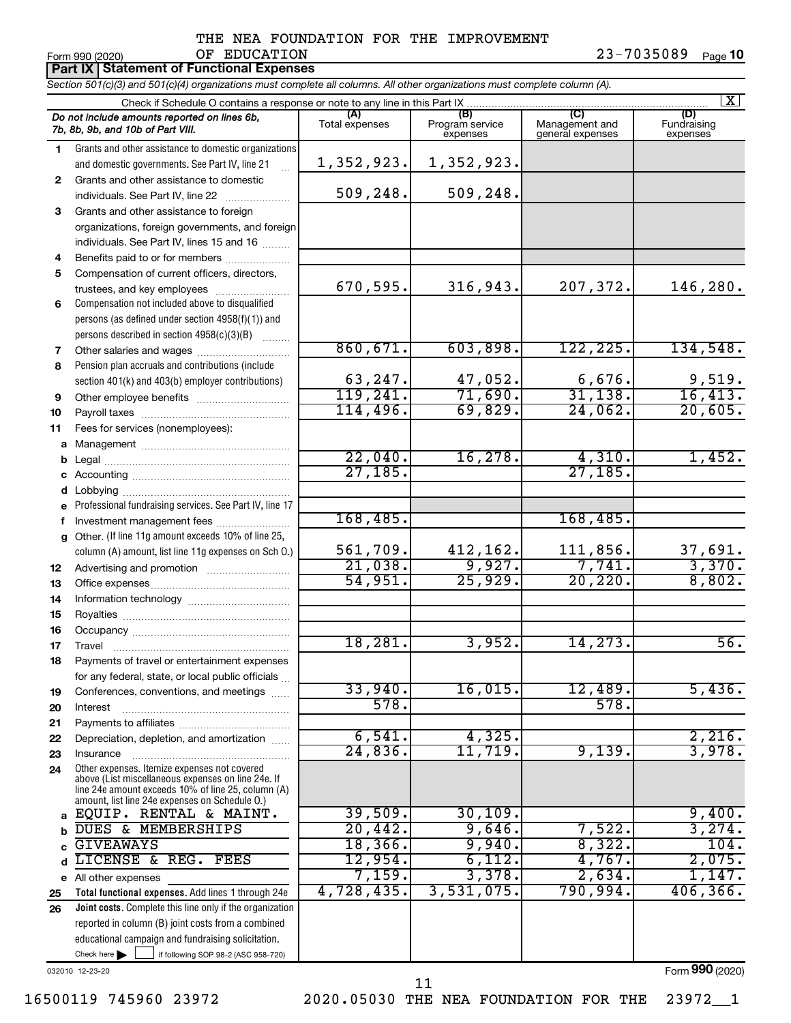# THE NEA FOUNDATION FOR THE IMPROVEMENT OF EDUCATION 23-7035089

**10**

|              | Form 990 (2020)<br>OF EDUCATION<br><b>Part IX   Statement of Functional Expenses</b>                                                                                                                       |                       |                                    |                                           | 23-1035089<br>Page 10          |
|--------------|------------------------------------------------------------------------------------------------------------------------------------------------------------------------------------------------------------|-----------------------|------------------------------------|-------------------------------------------|--------------------------------|
|              | Section 501(c)(3) and 501(c)(4) organizations must complete all columns. All other organizations must complete column (A).                                                                                 |                       |                                    |                                           |                                |
|              | Check if Schedule O contains a response or note to any line in this Part IX                                                                                                                                |                       |                                    |                                           | $\mathbf{X}$                   |
|              | Do not include amounts reported on lines 6b,<br>7b, 8b, 9b, and 10b of Part VIII.                                                                                                                          | (A)<br>Total expenses | (B)<br>Program service<br>expenses | (C)<br>Management and<br>general expenses | (D)<br>Fundraising<br>expenses |
| $\mathbf{1}$ | Grants and other assistance to domestic organizations                                                                                                                                                      |                       |                                    |                                           |                                |
|              | and domestic governments. See Part IV, line 21<br>$\cdots$                                                                                                                                                 | 1,352,923.            | 1,352,923.                         |                                           |                                |
| $\mathbf{2}$ | Grants and other assistance to domestic                                                                                                                                                                    |                       |                                    |                                           |                                |
|              | individuals. See Part IV, line 22                                                                                                                                                                          | 509,248.              | 509,248.                           |                                           |                                |
| 3            | Grants and other assistance to foreign                                                                                                                                                                     |                       |                                    |                                           |                                |
|              | organizations, foreign governments, and foreign                                                                                                                                                            |                       |                                    |                                           |                                |
|              | individuals. See Part IV, lines 15 and 16                                                                                                                                                                  |                       |                                    |                                           |                                |
| 4            | Benefits paid to or for members                                                                                                                                                                            |                       |                                    |                                           |                                |
| 5            | Compensation of current officers, directors,                                                                                                                                                               |                       |                                    |                                           |                                |
|              | trustees, and key employees                                                                                                                                                                                | 670,595.              | 316,943.                           | 207,372.                                  | 146,280.                       |
| 6            | Compensation not included above to disqualified                                                                                                                                                            |                       |                                    |                                           |                                |
|              | persons (as defined under section 4958(f)(1)) and                                                                                                                                                          |                       |                                    |                                           |                                |
|              | persons described in section 4958(c)(3)(B)                                                                                                                                                                 | 860, 671.             | 603,898.                           | 122, 225.                                 | 134,548.                       |
| 7            | Other salaries and wages<br>Pension plan accruals and contributions (include                                                                                                                               |                       |                                    |                                           |                                |
| 8            | section 401(k) and 403(b) employer contributions)                                                                                                                                                          | 63,247.               | 47,052.                            | 6,676.                                    | 9,519.                         |
| 9            |                                                                                                                                                                                                            | 119,241.              | 71,690.                            | 31, 138.                                  | 16,413.                        |
| 10           |                                                                                                                                                                                                            | 114,496.              | 69,829.                            | 24,062.                                   | 20,605.                        |
| 11           | Fees for services (nonemployees):                                                                                                                                                                          |                       |                                    |                                           |                                |
|              |                                                                                                                                                                                                            |                       |                                    |                                           |                                |
|              |                                                                                                                                                                                                            | 22,040.               | 16,278.                            | 4,310.                                    | 1,452.                         |
|              |                                                                                                                                                                                                            | 27, 185.              |                                    | 27, 185.                                  |                                |
|              |                                                                                                                                                                                                            |                       |                                    |                                           |                                |
|              | e Professional fundraising services. See Part IV, line 17                                                                                                                                                  |                       |                                    |                                           |                                |
| f            | Investment management fees                                                                                                                                                                                 | 168,485.              |                                    | 168,485.                                  |                                |
|              | g Other. (If line 11g amount exceeds 10% of line 25,                                                                                                                                                       |                       |                                    |                                           |                                |
|              | column (A) amount, list line 11g expenses on Sch O.)                                                                                                                                                       | 561,709.              | 412,162.                           | 111,856.                                  | 37,691.                        |
| 12           |                                                                                                                                                                                                            | 21,038.               | 9,927.                             | 7,741.                                    | 3,370.                         |
| 13           |                                                                                                                                                                                                            | 54,951.               | 25,929.                            | 20, 220.                                  | 8,802.                         |
| 14           |                                                                                                                                                                                                            |                       |                                    |                                           |                                |
| 15           |                                                                                                                                                                                                            |                       |                                    |                                           |                                |
| 16<br>17     | Occupancy                                                                                                                                                                                                  | 18,281.               | 3,952.                             | 14,273.                                   | 56.                            |
| 18           | Travel<br>Payments of travel or entertainment expenses                                                                                                                                                     |                       |                                    |                                           |                                |
|              | for any federal, state, or local public officials                                                                                                                                                          |                       |                                    |                                           |                                |
| 19           | Conferences, conventions, and meetings                                                                                                                                                                     | 33,940.               | 16,015.                            | 12,489.                                   | 5,436.                         |
| 20           | Interest                                                                                                                                                                                                   | 578.                  |                                    | 578.                                      |                                |
| 21           |                                                                                                                                                                                                            |                       |                                    |                                           |                                |
| 22           | Depreciation, depletion, and amortization                                                                                                                                                                  | 6,541.                | 4,325.                             |                                           | 2,216.                         |
| 23           | Insurance                                                                                                                                                                                                  | 24,836.               | 11,719.                            | 9,139.                                    | 3,978.                         |
| 24           | Other expenses. Itemize expenses not covered<br>above (List miscellaneous expenses on line 24e. If<br>line 24e amount exceeds 10% of line 25, column (A)<br>amount, list line 24e expenses on Schedule O.) |                       |                                    |                                           |                                |
|              | EQUIP. RENTAL & MAINT.                                                                                                                                                                                     | 39,509.               | 30, 109.                           |                                           | 9,400.                         |
|              | DUES & MEMBERSHIPS                                                                                                                                                                                         | 20,442.               | 9,646.                             | 7,522.                                    | 3,274.                         |
|              | <b>GIVEAWAYS</b>                                                                                                                                                                                           | 18,366.               | 9,940.                             | 8,322.                                    | 104.                           |
|              | LICENSE &<br>REG.<br>FEES                                                                                                                                                                                  | 12,954.               | 6,112.<br>3,378.                   | 4,767.                                    | 2,075.                         |
|              | e All other expenses                                                                                                                                                                                       | 7,159.<br>4,728,435.  | 3,531,075.                         | 2,634.<br>790,994.                        | 1,147.<br>406, 366.            |
| 25           | Total functional expenses. Add lines 1 through 24e                                                                                                                                                         |                       |                                    |                                           |                                |
| 26           | Joint costs. Complete this line only if the organization<br>reported in column (B) joint costs from a combined                                                                                             |                       |                                    |                                           |                                |
|              | educational campaign and fundraising solicitation.                                                                                                                                                         |                       |                                    |                                           |                                |
|              | Check here $\blacktriangleright$<br>if following SOP 98-2 (ASC 958-720)                                                                                                                                    |                       |                                    |                                           |                                |

032010 12-23-20

Form (2020) **990**

11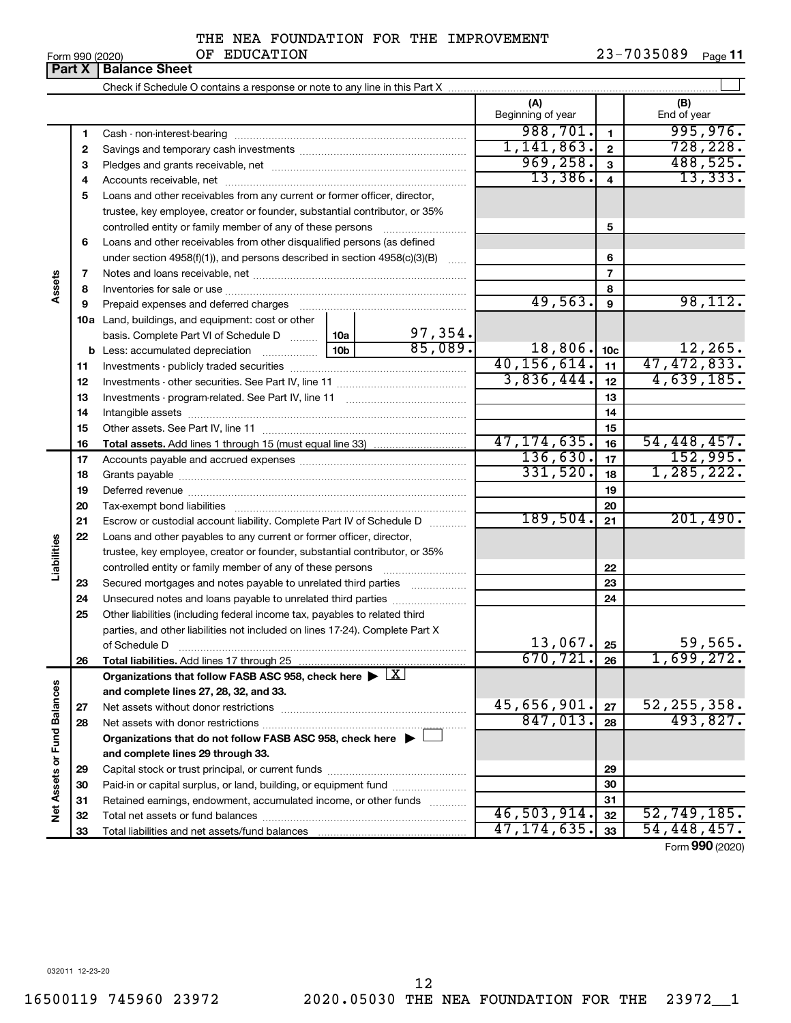# THE NEA FOUNDATION FOR THE IMPROVEMENT OF EDUCATION

|                             |    | <b>Part X   Balance Sheet</b>                                                                          |                 |         |                          |                         |                    |
|-----------------------------|----|--------------------------------------------------------------------------------------------------------|-----------------|---------|--------------------------|-------------------------|--------------------|
|                             |    |                                                                                                        |                 |         |                          |                         |                    |
|                             |    |                                                                                                        |                 |         | (A)<br>Beginning of year |                         | (B)<br>End of year |
|                             | 1  |                                                                                                        |                 |         | 988,701.                 | $\mathbf{1}$            | 995,976.           |
|                             | 2  |                                                                                                        |                 |         | 1,141,863.               | $\mathbf{2}$            | 728, 228.          |
|                             | з  |                                                                                                        |                 |         | 969, 258.                | $\mathbf{3}$            | 488,525.           |
|                             | 4  |                                                                                                        |                 |         | 13,386.                  | $\overline{\mathbf{4}}$ | 13,333.            |
|                             | 5  | Loans and other receivables from any current or former officer, director,                              |                 |         |                          |                         |                    |
|                             |    | trustee, key employee, creator or founder, substantial contributor, or 35%                             |                 |         |                          |                         |                    |
|                             |    |                                                                                                        |                 |         |                          | 5                       |                    |
|                             | 6  | Loans and other receivables from other disqualified persons (as defined                                |                 |         |                          |                         |                    |
|                             |    | under section $4958(f)(1)$ , and persons described in section $4958(c)(3)(B)$                          |                 | $\sim$  |                          | 6                       |                    |
|                             | 7  |                                                                                                        |                 |         |                          | $\overline{7}$          |                    |
| Assets                      | 8  |                                                                                                        |                 |         |                          | 8                       |                    |
|                             | 9  | Prepaid expenses and deferred charges                                                                  |                 |         | 49,563.                  | 9                       | 98, 112.           |
|                             |    | 10a Land, buildings, and equipment: cost or other                                                      |                 |         |                          |                         |                    |
|                             |    | basis. Complete Part VI of Schedule D  10a                                                             |                 | 97,354. |                          |                         |                    |
|                             | b  | Less: accumulated depreciation                                                                         | 10 <sub>b</sub> | 85,089. | 18,806.                  | 10 <sub>c</sub>         | 12,265.            |
|                             | 11 |                                                                                                        |                 |         | 40, 156, 614.            | 11                      | 47, 472, 833.      |
|                             | 12 |                                                                                                        | 3,836,444.      | 12      | 4,639,185.               |                         |                    |
|                             | 13 |                                                                                                        |                 | 13      |                          |                         |                    |
|                             | 14 |                                                                                                        |                 |         |                          | 14                      |                    |
|                             | 15 |                                                                                                        |                 |         |                          | 15                      |                    |
|                             | 16 |                                                                                                        |                 |         | 47, 174, 635.            | 16                      | 54,448,457.        |
|                             | 17 |                                                                                                        |                 |         | 136,630.                 | 17                      | 152,995.           |
|                             | 18 |                                                                                                        | 331,520.        | 18      | 1, 285, 222.             |                         |                    |
|                             | 19 |                                                                                                        |                 |         |                          | 19                      |                    |
|                             | 20 |                                                                                                        |                 |         |                          | 20                      |                    |
|                             | 21 | Escrow or custodial account liability. Complete Part IV of Schedule D                                  |                 |         | 189,504.                 | 21                      | 201,490.           |
|                             | 22 | Loans and other payables to any current or former officer, director,                                   |                 |         |                          |                         |                    |
|                             |    | trustee, key employee, creator or founder, substantial contributor, or 35%                             |                 |         |                          |                         |                    |
| Liabilities                 |    |                                                                                                        |                 |         |                          | 22                      |                    |
|                             | 23 | Secured mortgages and notes payable to unrelated third parties                                         |                 |         |                          | 23                      |                    |
|                             | 24 | Unsecured notes and loans payable to unrelated third parties                                           |                 |         |                          | 24                      |                    |
|                             | 25 | Other liabilities (including federal income tax, payables to related third                             |                 |         |                          |                         |                    |
|                             |    | parties, and other liabilities not included on lines 17-24). Complete Part X                           |                 |         | 13,067.                  |                         | 59,565.            |
|                             |    | of Schedule D                                                                                          |                 |         | 670, 721.                | 25                      | 1,699,272.         |
|                             | 26 | Total liabilities. Add lines 17 through 25                                                             |                 |         |                          | 26                      |                    |
|                             |    | Organizations that follow FASB ASC 958, check here $\blacktriangleright \lfloor \underline{X} \rfloor$ |                 |         |                          |                         |                    |
|                             | 27 | and complete lines 27, 28, 32, and 33.                                                                 |                 |         | 45,656,901.              | 27                      | 52, 255, 358.      |
|                             | 28 |                                                                                                        |                 |         | 847,013.                 | 28                      | 493,827.           |
|                             |    | Organizations that do not follow FASB ASC 958, check here $\blacktriangleright$                        |                 |         |                          |                         |                    |
|                             |    | and complete lines 29 through 33.                                                                      |                 |         |                          |                         |                    |
|                             | 29 |                                                                                                        |                 |         |                          | 29                      |                    |
|                             | 30 | Paid-in or capital surplus, or land, building, or equipment fund                                       |                 |         |                          | 30                      |                    |
|                             | 31 | Retained earnings, endowment, accumulated income, or other funds                                       |                 |         |                          | 31                      |                    |
| Net Assets or Fund Balances | 32 |                                                                                                        |                 |         | 46,503,914.              | 32                      | 52, 749, 185.      |
|                             | 33 |                                                                                                        |                 |         | 47, 174, 635.            | 33                      | 54,448,457.        |
|                             |    |                                                                                                        |                 |         |                          |                         |                    |

Form (2020) **990**

032011 12-23-20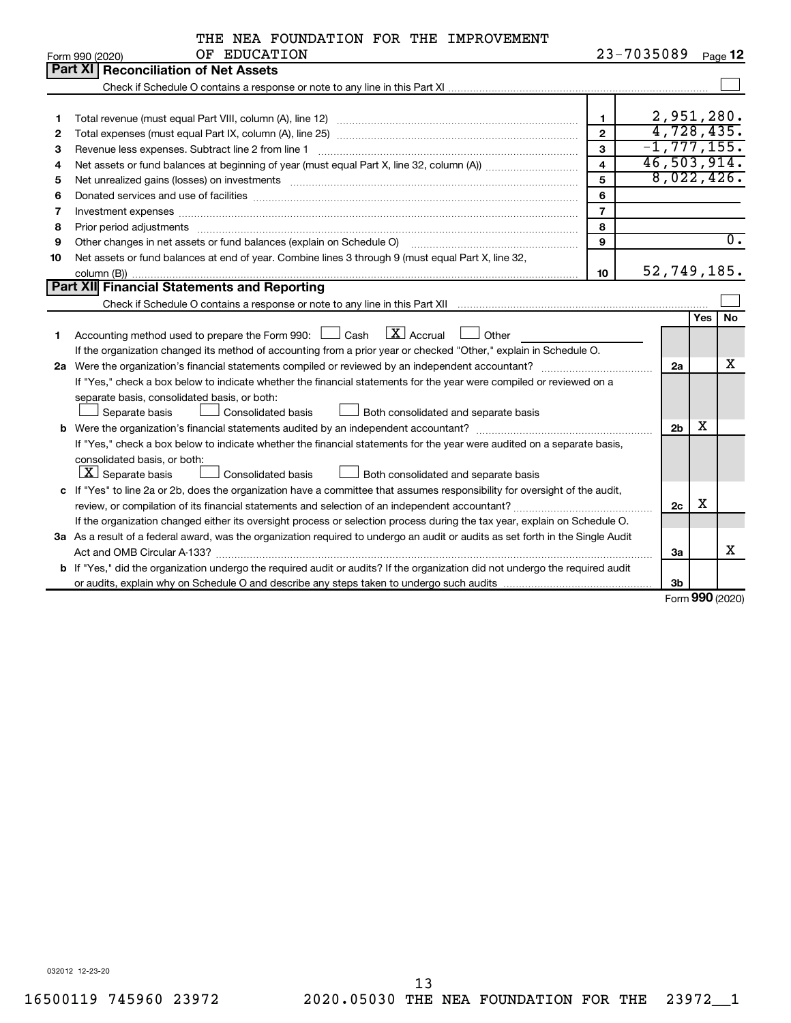|    | THE NEA FOUNDATION FOR THE IMPROVEMENT                                                                                                                                                                                        |                |            |                 |            |                  |  |  |  |
|----|-------------------------------------------------------------------------------------------------------------------------------------------------------------------------------------------------------------------------------|----------------|------------|-----------------|------------|------------------|--|--|--|
|    | OF EDUCATION<br>Form 990 (2020)                                                                                                                                                                                               |                | 23-7035089 |                 |            | Page 12          |  |  |  |
|    | Part XI   Reconciliation of Net Assets                                                                                                                                                                                        |                |            |                 |            |                  |  |  |  |
|    |                                                                                                                                                                                                                               |                |            |                 |            |                  |  |  |  |
|    |                                                                                                                                                                                                                               |                |            |                 |            |                  |  |  |  |
| 1  |                                                                                                                                                                                                                               | $\blacksquare$ |            | 2,951,280.      |            |                  |  |  |  |
| 2  |                                                                                                                                                                                                                               | $\mathbf{2}$   |            | 4,728,435.      |            |                  |  |  |  |
| З  | Revenue less expenses. Subtract line 2 from line 1                                                                                                                                                                            | 3              |            | $-1, 777, 155.$ |            |                  |  |  |  |
| 4  | 46,503,914.<br>$\overline{\mathbf{4}}$                                                                                                                                                                                        |                |            |                 |            |                  |  |  |  |
| 5  | Net unrealized gains (losses) on investments [11] matter in the content of the state of the state of the state of the state of the state of the state of the state of the state of the state of the state of the state of the | 5              |            | 8,022,426.      |            |                  |  |  |  |
| 6  |                                                                                                                                                                                                                               | 6              |            |                 |            |                  |  |  |  |
| 7  | Investment expenses www.communication.com/www.communication.com/www.communication.com/www.com                                                                                                                                 | $\overline{7}$ |            |                 |            |                  |  |  |  |
| 8  | Prior period adjustments www.communication.communication.com/news/communication.com/news/communication.com/news/                                                                                                              | 8              |            |                 |            |                  |  |  |  |
| 9  | Other changes in net assets or fund balances (explain on Schedule O)                                                                                                                                                          | 9              |            |                 |            | $\overline{0}$ . |  |  |  |
| 10 | Net assets or fund balances at end of year. Combine lines 3 through 9 (must equal Part X, line 32,                                                                                                                            |                |            |                 |            |                  |  |  |  |
|    |                                                                                                                                                                                                                               | 10             |            | 52,749,185.     |            |                  |  |  |  |
|    | Part XII Financial Statements and Reporting                                                                                                                                                                                   |                |            |                 |            |                  |  |  |  |
|    |                                                                                                                                                                                                                               |                |            |                 |            |                  |  |  |  |
|    |                                                                                                                                                                                                                               |                |            |                 | <b>Yes</b> | <b>No</b>        |  |  |  |
| 1  | $\mathbf{X}$ Accrual<br>Accounting method used to prepare the Form 990: $\Box$ Cash<br>Other                                                                                                                                  |                |            |                 |            |                  |  |  |  |
|    | If the organization changed its method of accounting from a prior year or checked "Other," explain in Schedule O.                                                                                                             |                |            |                 |            |                  |  |  |  |
|    |                                                                                                                                                                                                                               |                |            | 2a              |            | x                |  |  |  |
|    | If "Yes," check a box below to indicate whether the financial statements for the year were compiled or reviewed on a                                                                                                          |                |            |                 |            |                  |  |  |  |
|    | separate basis, consolidated basis, or both:                                                                                                                                                                                  |                |            |                 |            |                  |  |  |  |
|    | Separate basis<br><b>Consolidated basis</b><br><b>Let also be Both consolidated and separate basis</b>                                                                                                                        |                |            |                 |            |                  |  |  |  |
|    |                                                                                                                                                                                                                               |                |            | 2 <sub>b</sub>  | x          |                  |  |  |  |
|    | If "Yes," check a box below to indicate whether the financial statements for the year were audited on a separate basis,                                                                                                       |                |            |                 |            |                  |  |  |  |
|    | consolidated basis, or both:                                                                                                                                                                                                  |                |            |                 |            |                  |  |  |  |
|    | $\boxed{\textbf{X}}$ Separate basis<br>Consolidated basis<br>Both consolidated and separate basis                                                                                                                             |                |            |                 |            |                  |  |  |  |
|    | c If "Yes" to line 2a or 2b, does the organization have a committee that assumes responsibility for oversight of the audit,                                                                                                   |                |            |                 |            |                  |  |  |  |
|    |                                                                                                                                                                                                                               |                |            | 2c              | X          |                  |  |  |  |
|    | If the organization changed either its oversight process or selection process during the tax year, explain on Schedule O.                                                                                                     |                |            |                 |            |                  |  |  |  |
|    | 3a As a result of a federal award, was the organization required to undergo an audit or audits as set forth in the Single Audit                                                                                               |                |            |                 |            |                  |  |  |  |
|    |                                                                                                                                                                                                                               |                |            | 3a              |            | х                |  |  |  |
|    | b If "Yes," did the organization undergo the required audit or audits? If the organization did not undergo the required audit                                                                                                 |                |            |                 |            |                  |  |  |  |
|    |                                                                                                                                                                                                                               |                |            | 3 <sub>b</sub>  |            |                  |  |  |  |

Form (2020) **990**

032012 12-23-20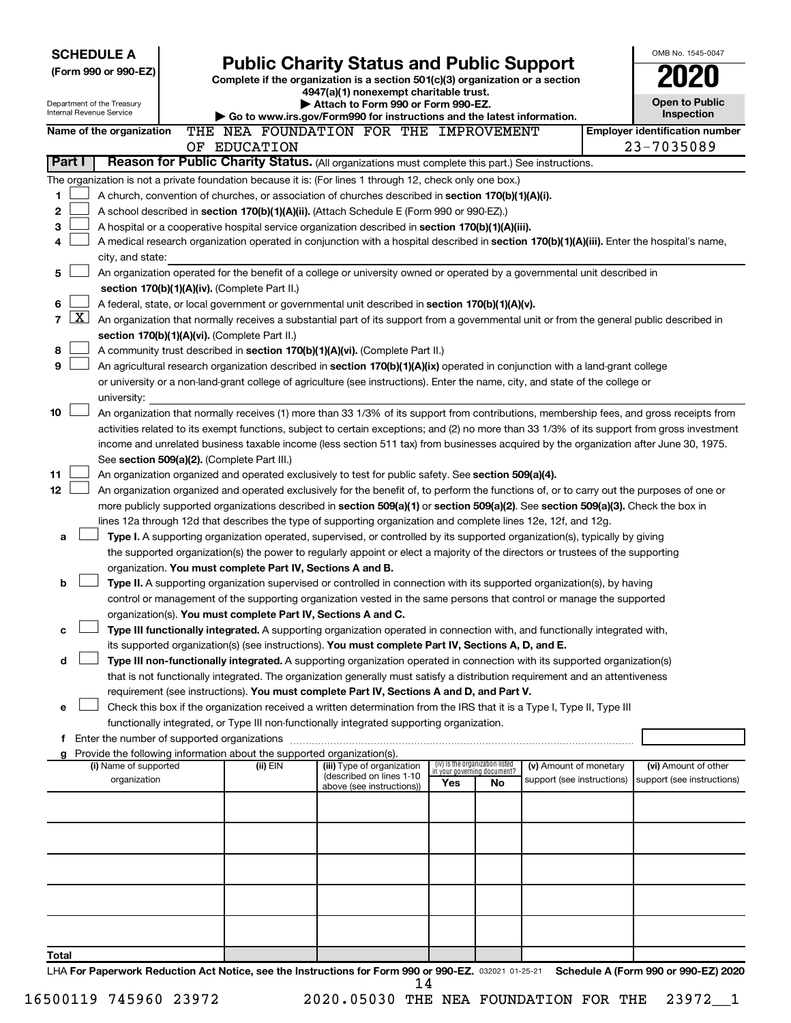| <b>SCHEDULE A</b>                                      |                                                                        |                                                                                                                                              |     |                                                                |                                                      | OMB No. 1545-0047                                   |
|--------------------------------------------------------|------------------------------------------------------------------------|----------------------------------------------------------------------------------------------------------------------------------------------|-----|----------------------------------------------------------------|------------------------------------------------------|-----------------------------------------------------|
| (Form 990 or 990-EZ)                                   |                                                                        | <b>Public Charity Status and Public Support</b><br>Complete if the organization is a section 501(c)(3) organization or a section             |     |                                                                |                                                      |                                                     |
|                                                        |                                                                        | 4947(a)(1) nonexempt charitable trust.                                                                                                       |     |                                                                |                                                      |                                                     |
| Department of the Treasury<br>Internal Revenue Service |                                                                        | Attach to Form 990 or Form 990-EZ.                                                                                                           |     |                                                                |                                                      | <b>Open to Public</b>                               |
|                                                        |                                                                        | Go to www.irs.gov/Form990 for instructions and the latest information.                                                                       |     |                                                                |                                                      | <b>Inspection</b>                                   |
| Name of the organization                               | OF EDUCATION                                                           | THE NEA FOUNDATION FOR THE IMPROVEMENT                                                                                                       |     |                                                                |                                                      | <b>Employer identification number</b><br>23-7035089 |
| Part I                                                 |                                                                        | Reason for Public Charity Status. (All organizations must complete this part.) See instructions.                                             |     |                                                                |                                                      |                                                     |
|                                                        |                                                                        | The organization is not a private foundation because it is: (For lines 1 through 12, check only one box.)                                    |     |                                                                |                                                      |                                                     |
| 1                                                      |                                                                        | A church, convention of churches, or association of churches described in section 170(b)(1)(A)(i).                                           |     |                                                                |                                                      |                                                     |
| 2                                                      |                                                                        | A school described in section 170(b)(1)(A)(ii). (Attach Schedule E (Form 990 or 990-EZ).)                                                    |     |                                                                |                                                      |                                                     |
| 3                                                      |                                                                        | A hospital or a cooperative hospital service organization described in section 170(b)(1)(A)(iii).                                            |     |                                                                |                                                      |                                                     |
| 4                                                      |                                                                        | A medical research organization operated in conjunction with a hospital described in section 170(b)(1)(A)(iii). Enter the hospital's name,   |     |                                                                |                                                      |                                                     |
| city, and state:                                       |                                                                        |                                                                                                                                              |     |                                                                |                                                      |                                                     |
| 5                                                      |                                                                        | An organization operated for the benefit of a college or university owned or operated by a governmental unit described in                    |     |                                                                |                                                      |                                                     |
|                                                        | section 170(b)(1)(A)(iv). (Complete Part II.)                          |                                                                                                                                              |     |                                                                |                                                      |                                                     |
| 6                                                      |                                                                        | A federal, state, or local government or governmental unit described in section $170(b)(1)(A)(v)$ .                                          |     |                                                                |                                                      |                                                     |
| $\mathbf{X}$<br>$\overline{7}$                         |                                                                        | An organization that normally receives a substantial part of its support from a governmental unit or from the general public described in    |     |                                                                |                                                      |                                                     |
|                                                        | section 170(b)(1)(A)(vi). (Complete Part II.)                          |                                                                                                                                              |     |                                                                |                                                      |                                                     |
| 8                                                      |                                                                        | A community trust described in section 170(b)(1)(A)(vi). (Complete Part II.)                                                                 |     |                                                                |                                                      |                                                     |
| 9                                                      |                                                                        | An agricultural research organization described in section 170(b)(1)(A)(ix) operated in conjunction with a land-grant college                |     |                                                                |                                                      |                                                     |
|                                                        |                                                                        | or university or a non-land-grant college of agriculture (see instructions). Enter the name, city, and state of the college or               |     |                                                                |                                                      |                                                     |
| university:<br>10                                      |                                                                        | An organization that normally receives (1) more than 33 1/3% of its support from contributions, membership fees, and gross receipts from     |     |                                                                |                                                      |                                                     |
|                                                        |                                                                        | activities related to its exempt functions, subject to certain exceptions; and (2) no more than 33 1/3% of its support from gross investment |     |                                                                |                                                      |                                                     |
|                                                        |                                                                        | income and unrelated business taxable income (less section 511 tax) from businesses acquired by the organization after June 30, 1975.        |     |                                                                |                                                      |                                                     |
|                                                        | See section 509(a)(2). (Complete Part III.)                            |                                                                                                                                              |     |                                                                |                                                      |                                                     |
| 11                                                     |                                                                        | An organization organized and operated exclusively to test for public safety. See section 509(a)(4).                                         |     |                                                                |                                                      |                                                     |
| 12                                                     |                                                                        | An organization organized and operated exclusively for the benefit of, to perform the functions of, or to carry out the purposes of one or   |     |                                                                |                                                      |                                                     |
|                                                        |                                                                        | more publicly supported organizations described in section 509(a)(1) or section 509(a)(2). See section 509(a)(3). Check the box in           |     |                                                                |                                                      |                                                     |
|                                                        |                                                                        | lines 12a through 12d that describes the type of supporting organization and complete lines 12e, 12f, and 12g.                               |     |                                                                |                                                      |                                                     |
| a                                                      |                                                                        | Type I. A supporting organization operated, supervised, or controlled by its supported organization(s), typically by giving                  |     |                                                                |                                                      |                                                     |
|                                                        |                                                                        | the supported organization(s) the power to regularly appoint or elect a majority of the directors or trustees of the supporting              |     |                                                                |                                                      |                                                     |
|                                                        | organization. You must complete Part IV, Sections A and B.             |                                                                                                                                              |     |                                                                |                                                      |                                                     |
| b                                                      |                                                                        | Type II. A supporting organization supervised or controlled in connection with its supported organization(s), by having                      |     |                                                                |                                                      |                                                     |
|                                                        |                                                                        | control or management of the supporting organization vested in the same persons that control or manage the supported                         |     |                                                                |                                                      |                                                     |
|                                                        | organization(s). You must complete Part IV, Sections A and C.          | Type III functionally integrated. A supporting organization operated in connection with, and functionally integrated with,                   |     |                                                                |                                                      |                                                     |
| с                                                      |                                                                        | its supported organization(s) (see instructions). You must complete Part IV, Sections A, D, and E.                                           |     |                                                                |                                                      |                                                     |
| d                                                      |                                                                        | Type III non-functionally integrated. A supporting organization operated in connection with its supported organization(s)                    |     |                                                                |                                                      |                                                     |
|                                                        |                                                                        | that is not functionally integrated. The organization generally must satisfy a distribution requirement and an attentiveness                 |     |                                                                |                                                      |                                                     |
|                                                        |                                                                        | requirement (see instructions). You must complete Part IV, Sections A and D, and Part V.                                                     |     |                                                                |                                                      |                                                     |
| е                                                      |                                                                        | Check this box if the organization received a written determination from the IRS that it is a Type I, Type II, Type III                      |     |                                                                |                                                      |                                                     |
|                                                        |                                                                        | functionally integrated, or Type III non-functionally integrated supporting organization.                                                    |     |                                                                |                                                      |                                                     |
|                                                        |                                                                        |                                                                                                                                              |     |                                                                |                                                      |                                                     |
| g                                                      | Provide the following information about the supported organization(s). |                                                                                                                                              |     |                                                                |                                                      |                                                     |
| (i) Name of supported<br>organization                  | (ii) EIN                                                               | (iii) Type of organization<br>(described on lines 1-10                                                                                       |     | (iv) Is the organization listed<br>in your governing document? | (v) Amount of monetary<br>support (see instructions) | (vi) Amount of other<br>support (see instructions)  |
|                                                        |                                                                        | above (see instructions))                                                                                                                    | Yes | No                                                             |                                                      |                                                     |
|                                                        |                                                                        |                                                                                                                                              |     |                                                                |                                                      |                                                     |
|                                                        |                                                                        |                                                                                                                                              |     |                                                                |                                                      |                                                     |
|                                                        |                                                                        |                                                                                                                                              |     |                                                                |                                                      |                                                     |
|                                                        |                                                                        |                                                                                                                                              |     |                                                                |                                                      |                                                     |
|                                                        |                                                                        |                                                                                                                                              |     |                                                                |                                                      |                                                     |
|                                                        |                                                                        |                                                                                                                                              |     |                                                                |                                                      |                                                     |
|                                                        |                                                                        |                                                                                                                                              |     |                                                                |                                                      |                                                     |
|                                                        |                                                                        |                                                                                                                                              |     |                                                                |                                                      |                                                     |
|                                                        |                                                                        |                                                                                                                                              |     |                                                                |                                                      |                                                     |
| Total                                                  |                                                                        |                                                                                                                                              |     |                                                                |                                                      |                                                     |
|                                                        |                                                                        | UA For Panorwork Poduction Act Notice, soo the Instructions for Form 000 or 000-F7, 000001 01:05:01 Schodule A (Form 000 or 000-F7) 2020     |     |                                                                |                                                      |                                                     |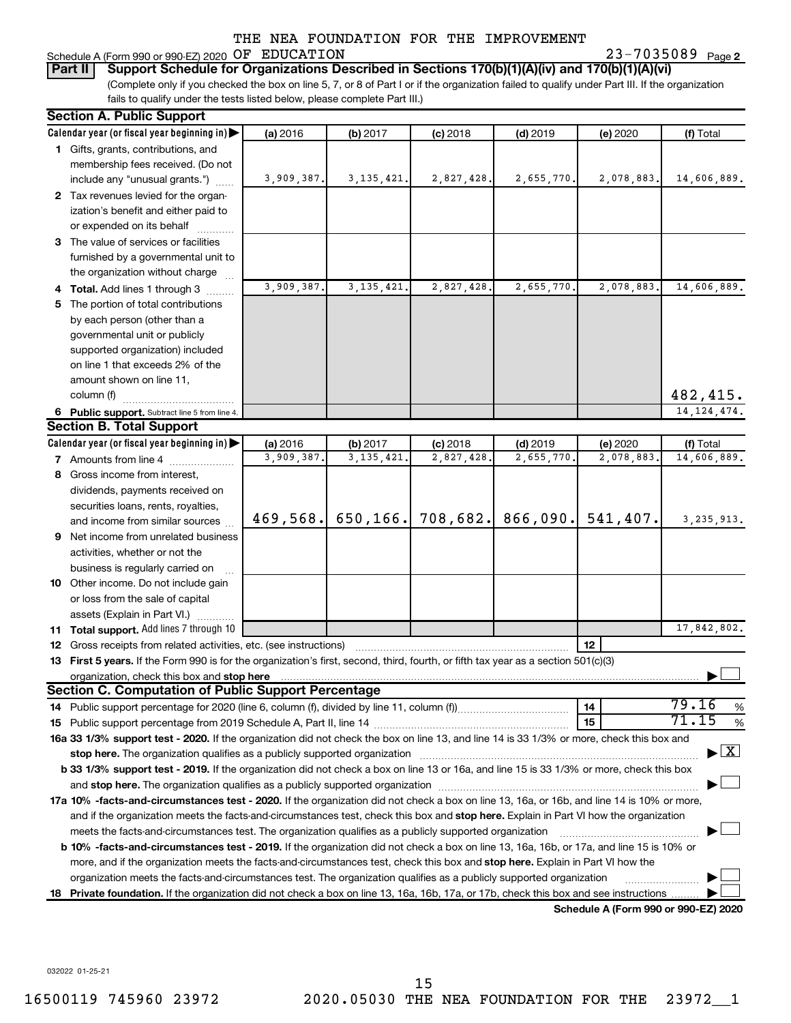# Schedule A (Form 990 or 990-EZ) 2020  $OF$   $EDUCATION$   $23-7035089$   $Page$

23-7035089 Page 2

(Complete only if you checked the box on line 5, 7, or 8 of Part I or if the organization failed to qualify under Part III. If the organization fails to qualify under the tests listed below, please complete Part III.) **Part II Support Schedule for Organizations Described in Sections 170(b)(1)(A)(iv) and 170(b)(1)(A)(vi)**

|    | <b>Section A. Public Support</b>                                                                                                                                                                                                                 |            |              |            |                     |                                      |                                          |  |  |  |
|----|--------------------------------------------------------------------------------------------------------------------------------------------------------------------------------------------------------------------------------------------------|------------|--------------|------------|---------------------|--------------------------------------|------------------------------------------|--|--|--|
|    | Calendar year (or fiscal year beginning in)                                                                                                                                                                                                      | (a) 2016   | (b) 2017     | $(c)$ 2018 | $(d)$ 2019          | (e) 2020                             | (f) Total                                |  |  |  |
|    | 1 Gifts, grants, contributions, and                                                                                                                                                                                                              |            |              |            |                     |                                      |                                          |  |  |  |
|    | membership fees received. (Do not                                                                                                                                                                                                                |            |              |            |                     |                                      |                                          |  |  |  |
|    | include any "unusual grants.")                                                                                                                                                                                                                   | 3,909,387. | 3, 135, 421. | 2,827,428. | 2,655,770.          | 2,078,883.                           | 14,606,889.                              |  |  |  |
|    | 2 Tax revenues levied for the organ-                                                                                                                                                                                                             |            |              |            |                     |                                      |                                          |  |  |  |
|    | ization's benefit and either paid to                                                                                                                                                                                                             |            |              |            |                     |                                      |                                          |  |  |  |
|    | or expended on its behalf                                                                                                                                                                                                                        |            |              |            |                     |                                      |                                          |  |  |  |
|    | 3 The value of services or facilities                                                                                                                                                                                                            |            |              |            |                     |                                      |                                          |  |  |  |
|    | furnished by a governmental unit to                                                                                                                                                                                                              |            |              |            |                     |                                      |                                          |  |  |  |
|    | the organization without charge                                                                                                                                                                                                                  |            |              |            |                     |                                      |                                          |  |  |  |
|    | 4 Total. Add lines 1 through 3                                                                                                                                                                                                                   | 3,909,387. | 3, 135, 421. | 2,827,428. | 2,655,770.          | 2,078,883.                           | 14,606,889.                              |  |  |  |
| 5. | The portion of total contributions                                                                                                                                                                                                               |            |              |            |                     |                                      |                                          |  |  |  |
|    | by each person (other than a                                                                                                                                                                                                                     |            |              |            |                     |                                      |                                          |  |  |  |
|    | governmental unit or publicly                                                                                                                                                                                                                    |            |              |            |                     |                                      |                                          |  |  |  |
|    | supported organization) included                                                                                                                                                                                                                 |            |              |            |                     |                                      |                                          |  |  |  |
|    | on line 1 that exceeds 2% of the                                                                                                                                                                                                                 |            |              |            |                     |                                      |                                          |  |  |  |
|    | amount shown on line 11,                                                                                                                                                                                                                         |            |              |            |                     |                                      |                                          |  |  |  |
|    | column (f)                                                                                                                                                                                                                                       |            |              |            |                     |                                      | 482,415.                                 |  |  |  |
|    | 6 Public support. Subtract line 5 from line 4.                                                                                                                                                                                                   |            |              |            |                     |                                      | 14, 124, 474.                            |  |  |  |
|    | <b>Section B. Total Support</b>                                                                                                                                                                                                                  |            |              |            |                     |                                      |                                          |  |  |  |
|    | Calendar year (or fiscal year beginning in)                                                                                                                                                                                                      | (a) 2016   | (b) 2017     | $(c)$ 2018 | $(d)$ 2019          | (e) 2020                             | (f) Total                                |  |  |  |
|    | <b>7</b> Amounts from line 4                                                                                                                                                                                                                     | 3,909,387. | 3, 135, 421. | 2,827,428. | 2,655,770           | 2,078,883.                           | 14,606,889.                              |  |  |  |
|    | 8 Gross income from interest,                                                                                                                                                                                                                    |            |              |            |                     |                                      |                                          |  |  |  |
|    | dividends, payments received on                                                                                                                                                                                                                  |            |              |            |                     |                                      |                                          |  |  |  |
|    | securities loans, rents, royalties,                                                                                                                                                                                                              |            |              |            |                     |                                      |                                          |  |  |  |
|    | and income from similar sources                                                                                                                                                                                                                  | 469,568.   | 650, 166.    |            | $708,682.$ 866,090. | 541,407.                             | 3, 235, 913.                             |  |  |  |
| 9  | Net income from unrelated business                                                                                                                                                                                                               |            |              |            |                     |                                      |                                          |  |  |  |
|    | activities, whether or not the                                                                                                                                                                                                                   |            |              |            |                     |                                      |                                          |  |  |  |
|    | business is regularly carried on                                                                                                                                                                                                                 |            |              |            |                     |                                      |                                          |  |  |  |
|    | 10 Other income. Do not include gain                                                                                                                                                                                                             |            |              |            |                     |                                      |                                          |  |  |  |
|    | or loss from the sale of capital                                                                                                                                                                                                                 |            |              |            |                     |                                      |                                          |  |  |  |
|    | assets (Explain in Part VI.)                                                                                                                                                                                                                     |            |              |            |                     |                                      |                                          |  |  |  |
|    | 11 Total support. Add lines 7 through 10                                                                                                                                                                                                         |            |              |            |                     |                                      | 17,842,802.                              |  |  |  |
|    | 12 Gross receipts from related activities, etc. (see instructions)                                                                                                                                                                               |            |              |            |                     | 12                                   |                                          |  |  |  |
|    | 13 First 5 years. If the Form 990 is for the organization's first, second, third, fourth, or fifth tax year as a section 501(c)(3)                                                                                                               |            |              |            |                     |                                      |                                          |  |  |  |
|    | organization, check this box and stop here                                                                                                                                                                                                       |            |              |            |                     |                                      |                                          |  |  |  |
|    | Section C. Computation of Public Support Percentage                                                                                                                                                                                              |            |              |            |                     |                                      |                                          |  |  |  |
|    |                                                                                                                                                                                                                                                  |            |              |            |                     | 14                                   | 79.16<br>%                               |  |  |  |
|    |                                                                                                                                                                                                                                                  |            |              |            |                     | 15                                   | 71.15<br>%                               |  |  |  |
|    | 16a 33 1/3% support test - 2020. If the organization did not check the box on line 13, and line 14 is 33 1/3% or more, check this box and                                                                                                        |            |              |            |                     |                                      |                                          |  |  |  |
|    |                                                                                                                                                                                                                                                  |            |              |            |                     |                                      | $\blacktriangleright$ $\boxed{\text{X}}$ |  |  |  |
|    | b 33 1/3% support test - 2019. If the organization did not check a box on line 13 or 16a, and line 15 is 33 1/3% or more, check this box                                                                                                         |            |              |            |                     |                                      |                                          |  |  |  |
|    |                                                                                                                                                                                                                                                  |            |              |            |                     |                                      |                                          |  |  |  |
|    | 17a 10% -facts-and-circumstances test - 2020. If the organization did not check a box on line 13, 16a, or 16b, and line 14 is 10% or more,                                                                                                       |            |              |            |                     |                                      |                                          |  |  |  |
|    |                                                                                                                                                                                                                                                  |            |              |            |                     |                                      |                                          |  |  |  |
|    | and if the organization meets the facts-and-circumstances test, check this box and stop here. Explain in Part VI how the organization<br>meets the facts-and-circumstances test. The organization qualifies as a publicly supported organization |            |              |            |                     |                                      |                                          |  |  |  |
|    | <b>b 10%</b> -facts-and-circumstances test - 2019. If the organization did not check a box on line 13, 16a, 16b, or 17a, and line 15 is 10% or                                                                                                   |            |              |            |                     |                                      |                                          |  |  |  |
|    | more, and if the organization meets the facts-and-circumstances test, check this box and <b>stop here.</b> Explain in Part VI how the                                                                                                            |            |              |            |                     |                                      |                                          |  |  |  |
|    | organization meets the facts-and-circumstances test. The organization qualifies as a publicly supported organization                                                                                                                             |            |              |            |                     |                                      |                                          |  |  |  |
| 18 | Private foundation. If the organization did not check a box on line 13, 16a, 16b, 17a, or 17b, check this box and see instructions                                                                                                               |            |              |            |                     |                                      |                                          |  |  |  |
|    |                                                                                                                                                                                                                                                  |            |              |            |                     | Schedule A (Form 990 or 990-F7) 2020 |                                          |  |  |  |

**Schedule A (Form 990 or 990-EZ) 2020**

032022 01-25-21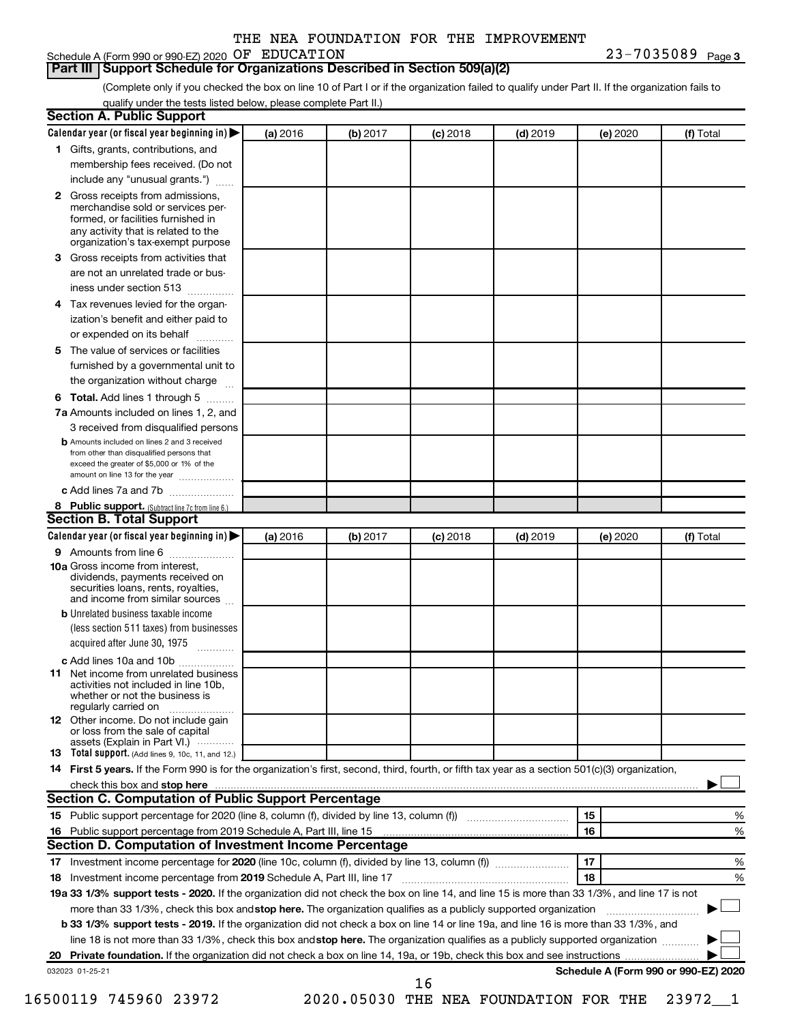## Schedule A (Form 990 or 990-EZ) 2020  $OF$   $EDUCATION$   $23-7035089$   $Page$

23-7035089 Page 3

#### **Part III Support Schedule for Organizations Described in Section 509(a)(2)**

(Complete only if you checked the box on line 10 of Part I or if the organization failed to qualify under Part II. If the organization fails to qualify under the tests listed below, please complete Part II.)

| <b>Section A. Public Support</b>                                                                                                                                                                                               |          |          |            |            |          |                                      |
|--------------------------------------------------------------------------------------------------------------------------------------------------------------------------------------------------------------------------------|----------|----------|------------|------------|----------|--------------------------------------|
| Calendar year (or fiscal year beginning in)                                                                                                                                                                                    | (a) 2016 | (b) 2017 | $(c)$ 2018 | $(d)$ 2019 | (e) 2020 | (f) Total                            |
| 1 Gifts, grants, contributions, and                                                                                                                                                                                            |          |          |            |            |          |                                      |
| membership fees received. (Do not                                                                                                                                                                                              |          |          |            |            |          |                                      |
| include any "unusual grants.")                                                                                                                                                                                                 |          |          |            |            |          |                                      |
| 2 Gross receipts from admissions,<br>merchandise sold or services per-<br>formed, or facilities furnished in<br>any activity that is related to the<br>organization's tax-exempt purpose                                       |          |          |            |            |          |                                      |
| 3 Gross receipts from activities that                                                                                                                                                                                          |          |          |            |            |          |                                      |
| are not an unrelated trade or bus-                                                                                                                                                                                             |          |          |            |            |          |                                      |
| iness under section 513                                                                                                                                                                                                        |          |          |            |            |          |                                      |
| 4 Tax revenues levied for the organ-                                                                                                                                                                                           |          |          |            |            |          |                                      |
| ization's benefit and either paid to<br>or expended on its behalf                                                                                                                                                              |          |          |            |            |          |                                      |
| 5 The value of services or facilities                                                                                                                                                                                          |          |          |            |            |          |                                      |
| furnished by a governmental unit to                                                                                                                                                                                            |          |          |            |            |          |                                      |
| the organization without charge                                                                                                                                                                                                |          |          |            |            |          |                                      |
| 6 Total. Add lines 1 through 5                                                                                                                                                                                                 |          |          |            |            |          |                                      |
| 7a Amounts included on lines 1, 2, and                                                                                                                                                                                         |          |          |            |            |          |                                      |
| 3 received from disqualified persons                                                                                                                                                                                           |          |          |            |            |          |                                      |
| <b>b</b> Amounts included on lines 2 and 3 received<br>from other than disqualified persons that<br>exceed the greater of \$5,000 or 1% of the<br>amount on line 13 for the year                                               |          |          |            |            |          |                                      |
| c Add lines 7a and 7b                                                                                                                                                                                                          |          |          |            |            |          |                                      |
| 8 Public support. (Subtract line 7c from line 6.)                                                                                                                                                                              |          |          |            |            |          |                                      |
| <b>Section B. Total Support</b>                                                                                                                                                                                                |          |          |            |            |          |                                      |
| Calendar year (or fiscal year beginning in)                                                                                                                                                                                    | (a) 2016 | (b) 2017 | $(c)$ 2018 | $(d)$ 2019 | (e) 2020 | (f) Total                            |
| <b>9</b> Amounts from line 6                                                                                                                                                                                                   |          |          |            |            |          |                                      |
| <b>10a</b> Gross income from interest,<br>dividends, payments received on<br>securities loans, rents, royalties,<br>and income from similar sources                                                                            |          |          |            |            |          |                                      |
| <b>b</b> Unrelated business taxable income<br>(less section 511 taxes) from businesses<br>acquired after June 30, 1975                                                                                                         |          |          |            |            |          |                                      |
| c Add lines 10a and 10b<br>11 Net income from unrelated business<br>activities not included in line 10b.<br>whether or not the business is<br>regularly carried on<br><b>12</b> Other income. Do not include gain              |          |          |            |            |          |                                      |
| or loss from the sale of capital<br>assets (Explain in Part VI.)                                                                                                                                                               |          |          |            |            |          |                                      |
| <b>13</b> Total support. (Add lines 9, 10c, 11, and 12.)                                                                                                                                                                       |          |          |            |            |          |                                      |
| 14 First 5 years. If the Form 990 is for the organization's first, second, third, fourth, or fifth tax year as a section 501(c)(3) organization,                                                                               |          |          |            |            |          |                                      |
| check this box and stop here manufactured and stop here and stop here are manufactured and stop here and stop here and stop here and stop here and stop here and stop here and stop here are all the stop of the stop of the s |          |          |            |            |          |                                      |
| <b>Section C. Computation of Public Support Percentage</b>                                                                                                                                                                     |          |          |            |            |          |                                      |
|                                                                                                                                                                                                                                |          |          |            |            | 15       | ℅                                    |
| 16 Public support percentage from 2019 Schedule A, Part III, line 15                                                                                                                                                           |          |          |            |            | 16       | %                                    |
| Section D. Computation of Investment Income Percentage                                                                                                                                                                         |          |          |            |            |          |                                      |
|                                                                                                                                                                                                                                |          |          |            |            | 17       | %                                    |
| 18 Investment income percentage from 2019 Schedule A, Part III, line 17                                                                                                                                                        |          |          |            |            | 18       | %                                    |
| 19a 33 1/3% support tests - 2020. If the organization did not check the box on line 14, and line 15 is more than 33 1/3%, and line 17 is not                                                                                   |          |          |            |            |          |                                      |
| more than 33 1/3%, check this box and stop here. The organization qualifies as a publicly supported organization                                                                                                               |          |          |            |            |          |                                      |
| b 33 1/3% support tests - 2019. If the organization did not check a box on line 14 or line 19a, and line 16 is more than 33 1/3%, and                                                                                          |          |          |            |            |          |                                      |
| line 18 is not more than 33 1/3%, check this box and stop here. The organization qualifies as a publicly supported organization                                                                                                |          |          |            |            |          |                                      |
|                                                                                                                                                                                                                                |          |          |            |            |          |                                      |
| 032023 01-25-21                                                                                                                                                                                                                |          |          | 16         |            |          | Schedule A (Form 990 or 990-EZ) 2020 |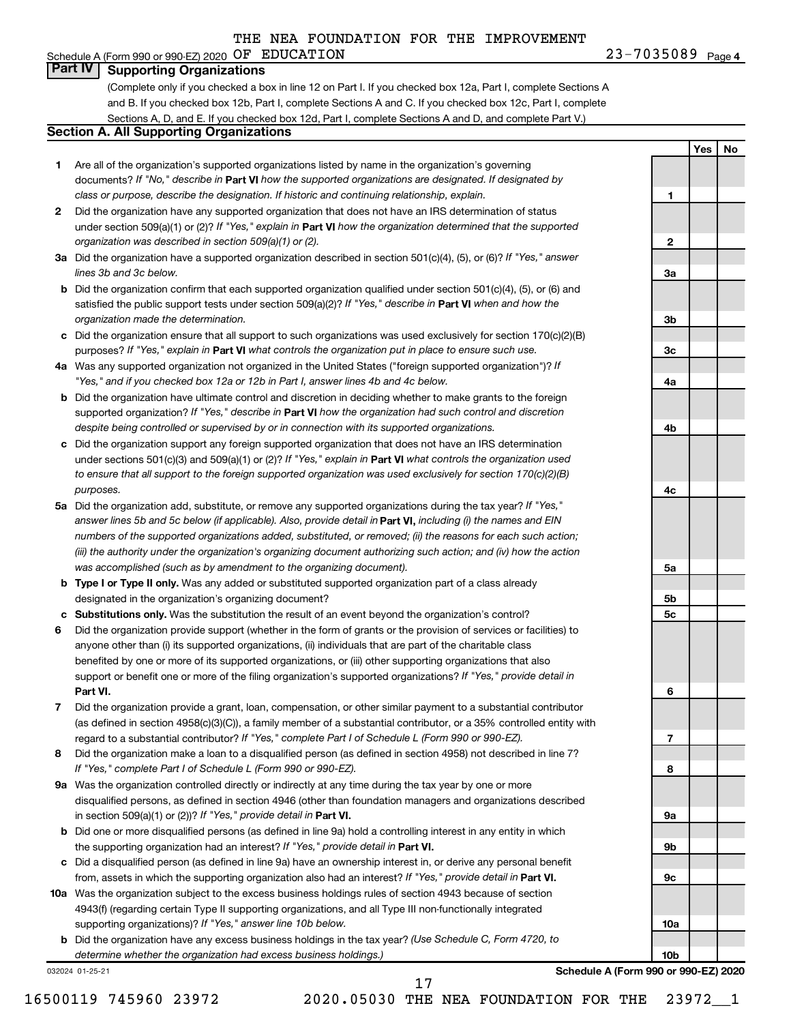# **Part IV Supporting Organizations**

(Complete only if you checked a box in line 12 on Part I. If you checked box 12a, Part I, complete Sections A and B. If you checked box 12b, Part I, complete Sections A and C. If you checked box 12c, Part I, complete Sections A, D, and E. If you checked box 12d, Part I, complete Sections A and D, and complete Part V.)

# **Section A. All Supporting Organizations**

- **1** Are all of the organization's supported organizations listed by name in the organization's governing documents? If "No," describe in Part VI how the supported organizations are designated. If designated by *class or purpose, describe the designation. If historic and continuing relationship, explain.*
- **2** Did the organization have any supported organization that does not have an IRS determination of status under section 509(a)(1) or (2)? If "Yes," explain in Part **VI** how the organization determined that the supported *organization was described in section 509(a)(1) or (2).*
- **3a** Did the organization have a supported organization described in section 501(c)(4), (5), or (6)? If "Yes," answer *lines 3b and 3c below.*
- **b** Did the organization confirm that each supported organization qualified under section 501(c)(4), (5), or (6) and satisfied the public support tests under section 509(a)(2)? If "Yes," describe in Part VI when and how the *organization made the determination.*
- **c** Did the organization ensure that all support to such organizations was used exclusively for section 170(c)(2)(B) purposes? If "Yes," explain in Part VI what controls the organization put in place to ensure such use.
- **4 a** *If* Was any supported organization not organized in the United States ("foreign supported organization")? *"Yes," and if you checked box 12a or 12b in Part I, answer lines 4b and 4c below.*
- **b** Did the organization have ultimate control and discretion in deciding whether to make grants to the foreign supported organization? If "Yes," describe in Part VI how the organization had such control and discretion *despite being controlled or supervised by or in connection with its supported organizations.*
- **c** Did the organization support any foreign supported organization that does not have an IRS determination under sections 501(c)(3) and 509(a)(1) or (2)? If "Yes," explain in Part VI what controls the organization used *to ensure that all support to the foreign supported organization was used exclusively for section 170(c)(2)(B) purposes.*
- **5a** Did the organization add, substitute, or remove any supported organizations during the tax year? If "Yes," answer lines 5b and 5c below (if applicable). Also, provide detail in **Part VI,** including (i) the names and EIN *numbers of the supported organizations added, substituted, or removed; (ii) the reasons for each such action; (iii) the authority under the organization's organizing document authorizing such action; and (iv) how the action was accomplished (such as by amendment to the organizing document).*
- **b Type I or Type II only.** Was any added or substituted supported organization part of a class already designated in the organization's organizing document?
- **c Substitutions only.**  Was the substitution the result of an event beyond the organization's control?
- **6** Did the organization provide support (whether in the form of grants or the provision of services or facilities) to **Part VI.** support or benefit one or more of the filing organization's supported organizations? If "Yes," provide detail in anyone other than (i) its supported organizations, (ii) individuals that are part of the charitable class benefited by one or more of its supported organizations, or (iii) other supporting organizations that also
- **7** Did the organization provide a grant, loan, compensation, or other similar payment to a substantial contributor regard to a substantial contributor? If "Yes," complete Part I of Schedule L (Form 990 or 990-EZ). (as defined in section 4958(c)(3)(C)), a family member of a substantial contributor, or a 35% controlled entity with
- **8** Did the organization make a loan to a disqualified person (as defined in section 4958) not described in line 7? *If "Yes," complete Part I of Schedule L (Form 990 or 990-EZ).*
- **9 a** Was the organization controlled directly or indirectly at any time during the tax year by one or more in section 509(a)(1) or (2))? If "Yes," provide detail in **Part VI.** disqualified persons, as defined in section 4946 (other than foundation managers and organizations described
- **b** Did one or more disqualified persons (as defined in line 9a) hold a controlling interest in any entity in which the supporting organization had an interest? If "Yes," provide detail in Part VI.
- **c** Did a disqualified person (as defined in line 9a) have an ownership interest in, or derive any personal benefit from, assets in which the supporting organization also had an interest? If "Yes," provide detail in Part VI.
- **10 a** Was the organization subject to the excess business holdings rules of section 4943 because of section supporting organizations)? If "Yes," answer line 10b below. 4943(f) (regarding certain Type II supporting organizations, and all Type III non-functionally integrated
	- **b** Did the organization have any excess business holdings in the tax year? (Use Schedule C, Form 4720, to *determine whether the organization had excess business holdings.)*

032024 01-25-21

**Schedule A (Form 990 or 990-EZ) 2020**

**1**

**2**

**3a**

**3b**

**3c**

**4a**

**4b**

**4c**

**5a**

**5b 5c**

**6**

**7**

**8**

**9a**

**9b**

**9c**

**10a**

**10b**

**Yes No**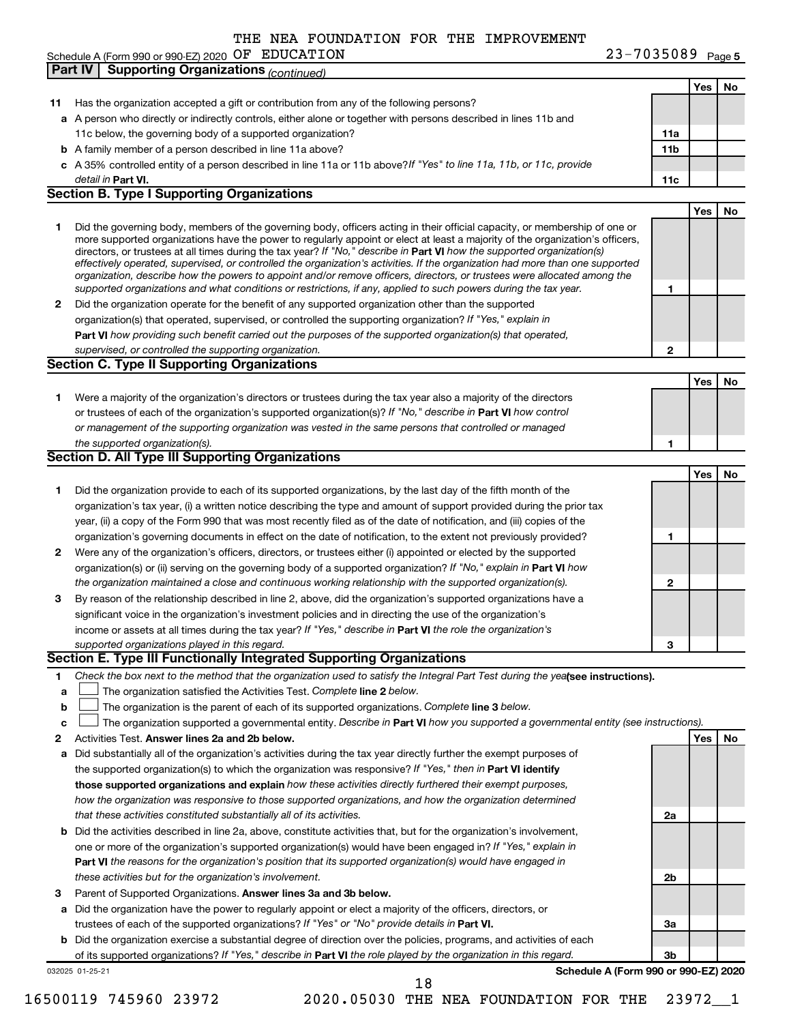**11** Has the organization accepted a gift or contribution from any of the following persons? **a** A person who directly or indirectly controls, either alone or together with persons described in lines 11b and **b** A family member of a person described in line 11a above? **c** *If "Yes" to line 11a, 11b, or 11c, provide* A 35% controlled entity of a person described in line 11a or 11b above? **Part VI. 11c** detail in Part VI. 11c below, the governing body of a supported organization? **Part IV Supporting Organizations** *(continued)* **Section B. Type I Supporting Organizations**

**1** Did the governing body, members of the governing body, officers acting in their official capacity, or membership of one or directors, or trustees at all times during the tax year? If "No," describe in Part VI how the supported organization(s) *effectively operated, supervised, or controlled the organization's activities. If the organization had more than one supported organization, describe how the powers to appoint and/or remove officers, directors, or trustees were allocated among the supported organizations and what conditions or restrictions, if any, applied to such powers during the tax year.* more supported organizations have the power to regularly appoint or elect at least a majority of the organization's officers,

**2** Did the organization operate for the benefit of any supported organization other than the supported **Part VI**  *how providing such benefit carried out the purposes of the supported organization(s) that operated,* organization(s) that operated, supervised, or controlled the supporting organization? If "Yes," explain in *supervised, or controlled the supporting organization.*

|                                                                                                                      |  | No |
|----------------------------------------------------------------------------------------------------------------------|--|----|
| Were a majority of the organization's directors or trustees during the tax year also a majority of the directors     |  |    |
| or trustees of each of the organization's supported organization(s)? If "No," describe in <b>Part VI</b> how control |  |    |
| or management of the supporting organization was vested in the same persons that controlled or managed               |  |    |
| the supported organization(s).                                                                                       |  |    |

|   | <u>security of the capperting organizations</u>                                                                        |  |
|---|------------------------------------------------------------------------------------------------------------------------|--|
|   |                                                                                                                        |  |
|   | Did the organization provide to each of its supported organizations, by the last day of the fifth month of the         |  |
|   | organization's tax year, (i) a written notice describing the type and amount of support provided during the prior tax  |  |
|   | year, (ii) a copy of the Form 990 that was most recently filed as of the date of notification, and (iii) copies of the |  |
|   | organization's governing documents in effect on the date of notification, to the extent not previously provided?       |  |
| 2 | Were any of the organization's officers, directors, or trustees either (i) appointed or elected by the supported       |  |
|   |                                                                                                                        |  |

|   | organization(s) or (ii) serving on the governing body of a supported organization? If "No," explain in Part VI how |   |  |
|---|--------------------------------------------------------------------------------------------------------------------|---|--|
|   | the organization maintained a close and continuous working relationship with the supported organization(s).        |   |  |
| з | By reason of the relationship described in line 2, above, did the organization's supported organizations have a    |   |  |
|   | significant voice in the organization's investment policies and in directing the use of the organization's         |   |  |
|   | income or assets at all times during the tax year? If "Yes," describe in Part VI the role the organization's       |   |  |
|   | supported organizations played in this regard.                                                                     | 3 |  |

#### **Section E. Type III Functionally Integrated Supporting Organizations**

- **1** Check the box next to the method that the organization used to satisfy the Integral Part Test during the yealsee instructions).
- **a The organization satisfied the Activities Test. Complete line 2 below.**
- **b** The organization is the parent of each of its supported organizations. Complete line 3 below.  $\Box$
- **c** The organization supported a governmental entity. Describe in Part VI how you supported a governmental entity (see instructions).  $\Box$
- **2 Answer lines 2a and 2b below. Yes No** Activities Test.

**Section C. Type II Supporting Organizations**

**Section D. All Type III Supporting Organizations**

- **a** Did substantially all of the organization's activities during the tax year directly further the exempt purposes of the supported organization(s) to which the organization was responsive? If "Yes," then in Part VI identify **those supported organizations and explain**  *how these activities directly furthered their exempt purposes, how the organization was responsive to those supported organizations, and how the organization determined that these activities constituted substantially all of its activities.*
- **b** Did the activities described in line 2a, above, constitute activities that, but for the organization's involvement, **Part VI**  *the reasons for the organization's position that its supported organization(s) would have engaged in* one or more of the organization's supported organization(s) would have been engaged in? If "Yes," explain in *these activities but for the organization's involvement.*
- 3 Parent of Supported Organizations. Answer lines 3a and 3b below.
- **a** Did the organization have the power to regularly appoint or elect a majority of the officers, directors, or trustees of each of the supported organizations? If "Yes" or "No" provide details in Part VI.
- **b** Did the organization exercise a substantial degree of direction over the policies, programs, and activities of each of its supported organizations? If "Yes," describe in Part VI the role played by the organization in this regard.

032025 01-25-21

**Schedule A (Form 990 or 990-EZ) 2020**

**2a**

**2b**

**3a**

**3b**

16500119 745960 23972 2020.05030 THE NEA FOUNDATION FOR THE 23972\_\_1 18

# **Yes No 11a 11b**

**1**

**2**

**Yes No**

**Yes No**

|                                                   |  |  | THE NEA FOUNDATION FOR THE IMPROVEMENT |                       |  |
|---------------------------------------------------|--|--|----------------------------------------|-----------------------|--|
| Schedule A (Form 990 or 990-EZ) 2020 OF EDUCATION |  |  |                                        | $23 - 7035089$ Page 5 |  |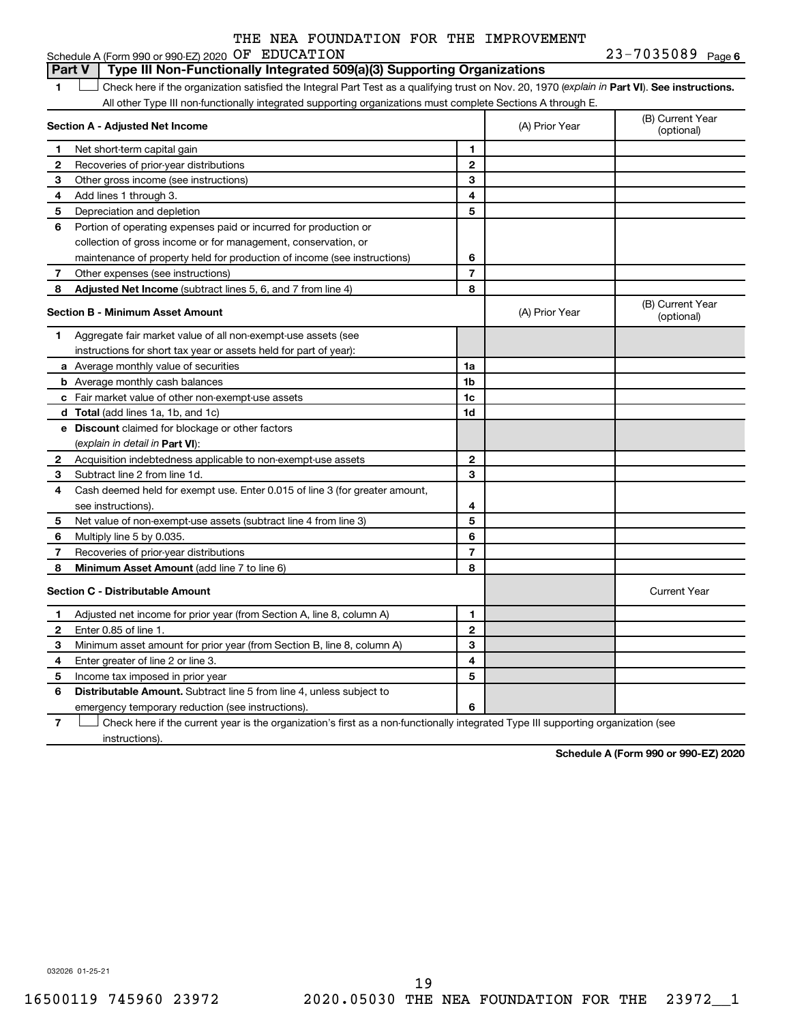|  |  |  |  | $23 - 7035089$ Page 6 |
|--|--|--|--|-----------------------|
|--|--|--|--|-----------------------|

1 **Letter See instructions.** Check here if the organization satisfied the Integral Part Test as a qualifying trust on Nov. 20, 1970 (*explain in* Part **VI**). See instructions. **Section A - Adjusted Net Income 1 2 3 4 5 6 7 8 1 2 3 4 5 6 7 Adjusted Net Income** (subtract lines 5, 6, and 7 from line 4) **8 8 Section B - Minimum Asset Amount 1 2 3 4 5 6 7 8 a** Average monthly value of securities **b** Average monthly cash balances **c** Fair market value of other non-exempt-use assets **d Total**  (add lines 1a, 1b, and 1c) **e Discount** claimed for blockage or other factors **1a 1b 1c 1d 2 3 4 5 6 7 8** (explain in detail in Part VI): **Minimum Asset Amount**  (add line 7 to line 6) **Section C - Distributable Amount 1 2 3 4 5 6 1 2 3 4 5 6** Distributable Amount. Subtract line 5 from line 4, unless subject to Schedule A (Form 990 or 990-EZ) 2020  $OF$   $EDUCATION$   $23-7035089$   $Page$ All other Type III non-functionally integrated supporting organizations must complete Sections A through E. (B) Current Year (A) Prior Year Net short-term capital gain Recoveries of prior-year distributions Other gross income (see instructions) Add lines 1 through 3. Depreciation and depletion Portion of operating expenses paid or incurred for production or collection of gross income or for management, conservation, or maintenance of property held for production of income (see instructions) Other expenses (see instructions) (B) Current Year  $(A)$  Prior Year  $\left\{\n\begin{array}{ccc}\n\end{array}\n\right\}$  (optional) Aggregate fair market value of all non-exempt-use assets (see instructions for short tax year or assets held for part of year): Acquisition indebtedness applicable to non-exempt-use assets Subtract line 2 from line 1d. Cash deemed held for exempt use. Enter 0.015 of line 3 (for greater amount, see instructions). Net value of non-exempt-use assets (subtract line 4 from line 3) Multiply line 5 by 0.035. Recoveries of prior-year distributions Current Year Adjusted net income for prior year (from Section A, line 8, column A) Enter 0.85 of line 1. Minimum asset amount for prior year (from Section B, line 8, column A) Enter greater of line 2 or line 3. Income tax imposed in prior year emergency temporary reduction (see instructions). **Part V Type III Non-Functionally Integrated 509(a)(3) Supporting Organizations** 

**7** Check here if the current year is the organization's first as a non-functionally integrated Type III supporting organization (see † instructions).

**Schedule A (Form 990 or 990-EZ) 2020**

032026 01-25-21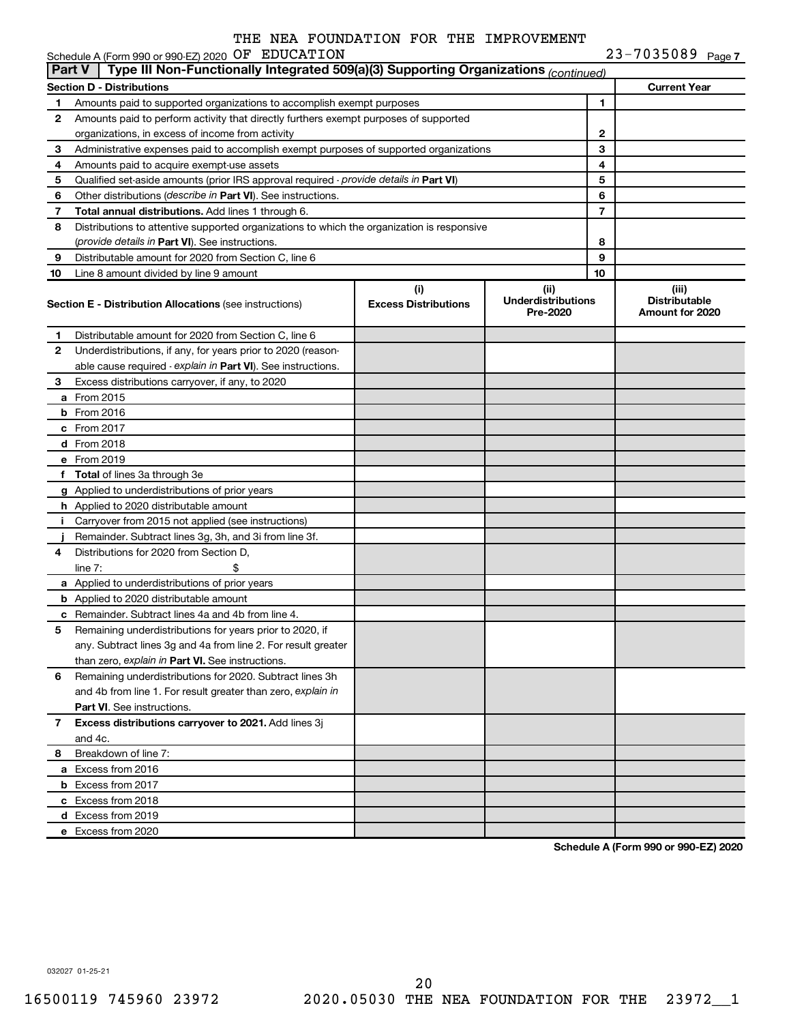|               | Schedule A (Form 990 or 990-EZ) 2020 OF EDUCATION                                          |                                                                                       |                                               |    | $23 - 7035089$ Page 7                            |  |  |  |  |
|---------------|--------------------------------------------------------------------------------------------|---------------------------------------------------------------------------------------|-----------------------------------------------|----|--------------------------------------------------|--|--|--|--|
| <b>Part V</b> | Type III Non-Functionally Integrated 509(a)(3) Supporting Organizations (continued)        |                                                                                       |                                               |    |                                                  |  |  |  |  |
|               | <b>Section D - Distributions</b>                                                           |                                                                                       |                                               |    | <b>Current Year</b>                              |  |  |  |  |
| 1             | Amounts paid to supported organizations to accomplish exempt purposes                      |                                                                                       |                                               | 1  |                                                  |  |  |  |  |
| 2             | Amounts paid to perform activity that directly furthers exempt purposes of supported       |                                                                                       |                                               |    |                                                  |  |  |  |  |
|               | organizations, in excess of income from activity                                           |                                                                                       | 2                                             |    |                                                  |  |  |  |  |
| 3             |                                                                                            | Administrative expenses paid to accomplish exempt purposes of supported organizations |                                               |    |                                                  |  |  |  |  |
| 4             | Amounts paid to acquire exempt-use assets                                                  |                                                                                       |                                               | 4  |                                                  |  |  |  |  |
| 5             | Qualified set-aside amounts (prior IRS approval required - provide details in Part VI)     |                                                                                       |                                               | 5  |                                                  |  |  |  |  |
| 6             | Other distributions (describe in Part VI). See instructions.                               |                                                                                       |                                               | 6  |                                                  |  |  |  |  |
| 7             | Total annual distributions. Add lines 1 through 6.                                         |                                                                                       |                                               | 7  |                                                  |  |  |  |  |
| 8             | Distributions to attentive supported organizations to which the organization is responsive |                                                                                       |                                               |    |                                                  |  |  |  |  |
|               | (provide details in Part VI). See instructions.                                            |                                                                                       |                                               | 8  |                                                  |  |  |  |  |
| 9             | Distributable amount for 2020 from Section C, line 6                                       |                                                                                       |                                               | 9  |                                                  |  |  |  |  |
| 10            | Line 8 amount divided by line 9 amount                                                     |                                                                                       |                                               | 10 |                                                  |  |  |  |  |
|               | <b>Section E - Distribution Allocations (see instructions)</b>                             | (i)<br><b>Excess Distributions</b>                                                    | (ii)<br><b>Underdistributions</b><br>Pre-2020 |    | (iii)<br><b>Distributable</b><br>Amount for 2020 |  |  |  |  |
| 1             | Distributable amount for 2020 from Section C, line 6                                       |                                                                                       |                                               |    |                                                  |  |  |  |  |
| 2             | Underdistributions, if any, for years prior to 2020 (reason-                               |                                                                                       |                                               |    |                                                  |  |  |  |  |
|               | able cause required - explain in Part VI). See instructions.                               |                                                                                       |                                               |    |                                                  |  |  |  |  |
| 3             | Excess distributions carryover, if any, to 2020                                            |                                                                                       |                                               |    |                                                  |  |  |  |  |
|               | a From 2015                                                                                |                                                                                       |                                               |    |                                                  |  |  |  |  |
|               | <b>b</b> From 2016                                                                         |                                                                                       |                                               |    |                                                  |  |  |  |  |
|               | c From 2017                                                                                |                                                                                       |                                               |    |                                                  |  |  |  |  |
|               | <b>d</b> From 2018                                                                         |                                                                                       |                                               |    |                                                  |  |  |  |  |
|               | e From 2019                                                                                |                                                                                       |                                               |    |                                                  |  |  |  |  |
|               | f Total of lines 3a through 3e                                                             |                                                                                       |                                               |    |                                                  |  |  |  |  |
|               | g Applied to underdistributions of prior years                                             |                                                                                       |                                               |    |                                                  |  |  |  |  |
|               | h Applied to 2020 distributable amount                                                     |                                                                                       |                                               |    |                                                  |  |  |  |  |
| Ť.            | Carryover from 2015 not applied (see instructions)                                         |                                                                                       |                                               |    |                                                  |  |  |  |  |
|               | Remainder. Subtract lines 3g, 3h, and 3i from line 3f.                                     |                                                                                       |                                               |    |                                                  |  |  |  |  |
| 4             | Distributions for 2020 from Section D,                                                     |                                                                                       |                                               |    |                                                  |  |  |  |  |
|               | $line 7$ :                                                                                 |                                                                                       |                                               |    |                                                  |  |  |  |  |
|               | a Applied to underdistributions of prior years                                             |                                                                                       |                                               |    |                                                  |  |  |  |  |
|               | <b>b</b> Applied to 2020 distributable amount                                              |                                                                                       |                                               |    |                                                  |  |  |  |  |
|               | c Remainder. Subtract lines 4a and 4b from line 4.                                         |                                                                                       |                                               |    |                                                  |  |  |  |  |
|               | 5 Remaining underdistributions for years prior to 2020, if                                 |                                                                                       |                                               |    |                                                  |  |  |  |  |
|               | any. Subtract lines 3g and 4a from line 2. For result greater                              |                                                                                       |                                               |    |                                                  |  |  |  |  |
|               | than zero, explain in Part VI. See instructions.                                           |                                                                                       |                                               |    |                                                  |  |  |  |  |
| 6             | Remaining underdistributions for 2020. Subtract lines 3h                                   |                                                                                       |                                               |    |                                                  |  |  |  |  |
|               | and 4b from line 1. For result greater than zero, explain in                               |                                                                                       |                                               |    |                                                  |  |  |  |  |
|               | <b>Part VI.</b> See instructions.                                                          |                                                                                       |                                               |    |                                                  |  |  |  |  |
| 7             | Excess distributions carryover to 2021. Add lines 3j                                       |                                                                                       |                                               |    |                                                  |  |  |  |  |
|               | and 4c.                                                                                    |                                                                                       |                                               |    |                                                  |  |  |  |  |
| 8             | Breakdown of line 7:                                                                       |                                                                                       |                                               |    |                                                  |  |  |  |  |
|               | a Excess from 2016                                                                         |                                                                                       |                                               |    |                                                  |  |  |  |  |
|               | <b>b</b> Excess from 2017                                                                  |                                                                                       |                                               |    |                                                  |  |  |  |  |
|               | c Excess from 2018                                                                         |                                                                                       |                                               |    |                                                  |  |  |  |  |
|               | d Excess from 2019                                                                         |                                                                                       |                                               |    |                                                  |  |  |  |  |
|               | e Excess from 2020                                                                         |                                                                                       |                                               |    |                                                  |  |  |  |  |
|               |                                                                                            |                                                                                       |                                               |    |                                                  |  |  |  |  |

**Schedule A (Form 990 or 990-EZ) 2020**

032027 01-25-21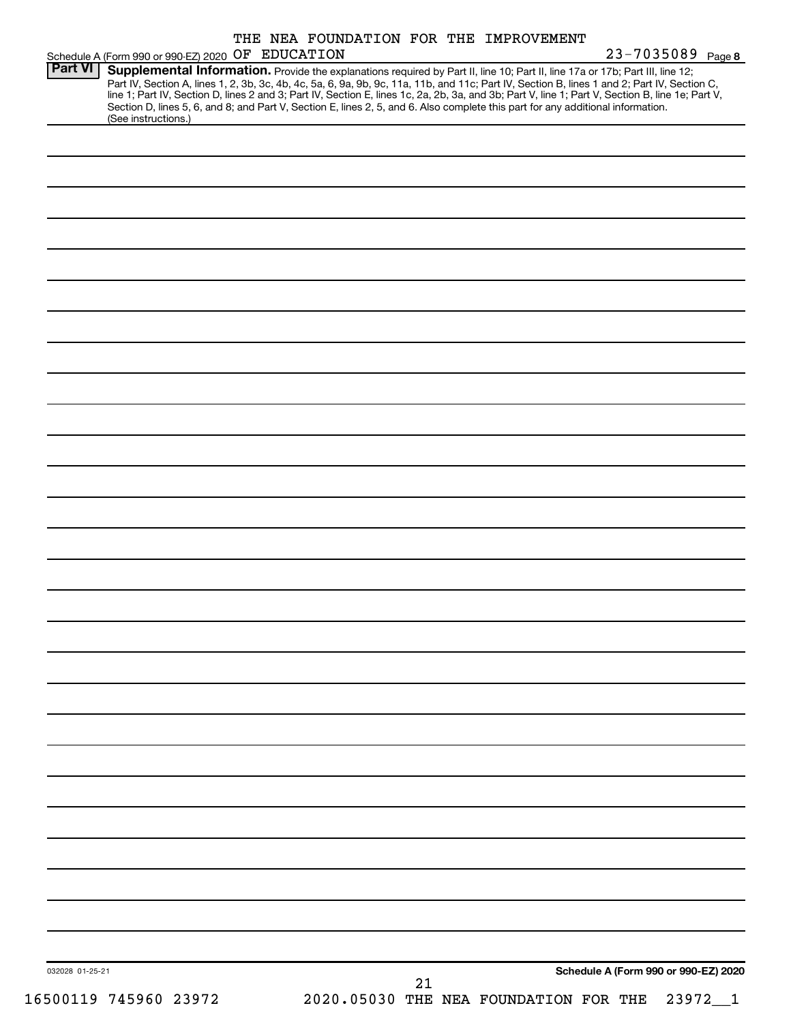|                 | Schedule A (Form 990 or 990 EZ) 2020 OF EDUCATION                                                                                                                                                                                                                                                                                                                                                                                                                                                                                                                                           |  |  |    |  | THE NEA FOUNDATION FOR THE IMPROVEMENT |  | 23-7035089 Page 8                    |  |
|-----------------|---------------------------------------------------------------------------------------------------------------------------------------------------------------------------------------------------------------------------------------------------------------------------------------------------------------------------------------------------------------------------------------------------------------------------------------------------------------------------------------------------------------------------------------------------------------------------------------------|--|--|----|--|----------------------------------------|--|--------------------------------------|--|
| <b>Part VI</b>  | Supplemental Information. Provide the explanations required by Part II, line 10; Part II, line 17a or 17b; Part III, line 12;<br>Part IV, Section A, lines 1, 2, 3b, 3c, 4b, 4c, 5a, 6, 9a, 9b, 9c, 11a, 11b, and 11c; Part IV, Section B, lines 1 and 2; Part IV, Section C,<br>line 1; Part IV, Section D, lines 2 and 3; Part IV, Section E, lines 1c, 2a, 2b, 3a, and 3b; Part V, line 1; Part V, Section B, line 1e; Part V,<br>Section D, lines 5, 6, and 8; and Part V, Section E, lines 2, 5, and 6. Also complete this part for any additional information.<br>(See instructions.) |  |  |    |  |                                        |  |                                      |  |
|                 |                                                                                                                                                                                                                                                                                                                                                                                                                                                                                                                                                                                             |  |  |    |  |                                        |  |                                      |  |
|                 |                                                                                                                                                                                                                                                                                                                                                                                                                                                                                                                                                                                             |  |  |    |  |                                        |  |                                      |  |
|                 |                                                                                                                                                                                                                                                                                                                                                                                                                                                                                                                                                                                             |  |  |    |  |                                        |  |                                      |  |
|                 |                                                                                                                                                                                                                                                                                                                                                                                                                                                                                                                                                                                             |  |  |    |  |                                        |  |                                      |  |
|                 |                                                                                                                                                                                                                                                                                                                                                                                                                                                                                                                                                                                             |  |  |    |  |                                        |  |                                      |  |
|                 |                                                                                                                                                                                                                                                                                                                                                                                                                                                                                                                                                                                             |  |  |    |  |                                        |  |                                      |  |
|                 |                                                                                                                                                                                                                                                                                                                                                                                                                                                                                                                                                                                             |  |  |    |  |                                        |  |                                      |  |
|                 |                                                                                                                                                                                                                                                                                                                                                                                                                                                                                                                                                                                             |  |  |    |  |                                        |  |                                      |  |
|                 |                                                                                                                                                                                                                                                                                                                                                                                                                                                                                                                                                                                             |  |  |    |  |                                        |  |                                      |  |
|                 |                                                                                                                                                                                                                                                                                                                                                                                                                                                                                                                                                                                             |  |  |    |  |                                        |  |                                      |  |
|                 |                                                                                                                                                                                                                                                                                                                                                                                                                                                                                                                                                                                             |  |  |    |  |                                        |  |                                      |  |
|                 |                                                                                                                                                                                                                                                                                                                                                                                                                                                                                                                                                                                             |  |  |    |  |                                        |  |                                      |  |
|                 |                                                                                                                                                                                                                                                                                                                                                                                                                                                                                                                                                                                             |  |  |    |  |                                        |  |                                      |  |
|                 |                                                                                                                                                                                                                                                                                                                                                                                                                                                                                                                                                                                             |  |  |    |  |                                        |  |                                      |  |
|                 |                                                                                                                                                                                                                                                                                                                                                                                                                                                                                                                                                                                             |  |  |    |  |                                        |  |                                      |  |
|                 |                                                                                                                                                                                                                                                                                                                                                                                                                                                                                                                                                                                             |  |  |    |  |                                        |  |                                      |  |
|                 |                                                                                                                                                                                                                                                                                                                                                                                                                                                                                                                                                                                             |  |  |    |  |                                        |  |                                      |  |
|                 |                                                                                                                                                                                                                                                                                                                                                                                                                                                                                                                                                                                             |  |  |    |  |                                        |  |                                      |  |
|                 |                                                                                                                                                                                                                                                                                                                                                                                                                                                                                                                                                                                             |  |  |    |  |                                        |  |                                      |  |
|                 |                                                                                                                                                                                                                                                                                                                                                                                                                                                                                                                                                                                             |  |  |    |  |                                        |  |                                      |  |
|                 |                                                                                                                                                                                                                                                                                                                                                                                                                                                                                                                                                                                             |  |  |    |  |                                        |  |                                      |  |
|                 |                                                                                                                                                                                                                                                                                                                                                                                                                                                                                                                                                                                             |  |  |    |  |                                        |  |                                      |  |
|                 |                                                                                                                                                                                                                                                                                                                                                                                                                                                                                                                                                                                             |  |  |    |  |                                        |  |                                      |  |
|                 |                                                                                                                                                                                                                                                                                                                                                                                                                                                                                                                                                                                             |  |  |    |  |                                        |  |                                      |  |
|                 |                                                                                                                                                                                                                                                                                                                                                                                                                                                                                                                                                                                             |  |  |    |  |                                        |  |                                      |  |
|                 |                                                                                                                                                                                                                                                                                                                                                                                                                                                                                                                                                                                             |  |  |    |  |                                        |  |                                      |  |
| 032028 01-25-21 |                                                                                                                                                                                                                                                                                                                                                                                                                                                                                                                                                                                             |  |  | 21 |  |                                        |  | Schedule A (Form 990 or 990-EZ) 2020 |  |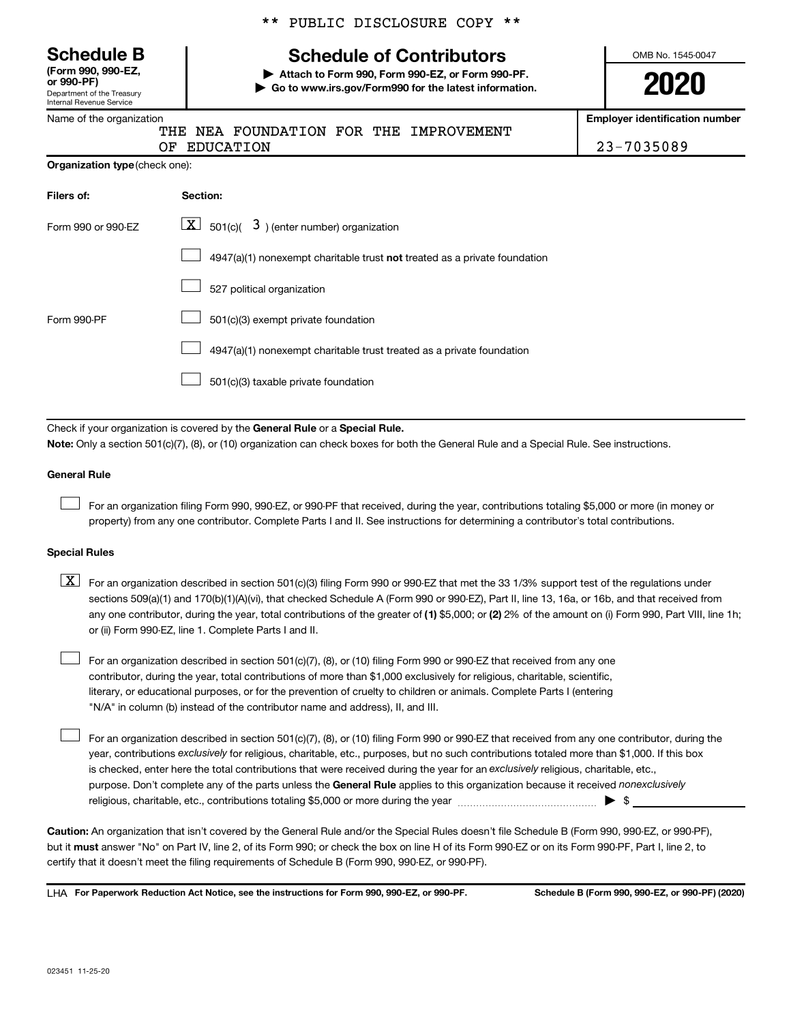Department of the Treasury Internal Revenue Service **(Form 990, 990-EZ,**

Name of the organization

\*\* PUBLIC DISCLOSURE COPY \*\*

# **Schedule B Schedule of Contributors**

**or 990-PF) | Attach to Form 990, Form 990-EZ, or Form 990-PF. | Go to www.irs.gov/Form990 for the latest information.** OMB No. 1545-0047

**2020**

**Employer identification number**

OF EDUCATION 23-7035089

| Organization type (check one): |
|--------------------------------|
|                                |

| Filers of:         | Section:                                                                    |
|--------------------|-----------------------------------------------------------------------------|
| Form 990 or 990-EZ | $\lfloor x \rfloor$ 501(c)( 3) (enter number) organization                  |
|                    | $4947(a)(1)$ nonexempt charitable trust not treated as a private foundation |
|                    | 527 political organization                                                  |
| Form 990-PF        | 501(c)(3) exempt private foundation                                         |
|                    | 4947(a)(1) nonexempt charitable trust treated as a private foundation       |
|                    | 501(c)(3) taxable private foundation                                        |

THE NEA FOUNDATION FOR THE IMPROVEMENT

Check if your organization is covered by the General Rule or a Special Rule.

**Note:**  Only a section 501(c)(7), (8), or (10) organization can check boxes for both the General Rule and a Special Rule. See instructions.

#### **General Rule**

 $\Box$ 

 $\Box$ 

For an organization filing Form 990, 990-EZ, or 990-PF that received, during the year, contributions totaling \$5,000 or more (in money or property) from any one contributor. Complete Parts I and II. See instructions for determining a contributor's total contributions.

#### **Special Rules**

any one contributor, during the year, total contributions of the greater of (1) \$5,000; or (2) 2% of the amount on (i) Form 990, Part VIII, line 1h;  $\boxed{\text{X}}$  For an organization described in section 501(c)(3) filing Form 990 or 990-EZ that met the 33 1/3% support test of the regulations under sections 509(a)(1) and 170(b)(1)(A)(vi), that checked Schedule A (Form 990 or 990-EZ), Part II, line 13, 16a, or 16b, and that received from or (ii) Form 990-EZ, line 1. Complete Parts I and II.

For an organization described in section 501(c)(7), (8), or (10) filing Form 990 or 990-EZ that received from any one contributor, during the year, total contributions of more than \$1,000 exclusively for religious, charitable, scientific, literary, or educational purposes, or for the prevention of cruelty to children or animals. Complete Parts I (entering "N/A" in column (b) instead of the contributor name and address), II, and III.  $\Box$ 

purpose. Don't complete any of the parts unless the General Rule applies to this organization because it received nonexclusively year, contributions exclusively for religious, charitable, etc., purposes, but no such contributions totaled more than \$1,000. If this box is checked, enter here the total contributions that were received during the year for an exclusively religious, charitable, etc., For an organization described in section 501(c)(7), (8), or (10) filing Form 990 or 990-EZ that received from any one contributor, during the religious, charitable, etc., contributions totaling \$5,000 or more during the year  $\ldots$  $\ldots$  $\ldots$  $\ldots$  $\ldots$  $\ldots$ 

**Caution:**  An organization that isn't covered by the General Rule and/or the Special Rules doesn't file Schedule B (Form 990, 990-EZ, or 990-PF),  **must** but it answer "No" on Part IV, line 2, of its Form 990; or check the box on line H of its Form 990-EZ or on its Form 990-PF, Part I, line 2, to certify that it doesn't meet the filing requirements of Schedule B (Form 990, 990-EZ, or 990-PF).

**For Paperwork Reduction Act Notice, see the instructions for Form 990, 990-EZ, or 990-PF. Schedule B (Form 990, 990-EZ, or 990-PF) (2020)** LHA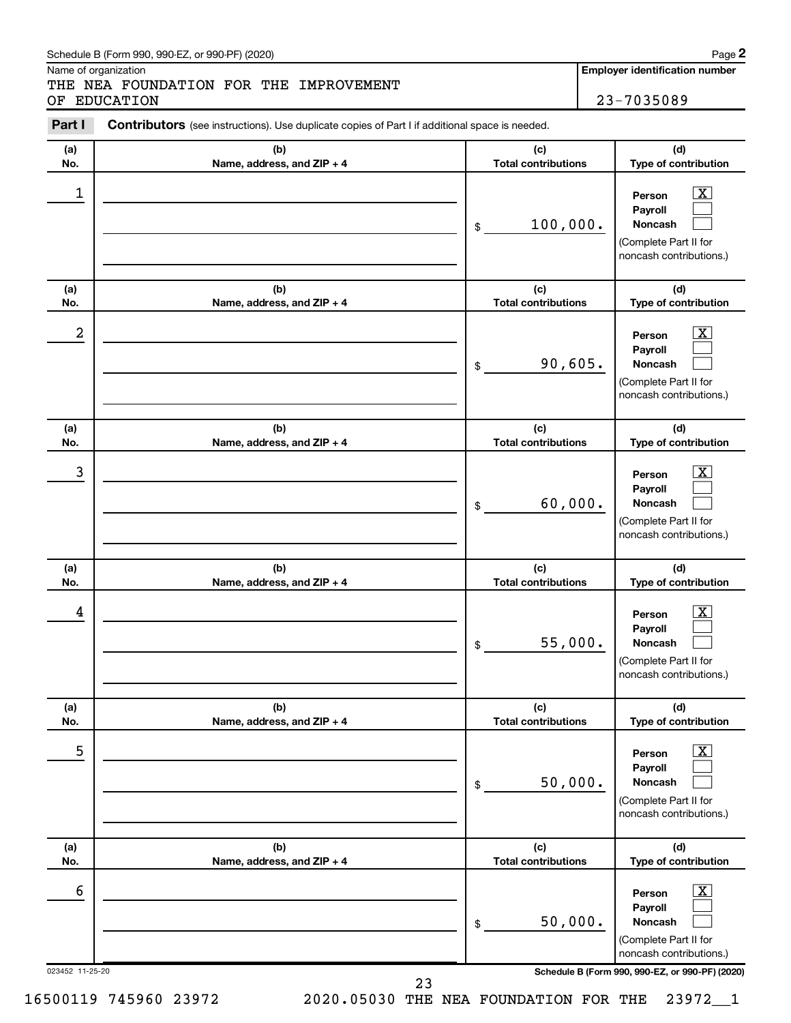#### Schedule B (Form 990, 990-EZ, or 990-PF) (2020)

Name of organization

THE NEA FOUNDATION FOR THE IMPROVEMENT OF EDUCATION 23-7035089

**Employer identification number**

| Part I               | <b>Contributors</b> (see instructions). Use duplicate copies of Part I if additional space is needed. |                                   |                                                                                                                                          |
|----------------------|-------------------------------------------------------------------------------------------------------|-----------------------------------|------------------------------------------------------------------------------------------------------------------------------------------|
| (a)<br>No.           | (b)<br>Name, address, and ZIP + 4                                                                     | (c)<br><b>Total contributions</b> | (d)<br>Type of contribution                                                                                                              |
| 1                    |                                                                                                       | 100,000.<br>\$                    | $\mathbf{X}$<br>Person<br>Payroll<br>Noncash<br>(Complete Part II for<br>noncash contributions.)                                         |
| (a)<br>No.           | (b)<br>Name, address, and ZIP + 4                                                                     | (c)<br><b>Total contributions</b> | (d)<br>Type of contribution                                                                                                              |
| 2                    |                                                                                                       | 90,605.<br>\$                     | $\overline{\mathbf{X}}$<br>Person<br>Payroll<br>Noncash<br>(Complete Part II for<br>noncash contributions.)                              |
| (a)<br>No.           | (b)<br>Name, address, and ZIP + 4                                                                     | (c)<br><b>Total contributions</b> | (d)<br>Type of contribution                                                                                                              |
| 3                    |                                                                                                       | 60,000.<br>\$                     | $\overline{\mathbf{X}}$<br>Person<br>Payroll<br>Noncash<br>(Complete Part II for<br>noncash contributions.)                              |
| (a)<br>No.           | (b)<br>Name, address, and ZIP + 4                                                                     | (c)<br><b>Total contributions</b> | (d)<br>Type of contribution                                                                                                              |
| 4                    |                                                                                                       | 55,000.<br>\$                     | $\overline{\mathbf{X}}$<br>Person<br>Payroll<br>Noncash<br>(Complete Part II for<br>noncash contributions.)                              |
| (a)<br>No.           | (b)<br>Name, address, and ZIP + 4                                                                     | (c)<br><b>Total contributions</b> | (d)<br>Type of contribution                                                                                                              |
|                      |                                                                                                       |                                   |                                                                                                                                          |
| 5                    |                                                                                                       | 50,000.<br>\$                     | $\overline{\text{X}}$<br>Person<br>Payroll<br>Noncash<br>(Complete Part II for<br>noncash contributions.)                                |
| (a)<br>No.           | (b)<br>Name, address, and ZIP + 4                                                                     | (c)<br><b>Total contributions</b> | (d)<br>Type of contribution                                                                                                              |
| 6<br>023452 11-25-20 | 23                                                                                                    | 50,000.<br>\$                     | х<br>Person<br>Payroll<br>Noncash<br>(Complete Part II for<br>noncash contributions.)<br>Schedule B (Form 990, 990-EZ, or 990-PF) (2020) |

**2**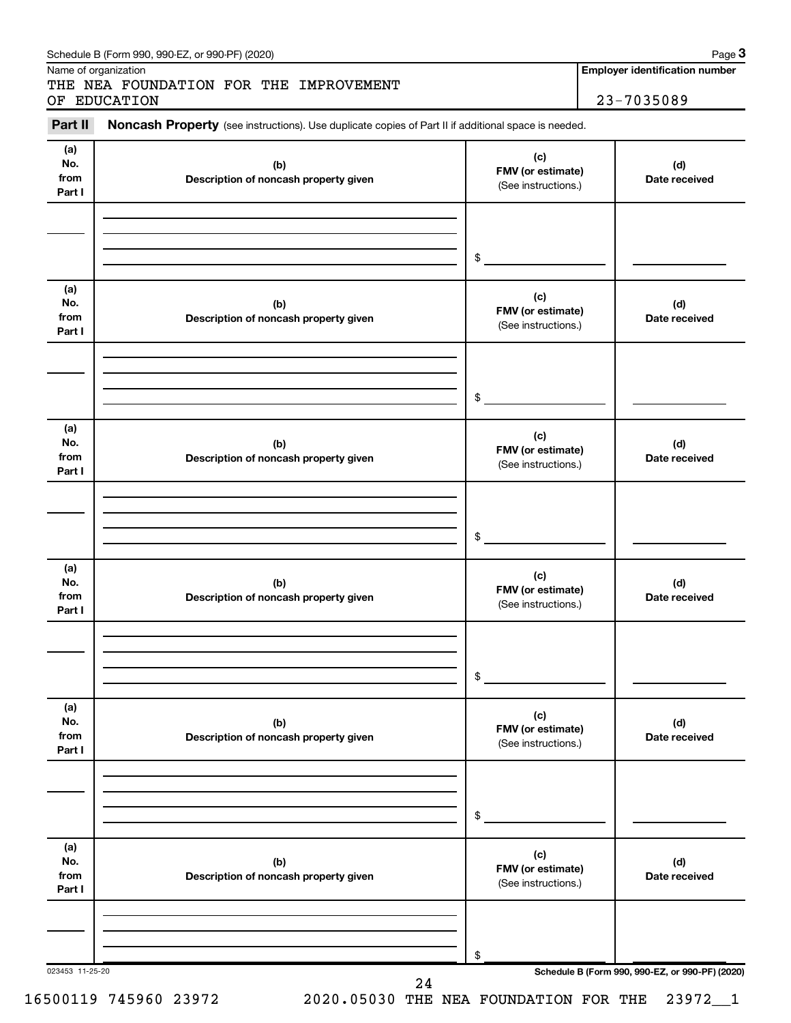| Part II                      | Noncash Property (see instructions). Use duplicate copies of Part II if additional space is needed. |                                                 |                      |
|------------------------------|-----------------------------------------------------------------------------------------------------|-------------------------------------------------|----------------------|
| (a)<br>No.<br>from<br>Part I | (b)<br>Description of noncash property given                                                        | (c)<br>FMV (or estimate)<br>(See instructions.) | (d)<br>Date received |
|                              |                                                                                                     | \$                                              |                      |
| (a)<br>No.<br>from<br>Part I | (b)<br>Description of noncash property given                                                        | (c)<br>FMV (or estimate)<br>(See instructions.) | (d)<br>Date received |
|                              |                                                                                                     | \$                                              |                      |
| (a)<br>No.<br>from<br>Part I | (b)<br>Description of noncash property given                                                        | (c)<br>FMV (or estimate)<br>(See instructions.) | (d)<br>Date received |
|                              |                                                                                                     | \$                                              |                      |
| (a)<br>No.<br>from<br>Part I | (b)<br>Description of noncash property given                                                        | (c)<br>FMV (or estimate)<br>(See instructions.) | (d)<br>Date received |
|                              |                                                                                                     | \$                                              |                      |
| (a)<br>No.<br>from<br>Part I | (b)<br>Description of noncash property given                                                        | (c)<br>FMV (or estimate)<br>(See instructions.) | (d)<br>Date received |
|                              |                                                                                                     | \$                                              |                      |
| (a)<br>No.<br>from<br>Part I | (b)<br>Description of noncash property given                                                        | (c)<br>FMV (or estimate)<br>(See instructions.) | (d)<br>Date received |
|                              |                                                                                                     | \$                                              |                      |

Name of organization

THE NEA FOUNDATION FOR THE IMPROVEMENT

**Employer identification number**

**3**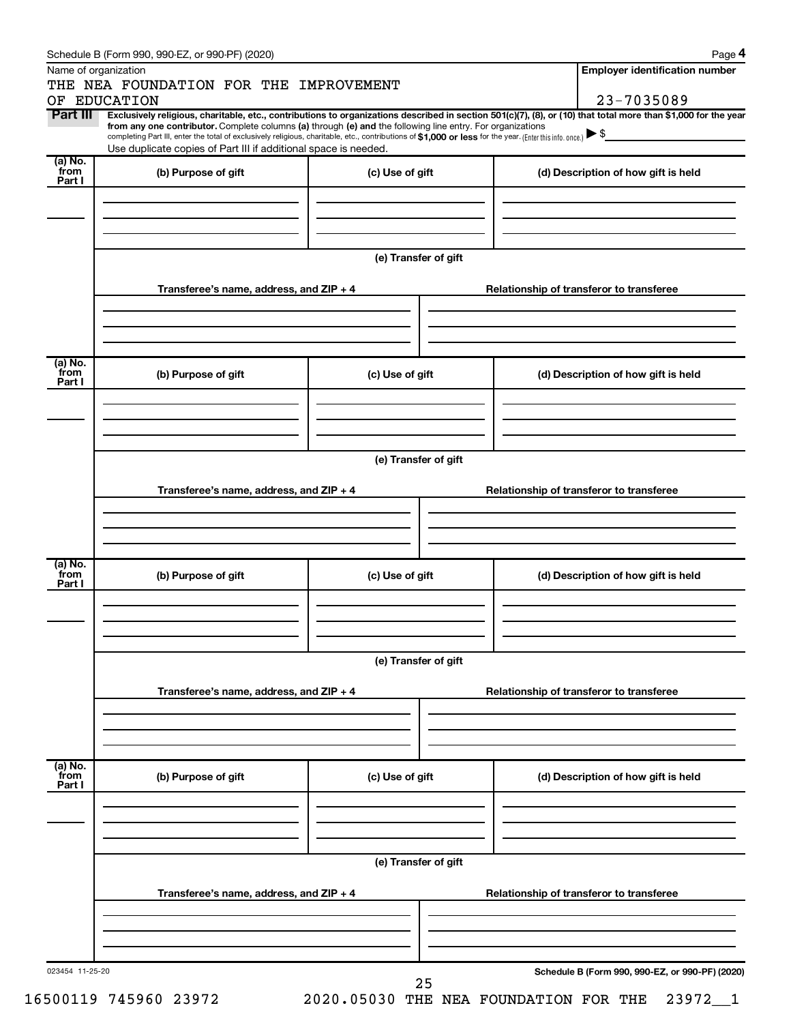|                           | Schedule B (Form 990, 990-EZ, or 990-PF) (2020)                                                                                                                                                                                                                              |                      | Page 4                                          |
|---------------------------|------------------------------------------------------------------------------------------------------------------------------------------------------------------------------------------------------------------------------------------------------------------------------|----------------------|-------------------------------------------------|
|                           | Name of organization                                                                                                                                                                                                                                                         |                      | <b>Employer identification number</b>           |
|                           | THE NEA FOUNDATION FOR THE IMPROVEMENT                                                                                                                                                                                                                                       |                      |                                                 |
|                           | OF EDUCATION                                                                                                                                                                                                                                                                 |                      | 23-7035089                                      |
| Part III                  | Exclusively religious, charitable, etc., contributions to organizations described in section 501(c)(7), (8), or (10) that total more than \$1,000 for the year<br>from any one contributor. Complete columns (a) through (e) and the following line entry. For organizations |                      |                                                 |
|                           | completing Part III, enter the total of exclusively religious, charitable, etc., contributions of \$1,000 or less for the year. (Enter this info. once.)                                                                                                                     |                      |                                                 |
| (a) No.                   | Use duplicate copies of Part III if additional space is needed.                                                                                                                                                                                                              |                      |                                                 |
| from<br>Part I            | (b) Purpose of gift                                                                                                                                                                                                                                                          | (c) Use of gift      | (d) Description of how gift is held             |
|                           |                                                                                                                                                                                                                                                                              |                      |                                                 |
|                           |                                                                                                                                                                                                                                                                              |                      |                                                 |
|                           |                                                                                                                                                                                                                                                                              |                      |                                                 |
|                           |                                                                                                                                                                                                                                                                              |                      |                                                 |
|                           |                                                                                                                                                                                                                                                                              | (e) Transfer of gift |                                                 |
|                           |                                                                                                                                                                                                                                                                              |                      |                                                 |
|                           | Transferee's name, address, and ZIP + 4                                                                                                                                                                                                                                      |                      | Relationship of transferor to transferee        |
|                           |                                                                                                                                                                                                                                                                              |                      |                                                 |
|                           |                                                                                                                                                                                                                                                                              |                      |                                                 |
|                           |                                                                                                                                                                                                                                                                              |                      |                                                 |
| (a) No.<br>from           |                                                                                                                                                                                                                                                                              |                      |                                                 |
| Part I                    | (b) Purpose of gift                                                                                                                                                                                                                                                          | (c) Use of gift      | (d) Description of how gift is held             |
|                           |                                                                                                                                                                                                                                                                              |                      |                                                 |
|                           |                                                                                                                                                                                                                                                                              |                      |                                                 |
|                           |                                                                                                                                                                                                                                                                              |                      |                                                 |
|                           |                                                                                                                                                                                                                                                                              | (e) Transfer of gift |                                                 |
|                           |                                                                                                                                                                                                                                                                              |                      |                                                 |
|                           | Transferee's name, address, and ZIP + 4                                                                                                                                                                                                                                      |                      | Relationship of transferor to transferee        |
|                           |                                                                                                                                                                                                                                                                              |                      |                                                 |
|                           |                                                                                                                                                                                                                                                                              |                      |                                                 |
|                           |                                                                                                                                                                                                                                                                              |                      |                                                 |
| (a) No.                   |                                                                                                                                                                                                                                                                              |                      |                                                 |
| from<br>Part I            | (b) Purpose of gift                                                                                                                                                                                                                                                          | (c) Use of gift      | (d) Description of how gift is held             |
|                           |                                                                                                                                                                                                                                                                              |                      |                                                 |
|                           |                                                                                                                                                                                                                                                                              |                      |                                                 |
|                           |                                                                                                                                                                                                                                                                              |                      |                                                 |
|                           |                                                                                                                                                                                                                                                                              |                      |                                                 |
|                           |                                                                                                                                                                                                                                                                              | (e) Transfer of gift |                                                 |
|                           | Transferee's name, address, and ZIP + 4                                                                                                                                                                                                                                      |                      | Relationship of transferor to transferee        |
|                           |                                                                                                                                                                                                                                                                              |                      |                                                 |
|                           |                                                                                                                                                                                                                                                                              |                      |                                                 |
|                           |                                                                                                                                                                                                                                                                              |                      |                                                 |
|                           |                                                                                                                                                                                                                                                                              |                      |                                                 |
| (a) No.<br>from<br>Part I | (b) Purpose of gift                                                                                                                                                                                                                                                          | (c) Use of gift      | (d) Description of how gift is held             |
|                           |                                                                                                                                                                                                                                                                              |                      |                                                 |
|                           |                                                                                                                                                                                                                                                                              |                      |                                                 |
|                           |                                                                                                                                                                                                                                                                              |                      |                                                 |
|                           |                                                                                                                                                                                                                                                                              |                      |                                                 |
|                           |                                                                                                                                                                                                                                                                              | (e) Transfer of gift |                                                 |
|                           |                                                                                                                                                                                                                                                                              |                      |                                                 |
|                           | Transferee's name, address, and ZIP + 4                                                                                                                                                                                                                                      |                      | Relationship of transferor to transferee        |
|                           |                                                                                                                                                                                                                                                                              |                      |                                                 |
|                           |                                                                                                                                                                                                                                                                              |                      |                                                 |
|                           |                                                                                                                                                                                                                                                                              |                      |                                                 |
| 023454 11-25-20           |                                                                                                                                                                                                                                                                              | 25                   | Schedule B (Form 990, 990-EZ, or 990-PF) (2020) |
|                           |                                                                                                                                                                                                                                                                              |                      |                                                 |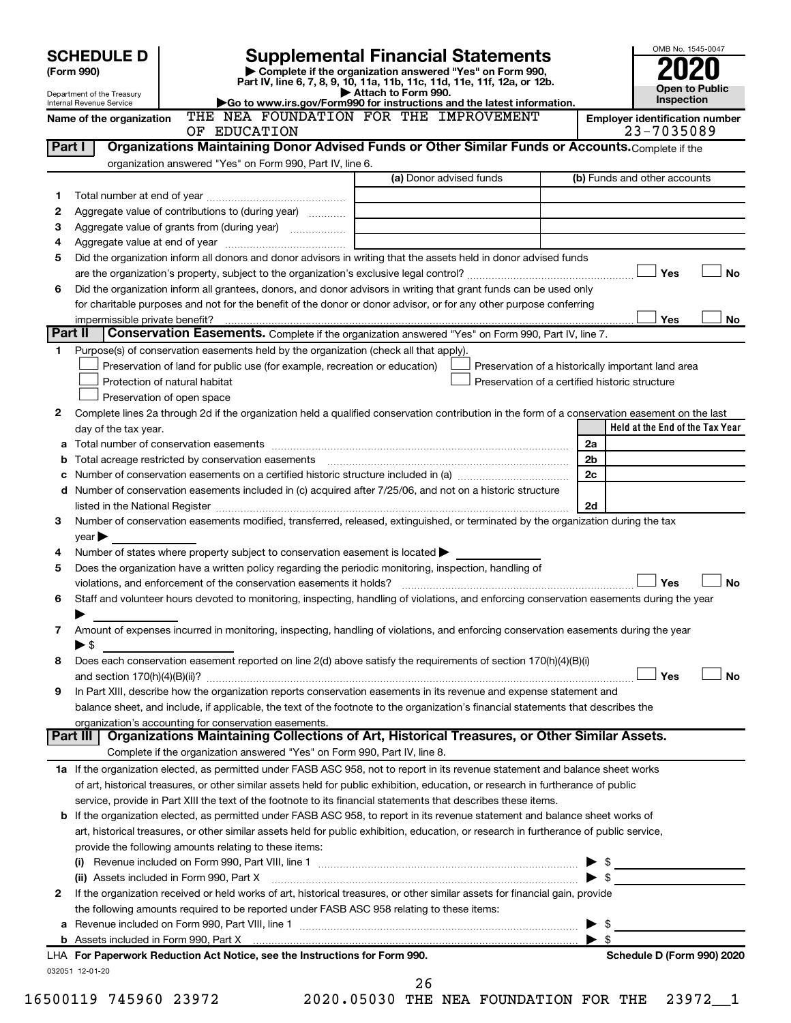|         | <b>SCHEDULE D</b>                                             |                                                                                                                                                                     | <b>Supplemental Financial Statements</b>                                                                                                                                                                                       |      | OMB No. 1545-0047                     |
|---------|---------------------------------------------------------------|---------------------------------------------------------------------------------------------------------------------------------------------------------------------|--------------------------------------------------------------------------------------------------------------------------------------------------------------------------------------------------------------------------------|------|---------------------------------------|
|         | (Form 990)                                                    |                                                                                                                                                                     | Complete if the organization answered "Yes" on Form 990,                                                                                                                                                                       |      |                                       |
|         |                                                               |                                                                                                                                                                     | Part IV, line 6, 7, 8, 9, 10, 11a, 11b, 11c, 11d, 11e, 11f, 12a, or 12b.<br>Attach to Form 990.                                                                                                                                |      | Open to Public                        |
|         | Department of the Treasury<br><b>Internal Revenue Service</b> |                                                                                                                                                                     | Go to www.irs.gov/Form990 for instructions and the latest information.                                                                                                                                                         |      | Inspection                            |
|         | Name of the organization                                      |                                                                                                                                                                     | THE NEA FOUNDATION FOR THE IMPROVEMENT                                                                                                                                                                                         |      | <b>Employer identification number</b> |
|         |                                                               | OF EDUCATION                                                                                                                                                        |                                                                                                                                                                                                                                |      | 23-7035089                            |
|         | Part I                                                        |                                                                                                                                                                     | Organizations Maintaining Donor Advised Funds or Other Similar Funds or Accounts. Complete if the                                                                                                                              |      |                                       |
|         |                                                               | organization answered "Yes" on Form 990, Part IV, line 6.                                                                                                           | (a) Donor advised funds                                                                                                                                                                                                        |      | (b) Funds and other accounts          |
| 1       |                                                               |                                                                                                                                                                     |                                                                                                                                                                                                                                |      |                                       |
| 2       |                                                               | Aggregate value of contributions to (during year)                                                                                                                   |                                                                                                                                                                                                                                |      |                                       |
| 3       |                                                               | Aggregate value of grants from (during year)                                                                                                                        |                                                                                                                                                                                                                                |      |                                       |
| 4       |                                                               |                                                                                                                                                                     |                                                                                                                                                                                                                                |      |                                       |
| 5       |                                                               |                                                                                                                                                                     | Did the organization inform all donors and donor advisors in writing that the assets held in donor advised funds                                                                                                               |      |                                       |
|         |                                                               |                                                                                                                                                                     |                                                                                                                                                                                                                                |      | <b>No</b><br>Yes                      |
| 6       |                                                               |                                                                                                                                                                     | Did the organization inform all grantees, donors, and donor advisors in writing that grant funds can be used only                                                                                                              |      |                                       |
|         |                                                               |                                                                                                                                                                     | for charitable purposes and not for the benefit of the donor or donor advisor, or for any other purpose conferring                                                                                                             |      |                                       |
| Part II | impermissible private benefit?                                |                                                                                                                                                                     |                                                                                                                                                                                                                                |      | Yes<br>No                             |
|         |                                                               |                                                                                                                                                                     | Conservation Easements. Complete if the organization answered "Yes" on Form 990, Part IV, line 7.                                                                                                                              |      |                                       |
| 1       |                                                               | Purpose(s) of conservation easements held by the organization (check all that apply).<br>Preservation of land for public use (for example, recreation or education) | Preservation of a historically important land area                                                                                                                                                                             |      |                                       |
|         |                                                               | Protection of natural habitat                                                                                                                                       | Preservation of a certified historic structure                                                                                                                                                                                 |      |                                       |
|         |                                                               | Preservation of open space                                                                                                                                          |                                                                                                                                                                                                                                |      |                                       |
| 2       |                                                               |                                                                                                                                                                     | Complete lines 2a through 2d if the organization held a qualified conservation contribution in the form of a conservation easement on the last                                                                                 |      |                                       |
|         | day of the tax year.                                          |                                                                                                                                                                     |                                                                                                                                                                                                                                |      | Held at the End of the Tax Year       |
| а       |                                                               |                                                                                                                                                                     |                                                                                                                                                                                                                                | 2a   |                                       |
| b       |                                                               |                                                                                                                                                                     |                                                                                                                                                                                                                                | 2b   |                                       |
| с       |                                                               |                                                                                                                                                                     |                                                                                                                                                                                                                                | 2c   |                                       |
| d       |                                                               |                                                                                                                                                                     | Number of conservation easements included in (c) acquired after 7/25/06, and not on a historic structure                                                                                                                       |      |                                       |
|         |                                                               |                                                                                                                                                                     | listed in the National Register [11] [12] The Mational Register [11] [12] The Mational Register [11] [12] Mational Register [11] [12] Mation Mation Mation Mation Mation Mation Mation Mation Mation Mation Mation Mation Mati | 2d   |                                       |
| 3       |                                                               |                                                                                                                                                                     | Number of conservation easements modified, transferred, released, extinguished, or terminated by the organization during the tax                                                                                               |      |                                       |
| 4       | $year \blacktriangleright$                                    | Number of states where property subject to conservation easement is located $\blacktriangleright$                                                                   |                                                                                                                                                                                                                                |      |                                       |
| 5       |                                                               | Does the organization have a written policy regarding the periodic monitoring, inspection, handling of                                                              |                                                                                                                                                                                                                                |      |                                       |
|         |                                                               |                                                                                                                                                                     |                                                                                                                                                                                                                                |      | <b>No</b><br>Yes                      |
| 6       |                                                               |                                                                                                                                                                     | Staff and volunteer hours devoted to monitoring, inspecting, handling of violations, and enforcing conservation easements during the year                                                                                      |      |                                       |
|         |                                                               |                                                                                                                                                                     |                                                                                                                                                                                                                                |      |                                       |
| 7       |                                                               |                                                                                                                                                                     | Amount of expenses incurred in monitoring, inspecting, handling of violations, and enforcing conservation easements during the year                                                                                            |      |                                       |
|         | $\blacktriangleright$ \$                                      |                                                                                                                                                                     |                                                                                                                                                                                                                                |      |                                       |
| 8       |                                                               |                                                                                                                                                                     | Does each conservation easement reported on line 2(d) above satisfy the requirements of section 170(h)(4)(B)(i)                                                                                                                |      |                                       |
|         |                                                               |                                                                                                                                                                     |                                                                                                                                                                                                                                |      | Yes<br><b>No</b>                      |
| 9       |                                                               |                                                                                                                                                                     | In Part XIII, describe how the organization reports conservation easements in its revenue and expense statement and                                                                                                            |      |                                       |
|         |                                                               | organization's accounting for conservation easements.                                                                                                               | balance sheet, and include, if applicable, the text of the footnote to the organization's financial statements that describes the                                                                                              |      |                                       |
|         | Part III                                                      |                                                                                                                                                                     | Organizations Maintaining Collections of Art, Historical Treasures, or Other Similar Assets.                                                                                                                                   |      |                                       |
|         |                                                               | Complete if the organization answered "Yes" on Form 990, Part IV, line 8.                                                                                           |                                                                                                                                                                                                                                |      |                                       |
|         |                                                               |                                                                                                                                                                     | 1a If the organization elected, as permitted under FASB ASC 958, not to report in its revenue statement and balance sheet works                                                                                                |      |                                       |
|         |                                                               |                                                                                                                                                                     | of art, historical treasures, or other similar assets held for public exhibition, education, or research in furtherance of public                                                                                              |      |                                       |
|         |                                                               |                                                                                                                                                                     | service, provide in Part XIII the text of the footnote to its financial statements that describes these items.                                                                                                                 |      |                                       |
| b       |                                                               |                                                                                                                                                                     | If the organization elected, as permitted under FASB ASC 958, to report in its revenue statement and balance sheet works of                                                                                                    |      |                                       |
|         |                                                               |                                                                                                                                                                     | art, historical treasures, or other similar assets held for public exhibition, education, or research in furtherance of public service,                                                                                        |      |                                       |
|         |                                                               | provide the following amounts relating to these items:                                                                                                              |                                                                                                                                                                                                                                |      |                                       |
|         |                                                               |                                                                                                                                                                     |                                                                                                                                                                                                                                | - \$ | $\frac{1}{2}$                         |
| 2       |                                                               | (ii) Assets included in Form 990, Part X                                                                                                                            | If the organization received or held works of art, historical treasures, or other similar assets for financial gain, provide                                                                                                   |      |                                       |
|         |                                                               | the following amounts required to be reported under FASB ASC 958 relating to these items:                                                                           |                                                                                                                                                                                                                                |      |                                       |
| а       |                                                               |                                                                                                                                                                     |                                                                                                                                                                                                                                | - \$ |                                       |
|         |                                                               |                                                                                                                                                                     | b Assets included in Form 990, Part X [[CONDITED INTERNATION IN ASSETS INCLUDED IN A SSET STATE IN A SET STATES                                                                                                                | \$   |                                       |
|         |                                                               | LHA For Paperwork Reduction Act Notice, see the Instructions for Form 990.                                                                                          |                                                                                                                                                                                                                                |      | Schedule D (Form 990) 2020            |
|         | 032051 12-01-20                                               |                                                                                                                                                                     |                                                                                                                                                                                                                                |      |                                       |
|         |                                                               |                                                                                                                                                                     | 26                                                                                                                                                                                                                             |      |                                       |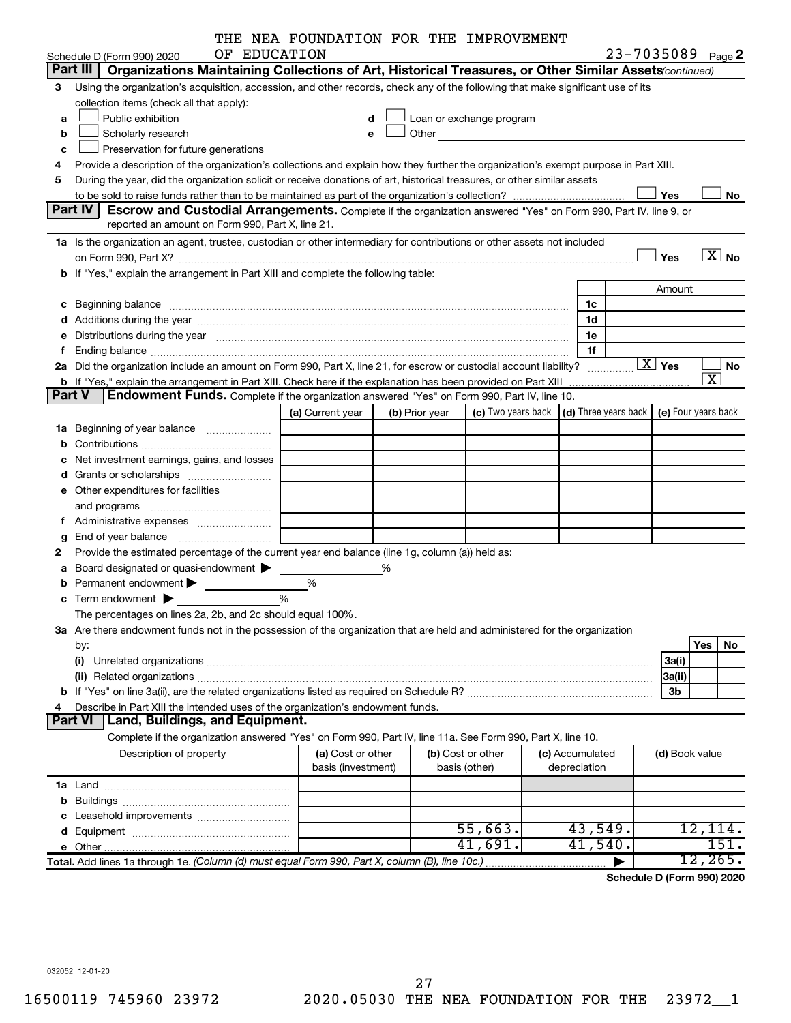|               |                                                                                                                                                                                                                                | THE NEA FOUNDATION FOR THE IMPROVEMENT |   |                |                                                                                                                                                                                                                               |                 |                                                   |                         |
|---------------|--------------------------------------------------------------------------------------------------------------------------------------------------------------------------------------------------------------------------------|----------------------------------------|---|----------------|-------------------------------------------------------------------------------------------------------------------------------------------------------------------------------------------------------------------------------|-----------------|---------------------------------------------------|-------------------------|
|               | OF EDUCATION<br>Schedule D (Form 990) 2020                                                                                                                                                                                     |                                        |   |                |                                                                                                                                                                                                                               |                 | 23-7035089 Page 2                                 |                         |
|               | Part III   Organizations Maintaining Collections of Art, Historical Treasures, or Other Similar Assets (continued)                                                                                                             |                                        |   |                |                                                                                                                                                                                                                               |                 |                                                   |                         |
| З             | Using the organization's acquisition, accession, and other records, check any of the following that make significant use of its                                                                                                |                                        |   |                |                                                                                                                                                                                                                               |                 |                                                   |                         |
|               | collection items (check all that apply):                                                                                                                                                                                       |                                        |   |                |                                                                                                                                                                                                                               |                 |                                                   |                         |
| a             | Public exhibition                                                                                                                                                                                                              | d                                      |   |                | Loan or exchange program                                                                                                                                                                                                      |                 |                                                   |                         |
| b             | Scholarly research                                                                                                                                                                                                             | e                                      |   |                | Other and the contract of the contract of the contract of the contract of the contract of the contract of the contract of the contract of the contract of the contract of the contract of the contract of the contract of the |                 |                                                   |                         |
| c             | Preservation for future generations                                                                                                                                                                                            |                                        |   |                |                                                                                                                                                                                                                               |                 |                                                   |                         |
| 4             | Provide a description of the organization's collections and explain how they further the organization's exempt purpose in Part XIII.                                                                                           |                                        |   |                |                                                                                                                                                                                                                               |                 |                                                   |                         |
| 5             | During the year, did the organization solicit or receive donations of art, historical treasures, or other similar assets                                                                                                       |                                        |   |                |                                                                                                                                                                                                                               |                 |                                                   |                         |
|               |                                                                                                                                                                                                                                |                                        |   |                |                                                                                                                                                                                                                               |                 | Yes                                               | No                      |
|               | <b>Part IV</b><br><b>Escrow and Custodial Arrangements.</b> Complete if the organization answered "Yes" on Form 990, Part IV, line 9, or                                                                                       |                                        |   |                |                                                                                                                                                                                                                               |                 |                                                   |                         |
|               | reported an amount on Form 990, Part X, line 21.                                                                                                                                                                               |                                        |   |                |                                                                                                                                                                                                                               |                 |                                                   |                         |
|               | 1a Is the organization an agent, trustee, custodian or other intermediary for contributions or other assets not included                                                                                                       |                                        |   |                |                                                                                                                                                                                                                               |                 | Yes                                               | $\overline{X}$ No       |
|               | <b>b</b> If "Yes," explain the arrangement in Part XIII and complete the following table:                                                                                                                                      |                                        |   |                |                                                                                                                                                                                                                               |                 |                                                   |                         |
|               |                                                                                                                                                                                                                                |                                        |   |                |                                                                                                                                                                                                                               |                 | Amount                                            |                         |
|               |                                                                                                                                                                                                                                |                                        |   |                |                                                                                                                                                                                                                               | 1c              |                                                   |                         |
|               | Beginning balance measurements and contain a series of the contract of the contract of the contract of the contract of the contract of the contract of the contract of the contract of the contract of the contract of the con |                                        |   |                |                                                                                                                                                                                                                               | 1d              |                                                   |                         |
|               |                                                                                                                                                                                                                                |                                        |   |                |                                                                                                                                                                                                                               | 1e              |                                                   |                         |
|               | Distributions during the year manufactured and an account of the year manufactured and the year manufactured and the year manufactured and the year manufactured and the year manufactured and the year manufactured and the y |                                        |   |                |                                                                                                                                                                                                                               | 1f              |                                                   |                         |
|               | 2a Did the organization include an amount on Form 990, Part X, line 21, for escrow or custodial account liability?                                                                                                             |                                        |   |                |                                                                                                                                                                                                                               |                 | $\boxed{\text{X}}$ Yes                            | No                      |
|               | <b>b</b> If "Yes," explain the arrangement in Part XIII. Check here if the explanation has been provided on Part XIII                                                                                                          |                                        |   |                |                                                                                                                                                                                                                               |                 |                                                   | $\overline{\mathbf{x}}$ |
| <b>Part V</b> | Endowment Funds. Complete if the organization answered "Yes" on Form 990, Part IV, line 10.                                                                                                                                    |                                        |   |                |                                                                                                                                                                                                                               |                 |                                                   |                         |
|               |                                                                                                                                                                                                                                | (a) Current year                       |   | (b) Prior year | (c) Two years back                                                                                                                                                                                                            |                 | $(d)$ Three years back $\mid$ (e) Four years back |                         |
| ٦а            | Beginning of year balance                                                                                                                                                                                                      |                                        |   |                |                                                                                                                                                                                                                               |                 |                                                   |                         |
|               |                                                                                                                                                                                                                                |                                        |   |                |                                                                                                                                                                                                                               |                 |                                                   |                         |
|               | Net investment earnings, gains, and losses                                                                                                                                                                                     |                                        |   |                |                                                                                                                                                                                                                               |                 |                                                   |                         |
|               |                                                                                                                                                                                                                                |                                        |   |                |                                                                                                                                                                                                                               |                 |                                                   |                         |
|               | e Other expenditures for facilities                                                                                                                                                                                            |                                        |   |                |                                                                                                                                                                                                                               |                 |                                                   |                         |
|               | and programs                                                                                                                                                                                                                   |                                        |   |                |                                                                                                                                                                                                                               |                 |                                                   |                         |
|               |                                                                                                                                                                                                                                |                                        |   |                |                                                                                                                                                                                                                               |                 |                                                   |                         |
|               | End of year balance                                                                                                                                                                                                            |                                        |   |                |                                                                                                                                                                                                                               |                 |                                                   |                         |
| 2             | Provide the estimated percentage of the current year end balance (line 1g, column (a)) held as:                                                                                                                                |                                        |   |                |                                                                                                                                                                                                                               |                 |                                                   |                         |
|               | Board designated or quasi-endowment                                                                                                                                                                                            |                                        | ℅ |                |                                                                                                                                                                                                                               |                 |                                                   |                         |
|               | <b>b</b> Permanent endowment $\blacktriangleright$                                                                                                                                                                             | %                                      |   |                |                                                                                                                                                                                                                               |                 |                                                   |                         |
| с             | Term endowment $\blacktriangleright$                                                                                                                                                                                           |                                        |   |                |                                                                                                                                                                                                                               |                 |                                                   |                         |
|               | The percentages on lines 2a, 2b, and 2c should equal 100%.                                                                                                                                                                     |                                        |   |                |                                                                                                                                                                                                                               |                 |                                                   |                         |
|               | 3a Are there endowment funds not in the possession of the organization that are held and administered for the organization                                                                                                     |                                        |   |                |                                                                                                                                                                                                                               |                 |                                                   |                         |
|               | by:                                                                                                                                                                                                                            |                                        |   |                |                                                                                                                                                                                                                               |                 |                                                   | Yes<br>No               |
|               | (i)                                                                                                                                                                                                                            |                                        |   |                |                                                                                                                                                                                                                               |                 | 3a(i)                                             |                         |
|               |                                                                                                                                                                                                                                |                                        |   |                |                                                                                                                                                                                                                               |                 |                                                   |                         |
|               |                                                                                                                                                                                                                                |                                        |   |                |                                                                                                                                                                                                                               |                 | 3a(ii)<br>3b                                      |                         |
|               | Describe in Part XIII the intended uses of the organization's endowment funds.                                                                                                                                                 |                                        |   |                |                                                                                                                                                                                                                               |                 |                                                   |                         |
|               | <b>Part VI</b><br>Land, Buildings, and Equipment.                                                                                                                                                                              |                                        |   |                |                                                                                                                                                                                                                               |                 |                                                   |                         |
|               | Complete if the organization answered "Yes" on Form 990, Part IV, line 11a. See Form 990, Part X, line 10.                                                                                                                     |                                        |   |                |                                                                                                                                                                                                                               |                 |                                                   |                         |
|               | Description of property                                                                                                                                                                                                        | (a) Cost or other                      |   |                | (b) Cost or other                                                                                                                                                                                                             | (c) Accumulated | (d) Book value                                    |                         |
|               |                                                                                                                                                                                                                                | basis (investment)                     |   |                | basis (other)                                                                                                                                                                                                                 | depreciation    |                                                   |                         |
|               |                                                                                                                                                                                                                                |                                        |   |                |                                                                                                                                                                                                                               |                 |                                                   |                         |
|               |                                                                                                                                                                                                                                |                                        |   |                |                                                                                                                                                                                                                               |                 |                                                   |                         |
|               |                                                                                                                                                                                                                                |                                        |   |                |                                                                                                                                                                                                                               |                 |                                                   |                         |
| b             |                                                                                                                                                                                                                                |                                        |   |                |                                                                                                                                                                                                                               |                 |                                                   |                         |
| d             | Leasehold improvements                                                                                                                                                                                                         |                                        |   |                | 55,663.                                                                                                                                                                                                                       | 43,549.         |                                                   | 12,114.                 |

**Total.**  *(Column (d) must equal Form 990, Part X, column (B), line 10c.)* Add lines 1a through 1e. |

**Schedule D (Form 990) 2020**

12,265.

032052 12-01-20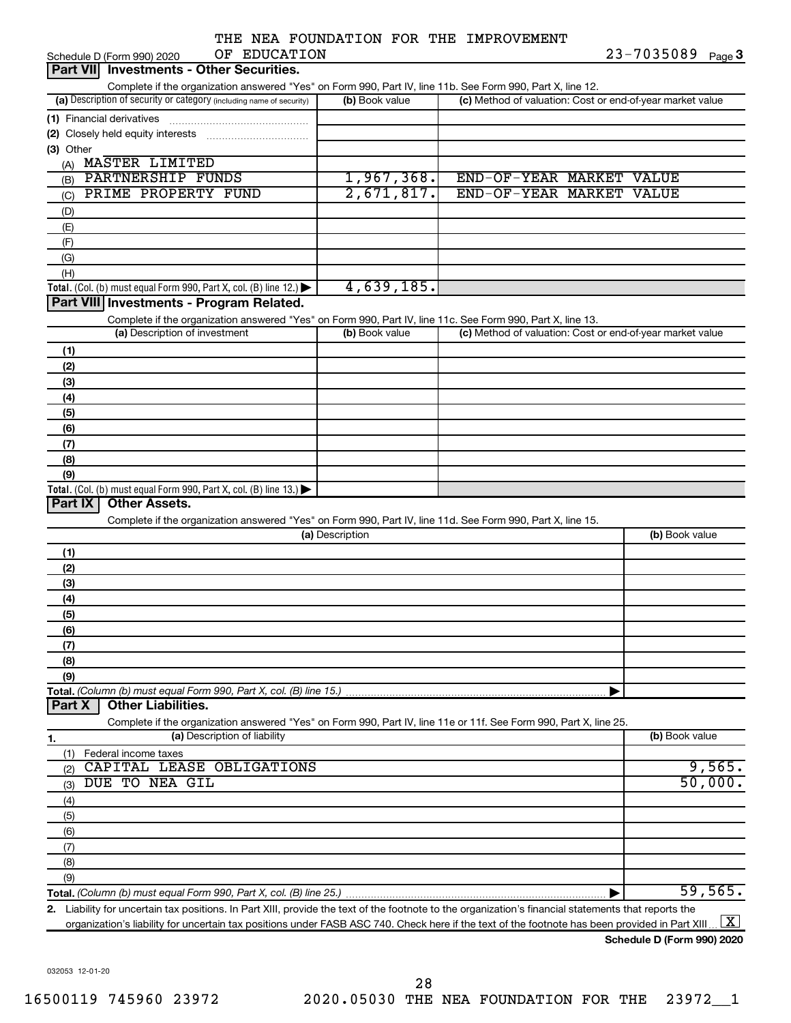|  |               |  | THE NEA FOUNDATION FOR THE IMPROVEMENT |
|--|---------------|--|----------------------------------------|
|  | -- ---------- |  |                                        |

| OF EDUCATION<br>Schedule D (Form 990) 2020                                                                                                           |                 | 23-7035089<br>Page 3                                      |
|------------------------------------------------------------------------------------------------------------------------------------------------------|-----------------|-----------------------------------------------------------|
| <b>Investments - Other Securities.</b><br><b>Part VIII</b>                                                                                           |                 |                                                           |
| Complete if the organization answered "Yes" on Form 990, Part IV, line 11b. See Form 990, Part X, line 12.                                           |                 |                                                           |
| (a) Description of security or category (including name of security)                                                                                 | (b) Book value  | (c) Method of valuation: Cost or end-of-year market value |
| (1) Financial derivatives                                                                                                                            |                 |                                                           |
|                                                                                                                                                      |                 |                                                           |
| (3) Other                                                                                                                                            |                 |                                                           |
| (A) MASTER LIMITED                                                                                                                                   |                 |                                                           |
| <b>PARTNERSHIP FUNDS</b><br>(B)                                                                                                                      | 1,967,368.      | END-OF-YEAR MARKET VALUE                                  |
| PRIME PROPERTY FUND<br>(C)                                                                                                                           | 2,671,817.      | END-OF-YEAR MARKET VALUE                                  |
| (D)                                                                                                                                                  |                 |                                                           |
| (E)                                                                                                                                                  |                 |                                                           |
| (F)                                                                                                                                                  |                 |                                                           |
| (G)                                                                                                                                                  |                 |                                                           |
|                                                                                                                                                      |                 |                                                           |
| (H)                                                                                                                                                  | 4,639,185.      |                                                           |
| Total. (Col. (b) must equal Form 990, Part X, col. (B) line 12.) $\blacktriangleright$<br>Part VIII Investments - Program Related.                   |                 |                                                           |
|                                                                                                                                                      |                 |                                                           |
| Complete if the organization answered "Yes" on Form 990, Part IV, line 11c. See Form 990, Part X, line 13.<br>(a) Description of investment          |                 |                                                           |
|                                                                                                                                                      | (b) Book value  | (c) Method of valuation: Cost or end-of-year market value |
| (1)                                                                                                                                                  |                 |                                                           |
| (2)                                                                                                                                                  |                 |                                                           |
| (3)                                                                                                                                                  |                 |                                                           |
| (4)                                                                                                                                                  |                 |                                                           |
| (5)                                                                                                                                                  |                 |                                                           |
| (6)                                                                                                                                                  |                 |                                                           |
| (7)                                                                                                                                                  |                 |                                                           |
| (8)                                                                                                                                                  |                 |                                                           |
| (9)                                                                                                                                                  |                 |                                                           |
| Total. (Col. (b) must equal Form 990, Part X, col. (B) line 13.)                                                                                     |                 |                                                           |
| Part IX<br><b>Other Assets.</b>                                                                                                                      |                 |                                                           |
| Complete if the organization answered "Yes" on Form 990, Part IV, line 11d. See Form 990, Part X, line 15.                                           |                 |                                                           |
|                                                                                                                                                      | (a) Description | (b) Book value                                            |
| (1)                                                                                                                                                  |                 |                                                           |
| (2)                                                                                                                                                  |                 |                                                           |
| (3)                                                                                                                                                  |                 |                                                           |
| (4)                                                                                                                                                  |                 |                                                           |
| (5)                                                                                                                                                  |                 |                                                           |
| (6)                                                                                                                                                  |                 |                                                           |
| (7)                                                                                                                                                  |                 |                                                           |
| (8)                                                                                                                                                  |                 |                                                           |
| (9)                                                                                                                                                  |                 |                                                           |
| Total. (Column (b) must equal Form 990, Part X, col. (B) line 15.)                                                                                   |                 |                                                           |
| <b>Other Liabilities.</b><br>Part X                                                                                                                  |                 |                                                           |
| Complete if the organization answered "Yes" on Form 990, Part IV, line 11e or 11f. See Form 990, Part X, line 25.                                    |                 |                                                           |
| (a) Description of liability<br>1.                                                                                                                   |                 | (b) Book value                                            |
| Federal income taxes<br>(1)                                                                                                                          |                 |                                                           |
| CAPITAL LEASE OBLIGATIONS<br>(2)                                                                                                                     |                 | 9,565.                                                    |
| DUE TO NEA GIL                                                                                                                                       |                 | 50,000.                                                   |
| (3)                                                                                                                                                  |                 |                                                           |
| (4)                                                                                                                                                  |                 |                                                           |
| (5)                                                                                                                                                  |                 |                                                           |
| (6)                                                                                                                                                  |                 |                                                           |
| (7)                                                                                                                                                  |                 |                                                           |
| (8)                                                                                                                                                  |                 |                                                           |
| (9)                                                                                                                                                  |                 |                                                           |
|                                                                                                                                                      |                 | 59,565.                                                   |
| 2. Liability for uncertain tax positions. In Part XIII, provide the text of the footnote to the organization's financial statements that reports the |                 |                                                           |

organization's liability for uncertain tax positions under FASB ASC 740. Check here if the text of the footnote has been provided in Part XIII ...  $\fbox{\bf X}$ 

**Schedule D (Form 990) 2020**

032053 12-01-20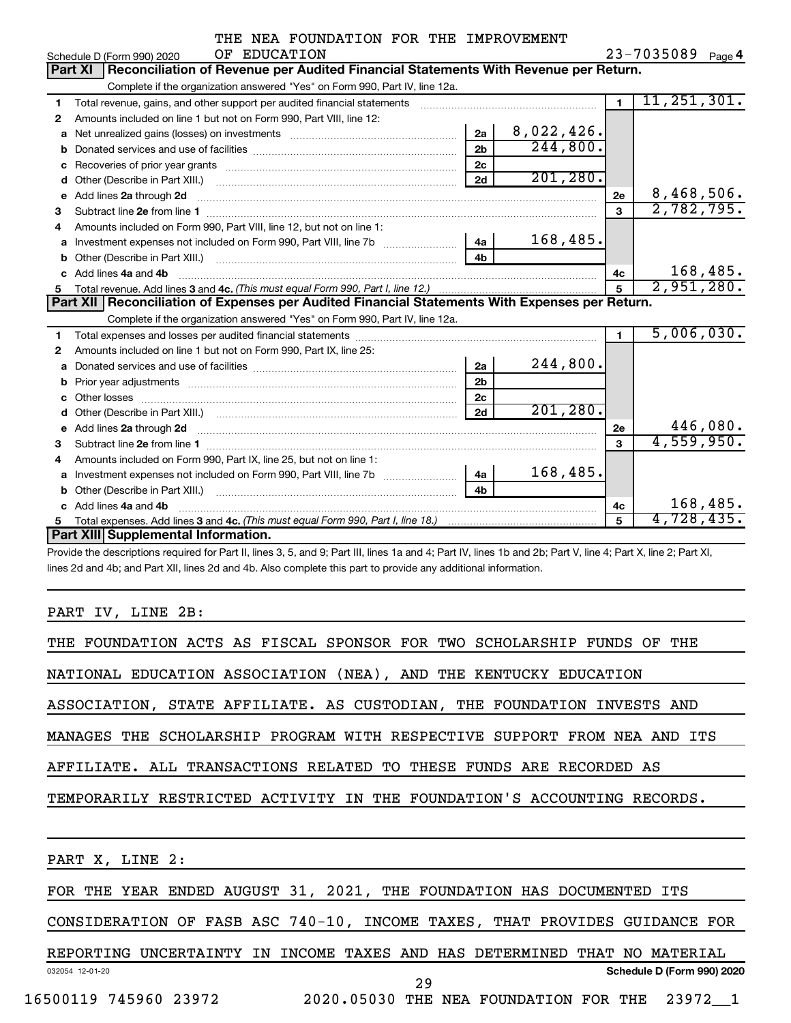|              |  | THE NEA FOUNDATION FOR THE IMPROVEMENT |
|--------------|--|----------------------------------------|
| OF EDUCATION |  |                                        |

 $23 - 7035089$  Page 4

|   | OF EDUCATION<br>Schedule D (Form 990) 2020                                                                                                                                                                                          |                |            |                | 23-7035089 Page 4 |
|---|-------------------------------------------------------------------------------------------------------------------------------------------------------------------------------------------------------------------------------------|----------------|------------|----------------|-------------------|
|   | Reconciliation of Revenue per Audited Financial Statements With Revenue per Return.<br><b>Part XI</b>                                                                                                                               |                |            |                |                   |
|   | Complete if the organization answered "Yes" on Form 990, Part IV, line 12a.                                                                                                                                                         |                |            |                |                   |
| 1 | Total revenue, gains, and other support per audited financial statements                                                                                                                                                            |                |            | $\blacksquare$ | 11, 251, 301.     |
| 2 | Amounts included on line 1 but not on Form 990, Part VIII, line 12:                                                                                                                                                                 |                |            |                |                   |
| a | Net unrealized gains (losses) on investments                                                                                                                                                                                        | 2a             | 8,022,426. |                |                   |
| b |                                                                                                                                                                                                                                     | 2 <sub>b</sub> | 244,800.   |                |                   |
| с |                                                                                                                                                                                                                                     | 2 <sub>c</sub> |            |                |                   |
| d | Other (Describe in Part XIII.) [1001] [2010] [2010] [2010] [3010] [3010] [3010] [3010] [3010] [3010] [3010] [3010] [3010] [3010] [3010] [3010] [3010] [3010] [3010] [3010] [3010] [3010] [3010] [3010] [3010] [3010] [3010] [3      | 2d             | 201, 280.  |                |                   |
| е | Add lines 2a through 2d                                                                                                                                                                                                             |                |            | 2e             | 8,468,506.        |
| з |                                                                                                                                                                                                                                     |                |            | 3              | 2,782,795.        |
| 4 | Amounts included on Form 990, Part VIII, line 12, but not on line 1:                                                                                                                                                                |                |            |                |                   |
| a |                                                                                                                                                                                                                                     | 4a             | 168,485.   |                |                   |
| b |                                                                                                                                                                                                                                     | 4 <sub>b</sub> |            |                |                   |
|   | Add lines 4a and 4b                                                                                                                                                                                                                 |                |            | 4c             | 168,485.          |
| 5 | Total revenue. Add lines 3 and 4c. (This must equal Form 990, Part I, line 12.)                                                                                                                                                     |                |            | 5              | 2,951,280.        |
|   | Part XII   Reconciliation of Expenses per Audited Financial Statements With Expenses per Return.                                                                                                                                    |                |            |                |                   |
|   | Complete if the organization answered "Yes" on Form 990, Part IV, line 12a.                                                                                                                                                         |                |            |                |                   |
| 1 |                                                                                                                                                                                                                                     |                |            | 1              | 5,006,030.        |
| 2 | Amounts included on line 1 but not on Form 990, Part IX, line 25:                                                                                                                                                                   |                |            |                |                   |
| a |                                                                                                                                                                                                                                     | 2a             | 244,800.   |                |                   |
| b |                                                                                                                                                                                                                                     | 2 <sub>b</sub> |            |                |                   |
| c |                                                                                                                                                                                                                                     | 2 <sub>c</sub> |            |                |                   |
| d |                                                                                                                                                                                                                                     | 2d             | 201, 280.  |                |                   |
| е | Add lines 2a through 2d <b>[10]</b> University of the contract of the state of the state of the state of the state of the state of the state of the state of the state of the state of the state of the state of the state of the s |                |            | 2e             | 446,080.          |
| 3 |                                                                                                                                                                                                                                     |                |            | 3              | 4,559,950.        |
| 4 | Amounts included on Form 990, Part IX, line 25, but not on line 1:                                                                                                                                                                  |                |            |                |                   |
| a |                                                                                                                                                                                                                                     | 4a             | 168,485.   |                |                   |
| b | Other (Describe in Part XIII.) [100] [100] [100] [100] [100] [100] [100] [100] [100] [100] [100] [100] [100] [                                                                                                                      | 4h             |            |                |                   |
|   | c Add lines 4a and 4b                                                                                                                                                                                                               |                |            | 4с             | 168,485.          |
| 5 |                                                                                                                                                                                                                                     |                |            |                | 4,728,435.        |
|   | <b>Part XIII Supplemental Information.</b>                                                                                                                                                                                          |                |            |                |                   |
|   | Provide the descriptions required for Part II, lines 3, 5, and 9; Part III, lines 1a and 4; Part IV, lines 1b and 2b; Part V, line 4; Part X, line 2; Part XI,                                                                      |                |            |                |                   |
|   | lines 2d and 4b; and Part XII, lines 2d and 4b. Also complete this part to provide any additional information.                                                                                                                      |                |            |                |                   |

PART IV, LINE 2B:

| THE FOUNDATION ACTS AS FISCAL SPONSOR FOR TWO SCHOLARSHIP FUNDS OF THE     |
|----------------------------------------------------------------------------|
| NATIONAL EDUCATION ASSOCIATION (NEA), AND THE KENTUCKY EDUCATION           |
| ASSOCIATION, STATE AFFILIATE. AS CUSTODIAN, THE FOUNDATION INVESTS AND     |
| MANAGES THE SCHOLARSHIP PROGRAM WITH RESPECTIVE SUPPORT FROM NEA AND ITS   |
| AFFILIATE. ALL TRANSACTIONS RELATED TO THESE FUNDS ARE RECORDED AS         |
| TEMPORARILY RESTRICTED ACTIVITY IN THE FOUNDATION'S ACCOUNTING RECORDS.    |
|                                                                            |
| PART X, LINE 2:                                                            |
| FOR THE YEAR ENDED AUGUST 31, 2021, THE FOUNDATION HAS DOCUMENTED ITS      |
| CONSIDERATION OF FASB ASC 740-10, INCOME TAXES, THAT PROVIDES GUIDANCE FOR |
| REPORTING UNCERTAINTY IN INCOME TAXES AND HAS DETERMINED THAT NO MATERIAL  |
| Schedule D (Form 990) 2020<br>032054 12-01-20<br>$\sim$ $\sim$             |

16500119 745960 23972 2020.05030 THE NEA FOUNDATION FOR THE 23972\_\_1

29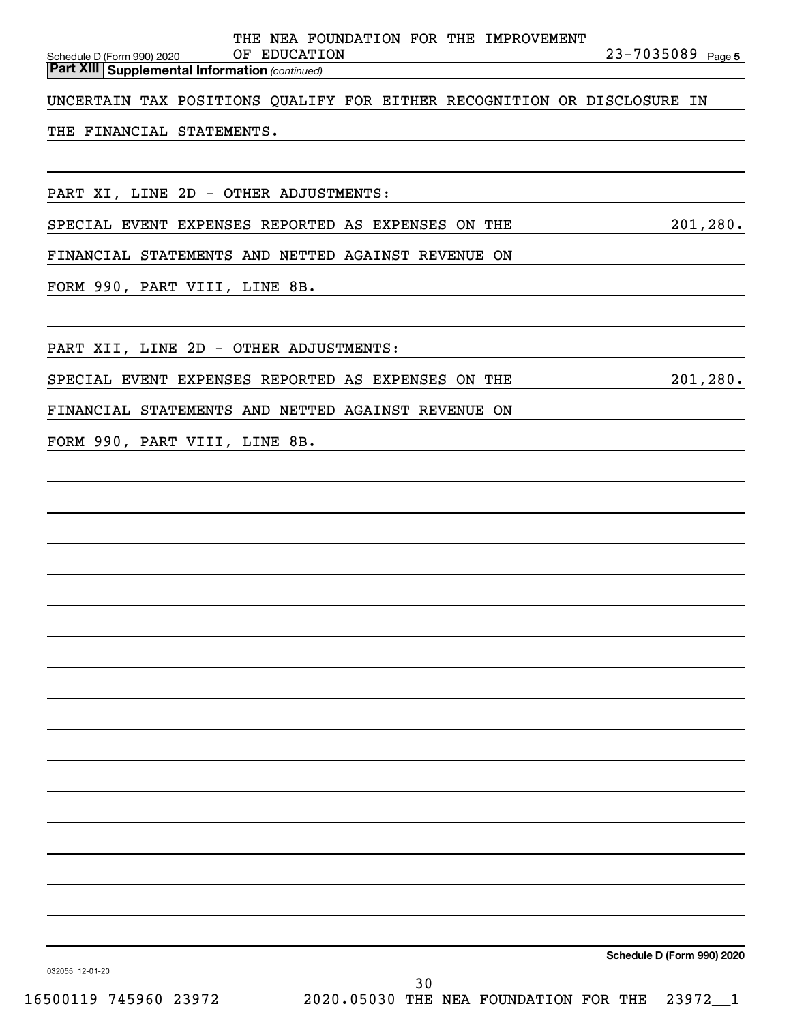| THE NEA FOUNDATION FOR THE IMPROVEMENT<br>23-7035089 Page 5<br>OF EDUCATION<br>Schedule D (Form 990) 2020 |  |
|-----------------------------------------------------------------------------------------------------------|--|
| <b>Part XIII Supplemental Information (continued)</b>                                                     |  |
| UNCERTAIN TAX POSITIONS QUALIFY FOR EITHER RECOGNITION OR DISCLOSURE IN                                   |  |
| THE FINANCIAL STATEMENTS.                                                                                 |  |
|                                                                                                           |  |
| PART XI, LINE 2D - OTHER ADJUSTMENTS:                                                                     |  |
| 201, 280.<br>SPECIAL EVENT EXPENSES REPORTED AS EXPENSES ON THE                                           |  |
| FINANCIAL STATEMENTS AND NETTED AGAINST REVENUE ON                                                        |  |
| FORM 990, PART VIII, LINE 8B.                                                                             |  |
|                                                                                                           |  |
| PART XII, LINE 2D - OTHER ADJUSTMENTS:                                                                    |  |
| 201, 280.<br>SPECIAL EVENT EXPENSES REPORTED AS EXPENSES ON THE                                           |  |
| FINANCIAL STATEMENTS AND NETTED AGAINST REVENUE ON                                                        |  |
| FORM 990, PART VIII, LINE 8B.                                                                             |  |
|                                                                                                           |  |
|                                                                                                           |  |
|                                                                                                           |  |
|                                                                                                           |  |
|                                                                                                           |  |
|                                                                                                           |  |
|                                                                                                           |  |
|                                                                                                           |  |
|                                                                                                           |  |
|                                                                                                           |  |
|                                                                                                           |  |
|                                                                                                           |  |
|                                                                                                           |  |
|                                                                                                           |  |

**Schedule D (Form 990) 2020**

032055 12-01-20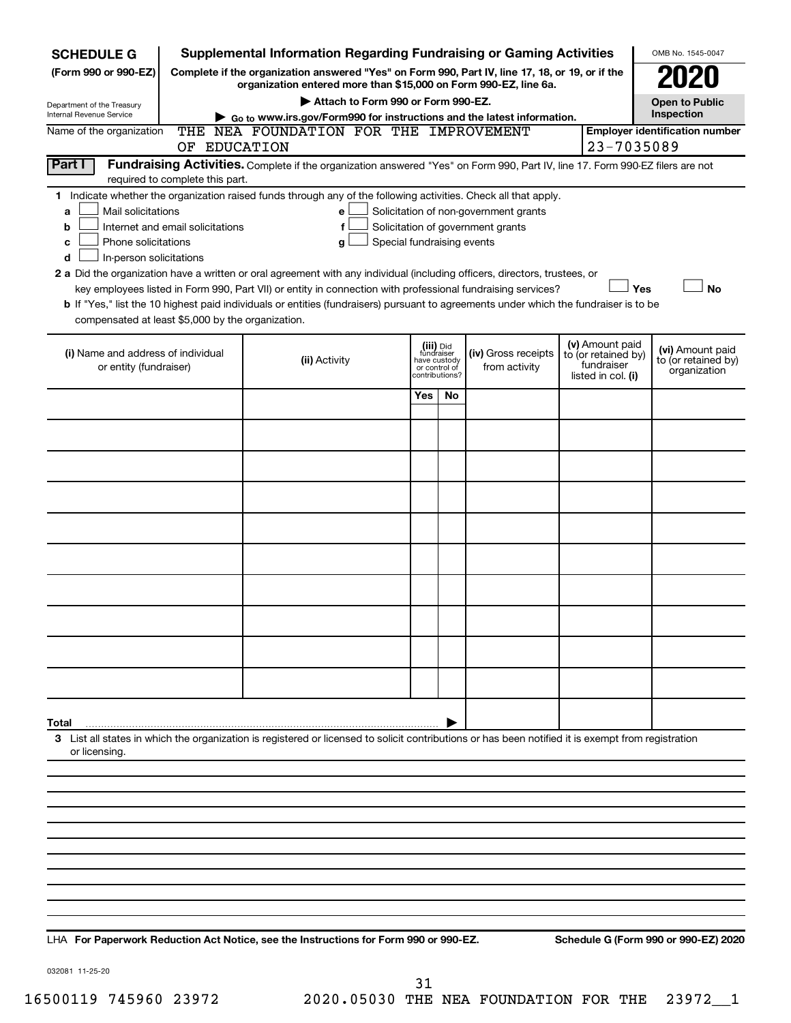| <b>SCHEDULE G</b>                                                                                                                                                          |                                                                                                                                                                     | <b>Supplemental Information Regarding Fundraising or Gaming Activities</b>                                                                                                                                                                                                                                                                                                                                                                                                                                                                         |                               |                                           |                                                                            |  |                                                                            | OMB No. 1545-0047                                       |  |  |
|----------------------------------------------------------------------------------------------------------------------------------------------------------------------------|---------------------------------------------------------------------------------------------------------------------------------------------------------------------|----------------------------------------------------------------------------------------------------------------------------------------------------------------------------------------------------------------------------------------------------------------------------------------------------------------------------------------------------------------------------------------------------------------------------------------------------------------------------------------------------------------------------------------------------|-------------------------------|-------------------------------------------|----------------------------------------------------------------------------|--|----------------------------------------------------------------------------|---------------------------------------------------------|--|--|
| (Form 990 or 990-EZ)                                                                                                                                                       | Complete if the organization answered "Yes" on Form 990, Part IV, line 17, 18, or 19, or if the<br>organization entered more than \$15,000 on Form 990-EZ, line 6a. |                                                                                                                                                                                                                                                                                                                                                                                                                                                                                                                                                    |                               |                                           |                                                                            |  |                                                                            |                                                         |  |  |
| Department of the Treasury                                                                                                                                                 | Attach to Form 990 or Form 990-EZ.<br><b>Open to Public</b>                                                                                                         |                                                                                                                                                                                                                                                                                                                                                                                                                                                                                                                                                    |                               |                                           |                                                                            |  |                                                                            |                                                         |  |  |
| Internal Revenue Service                                                                                                                                                   | Inspection<br>Go to www.irs.gov/Form990 for instructions and the latest information.<br>THE NEA FOUNDATION FOR THE IMPROVEMENT                                      |                                                                                                                                                                                                                                                                                                                                                                                                                                                                                                                                                    |                               |                                           |                                                                            |  |                                                                            |                                                         |  |  |
| Name of the organization                                                                                                                                                   | OF EDUCATION                                                                                                                                                        |                                                                                                                                                                                                                                                                                                                                                                                                                                                                                                                                                    |                               |                                           |                                                                            |  | 23-7035089                                                                 | <b>Employer identification number</b>                   |  |  |
| Part I<br>Fundraising Activities. Complete if the organization answered "Yes" on Form 990, Part IV, line 17. Form 990-EZ filers are not<br>required to complete this part. |                                                                                                                                                                     |                                                                                                                                                                                                                                                                                                                                                                                                                                                                                                                                                    |                               |                                           |                                                                            |  |                                                                            |                                                         |  |  |
| Mail solicitations<br>a<br>b<br>Phone solicitations<br>c<br>In-person solicitations<br>d<br>compensated at least \$5,000 by the organization.                              | Internet and email solicitations                                                                                                                                    | 1 Indicate whether the organization raised funds through any of the following activities. Check all that apply.<br>e<br>f<br>Special fundraising events<br>g<br>2 a Did the organization have a written or oral agreement with any individual (including officers, directors, trustees, or<br>key employees listed in Form 990, Part VII) or entity in connection with professional fundraising services?<br>b If "Yes," list the 10 highest paid individuals or entities (fundraisers) pursuant to agreements under which the fundraiser is to be |                               |                                           | Solicitation of non-government grants<br>Solicitation of government grants |  | Yes                                                                        | <b>No</b>                                               |  |  |
| (i) Name and address of individual<br>or entity (fundraiser)                                                                                                               |                                                                                                                                                                     | (ii) Activity                                                                                                                                                                                                                                                                                                                                                                                                                                                                                                                                      | have custody<br>or control of | (iii) Did<br>fundraiser<br>contributions? | (iv) Gross receipts<br>from activity                                       |  | (v) Amount paid<br>to (or retained by)<br>fundraiser<br>listed in col. (i) | (vi) Amount paid<br>to (or retained by)<br>organization |  |  |
|                                                                                                                                                                            |                                                                                                                                                                     |                                                                                                                                                                                                                                                                                                                                                                                                                                                                                                                                                    | Yes                           | No                                        |                                                                            |  |                                                                            |                                                         |  |  |
|                                                                                                                                                                            |                                                                                                                                                                     |                                                                                                                                                                                                                                                                                                                                                                                                                                                                                                                                                    |                               |                                           |                                                                            |  |                                                                            |                                                         |  |  |
|                                                                                                                                                                            |                                                                                                                                                                     |                                                                                                                                                                                                                                                                                                                                                                                                                                                                                                                                                    |                               |                                           |                                                                            |  |                                                                            |                                                         |  |  |
|                                                                                                                                                                            |                                                                                                                                                                     |                                                                                                                                                                                                                                                                                                                                                                                                                                                                                                                                                    |                               |                                           |                                                                            |  |                                                                            |                                                         |  |  |
|                                                                                                                                                                            |                                                                                                                                                                     |                                                                                                                                                                                                                                                                                                                                                                                                                                                                                                                                                    |                               |                                           |                                                                            |  |                                                                            |                                                         |  |  |
|                                                                                                                                                                            |                                                                                                                                                                     |                                                                                                                                                                                                                                                                                                                                                                                                                                                                                                                                                    |                               |                                           |                                                                            |  |                                                                            |                                                         |  |  |
|                                                                                                                                                                            |                                                                                                                                                                     |                                                                                                                                                                                                                                                                                                                                                                                                                                                                                                                                                    |                               |                                           |                                                                            |  |                                                                            |                                                         |  |  |
|                                                                                                                                                                            |                                                                                                                                                                     |                                                                                                                                                                                                                                                                                                                                                                                                                                                                                                                                                    |                               |                                           |                                                                            |  |                                                                            |                                                         |  |  |
|                                                                                                                                                                            |                                                                                                                                                                     |                                                                                                                                                                                                                                                                                                                                                                                                                                                                                                                                                    |                               |                                           |                                                                            |  |                                                                            |                                                         |  |  |
|                                                                                                                                                                            |                                                                                                                                                                     |                                                                                                                                                                                                                                                                                                                                                                                                                                                                                                                                                    |                               |                                           |                                                                            |  |                                                                            |                                                         |  |  |
| Total                                                                                                                                                                      |                                                                                                                                                                     |                                                                                                                                                                                                                                                                                                                                                                                                                                                                                                                                                    |                               |                                           |                                                                            |  |                                                                            |                                                         |  |  |
| or licensing.                                                                                                                                                              |                                                                                                                                                                     | 3 List all states in which the organization is registered or licensed to solicit contributions or has been notified it is exempt from registration                                                                                                                                                                                                                                                                                                                                                                                                 |                               |                                           |                                                                            |  |                                                                            |                                                         |  |  |
|                                                                                                                                                                            |                                                                                                                                                                     |                                                                                                                                                                                                                                                                                                                                                                                                                                                                                                                                                    |                               |                                           |                                                                            |  |                                                                            |                                                         |  |  |
|                                                                                                                                                                            |                                                                                                                                                                     |                                                                                                                                                                                                                                                                                                                                                                                                                                                                                                                                                    |                               |                                           |                                                                            |  |                                                                            |                                                         |  |  |
|                                                                                                                                                                            |                                                                                                                                                                     |                                                                                                                                                                                                                                                                                                                                                                                                                                                                                                                                                    |                               |                                           |                                                                            |  |                                                                            |                                                         |  |  |
|                                                                                                                                                                            |                                                                                                                                                                     |                                                                                                                                                                                                                                                                                                                                                                                                                                                                                                                                                    |                               |                                           |                                                                            |  |                                                                            |                                                         |  |  |
|                                                                                                                                                                            |                                                                                                                                                                     |                                                                                                                                                                                                                                                                                                                                                                                                                                                                                                                                                    |                               |                                           |                                                                            |  |                                                                            |                                                         |  |  |
|                                                                                                                                                                            |                                                                                                                                                                     |                                                                                                                                                                                                                                                                                                                                                                                                                                                                                                                                                    |                               |                                           |                                                                            |  |                                                                            |                                                         |  |  |
|                                                                                                                                                                            |                                                                                                                                                                     |                                                                                                                                                                                                                                                                                                                                                                                                                                                                                                                                                    |                               |                                           |                                                                            |  |                                                                            |                                                         |  |  |
|                                                                                                                                                                            |                                                                                                                                                                     |                                                                                                                                                                                                                                                                                                                                                                                                                                                                                                                                                    |                               |                                           |                                                                            |  |                                                                            |                                                         |  |  |

**For Paperwork Reduction Act Notice, see the Instructions for Form 990 or 990-EZ. Schedule G (Form 990 or 990-EZ) 2020** LHA

032081 11-25-20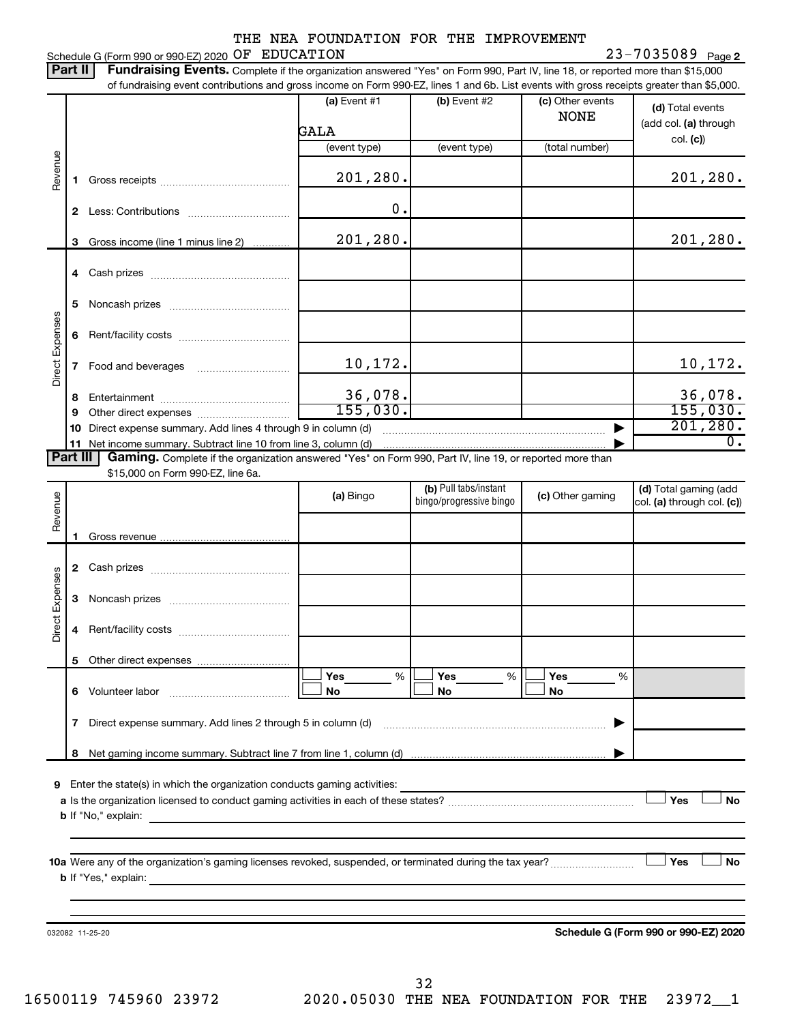Schedule G (Form 990 or 990-EZ) 2020  $OF$   $EDUCATION$   $23-7035089$   $Page$ 

23-7035089 Page 2 Part II | Fundraising Events. Complete if the organization answered "Yes" on Form 990, Part IV, line 18, or reported more than \$15,000 of fundraising event contributions and gross income on Form 990-EZ, lines 1 and 6b. List events with gross receipts greater than \$5,000.

|                        |    | 01 Turidiaishiy event contributions and gross income on Form 990-EZ, illies T and OD. Elst events with gross receipts greater than \$0,000.                                                                                               |                        |                         |                                 |                                           |
|------------------------|----|-------------------------------------------------------------------------------------------------------------------------------------------------------------------------------------------------------------------------------------------|------------------------|-------------------------|---------------------------------|-------------------------------------------|
|                        |    |                                                                                                                                                                                                                                           | (a) Event $#1$<br>GALA | $(b)$ Event #2          | (c) Other events<br><b>NONE</b> | (d) Total events<br>(add col. (a) through |
|                        |    |                                                                                                                                                                                                                                           | (event type)           | (event type)            | (total number)                  | col. (c)                                  |
| Revenue                | 1. |                                                                                                                                                                                                                                           | 201,280.               |                         |                                 | 201, 280.                                 |
|                        |    |                                                                                                                                                                                                                                           | $\mathbf 0$ .          |                         |                                 |                                           |
|                        | 3  | Gross income (line 1 minus line 2)                                                                                                                                                                                                        | 201,280.               |                         |                                 | 201, 280.                                 |
|                        |    |                                                                                                                                                                                                                                           |                        |                         |                                 |                                           |
|                        |    |                                                                                                                                                                                                                                           |                        |                         |                                 |                                           |
|                        | 5  |                                                                                                                                                                                                                                           |                        |                         |                                 |                                           |
| Direct Expenses        | 6  |                                                                                                                                                                                                                                           |                        |                         |                                 |                                           |
|                        |    |                                                                                                                                                                                                                                           | 10,172.                |                         |                                 | 10,172.                                   |
|                        | 8  |                                                                                                                                                                                                                                           | 36,078.                |                         |                                 | 36,078.                                   |
|                        | 9  |                                                                                                                                                                                                                                           | 155,030.               |                         |                                 | 155,030.                                  |
|                        | 10 | Direct expense summary. Add lines 4 through 9 in column (d)                                                                                                                                                                               |                        |                         |                                 | 201, 280.                                 |
| <b>Part III</b>        |    | 11 Net income summary. Subtract line 10 from line 3, column (d)<br>Gaming. Complete if the organization answered "Yes" on Form 990, Part IV, line 19, or reported more than                                                               |                        |                         |                                 | $\overline{0}$ .                          |
|                        |    | \$15,000 on Form 990-EZ, line 6a.                                                                                                                                                                                                         |                        |                         |                                 |                                           |
|                        |    |                                                                                                                                                                                                                                           | (a) Bingo              | (b) Pull tabs/instant   | (c) Other gaming                | (d) Total gaming (add                     |
| Revenue                |    |                                                                                                                                                                                                                                           |                        | bingo/progressive bingo |                                 | col. (a) through col. (c))                |
|                        |    |                                                                                                                                                                                                                                           |                        |                         |                                 |                                           |
|                        | 1. |                                                                                                                                                                                                                                           |                        |                         |                                 |                                           |
|                        |    |                                                                                                                                                                                                                                           |                        |                         |                                 |                                           |
|                        | 3  |                                                                                                                                                                                                                                           |                        |                         |                                 |                                           |
| <b>Direct Expenses</b> | 4  |                                                                                                                                                                                                                                           |                        |                         |                                 |                                           |
|                        |    |                                                                                                                                                                                                                                           |                        |                         |                                 |                                           |
|                        |    |                                                                                                                                                                                                                                           | Yes<br>%               | Yes<br>%                | Yes<br>%                        |                                           |
|                        | 6  | Volunteer labor                                                                                                                                                                                                                           | No                     | No                      | No                              |                                           |
|                        | 7  | Direct expense summary. Add lines 2 through 5 in column (d)                                                                                                                                                                               |                        |                         |                                 |                                           |
|                        | 8  |                                                                                                                                                                                                                                           |                        |                         |                                 |                                           |
|                        |    |                                                                                                                                                                                                                                           |                        |                         |                                 |                                           |
| 9                      |    | Enter the state(s) in which the organization conducts gaming activities:                                                                                                                                                                  |                        |                         |                                 |                                           |
|                        |    |                                                                                                                                                                                                                                           |                        |                         |                                 | Yes<br>No                                 |
|                        |    | <b>b</b> If "No," explain:                                                                                                                                                                                                                |                        |                         |                                 |                                           |
|                        |    |                                                                                                                                                                                                                                           |                        |                         |                                 |                                           |
|                        |    | 10a Were any of the organization's gaming licenses revoked, suspended, or terminated during the tax year?                                                                                                                                 |                        |                         |                                 | Yes<br>No                                 |
|                        |    | <b>b</b> If "Yes," explain: <u>contract and a set of the set of the set of the set of the set of the set of the set of the set of the set of the set of the set of the set of the set of the set of the set of the set of the set of </u> |                        |                         |                                 |                                           |
|                        |    |                                                                                                                                                                                                                                           |                        |                         |                                 |                                           |
|                        |    |                                                                                                                                                                                                                                           |                        |                         |                                 |                                           |
|                        |    | 032082 11-25-20                                                                                                                                                                                                                           |                        |                         |                                 | Schedule G (Form 990 or 990-EZ) 2020      |
|                        |    |                                                                                                                                                                                                                                           |                        |                         |                                 |                                           |

32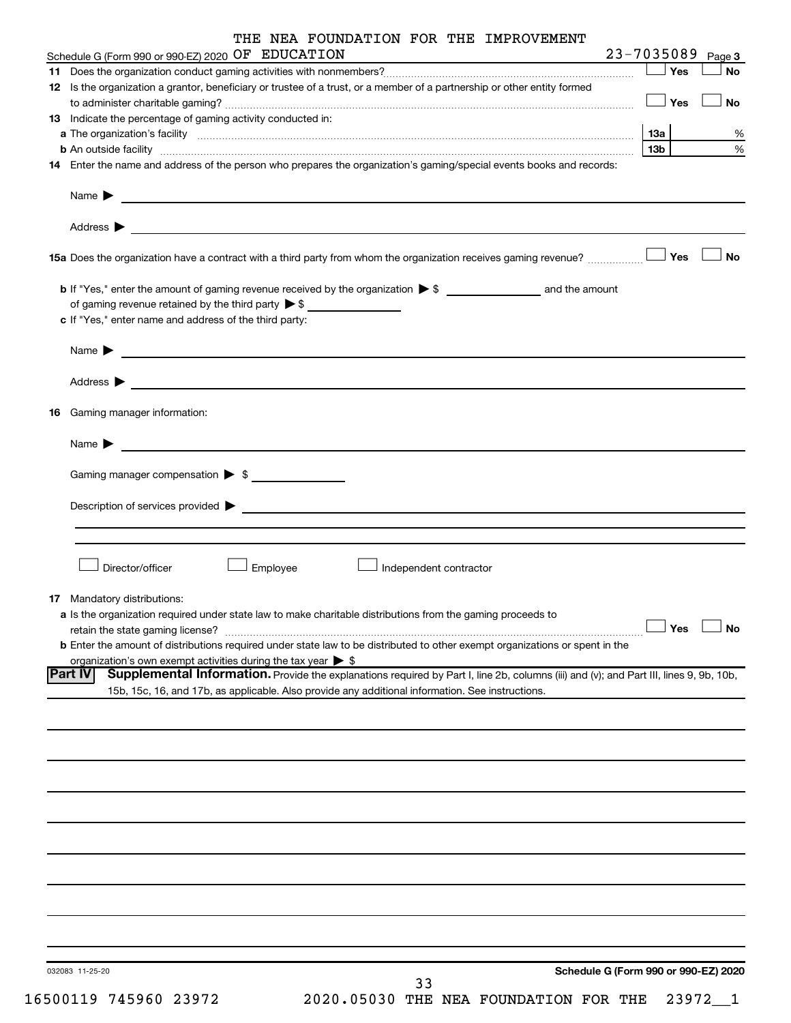| THE NEA FOUNDATION FOR THE IMPROVEMENT                                                                                                                                                                                                                             |                   |           |
|--------------------------------------------------------------------------------------------------------------------------------------------------------------------------------------------------------------------------------------------------------------------|-------------------|-----------|
| Schedule G (Form 990 or 990-EZ) 2020 OF EDUCATION                                                                                                                                                                                                                  | 23-7035089 Page 3 |           |
|                                                                                                                                                                                                                                                                    | Yes               | <b>No</b> |
| 12 Is the organization a grantor, beneficiary or trustee of a trust, or a member of a partnership or other entity formed                                                                                                                                           | Yes               | <b>No</b> |
| <b>13</b> Indicate the percentage of gaming activity conducted in:                                                                                                                                                                                                 |                   |           |
| a The organization's facility www.communication.communications are produced as the organization's facility www.communications and a strategy of the strategy of the strategy of the strategy of the strategy of the strategy o                                     | 13a               | %         |
| <b>b</b> An outside facility <i>www.communicality www.communicality.communicality www.communicality www.communicality.communicality www.communicality.com</i>                                                                                                      | 13 <sub>b</sub>   | $\%$      |
| 14 Enter the name and address of the person who prepares the organization's gaming/special events books and records:                                                                                                                                               |                   |           |
| Name $\blacktriangleright$<br><u> 1989 - Johann Stein, marwolaethau a bhann an t-Amhainn an t-Amhainn an t-Amhainn an t-Amhainn an t-Amhainn an</u>                                                                                                                |                   |           |
|                                                                                                                                                                                                                                                                    |                   |           |
|                                                                                                                                                                                                                                                                    | Yes               | <b>No</b> |
|                                                                                                                                                                                                                                                                    |                   |           |
| of gaming revenue retained by the third party $\triangleright$ \$                                                                                                                                                                                                  |                   |           |
| c If "Yes," enter name and address of the third party:                                                                                                                                                                                                             |                   |           |
| <u>and the state of the state of the state of the state of the state of the state of the state of the state of the state of the state of the state of the state of the state of the state of the state of the state of the state</u><br>Name $\blacktriangleright$ |                   |           |
|                                                                                                                                                                                                                                                                    |                   |           |
| <b>16</b> Gaming manager information:                                                                                                                                                                                                                              |                   |           |
| Name $\blacktriangleright$<br><u> 1990 - John Stein, marking ar yn y brening yn y brening yn y brening yn y brening yn y brening yn y brening y</u>                                                                                                                |                   |           |
| Gaming manager compensation > \$                                                                                                                                                                                                                                   |                   |           |
|                                                                                                                                                                                                                                                                    |                   |           |
|                                                                                                                                                                                                                                                                    |                   |           |
|                                                                                                                                                                                                                                                                    |                   |           |
| Director/officer<br>Employee<br>Independent contractor                                                                                                                                                                                                             |                   |           |
| <b>17</b> Mandatory distributions:                                                                                                                                                                                                                                 |                   |           |
| a Is the organization required under state law to make charitable distributions from the gaming proceeds to                                                                                                                                                        |                   |           |
| retain the state gaming license?                                                                                                                                                                                                                                   | Yes               | <b>No</b> |
| <b>b</b> Enter the amount of distributions required under state law to be distributed to other exempt organizations or spent in the                                                                                                                                |                   |           |
| organization's own exempt activities during the tax year $\triangleright$ \$                                                                                                                                                                                       |                   |           |
| Supplemental Information. Provide the explanations required by Part I, line 2b, columns (iii) and (v); and Part III, lines 9, 9b, 10b,<br> Part IV<br>15b, 15c, 16, and 17b, as applicable. Also provide any additional information. See instructions.             |                   |           |
|                                                                                                                                                                                                                                                                    |                   |           |
|                                                                                                                                                                                                                                                                    |                   |           |
|                                                                                                                                                                                                                                                                    |                   |           |
|                                                                                                                                                                                                                                                                    |                   |           |
|                                                                                                                                                                                                                                                                    |                   |           |
|                                                                                                                                                                                                                                                                    |                   |           |
|                                                                                                                                                                                                                                                                    |                   |           |
|                                                                                                                                                                                                                                                                    |                   |           |
|                                                                                                                                                                                                                                                                    |                   |           |
|                                                                                                                                                                                                                                                                    |                   |           |
|                                                                                                                                                                                                                                                                    |                   |           |
|                                                                                                                                                                                                                                                                    |                   |           |
|                                                                                                                                                                                                                                                                    |                   |           |
|                                                                                                                                                                                                                                                                    |                   |           |
| Schedule G (Form 990 or 990-EZ) 2020<br>032083 11-25-20<br>33                                                                                                                                                                                                      |                   |           |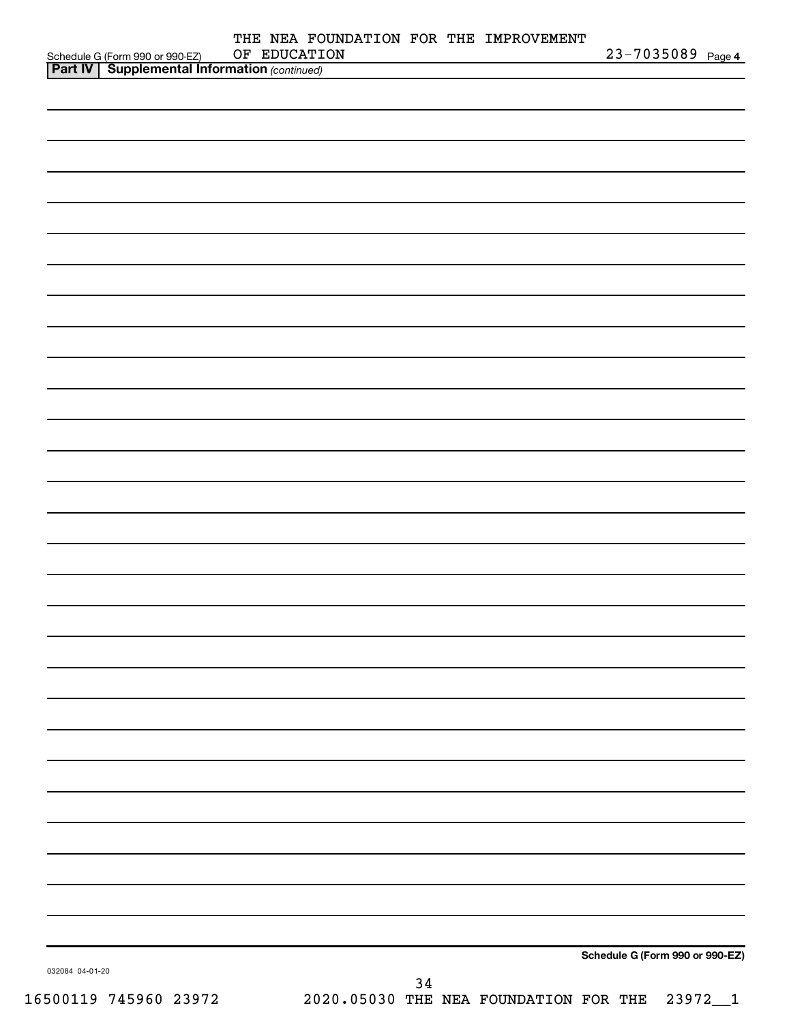| OF EDUCATION<br>Schedule G (Form 990 or 990-EZ) OF EDUCATI<br><b>Part IV   Supplemental Information</b> (continued) |  | 23-7035089 Page 4 |                                 |
|---------------------------------------------------------------------------------------------------------------------|--|-------------------|---------------------------------|
|                                                                                                                     |  |                   |                                 |
|                                                                                                                     |  |                   |                                 |
|                                                                                                                     |  |                   |                                 |
|                                                                                                                     |  |                   |                                 |
|                                                                                                                     |  |                   |                                 |
|                                                                                                                     |  |                   |                                 |
|                                                                                                                     |  |                   |                                 |
|                                                                                                                     |  |                   |                                 |
|                                                                                                                     |  |                   |                                 |
|                                                                                                                     |  |                   |                                 |
|                                                                                                                     |  |                   |                                 |
|                                                                                                                     |  |                   |                                 |
|                                                                                                                     |  |                   |                                 |
|                                                                                                                     |  |                   |                                 |
|                                                                                                                     |  |                   |                                 |
|                                                                                                                     |  |                   |                                 |
|                                                                                                                     |  |                   |                                 |
|                                                                                                                     |  |                   |                                 |
|                                                                                                                     |  |                   |                                 |
|                                                                                                                     |  |                   |                                 |
|                                                                                                                     |  |                   |                                 |
|                                                                                                                     |  |                   |                                 |
|                                                                                                                     |  |                   |                                 |
|                                                                                                                     |  |                   |                                 |
|                                                                                                                     |  |                   |                                 |
|                                                                                                                     |  |                   |                                 |
|                                                                                                                     |  |                   |                                 |
|                                                                                                                     |  |                   |                                 |
|                                                                                                                     |  |                   |                                 |
|                                                                                                                     |  |                   |                                 |
|                                                                                                                     |  |                   |                                 |
|                                                                                                                     |  |                   |                                 |
|                                                                                                                     |  |                   |                                 |
|                                                                                                                     |  |                   |                                 |
|                                                                                                                     |  |                   |                                 |
|                                                                                                                     |  |                   |                                 |
|                                                                                                                     |  |                   |                                 |
|                                                                                                                     |  |                   |                                 |
|                                                                                                                     |  |                   |                                 |
|                                                                                                                     |  |                   |                                 |
|                                                                                                                     |  |                   |                                 |
|                                                                                                                     |  |                   |                                 |
|                                                                                                                     |  |                   |                                 |
|                                                                                                                     |  |                   |                                 |
|                                                                                                                     |  |                   |                                 |
|                                                                                                                     |  |                   |                                 |
|                                                                                                                     |  |                   | Schedule G (Form 990 or 990-EZ) |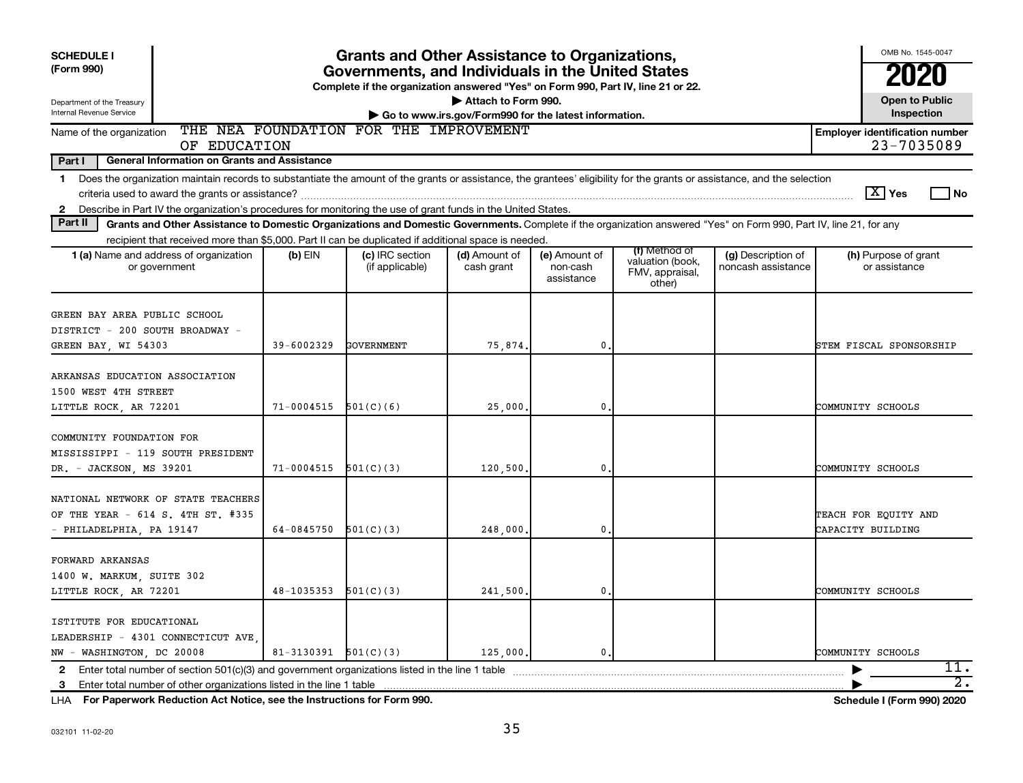| <b>SCHEDULE I</b><br>(Form 990)<br>Department of the Treasury                                                                                                                                                                                                                                                 | <b>Grants and Other Assistance to Organizations,</b><br>Governments, and Individuals in the United States<br>Complete if the organization answered "Yes" on Form 990, Part IV, line 21 or 22.<br>Attach to Form 990. |                                    |                                                       |                                         |                                                                |                                          |                                           |  |  |  |  |
|---------------------------------------------------------------------------------------------------------------------------------------------------------------------------------------------------------------------------------------------------------------------------------------------------------------|----------------------------------------------------------------------------------------------------------------------------------------------------------------------------------------------------------------------|------------------------------------|-------------------------------------------------------|-----------------------------------------|----------------------------------------------------------------|------------------------------------------|-------------------------------------------|--|--|--|--|
| Internal Revenue Service                                                                                                                                                                                                                                                                                      |                                                                                                                                                                                                                      |                                    | Go to www.irs.gov/Form990 for the latest information. |                                         |                                                                |                                          | <b>Open to Public</b><br>Inspection       |  |  |  |  |
| THE NEA FOUNDATION FOR THE IMPROVEMENT<br><b>Employer identification number</b><br>Name of the organization<br>23-7035089<br>OF EDUCATION                                                                                                                                                                     |                                                                                                                                                                                                                      |                                    |                                                       |                                         |                                                                |                                          |                                           |  |  |  |  |
| Part I<br><b>General Information on Grants and Assistance</b>                                                                                                                                                                                                                                                 |                                                                                                                                                                                                                      |                                    |                                                       |                                         |                                                                |                                          |                                           |  |  |  |  |
| Does the organization maintain records to substantiate the amount of the grants or assistance, the grantees' eligibility for the grants or assistance, and the selection<br>$\mathbf 1$<br>Describe in Part IV the organization's procedures for monitoring the use of grant funds in the United States.<br>2 |                                                                                                                                                                                                                      |                                    |                                                       |                                         |                                                                |                                          | $\boxed{\text{X}}$ Yes<br>l No            |  |  |  |  |
| Part II<br>Grants and Other Assistance to Domestic Organizations and Domestic Governments. Complete if the organization answered "Yes" on Form 990, Part IV, line 21, for any                                                                                                                                 |                                                                                                                                                                                                                      |                                    |                                                       |                                         |                                                                |                                          |                                           |  |  |  |  |
| recipient that received more than \$5,000. Part II can be duplicated if additional space is needed.                                                                                                                                                                                                           |                                                                                                                                                                                                                      |                                    |                                                       |                                         |                                                                |                                          |                                           |  |  |  |  |
| 1 (a) Name and address of organization<br>or government                                                                                                                                                                                                                                                       | $(b)$ EIN                                                                                                                                                                                                            | (c) IRC section<br>(if applicable) | (d) Amount of<br>cash grant                           | (e) Amount of<br>non-cash<br>assistance | (f) Method of<br>valuation (book,<br>FMV, appraisal,<br>other) | (g) Description of<br>noncash assistance | (h) Purpose of grant<br>or assistance     |  |  |  |  |
| GREEN BAY AREA PUBLIC SCHOOL<br>DISTRICT - 200 SOUTH BROADWAY -<br>GREEN BAY, WI 54303                                                                                                                                                                                                                        | 39-6002329                                                                                                                                                                                                           | <b>GOVERNMENT</b>                  | 75,874.                                               | $\mathbf{0}$                            |                                                                |                                          | STEM FISCAL SPONSORSHIP                   |  |  |  |  |
| ARKANSAS EDUCATION ASSOCIATION<br>1500 WEST 4TH STREET<br>LITTLE ROCK, AR 72201                                                                                                                                                                                                                               | $71 - 0004515$                                                                                                                                                                                                       | 501(C)(6)                          | 25,000                                                | $\mathbf{0}$                            |                                                                |                                          | COMMUNITY SCHOOLS                         |  |  |  |  |
| COMMUNITY FOUNDATION FOR<br>MISSISSIPPI - 119 SOUTH PRESIDENT<br>DR. - JACKSON, MS 39201                                                                                                                                                                                                                      | 71-0004515                                                                                                                                                                                                           | 501(C)(3)                          | 120,500                                               | $\mathbf{0}$                            |                                                                |                                          | COMMUNITY SCHOOLS                         |  |  |  |  |
| NATIONAL NETWORK OF STATE TEACHERS<br>OF THE YEAR - 614 S. 4TH ST. #335<br>- PHILADELPHIA, PA 19147                                                                                                                                                                                                           | 64-0845750                                                                                                                                                                                                           | 501(C)(3)                          | 248,000                                               | $\mathbf{0}$                            |                                                                |                                          | TEACH FOR EQUITY AND<br>CAPACITY BUILDING |  |  |  |  |
| FORWARD ARKANSAS<br>1400 W. MARKUM, SUITE 302<br>LITTLE ROCK, AR 72201                                                                                                                                                                                                                                        | $48-1035353$ $501(C)(3)$                                                                                                                                                                                             |                                    | 241,500.                                              | $\mathbf{0}$ .                          |                                                                |                                          | COMMUNITY SCHOOLS                         |  |  |  |  |
| ISTITUTE FOR EDUCATIONAL<br>LEADERSHIP - 4301 CONNECTICUT AVE<br>NW - WASHINGTON, DC 20008<br>Enter total number of section 501(c)(3) and government organizations listed in the line 1 table<br>$\mathbf{2}$                                                                                                 | $81-3130391$ $501(C)(3)$                                                                                                                                                                                             |                                    | 125,000.                                              | $\mathbf{0}$ .                          |                                                                |                                          | COMMUNITY SCHOOLS<br>11.                  |  |  |  |  |
| 3 Enter total number of other organizations listed in the line 1 table                                                                                                                                                                                                                                        |                                                                                                                                                                                                                      |                                    |                                                       |                                         |                                                                |                                          | $\overline{2}$ .                          |  |  |  |  |

**For Paperwork Reduction Act Notice, see the Instructions for Form 990. Schedule I (Form 990) 2020** LHA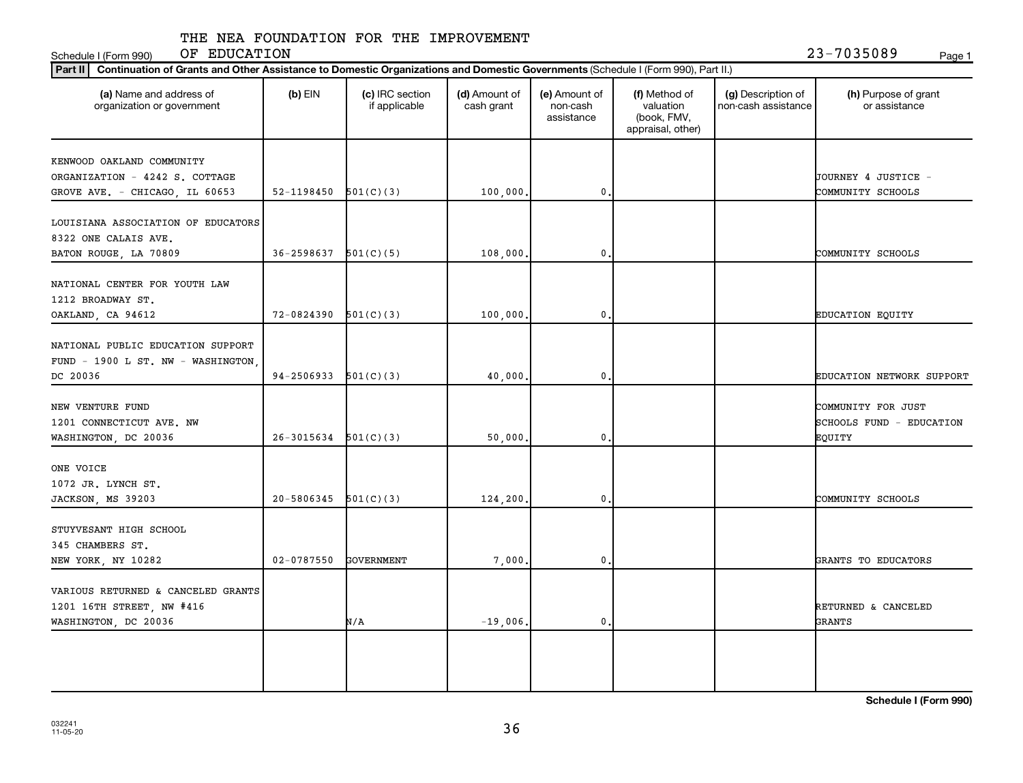Schedule I (Form 990) OF EDUCATION 23-7035089 <sub>Page 1</sub>

| (a) Name and address of<br>organization or government                   | $(b)$ EIN                | (c) IRC section<br>if applicable | (d) Amount of<br>cash grant | (e) Amount of<br>non-cash<br>assistance | (f) Method of<br>valuation<br>(book, FMV,<br>appraisal, other) | (g) Description of<br>non-cash assistance | (h) Purpose of grant<br>or assistance          |
|-------------------------------------------------------------------------|--------------------------|----------------------------------|-----------------------------|-----------------------------------------|----------------------------------------------------------------|-------------------------------------------|------------------------------------------------|
| KENWOOD OAKLAND COMMUNITY                                               |                          |                                  |                             |                                         |                                                                |                                           |                                                |
| ORGANIZATION - 4242 S. COTTAGE                                          |                          |                                  |                             |                                         |                                                                |                                           | JOURNEY 4 JUSTICE -                            |
| GROVE AVE. - CHICAGO, IL 60653                                          | 52-1198450               | 501(C)(3)                        | 100,000                     | $\mathbf 0$                             |                                                                |                                           | COMMUNITY SCHOOLS                              |
| LOUISIANA ASSOCIATION OF EDUCATORS<br>8322 ONE CALAIS AVE.              |                          |                                  |                             |                                         |                                                                |                                           |                                                |
| BATON ROUGE, LA 70809                                                   | 36-2598637               | 501(C)(5)                        | 108,000                     | $\mathbf 0$                             |                                                                |                                           | COMMUNITY SCHOOLS                              |
| NATIONAL CENTER FOR YOUTH LAW<br>1212 BROADWAY ST.<br>OAKLAND, CA 94612 | 72-0824390               | 501(C)(3)                        | 100,000.                    | $\mathbf{0}$                            |                                                                |                                           | <b>EDUCATION EQUITY</b>                        |
|                                                                         |                          |                                  |                             |                                         |                                                                |                                           |                                                |
| NATIONAL PUBLIC EDUCATION SUPPORT<br>FUND - 1900 L ST. NW - WASHINGTON, |                          |                                  |                             |                                         |                                                                |                                           |                                                |
| DC 20036                                                                | $94-2506933$ $501(C)(3)$ |                                  | 40,000                      | $\mathbf 0$                             |                                                                |                                           | EDUCATION NETWORK SUPPORT                      |
| NEW VENTURE FUND<br>1201 CONNECTICUT AVE. NW                            |                          |                                  |                             |                                         |                                                                |                                           | COMMUNITY FOR JUST<br>SCHOOLS FUND - EDUCATION |
| WASHINGTON, DC 20036                                                    | $26-3015634$ $501(C)(3)$ |                                  | 50,000                      | $\mathbf 0$                             |                                                                |                                           | EQUITY                                         |
| ONE VOICE<br>1072 JR. LYNCH ST.                                         |                          |                                  |                             |                                         |                                                                |                                           |                                                |
| JACKSON, MS 39203                                                       | 20-5806345               | 501(C)(3)                        | 124,200.                    | $\mathbf 0$                             |                                                                |                                           | COMMUNITY SCHOOLS                              |
| STUYVESANT HIGH SCHOOL<br>345 CHAMBERS ST.                              |                          |                                  |                             |                                         |                                                                |                                           |                                                |
| NEW YORK, NY 10282                                                      | $02 - 0787550$           | <b>GOVERNMENT</b>                | 7,000                       | $\mathbf{0}$                            |                                                                |                                           | GRANTS TO EDUCATORS                            |
| VARIOUS RETURNED & CANCELED GRANTS                                      |                          |                                  |                             |                                         |                                                                |                                           |                                                |
| 1201 16TH STREET, NW #416                                               |                          |                                  |                             |                                         |                                                                |                                           | RETURNED & CANCELED                            |
| WASHINGTON, DC 20036                                                    |                          | N/A                              | $-19,006$ .                 | $\mathbf{0}$                            |                                                                |                                           | GRANTS                                         |
|                                                                         |                          |                                  |                             |                                         |                                                                |                                           |                                                |
|                                                                         |                          |                                  |                             |                                         |                                                                |                                           |                                                |
|                                                                         |                          |                                  |                             |                                         |                                                                |                                           |                                                |

**Schedule I (Form 990)**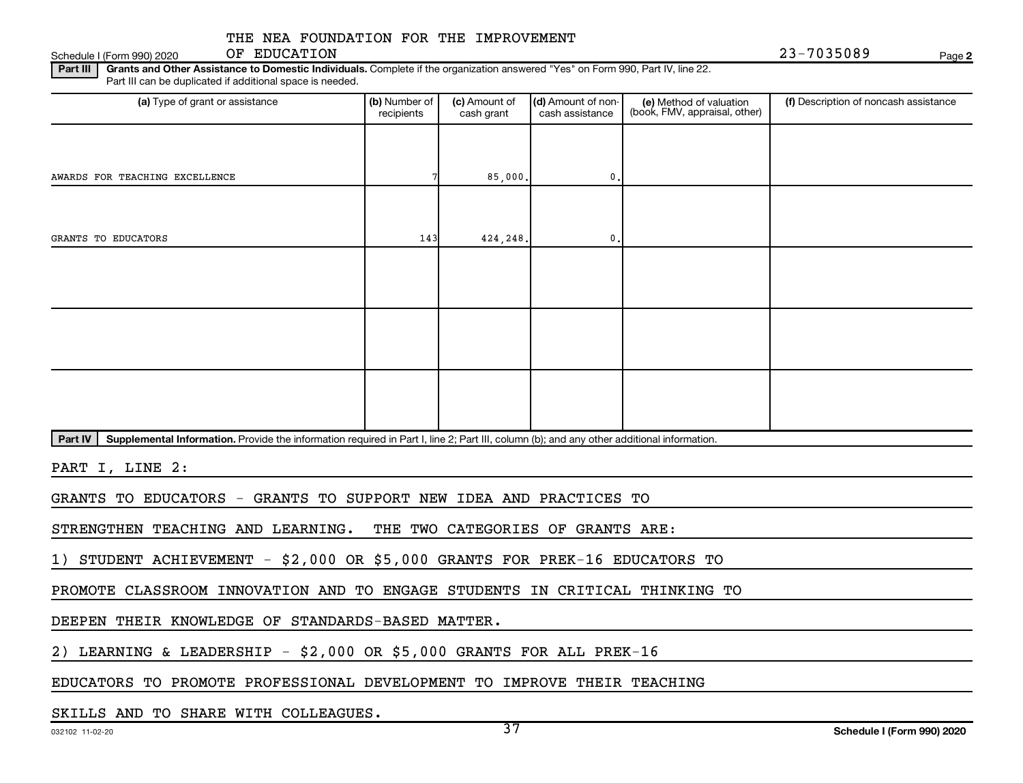Schedule I (Form 990) 2020 OF EDUCATION 2 3 – 7 0 3 5 0 8 9 OF EDUCATION

**2**

Part III | Grants and Other Assistance to Domestic Individuals. Complete if the organization answered "Yes" on Form 990, Part IV, line 22. Part III can be duplicated if additional space is needed.

| (a) Type of grant or assistance | (b) Number of<br>recipients | (c) Amount of<br>cash grant | (d) Amount of non-<br>cash assistance | (e) Method of valuation<br>(book, FMV, appraisal, other) | (f) Description of noncash assistance |
|---------------------------------|-----------------------------|-----------------------------|---------------------------------------|----------------------------------------------------------|---------------------------------------|
|                                 |                             |                             |                                       |                                                          |                                       |
| AWARDS FOR TEACHING EXCELLENCE  |                             | 85,000.                     | 0.                                    |                                                          |                                       |
|                                 |                             |                             |                                       |                                                          |                                       |
| GRANTS TO EDUCATORS             | 143                         | 424,248.                    | $\mathbf{0}$ .                        |                                                          |                                       |
|                                 |                             |                             |                                       |                                                          |                                       |
|                                 |                             |                             |                                       |                                                          |                                       |
|                                 |                             |                             |                                       |                                                          |                                       |
|                                 |                             |                             |                                       |                                                          |                                       |
|                                 |                             |                             |                                       |                                                          |                                       |
|                                 |                             |                             |                                       |                                                          |                                       |

Part IV | Supplemental Information. Provide the information required in Part I, line 2; Part III, column (b); and any other additional information.

PART I, LINE 2:

GRANTS TO EDUCATORS - GRANTS TO SUPPORT NEW IDEA AND PRACTICES TO

STRENGTHEN TEACHING AND LEARNING. THE TWO CATEGORIES OF GRANTS ARE:

1) STUDENT ACHIEVEMENT - \$2,000 OR \$5,000 GRANTS FOR PREK-16 EDUCATORS TO

PROMOTE CLASSROOM INNOVATION AND TO ENGAGE STUDENTS IN CRITICAL THINKING TO

DEEPEN THEIR KNOWLEDGE OF STANDARDS-BASED MATTER.

2) LEARNING & LEADERSHIP - \$2,000 OR \$5,000 GRANTS FOR ALL PREK-16

EDUCATORS TO PROMOTE PROFESSIONAL DEVELOPMENT TO IMPROVE THEIR TEACHING

SKILLS AND TO SHARE WITH COLLEAGUES.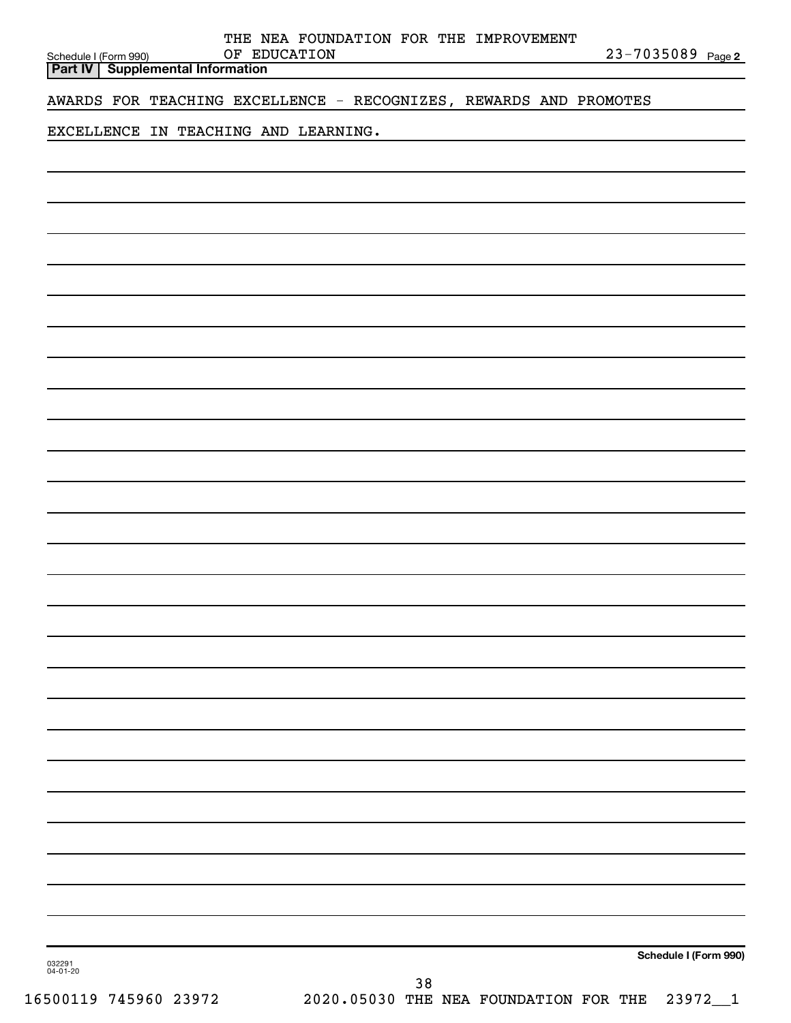| Schedule I (Form 990) | THE NEA FOUNDATION FOR THE IMPROVEMENT<br>OF EDUCATION<br><b>Part IV   Supplemental Information</b> | 23-7035089 Page 2     |
|-----------------------|-----------------------------------------------------------------------------------------------------|-----------------------|
|                       | AWARDS FOR TEACHING EXCELLENCE - RECOGNIZES, REWARDS AND PROMOTES                                   |                       |
|                       | EXCELLENCE IN TEACHING AND LEARNING.                                                                |                       |
|                       |                                                                                                     |                       |
|                       |                                                                                                     |                       |
|                       |                                                                                                     |                       |
|                       |                                                                                                     |                       |
|                       |                                                                                                     |                       |
|                       |                                                                                                     |                       |
|                       |                                                                                                     |                       |
|                       |                                                                                                     |                       |
|                       |                                                                                                     |                       |
|                       |                                                                                                     |                       |
|                       |                                                                                                     |                       |
|                       |                                                                                                     |                       |
|                       |                                                                                                     |                       |
|                       |                                                                                                     |                       |
|                       |                                                                                                     |                       |
|                       |                                                                                                     |                       |
|                       |                                                                                                     |                       |
|                       |                                                                                                     |                       |
|                       |                                                                                                     |                       |
|                       |                                                                                                     |                       |
|                       |                                                                                                     |                       |
|                       |                                                                                                     |                       |
|                       |                                                                                                     |                       |
|                       |                                                                                                     |                       |
|                       |                                                                                                     |                       |
|                       |                                                                                                     |                       |
| 032291<br>04-01-20    |                                                                                                     | Schedule I (Form 990) |
|                       | 38                                                                                                  |                       |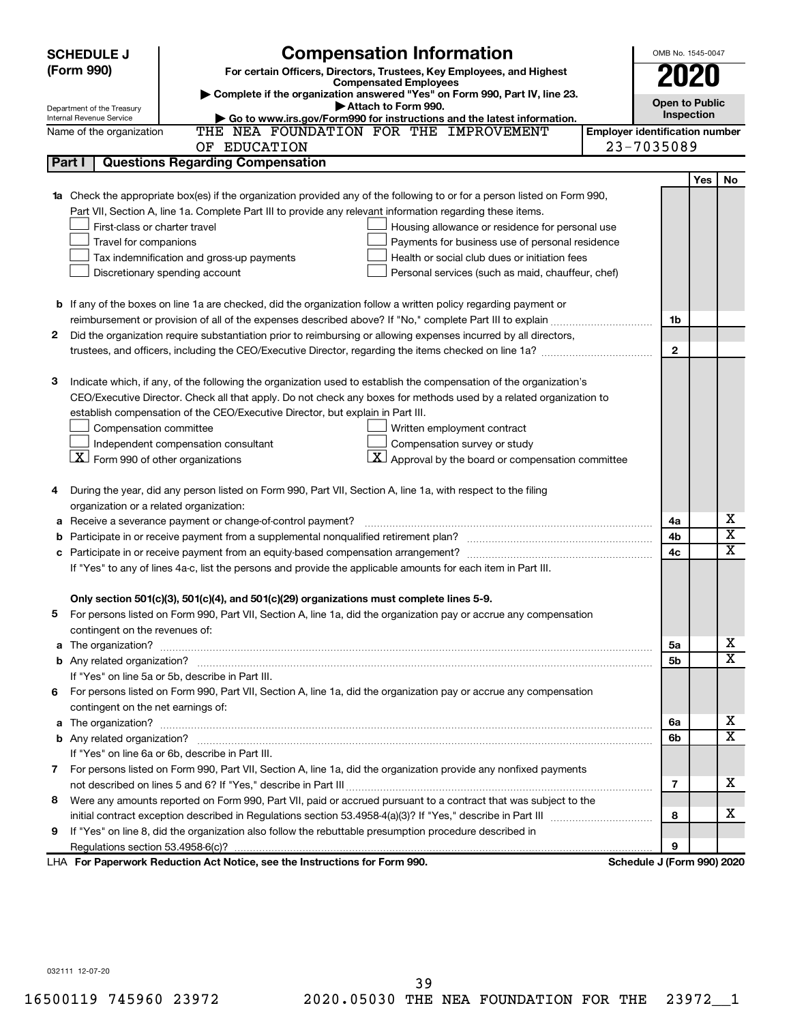| <b>Compensation Information</b><br>(Form 990)<br>For certain Officers, Directors, Trustees, Key Employees, and Highest<br>2020<br><b>Compensated Employees</b><br>Complete if the organization answered "Yes" on Form 990, Part IV, line 23.<br><b>Open to Public</b><br>Attach to Form 990.<br>Department of the Treasury<br>Inspection<br>Go to www.irs.gov/Form990 for instructions and the latest information.<br>Internal Revenue Service<br>THE NEA FOUNDATION FOR THE IMPROVEMENT<br><b>Employer identification number</b><br>Name of the organization |                         |
|---------------------------------------------------------------------------------------------------------------------------------------------------------------------------------------------------------------------------------------------------------------------------------------------------------------------------------------------------------------------------------------------------------------------------------------------------------------------------------------------------------------------------------------------------------------|-------------------------|
|                                                                                                                                                                                                                                                                                                                                                                                                                                                                                                                                                               |                         |
|                                                                                                                                                                                                                                                                                                                                                                                                                                                                                                                                                               |                         |
|                                                                                                                                                                                                                                                                                                                                                                                                                                                                                                                                                               |                         |
|                                                                                                                                                                                                                                                                                                                                                                                                                                                                                                                                                               |                         |
|                                                                                                                                                                                                                                                                                                                                                                                                                                                                                                                                                               |                         |
| 23-7035089<br>OF EDUCATION                                                                                                                                                                                                                                                                                                                                                                                                                                                                                                                                    |                         |
| Part I<br><b>Questions Regarding Compensation</b>                                                                                                                                                                                                                                                                                                                                                                                                                                                                                                             |                         |
| <b>Yes</b>                                                                                                                                                                                                                                                                                                                                                                                                                                                                                                                                                    | No                      |
| Check the appropriate box(es) if the organization provided any of the following to or for a person listed on Form 990,<br>1a                                                                                                                                                                                                                                                                                                                                                                                                                                  |                         |
| Part VII, Section A, line 1a. Complete Part III to provide any relevant information regarding these items.                                                                                                                                                                                                                                                                                                                                                                                                                                                    |                         |
| First-class or charter travel<br>Housing allowance or residence for personal use                                                                                                                                                                                                                                                                                                                                                                                                                                                                              |                         |
| Travel for companions<br>Payments for business use of personal residence                                                                                                                                                                                                                                                                                                                                                                                                                                                                                      |                         |
| Health or social club dues or initiation fees<br>Tax indemnification and gross-up payments                                                                                                                                                                                                                                                                                                                                                                                                                                                                    |                         |
| Discretionary spending account<br>Personal services (such as maid, chauffeur, chef)                                                                                                                                                                                                                                                                                                                                                                                                                                                                           |                         |
|                                                                                                                                                                                                                                                                                                                                                                                                                                                                                                                                                               |                         |
| <b>b</b> If any of the boxes on line 1a are checked, did the organization follow a written policy regarding payment or                                                                                                                                                                                                                                                                                                                                                                                                                                        |                         |
| 1b                                                                                                                                                                                                                                                                                                                                                                                                                                                                                                                                                            |                         |
| Did the organization require substantiation prior to reimbursing or allowing expenses incurred by all directors,<br>2                                                                                                                                                                                                                                                                                                                                                                                                                                         |                         |
| $\mathbf{2}$                                                                                                                                                                                                                                                                                                                                                                                                                                                                                                                                                  |                         |
|                                                                                                                                                                                                                                                                                                                                                                                                                                                                                                                                                               |                         |
| з<br>Indicate which, if any, of the following the organization used to establish the compensation of the organization's                                                                                                                                                                                                                                                                                                                                                                                                                                       |                         |
| CEO/Executive Director. Check all that apply. Do not check any boxes for methods used by a related organization to                                                                                                                                                                                                                                                                                                                                                                                                                                            |                         |
| establish compensation of the CEO/Executive Director, but explain in Part III.                                                                                                                                                                                                                                                                                                                                                                                                                                                                                |                         |
| Compensation committee<br>Written employment contract                                                                                                                                                                                                                                                                                                                                                                                                                                                                                                         |                         |
| Independent compensation consultant<br>Compensation survey or study                                                                                                                                                                                                                                                                                                                                                                                                                                                                                           |                         |
| $\lfloor \underline{X} \rfloor$ Form 990 of other organizations<br>$ \mathbf{X} $ Approval by the board or compensation committee                                                                                                                                                                                                                                                                                                                                                                                                                             |                         |
|                                                                                                                                                                                                                                                                                                                                                                                                                                                                                                                                                               |                         |
| During the year, did any person listed on Form 990, Part VII, Section A, line 1a, with respect to the filing<br>4                                                                                                                                                                                                                                                                                                                                                                                                                                             |                         |
| organization or a related organization:                                                                                                                                                                                                                                                                                                                                                                                                                                                                                                                       |                         |
| Receive a severance payment or change-of-control payment?<br>4a<br>а                                                                                                                                                                                                                                                                                                                                                                                                                                                                                          | х                       |
| 4b<br>b                                                                                                                                                                                                                                                                                                                                                                                                                                                                                                                                                       | $\overline{\textbf{x}}$ |
| 4c<br>c                                                                                                                                                                                                                                                                                                                                                                                                                                                                                                                                                       | X                       |
| If "Yes" to any of lines 4a-c, list the persons and provide the applicable amounts for each item in Part III.                                                                                                                                                                                                                                                                                                                                                                                                                                                 |                         |
|                                                                                                                                                                                                                                                                                                                                                                                                                                                                                                                                                               |                         |
| Only section 501(c)(3), 501(c)(4), and 501(c)(29) organizations must complete lines 5-9.                                                                                                                                                                                                                                                                                                                                                                                                                                                                      |                         |
| For persons listed on Form 990, Part VII, Section A, line 1a, did the organization pay or accrue any compensation                                                                                                                                                                                                                                                                                                                                                                                                                                             |                         |
| contingent on the revenues of:                                                                                                                                                                                                                                                                                                                                                                                                                                                                                                                                | х                       |
| 5a                                                                                                                                                                                                                                                                                                                                                                                                                                                                                                                                                            | X                       |
| 5b                                                                                                                                                                                                                                                                                                                                                                                                                                                                                                                                                            |                         |
| If "Yes" on line 5a or 5b, describe in Part III.                                                                                                                                                                                                                                                                                                                                                                                                                                                                                                              |                         |
| 6 For persons listed on Form 990, Part VII, Section A, line 1a, did the organization pay or accrue any compensation                                                                                                                                                                                                                                                                                                                                                                                                                                           |                         |
| contingent on the net earnings of:                                                                                                                                                                                                                                                                                                                                                                                                                                                                                                                            | х                       |
| 6a                                                                                                                                                                                                                                                                                                                                                                                                                                                                                                                                                            | X                       |
| 6b<br>If "Yes" on line 6a or 6b, describe in Part III.                                                                                                                                                                                                                                                                                                                                                                                                                                                                                                        |                         |
| 7 For persons listed on Form 990, Part VII, Section A, line 1a, did the organization provide any nonfixed payments                                                                                                                                                                                                                                                                                                                                                                                                                                            |                         |
|                                                                                                                                                                                                                                                                                                                                                                                                                                                                                                                                                               | x                       |
| 7<br>Were any amounts reported on Form 990, Part VII, paid or accrued pursuant to a contract that was subject to the                                                                                                                                                                                                                                                                                                                                                                                                                                          |                         |
| 8<br>8                                                                                                                                                                                                                                                                                                                                                                                                                                                                                                                                                        | x                       |
| If "Yes" on line 8, did the organization also follow the rebuttable presumption procedure described in<br>9                                                                                                                                                                                                                                                                                                                                                                                                                                                   |                         |
| 9                                                                                                                                                                                                                                                                                                                                                                                                                                                                                                                                                             |                         |
| LHA For Paperwork Reduction Act Notice, see the Instructions for Form 990.<br>Schedule J (Form 990) 2020                                                                                                                                                                                                                                                                                                                                                                                                                                                      |                         |

032111 12-07-20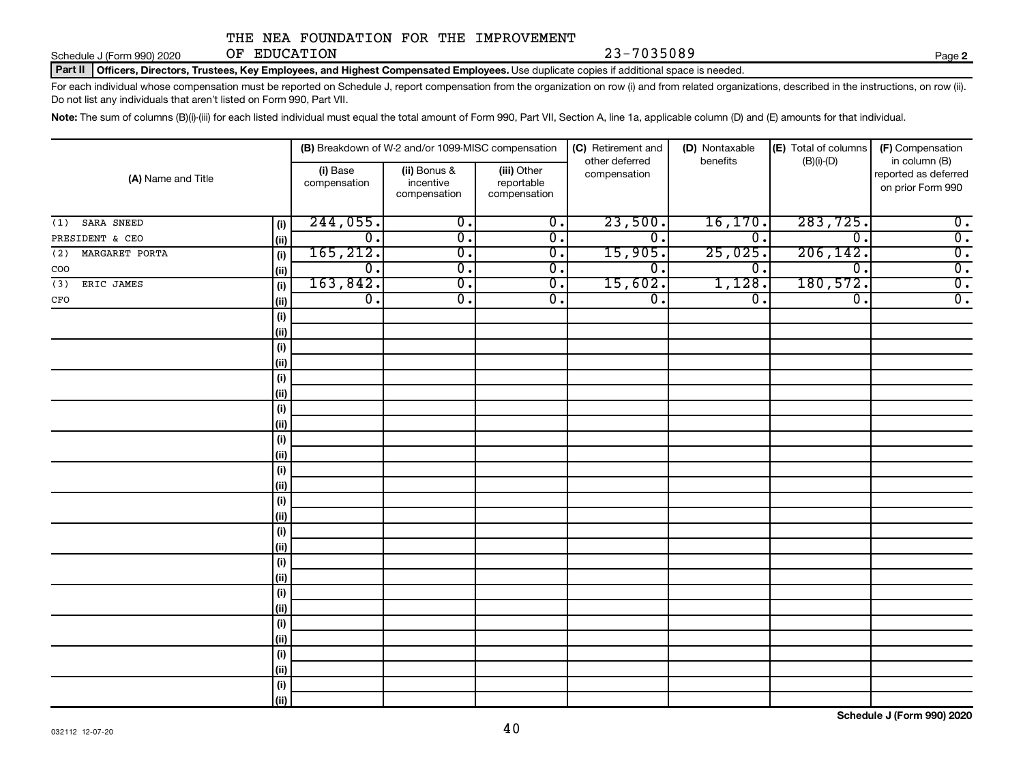**2**

Part II | Officers, Directors, Trustees, Key Employees, and Highest Compensated Employees. Use duplicate copies if additional space is needed.

For each individual whose compensation must be reported on Schedule J, report compensation from the organization on row (i) and from related organizations, described in the instructions, on row (ii). Do not list any individuals that aren't listed on Form 990, Part VII.

Note: The sum of columns (B)(i)-(iii) for each listed individual must equal the total amount of Form 990, Part VII, Section A, line 1a, applicable column (D) and (E) amounts for that individual.

| (A) Name and Title    |            |                          | (B) Breakdown of W-2 and/or 1099-MISC compensation |                                           | (C) Retirement and             | (D) Nontaxable              | (E) Total of columns | (F) Compensation                                           |
|-----------------------|------------|--------------------------|----------------------------------------------------|-------------------------------------------|--------------------------------|-----------------------------|----------------------|------------------------------------------------------------|
|                       |            | (i) Base<br>compensation | (ii) Bonus &<br>incentive<br>compensation          | (iii) Other<br>reportable<br>compensation | other deferred<br>compensation | benefits                    | $(B)(i)$ - $(D)$     | in column (B)<br>reported as deferred<br>on prior Form 990 |
| SARA SNEED<br>(1)     | (i)        | 244,055.                 | $\overline{0}$ .                                   | $\overline{0}$ .                          | 23,500.                        | 16, 170                     | 283, 725.            | $\overline{0}$ .                                           |
| PRESIDENT & CEO       | (ii)       | $\overline{0}$ .         | $\overline{0}$ .                                   | $\overline{0}$ .                          | $\overline{0}$ .               | $\overline{0}$ .            | $\overline{0}$ .     | $\overline{0}$ .                                           |
| MARGARET PORTA<br>(2) | (i)        | 165, 212.                | $\overline{0}$ .                                   | $\overline{0}$ .                          | 15,905.                        | 25,025.                     | 206, 142.            | $\overline{0}$ .                                           |
| COO                   | (ii)       | $\overline{0}$ .         | $\overline{0}$ .                                   | $\overline{0}$ .                          | σ.                             | $\overline{\mathfrak{o}}$ . | $\overline{0}$ .     | $\overline{0}$ .                                           |
| ERIC JAMES<br>(3)     | (i)        | 163,842.                 | $\overline{\mathfrak{o}}$ .                        | $\overline{0}$ .                          | 15,602.                        | 1,128.                      | 180,572.             | $\overline{0}$ .                                           |
| $_{\mbox{\tiny CFO}}$ | (ii)       | $\overline{0}$ .         | $\overline{\mathfrak{o}}$ .                        | $\overline{0}$ .                          | $\overline{0}$ .               | $\overline{\mathfrak{o}}$ . | $\overline{0}$ .     | $\overline{0}$ .                                           |
|                       | $(\sf{i})$ |                          |                                                    |                                           |                                |                             |                      |                                                            |
|                       | (ii)       |                          |                                                    |                                           |                                |                             |                      |                                                            |
|                       | (i)        |                          |                                                    |                                           |                                |                             |                      |                                                            |
|                       | (ii)       |                          |                                                    |                                           |                                |                             |                      |                                                            |
|                       | (i)        |                          |                                                    |                                           |                                |                             |                      |                                                            |
|                       | (ii)       |                          |                                                    |                                           |                                |                             |                      |                                                            |
|                       | (i)        |                          |                                                    |                                           |                                |                             |                      |                                                            |
|                       | (ii)       |                          |                                                    |                                           |                                |                             |                      |                                                            |
|                       | (i)        |                          |                                                    |                                           |                                |                             |                      |                                                            |
|                       | (ii)       |                          |                                                    |                                           |                                |                             |                      |                                                            |
|                       | (i)        |                          |                                                    |                                           |                                |                             |                      |                                                            |
|                       | (ii)       |                          |                                                    |                                           |                                |                             |                      |                                                            |
|                       | (i)        |                          |                                                    |                                           |                                |                             |                      |                                                            |
|                       | (ii)       |                          |                                                    |                                           |                                |                             |                      |                                                            |
|                       | (i)        |                          |                                                    |                                           |                                |                             |                      |                                                            |
|                       | (ii)       |                          |                                                    |                                           |                                |                             |                      |                                                            |
|                       | (i)        |                          |                                                    |                                           |                                |                             |                      |                                                            |
|                       | (ii)       |                          |                                                    |                                           |                                |                             |                      |                                                            |
|                       | (i)        |                          |                                                    |                                           |                                |                             |                      |                                                            |
|                       | (ii)       |                          |                                                    |                                           |                                |                             |                      |                                                            |
|                       | (i)        |                          |                                                    |                                           |                                |                             |                      |                                                            |
|                       | (ii)       |                          |                                                    |                                           |                                |                             |                      |                                                            |
|                       | (i)        |                          |                                                    |                                           |                                |                             |                      |                                                            |
|                       | (ii)       |                          |                                                    |                                           |                                |                             |                      |                                                            |
|                       | (i)        |                          |                                                    |                                           |                                |                             |                      |                                                            |
|                       | (ii)       |                          |                                                    |                                           |                                |                             |                      |                                                            |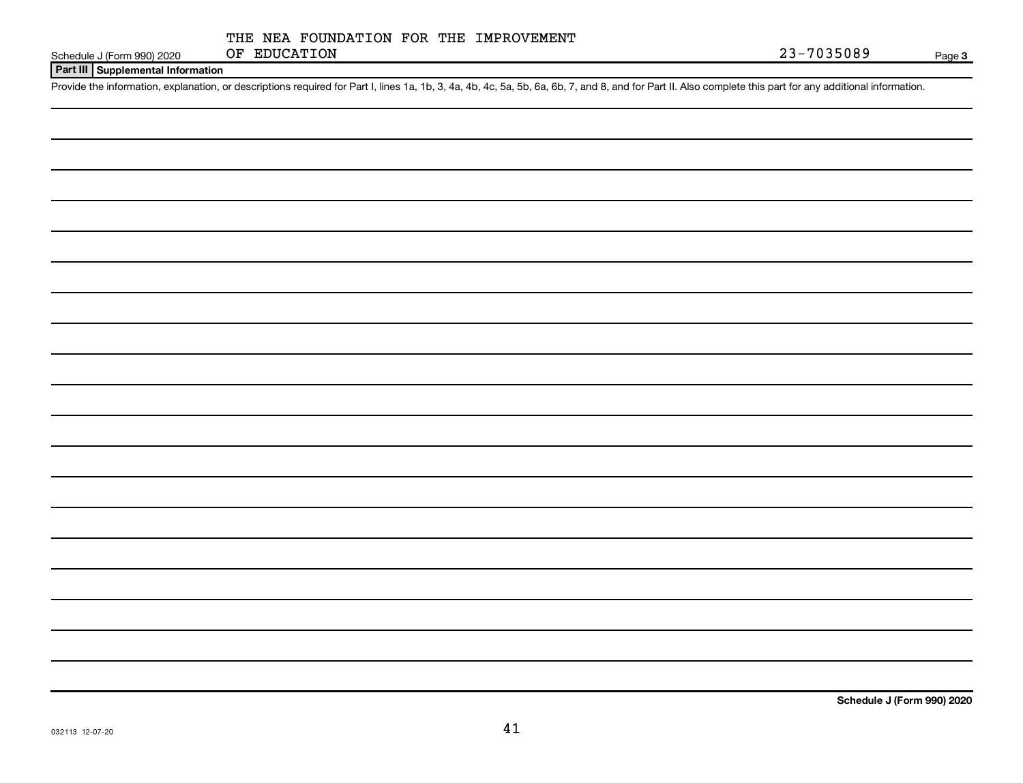## **Part III Supplemental Information**

Provide the information, explanation, or descriptions required for Part I, lines 1a, 1b, 3, 4a, 4b, 4c, 5a, 5b, 6a, 6b, 7, and 8, and for Part II. Also complete this part for any additional information.

**Schedule J (Form 990) 2020**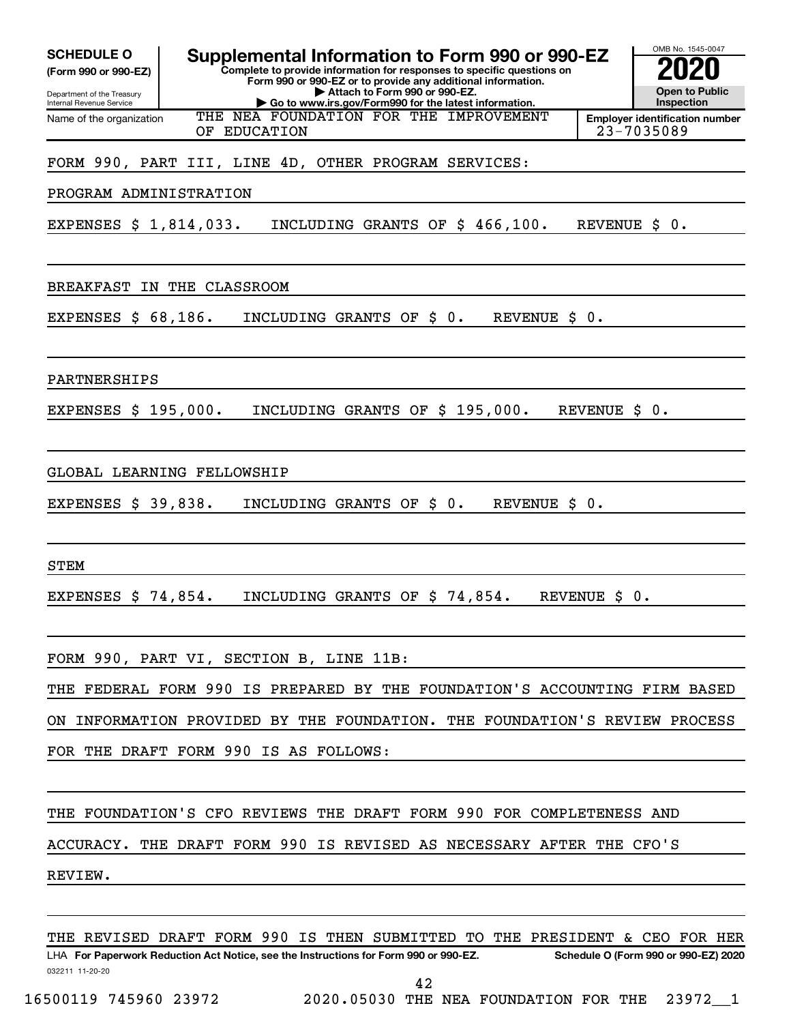| <b>SCHEDULE O</b><br>(Form 990 or 990-EZ)<br>Department of the Treasury | Supplemental Information to Form 990 or 990-EZ<br>Complete to provide information for responses to specific questions on<br>Form 990 or 990-EZ or to provide any additional information.<br>Attach to Form 990 or 990-EZ. | OMB No. 1545-0047<br><b>Open to Public</b>                        |
|-------------------------------------------------------------------------|---------------------------------------------------------------------------------------------------------------------------------------------------------------------------------------------------------------------------|-------------------------------------------------------------------|
| Internal Revenue Service<br>Name of the organization                    | Go to www.irs.gov/Form990 for the latest information.<br>THE NEA FOUNDATION FOR THE IMPROVEMENT<br>OF EDUCATION                                                                                                           | Inspection<br><b>Employer identification number</b><br>23-7035089 |
|                                                                         | FORM 990, PART III, LINE 4D, OTHER PROGRAM SERVICES:                                                                                                                                                                      |                                                                   |
| PROGRAM ADMINISTRATION                                                  |                                                                                                                                                                                                                           |                                                                   |
| EXPENSES \$ 1,814,033.                                                  | INCLUDING GRANTS OF \$ 466,100.                                                                                                                                                                                           | REVENUE \$<br>0.                                                  |
| <b>BREAKFAST</b>                                                        | IN THE CLASSROOM                                                                                                                                                                                                          |                                                                   |
| EXPENSES \$ 68,186.                                                     | INCLUDING GRANTS OF<br>$\ddot{\text{S}}$ 0.<br><b>REVENUE</b><br>\$                                                                                                                                                       | 0.                                                                |
| PARTNERSHIPS                                                            |                                                                                                                                                                                                                           |                                                                   |
| EXPENSES \$ 195,000.                                                    | INCLUDING GRANTS OF \$ 195,000.                                                                                                                                                                                           | REVENUE \$<br>0.                                                  |
| EXPENSES \$ 39,838.                                                     | GLOBAL LEARNING FELLOWSHIP<br>INCLUDING GRANTS OF<br>\$0.<br><b>REVENUE</b><br>\$                                                                                                                                         | $\overline{\phantom{a}}$ 0 .                                      |
|                                                                         |                                                                                                                                                                                                                           |                                                                   |
| <b>STEM</b>                                                             |                                                                                                                                                                                                                           |                                                                   |
| EXPENSES $$74,854.$                                                     | INCLUDING GRANTS OF \$74,854.                                                                                                                                                                                             | REVENUE \$<br>0.                                                  |
|                                                                         | FORM 990, PART VI, SECTION B, LINE 11B:                                                                                                                                                                                   |                                                                   |
|                                                                         | THE FEDERAL FORM 990 IS PREPARED BY THE FOUNDATION'S ACCOUNTING FIRM BASED                                                                                                                                                |                                                                   |
|                                                                         | ON INFORMATION PROVIDED BY THE FOUNDATION. THE FOUNDATION'S REVIEW PROCESS                                                                                                                                                |                                                                   |
|                                                                         | FOR THE DRAFT FORM 990 IS AS FOLLOWS:                                                                                                                                                                                     |                                                                   |
|                                                                         | THE FOUNDATION'S CFO REVIEWS THE DRAFT FORM 990 FOR COMPLETENESS AND                                                                                                                                                      |                                                                   |
|                                                                         | ACCURACY. THE DRAFT FORM 990 IS REVISED AS NECESSARY AFTER THE CFO'S                                                                                                                                                      |                                                                   |
| REVIEW.                                                                 |                                                                                                                                                                                                                           |                                                                   |
|                                                                         | THE REVISED DRAFT FORM 990 IS THEN SUBMITTED TO THE PRESIDENT & CEO FOR HER                                                                                                                                               |                                                                   |

032211 11-20-20 **For Paperwork Reduction Act Notice, see the Instructions for Form 990 or 990-EZ. Schedule O (Form 990 or 990-EZ) 2020** LHA 42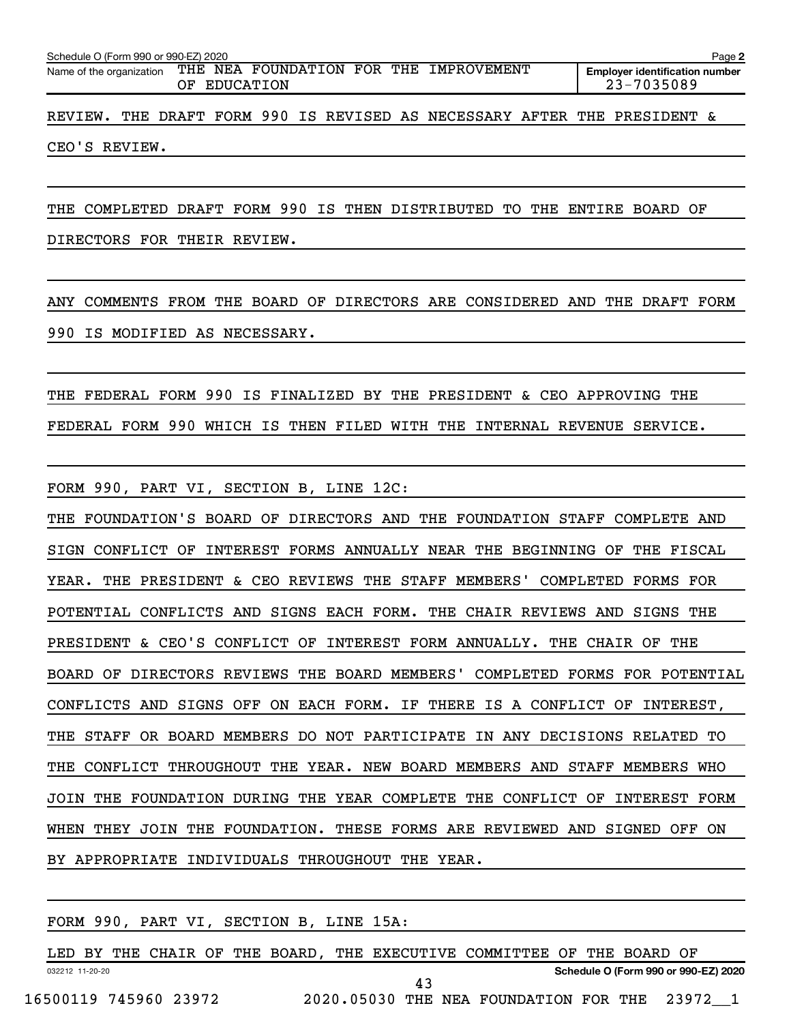| Schedule O (Form 990 or 990-EZ) 2020                                     |     |                  |  |  |                                        |  |                                                     | Page 2 |
|--------------------------------------------------------------------------|-----|------------------|--|--|----------------------------------------|--|-----------------------------------------------------|--------|
| Name of the organization                                                 | OF. | <b>EDUCATION</b> |  |  | THE NEA FOUNDATION FOR THE IMPROVEMENT |  | <b>Employer identification number</b><br>23-7035089 |        |
| REVIEW. THE DRAFT FORM 990 IS REVISED AS NECESSARY AFTER THE PRESIDENT & |     |                  |  |  |                                        |  |                                                     |        |

CEO'S REVIEW.

THE COMPLETED DRAFT FORM 990 IS THEN DISTRIBUTED TO THE ENTIRE BOARD OF

DIRECTORS FOR THEIR REVIEW.

ANY COMMENTS FROM THE BOARD OF DIRECTORS ARE CONSIDERED AND THE DRAFT FORM 990 IS MODIFIED AS NECESSARY.

THE FEDERAL FORM 990 IS FINALIZED BY THE PRESIDENT & CEO APPROVING THE FEDERAL FORM 990 WHICH IS THEN FILED WITH THE INTERNAL REVENUE SERVICE.

FORM 990, PART VI, SECTION B, LINE 12C:

THE FOUNDATION'S BOARD OF DIRECTORS AND THE FOUNDATION STAFF COMPLETE AND SIGN CONFLICT OF INTEREST FORMS ANNUALLY NEAR THE BEGINNING OF THE FISCAL YEAR. THE PRESIDENT & CEO REVIEWS THE STAFF MEMBERS' COMPLETED FORMS FOR POTENTIAL CONFLICTS AND SIGNS EACH FORM. THE CHAIR REVIEWS AND SIGNS THE PRESIDENT & CEO'S CONFLICT OF INTEREST FORM ANNUALLY. THE CHAIR OF THE BOARD OF DIRECTORS REVIEWS THE BOARD MEMBERS' COMPLETED FORMS FOR POTENTIAL CONFLICTS AND SIGNS OFF ON EACH FORM. IF THERE IS A CONFLICT OF INTEREST, THE STAFF OR BOARD MEMBERS DO NOT PARTICIPATE IN ANY DECISIONS RELATED TO THE CONFLICT THROUGHOUT THE YEAR. NEW BOARD MEMBERS AND STAFF MEMBERS WHO JOIN THE FOUNDATION DURING THE YEAR COMPLETE THE CONFLICT OF INTEREST FORM WHEN THEY JOIN THE FOUNDATION. THESE FORMS ARE REVIEWED AND SIGNED OFF ON BY APPROPRIATE INDIVIDUALS THROUGHOUT THE YEAR.

|                       |  |  |  | FORM 990, PART VI, SECTION B, LINE 15A: |  |    |                                               |  |                                      |  |
|-----------------------|--|--|--|-----------------------------------------|--|----|-----------------------------------------------|--|--------------------------------------|--|
|                       |  |  |  | LED BY THE CHAIR OF THE BOARD,          |  |    | THE EXECUTIVE COMMITTEE OF THE BOARD OF       |  |                                      |  |
| 032212 11-20-20       |  |  |  |                                         |  |    |                                               |  | Schedule O (Form 990 or 990-EZ) 2020 |  |
| 16500119 745960 23972 |  |  |  |                                         |  | 43 | 2020.05030 THE NEA FOUNDATION FOR THE 23972 1 |  |                                      |  |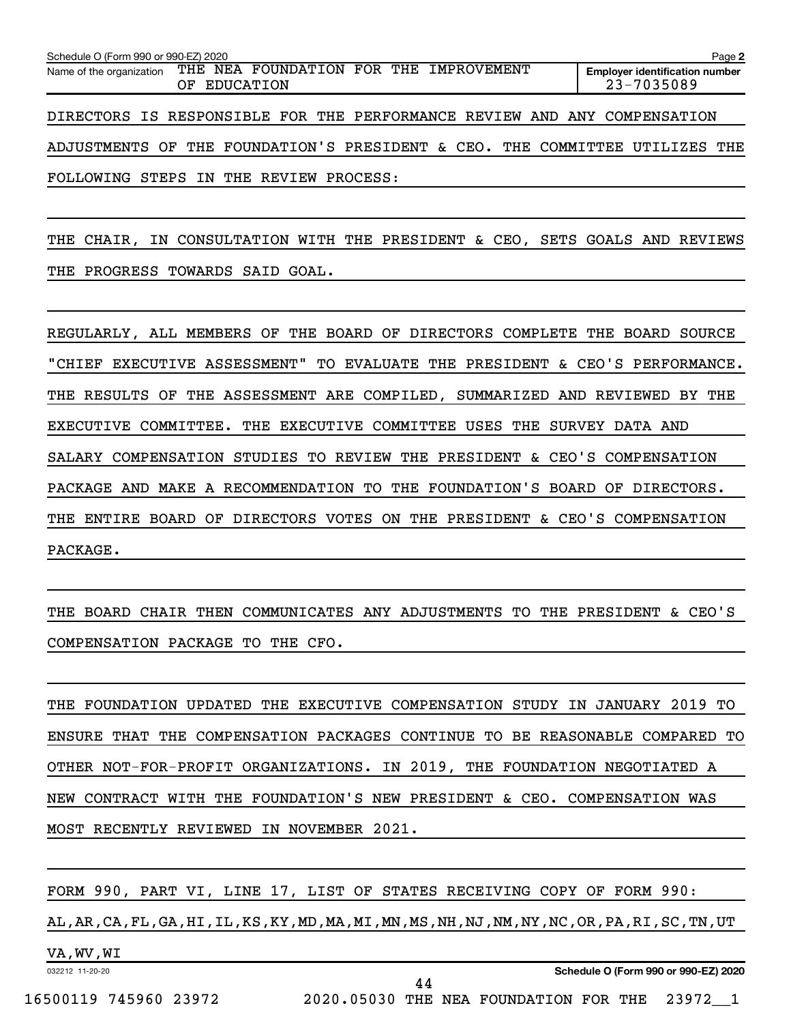| Schedule O (Form 990 or 990-EZ) 2020 |              |                                                                             | Page 2                                              |
|--------------------------------------|--------------|-----------------------------------------------------------------------------|-----------------------------------------------------|
|                                      | OF EDUCATION | Name of the organization THE NEA FOUNDATION FOR THE IMPROVEMENT             | <b>Employer identification number</b><br>23-7035089 |
|                                      |              | DIRECTORS IS RESPONSIBLE FOR THE PERFORMANCE REVIEW AND ANY COMPENSATION    |                                                     |
|                                      |              | ADJUSTMENTS OF THE FOUNDATION'S PRESIDENT & CEO. THE COMMITTEE UTILIZES THE |                                                     |

FOLLOWING STEPS IN THE REVIEW PROCESS:

THE CHAIR, IN CONSULTATION WITH THE PRESIDENT & CEO, SETS GOALS AND REVIEWS THE PROGRESS TOWARDS SAID GOAL.

REGULARLY, ALL MEMBERS OF THE BOARD OF DIRECTORS COMPLETE THE BOARD SOURCE "CHIEF EXECUTIVE ASSESSMENT" TO EVALUATE THE PRESIDENT & CEO'S PERFORMANCE. THE RESULTS OF THE ASSESSMENT ARE COMPILED, SUMMARIZED AND REVIEWED BY THE EXECUTIVE COMMITTEE. THE EXECUTIVE COMMITTEE USES THE SURVEY DATA AND SALARY COMPENSATION STUDIES TO REVIEW THE PRESIDENT & CEO'S COMPENSATION PACKAGE AND MAKE A RECOMMENDATION TO THE FOUNDATION'S BOARD OF DIRECTORS. THE ENTIRE BOARD OF DIRECTORS VOTES ON THE PRESIDENT & CEO'S COMPENSATION PACKAGE.

THE BOARD CHAIR THEN COMMUNICATES ANY ADJUSTMENTS TO THE PRESIDENT & CEO'S COMPENSATION PACKAGE TO THE CFO.

THE FOUNDATION UPDATED THE EXECUTIVE COMPENSATION STUDY IN JANUARY 2019 TO ENSURE THAT THE COMPENSATION PACKAGES CONTINUE TO BE REASONABLE COMPARED TO OTHER NOT-FOR-PROFIT ORGANIZATIONS. IN 2019, THE FOUNDATION NEGOTIATED A NEW CONTRACT WITH THE FOUNDATION'S NEW PRESIDENT & CEO. COMPENSATION WAS MOST RECENTLY REVIEWED IN NOVEMBER 2021.

032212 11-20-20 **Schedule O (Form 990 or 990-EZ) 2020** FORM 990, PART VI, LINE 17, LIST OF STATES RECEIVING COPY OF FORM 990: AL,AR,CA,FL,GA,HI,IL,KS,KY,MD,MA,MI,MN,MS,NH,NJ,NM,NY,NC,OR,PA,RI,SC,TN,UT VA,WV,WI 44